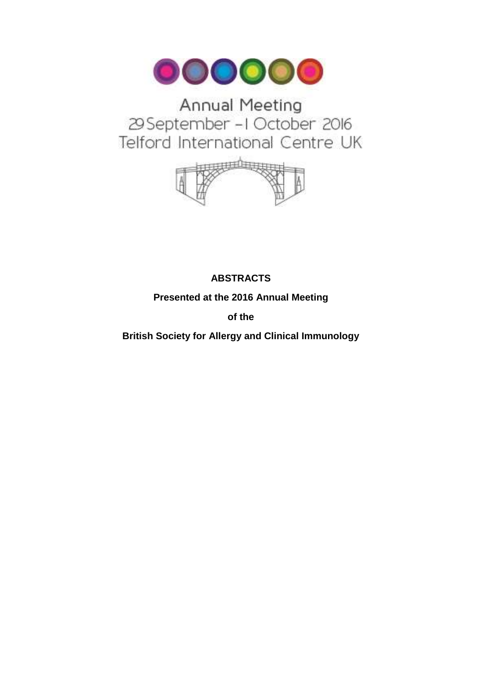

# Annual Meeting 29 September - I October 2016 Telford International Centre UK



# **ABSTRACTS**

**Presented at the 2016 Annual Meeting** 

**of the** 

**British Society for Allergy and Clinical Immunology**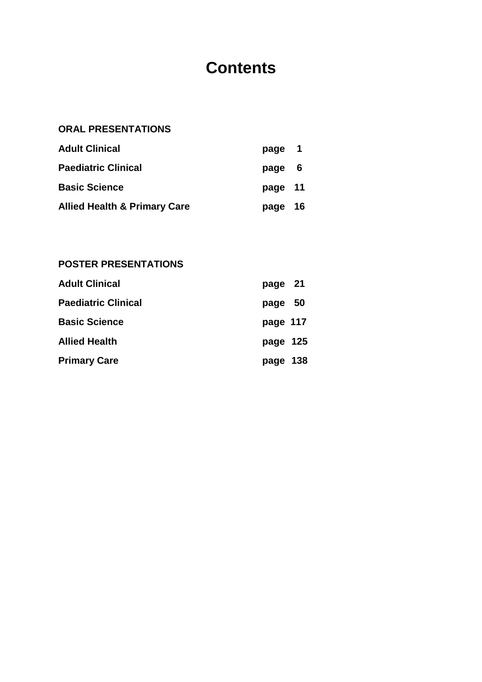# **Contents**

# **ORAL PRESENTATIONS**

| <b>Adult Clinical</b>                   | page 1  |  |
|-----------------------------------------|---------|--|
| <b>Paediatric Clinical</b>              | page 6  |  |
| <b>Basic Science</b>                    | page 11 |  |
| <b>Allied Health &amp; Primary Care</b> | page 16 |  |

# **POSTER PRESENTATIONS**

| <b>Adult Clinical</b>      | page 21  |  |
|----------------------------|----------|--|
| <b>Paediatric Clinical</b> | page 50  |  |
| <b>Basic Science</b>       | page 117 |  |
| <b>Allied Health</b>       | page 125 |  |
| <b>Primary Care</b>        | page 138 |  |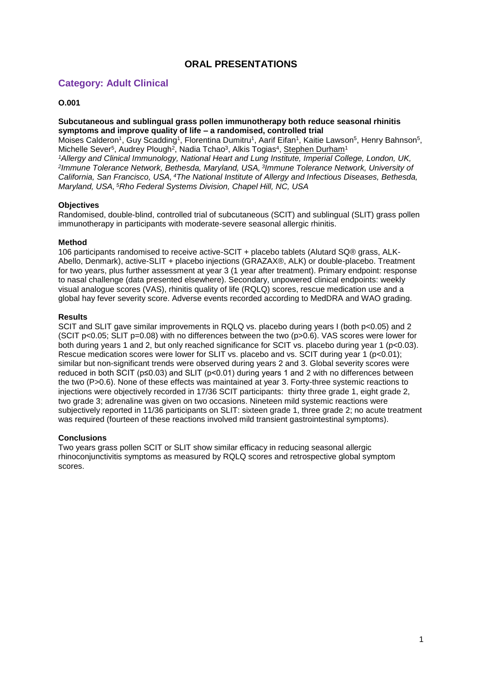# **ORAL PRESENTATIONS**

## **Category: Adult Clinical**

## **O.001**

#### **Subcutaneous and sublingual grass pollen immunotherapy both reduce seasonal rhinitis symptoms and improve quality of life – a randomised, controlled trial**

Moises Calderon<sup>1</sup>, Guy Scadding<sup>1</sup>, Florentina Dumitru<sup>1</sup>, Aarif Eifan<sup>1</sup>, Kaitie Lawson<sup>5</sup>, Henry Bahnson<sup>5</sup>, Michelle Sever<sup>5</sup>, Audrey Plough<sup>2</sup>, Nadia Tchao<sup>3</sup>, Alkis Togias<sup>4</sup>, Stephen Durham<sup>1</sup>

*<sup>1</sup>Allergy and Clinical Immunology, National Heart and Lung Institute, Imperial College, London, UK, 2 Immune Tolerance Network, Bethesda, Maryland, USA, <sup>3</sup> Immune Tolerance Network, University of California, San Francisco, USA, <sup>4</sup>The National Institute of Allergy and Infectious Diseases, Bethesda, Maryland, USA, <sup>5</sup>Rho Federal Systems Division, Chapel Hill, NC, USA*

#### **Objectives**

Randomised, double-blind, controlled trial of subcutaneous (SCIT) and sublingual (SLIT) grass pollen immunotherapy in participants with moderate-severe seasonal allergic rhinitis.

#### **Method**

106 participants randomised to receive active-SCIT + placebo tablets (Alutard SQ® grass, ALK-Abello, Denmark), active-SLIT + placebo injections (GRAZAX®, ALK) or double-placebo. Treatment for two years, plus further assessment at year 3 (1 year after treatment). Primary endpoint: response to nasal challenge (data presented elsewhere). Secondary, unpowered clinical endpoints: weekly visual analogue scores (VAS), rhinitis quality of life (RQLQ) scores, rescue medication use and a global hay fever severity score. Adverse events recorded according to MedDRA and WAO grading.

#### **Results**

SCIT and SLIT gave similar improvements in RQLQ vs. placebo during years I (both p<0.05) and 2 (SCIT p<0.05; SLIT p=0.08) with no differences between the two (p>0.6). VAS scores were lower for both during years 1 and 2, but only reached significance for SCIT vs. placebo during year 1 (p<0.03). Rescue medication scores were lower for SLIT vs. placebo and vs. SCIT during year 1 (p<0.01); similar but non-significant trends were observed during years 2 and 3. Global severity scores were reduced in both SCIT (p≤0.03) and SLIT (p<0.01) during years 1 and 2 with no differences between the two (P>0.6). None of these effects was maintained at year 3. Forty-three systemic reactions to injections were objectively recorded in 17/36 SCIT participants: thirty three grade 1, eight grade 2, two grade 3; adrenaline was given on two occasions. Nineteen mild systemic reactions were subjectively reported in 11/36 participants on SLIT: sixteen grade 1, three grade 2; no acute treatment was required (fourteen of these reactions involved mild transient gastrointestinal symptoms).

#### **Conclusions**

Two years grass pollen SCIT or SLIT show similar efficacy in reducing seasonal allergic rhinoconjunctivitis symptoms as measured by RQLQ scores and retrospective global symptom scores.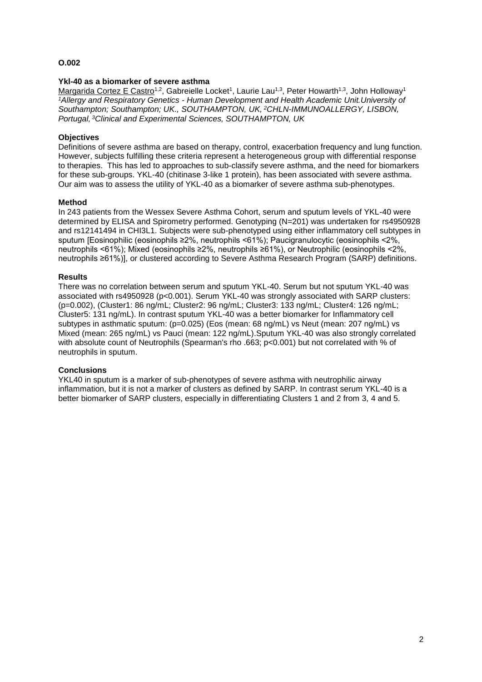#### **Ykl-40 as a biomarker of severe asthma**

Margarida Cortez E Castro<sup>1,2</sup>, Gabreielle Locket<sup>1</sup>, Laurie Lau<sup>1,3</sup>, Peter Howarth<sup>1,3</sup>, John Holloway<sup>1</sup> *<sup>1</sup>Allergy and Respiratory Genetics - Human Development and Health Academic Unit.University of Southampton; Southampton; UK., SOUTHAMPTON, UK, <sup>2</sup>CHLN-IMMUNOALLERGY, LISBON, Portugal, <sup>3</sup>Clinical and Experimental Sciences, SOUTHAMPTON, UK*

#### **Objectives**

Definitions of severe asthma are based on therapy, control, exacerbation frequency and lung function. However, subjects fulfilling these criteria represent a heterogeneous group with differential response to therapies. This has led to approaches to sub-classify severe asthma, and the need for biomarkers for these sub-groups. YKL-40 (chitinase 3-like 1 protein), has been associated with severe asthma. Our aim was to assess the utility of YKL-40 as a biomarker of severe asthma sub-phenotypes.

#### **Method**

In 243 patients from the Wessex Severe Asthma Cohort, serum and sputum levels of YKL-40 were determined by ELISA and Spirometry performed. Genotyping (N=201) was undertaken for rs4950928 and rs12141494 in CHI3L1. Subjects were sub-phenotyped using either inflammatory cell subtypes in sputum [Eosinophilic (eosinophils ≥2%, neutrophils <61%); Paucigranulocytic (eosinophils <2%, neutrophils <61%); Mixed (eosinophils ≥2%, neutrophils ≥61%), or Neutrophilic (eosinophils <2%, neutrophils ≥61%)], or clustered according to Severe Asthma Research Program (SARP) definitions.

#### **Results**

There was no correlation between serum and sputum YKL-40. Serum but not sputum YKL-40 was associated with rs4950928 (p<0.001). Serum YKL-40 was strongly associated with SARP clusters: (p=0.002), (Cluster1: 86 ng/mL; Cluster2: 96 ng/mL; Cluster3: 133 ng/mL; Cluster4: 126 ng/mL; Cluster5: 131 ng/mL). In contrast sputum YKL-40 was a better biomarker for Inflammatory cell subtypes in asthmatic sputum: (p=0.025) (Eos (mean: 68 ng/mL) vs Neut (mean: 207 ng/mL) vs Mixed (mean: 265 ng/mL) vs Pauci (mean: 122 ng/mL).Sputum YKL-40 was also strongly correlated with absolute count of Neutrophils (Spearman's rho .663; p<0.001) but not correlated with % of neutrophils in sputum.

#### **Conclusions**

YKL40 in sputum is a marker of sub-phenotypes of severe asthma with neutrophilic airway inflammation, but it is not a marker of clusters as defined by SARP. In contrast serum YKL-40 is a better biomarker of SARP clusters, especially in differentiating Clusters 1 and 2 from 3, 4 and 5.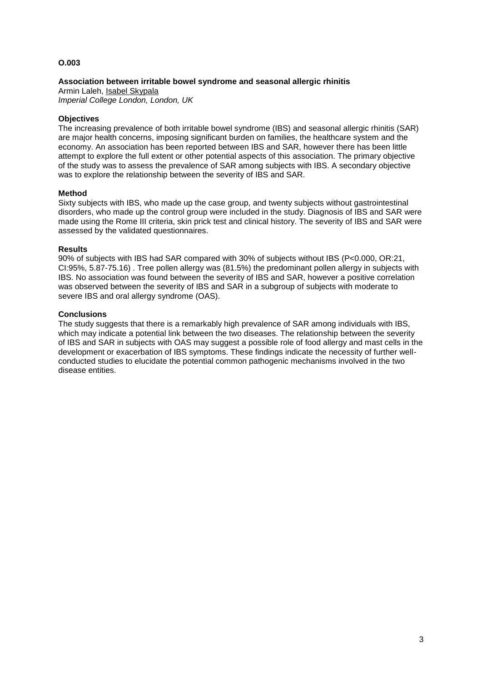### **Association between irritable bowel syndrome and seasonal allergic rhinitis**

Armin Laleh, Isabel Skypala *Imperial College London, London, UK*

## **Objectives**

The increasing prevalence of both irritable bowel syndrome (IBS) and seasonal allergic rhinitis (SAR) are major health concerns, imposing significant burden on families, the healthcare system and the economy. An association has been reported between IBS and SAR, however there has been little attempt to explore the full extent or other potential aspects of this association. The primary objective of the study was to assess the prevalence of SAR among subjects with IBS. A secondary objective was to explore the relationship between the severity of IBS and SAR.

#### **Method**

Sixty subjects with IBS, who made up the case group, and twenty subjects without gastrointestinal disorders, who made up the control group were included in the study. Diagnosis of IBS and SAR were made using the Rome III criteria, skin prick test and clinical history. The severity of IBS and SAR were assessed by the validated questionnaires.

#### **Results**

90% of subjects with IBS had SAR compared with 30% of subjects without IBS (P<0.000, OR:21, CI:95%, 5.87-75.16) . Tree pollen allergy was (81.5%) the predominant pollen allergy in subjects with IBS. No association was found between the severity of IBS and SAR, however a positive correlation was observed between the severity of IBS and SAR in a subgroup of subjects with moderate to severe IBS and oral allergy syndrome (OAS).

#### **Conclusions**

The study suggests that there is a remarkably high prevalence of SAR among individuals with IBS, which may indicate a potential link between the two diseases. The relationship between the severity of IBS and SAR in subjects with OAS may suggest a possible role of food allergy and mast cells in the development or exacerbation of IBS symptoms. These findings indicate the necessity of further wellconducted studies to elucidate the potential common pathogenic mechanisms involved in the two disease entities.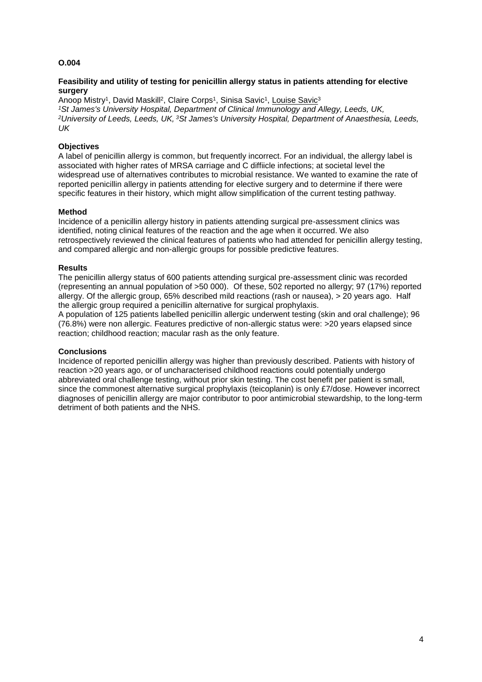#### **Feasibility and utility of testing for penicillin allergy status in patients attending for elective surgery**

Anoop Mistry<sup>1</sup>, David Maskill<sup>2</sup>, Claire Corps<sup>1</sup>, Sinisa Savic<sup>1</sup>, Louise Savic<sup>3</sup> *<sup>1</sup>St James's University Hospital, Department of Clinical Immunology and Allegy, Leeds, UK, <sup>2</sup>University of Leeds, Leeds, UK, <sup>3</sup>St James's University Hospital, Department of Anaesthesia, Leeds, UK*

## **Objectives**

A label of penicillin allergy is common, but frequently incorrect. For an individual, the allergy label is associated with higher rates of MRSA carriage and C diffiicle infections; at societal level the widespread use of alternatives contributes to microbial resistance. We wanted to examine the rate of reported penicillin allergy in patients attending for elective surgery and to determine if there were specific features in their history, which might allow simplification of the current testing pathway.

#### **Method**

Incidence of a penicillin allergy history in patients attending surgical pre-assessment clinics was identified, noting clinical features of the reaction and the age when it occurred. We also retrospectively reviewed the clinical features of patients who had attended for penicillin allergy testing, and compared allergic and non-allergic groups for possible predictive features.

#### **Results**

The penicillin allergy status of 600 patients attending surgical pre-assessment clinic was recorded (representing an annual population of >50 000). Of these, 502 reported no allergy; 97 (17%) reported allergy. Of the allergic group, 65% described mild reactions (rash or nausea), > 20 years ago. Half the allergic group required a penicillin alternative for surgical prophylaxis.

A population of 125 patients labelled penicillin allergic underwent testing (skin and oral challenge); 96 (76.8%) were non allergic. Features predictive of non-allergic status were: >20 years elapsed since reaction; childhood reaction; macular rash as the only feature.

#### **Conclusions**

Incidence of reported penicillin allergy was higher than previously described. Patients with history of reaction >20 years ago, or of uncharacterised childhood reactions could potentially undergo abbreviated oral challenge testing, without prior skin testing. The cost benefit per patient is small, since the commonest alternative surgical prophylaxis (teicoplanin) is only £7/dose. However incorrect diagnoses of penicillin allergy are major contributor to poor antimicrobial stewardship, to the long-term detriment of both patients and the NHS.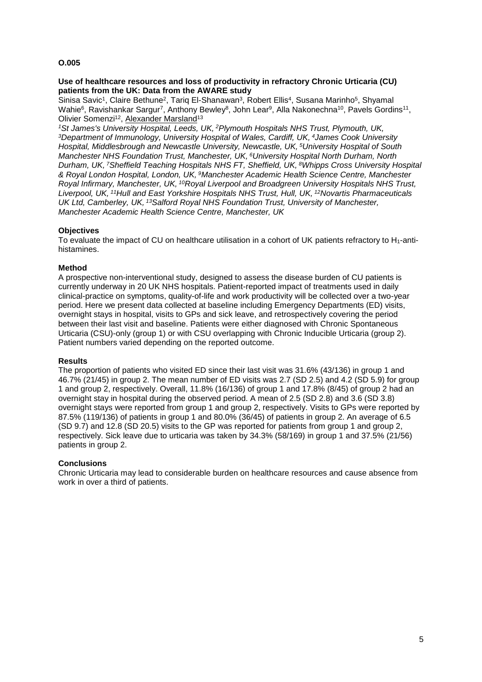#### **Use of healthcare resources and loss of productivity in refractory Chronic Urticaria (CU) patients from the UK: Data from the AWARE study**

Sinisa Savic<sup>1</sup>, Claire Bethune<sup>2</sup>, Tariq El-Shanawan<sup>3</sup>, Robert Ellis<sup>4</sup>, Susana Marinho<sup>5</sup>, Shyamal Wahie<sup>6</sup>, Ravishankar Sargur<sup>7</sup>, Anthony Bewley<sup>8</sup>, John Lear<sup>9</sup>, Alla Nakonechna<sup>10</sup>, Pavels Gordins<sup>11</sup>, Olivier Somenzi<sup>12</sup>, Alexander Marsland<sup>13</sup>

*<sup>1</sup>St James's University Hospital, Leeds, UK, <sup>2</sup>Plymouth Hospitals NHS Trust, Plymouth, UK, <sup>3</sup>Department of Immunology, University Hospital of Wales, Cardiff, UK, <sup>4</sup>James Cook University Hospital, Middlesbrough and Newcastle University, Newcastle, UK, <sup>5</sup>University Hospital of South Manchester NHS Foundation Trust, Manchester, UK, <sup>6</sup>University Hospital North Durham, North Durham, UK, <sup>7</sup>Sheffield Teaching Hospitals NHS FT, Sheffield, UK, <sup>8</sup>Whipps Cross University Hospital & Royal London Hospital, London, UK, <sup>9</sup>Manchester Academic Health Science Centre, Manchester Royal Infirmary, Manchester, UK, <sup>10</sup>Royal Liverpool and Broadgreen University Hospitals NHS Trust, Liverpool, UK, <sup>11</sup>Hull and East Yorkshire Hospitals NHS Trust, Hull, UK, <sup>12</sup>Novartis Pharmaceuticals UK Ltd, Camberley, UK, <sup>13</sup>Salford Royal NHS Foundation Trust, University of Manchester, Manchester Academic Health Science Centre, Manchester, UK*

## **Objectives**

To evaluate the impact of CU on healthcare utilisation in a cohort of UK patients refractory to H1-antihistamines.

#### **Method**

A prospective non-interventional study, designed to assess the disease burden of CU patients is currently underway in 20 UK NHS hospitals. Patient-reported impact of treatments used in daily clinical-practice on symptoms, quality-of-life and work productivity will be collected over a two-year period. Here we present data collected at baseline including Emergency Departments (ED) visits, overnight stays in hospital, visits to GPs and sick leave, and retrospectively covering the period between their last visit and baseline. Patients were either diagnosed with Chronic Spontaneous Urticaria (CSU)-only (group 1) or with CSU overlapping with Chronic Inducible Urticaria (group 2). Patient numbers varied depending on the reported outcome.

#### **Results**

The proportion of patients who visited ED since their last visit was 31.6% (43/136) in group 1 and 46.7% (21/45) in group 2. The mean number of ED visits was 2.7 (SD 2.5) and 4.2 (SD 5.9) for group 1 and group 2, respectively. Overall, 11.8% (16/136) of group 1 and 17.8% (8/45) of group 2 had an overnight stay in hospital during the observed period. A mean of 2.5 (SD 2.8) and 3.6 (SD 3.8) overnight stays were reported from group 1 and group 2, respectively. Visits to GPs were reported by 87.5% (119/136) of patients in group 1 and 80.0% (36/45) of patients in group 2. An average of 6.5 (SD 9.7) and 12.8 (SD 20.5) visits to the GP was reported for patients from group 1 and group 2, respectively. Sick leave due to urticaria was taken by 34.3% (58/169) in group 1 and 37.5% (21/56) patients in group 2.

#### **Conclusions**

Chronic Urticaria may lead to considerable burden on healthcare resources and cause absence from work in over a third of patients.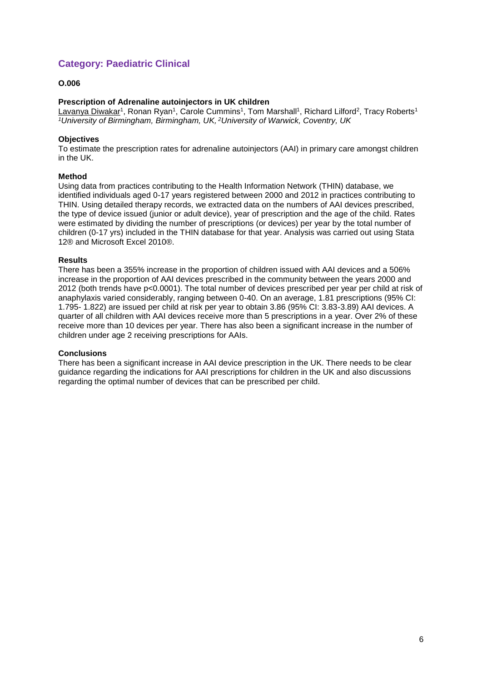# **Category: Paediatric Clinical**

## **O.006**

## **Prescription of Adrenaline autoinjectors in UK children**

<u>Lavanya Diwakar</u>1, Ronan Ryan1, Carole Cummins1, Tom Marshall1, Richard Lilford<sup>2</sup>, Tracy Roberts<sup>1</sup> *<sup>1</sup>University of Birmingham, Birmingham, UK, <sup>2</sup>University of Warwick, Coventry, UK*

## **Objectives**

To estimate the prescription rates for adrenaline autoinjectors (AAI) in primary care amongst children in the UK.

#### **Method**

Using data from practices contributing to the Health Information Network (THIN) database, we identified individuals aged 0-17 years registered between 2000 and 2012 in practices contributing to THIN. Using detailed therapy records, we extracted data on the numbers of AAI devices prescribed, the type of device issued (junior or adult device), year of prescription and the age of the child. Rates were estimated by dividing the number of prescriptions (or devices) per year by the total number of children (0-17 yrs) included in the THIN database for that year. Analysis was carried out using Stata 12® and Microsoft Excel 2010®.

#### **Results**

There has been a 355% increase in the proportion of children issued with AAI devices and a 506% increase in the proportion of AAI devices prescribed in the community between the years 2000 and 2012 (both trends have p<0.0001). The total number of devices prescribed per year per child at risk of anaphylaxis varied considerably, ranging between 0-40. On an average, 1.81 prescriptions (95% CI: 1.795- 1.822) are issued per child at risk per year to obtain 3.86 (95% CI: 3.83-3.89) AAI devices. A quarter of all children with AAI devices receive more than 5 prescriptions in a year. Over 2% of these receive more than 10 devices per year. There has also been a significant increase in the number of children under age 2 receiving prescriptions for AAIs.

#### **Conclusions**

There has been a significant increase in AAI device prescription in the UK. There needs to be clear guidance regarding the indications for AAI prescriptions for children in the UK and also discussions regarding the optimal number of devices that can be prescribed per child.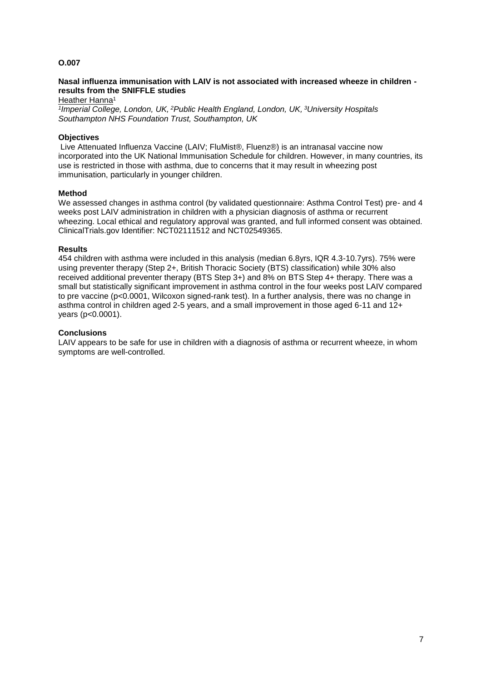#### **Nasal influenza immunisation with LAIV is not associated with increased wheeze in children results from the SNIFFLE studies**

Heather Hanna<sup>1</sup>

*1 Imperial College, London, UK, <sup>2</sup>Public Health England, London, UK, <sup>3</sup>University Hospitals Southampton NHS Foundation Trust, Southampton, UK*

## **Objectives**

Live Attenuated Influenza Vaccine (LAIV; FluMist®, Fluenz®) is an intranasal vaccine now incorporated into the UK National Immunisation Schedule for children. However, in many countries, its use is restricted in those with asthma, due to concerns that it may result in wheezing post immunisation, particularly in younger children.

#### **Method**

We assessed changes in asthma control (by validated questionnaire: Asthma Control Test) pre- and 4 weeks post LAIV administration in children with a physician diagnosis of asthma or recurrent wheezing. Local ethical and regulatory approval was granted, and full informed consent was obtained. ClinicalTrials.gov Identifier: NCT02111512 and NCT02549365.

#### **Results**

454 children with asthma were included in this analysis (median 6.8yrs, IQR 4.3-10.7yrs). 75% were using preventer therapy (Step 2+, British Thoracic Society (BTS) classification) while 30% also received additional preventer therapy (BTS Step 3+) and 8% on BTS Step 4+ therapy. There was a small but statistically significant improvement in asthma control in the four weeks post LAIV compared to pre vaccine (p<0.0001, Wilcoxon signed-rank test). In a further analysis, there was no change in asthma control in children aged 2-5 years, and a small improvement in those aged 6-11 and 12+ years (p<0.0001).

#### **Conclusions**

LAIV appears to be safe for use in children with a diagnosis of asthma or recurrent wheeze, in whom symptoms are well-controlled.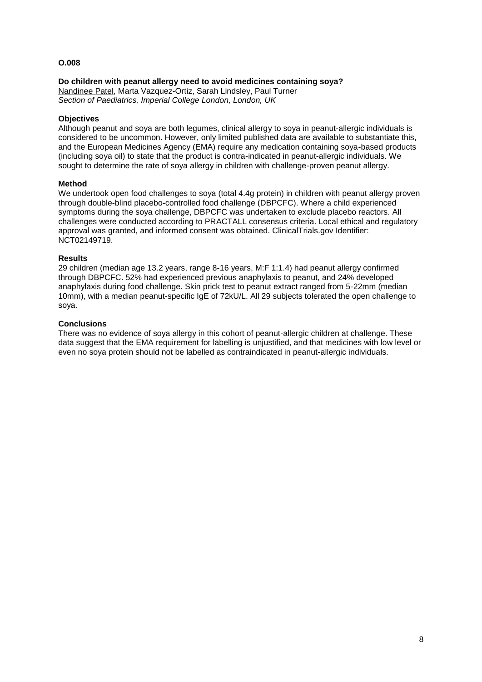## **Do children with peanut allergy need to avoid medicines containing soya?**

Nandinee Patel, Marta Vazquez-Ortiz, Sarah Lindsley, Paul Turner *Section of Paediatrics, Imperial College London, London, UK*

## **Objectives**

Although peanut and soya are both legumes, clinical allergy to soya in peanut-allergic individuals is considered to be uncommon. However, only limited published data are available to substantiate this, and the European Medicines Agency (EMA) require any medication containing soya-based products (including soya oil) to state that the product is contra-indicated in peanut-allergic individuals. We sought to determine the rate of soya allergy in children with challenge-proven peanut allergy.

#### **Method**

We undertook open food challenges to soya (total 4.4g protein) in children with peanut allergy proven through double-blind placebo-controlled food challenge (DBPCFC). Where a child experienced symptoms during the soya challenge, DBPCFC was undertaken to exclude placebo reactors. All challenges were conducted according to PRACTALL consensus criteria. Local ethical and regulatory approval was granted, and informed consent was obtained. ClinicalTrials.gov Identifier: NCT02149719.

#### **Results**

29 children (median age 13.2 years, range 8-16 years, M:F 1:1.4) had peanut allergy confirmed through DBPCFC. 52% had experienced previous anaphylaxis to peanut, and 24% developed anaphylaxis during food challenge. Skin prick test to peanut extract ranged from 5-22mm (median 10mm), with a median peanut-specific IgE of 72kU/L. All 29 subjects tolerated the open challenge to soya.

#### **Conclusions**

There was no evidence of soya allergy in this cohort of peanut-allergic children at challenge. These data suggest that the EMA requirement for labelling is unjustified, and that medicines with low level or even no soya protein should not be labelled as contraindicated in peanut-allergic individuals.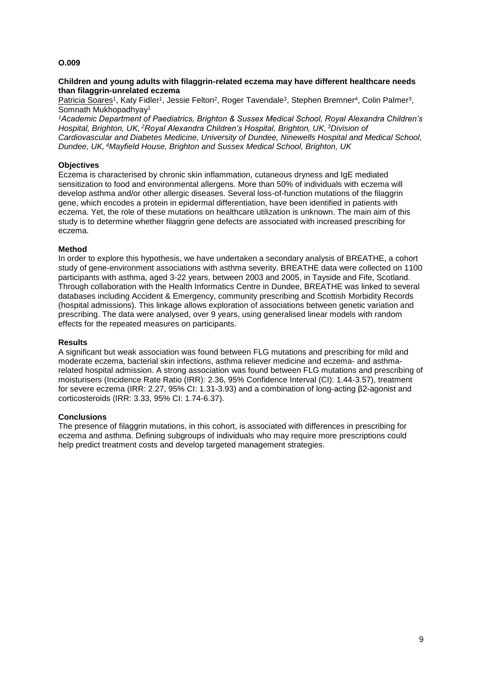#### **Children and young adults with filaggrin-related eczema may have different healthcare needs than filaggrin-unrelated eczema**

Patricia Soares<sup>1</sup>, Katy Fidler<sup>1</sup>, Jessie Felton<sup>2</sup>, Roger Tavendale<sup>3</sup>, Stephen Bremner<sup>4</sup>, Colin Palmer<sup>3</sup>, Somnath Mukhopadhyay<sup>1</sup>

*<sup>1</sup>Academic Department of Paediatrics, Brighton & Sussex Medical School, Royal Alexandra Children's Hospital, Brighton, UK, <sup>2</sup>Royal Alexandra Children's Hospital, Brighton, UK, <sup>3</sup>Division of Cardiovascular and Diabetes Medicine, University of Dundee, Ninewells Hospital and Medical School, Dundee, UK, <sup>4</sup>Mayfield House, Brighton and Sussex Medical School, Brighton, UK*

## **Objectives**

Eczema is characterised by chronic skin inflammation, cutaneous dryness and IgE mediated sensitization to food and environmental allergens. More than 50% of individuals with eczema will develop asthma and/or other allergic diseases. Several loss-of-function mutations of the filaggrin gene, which encodes a protein in epidermal differentiation, have been identified in patients with eczema. Yet, the role of these mutations on healthcare utilization is unknown. The main aim of this study is to determine whether filaggrin gene defects are associated with increased prescribing for eczema.

#### **Method**

In order to explore this hypothesis, we have undertaken a secondary analysis of BREATHE, a cohort study of gene-environment associations with asthma severity. BREATHE data were collected on 1100 participants with asthma, aged 3-22 years, between 2003 and 2005, in Tayside and Fife, Scotland. Through collaboration with the Health Informatics Centre in Dundee, BREATHE was linked to several databases including Accident & Emergency, community prescribing and Scottish Morbidity Records (hospital admissions). This linkage allows exploration of associations between genetic variation and prescribing. The data were analysed, over 9 years, using generalised linear models with random effects for the repeated measures on participants.

#### **Results**

A significant but weak association was found between FLG mutations and prescribing for mild and moderate eczema, bacterial skin infections, asthma reliever medicine and eczema- and asthmarelated hospital admission. A strong association was found between FLG mutations and prescribing of moisturisers (Incidence Rate Ratio (IRR): 2.36, 95% Confidence Interval (CI): 1.44-3.57), treatment for severe eczema (IRR: 2.27, 95% CI: 1.31-3.93) and a combination of long-acting β2-agonist and corticosteroids (IRR: 3.33, 95% CI: 1.74-6.37).

#### **Conclusions**

The presence of filaggrin mutations, in this cohort, is associated with differences in prescribing for eczema and asthma. Defining subgroups of individuals who may require more prescriptions could help predict treatment costs and develop targeted management strategies.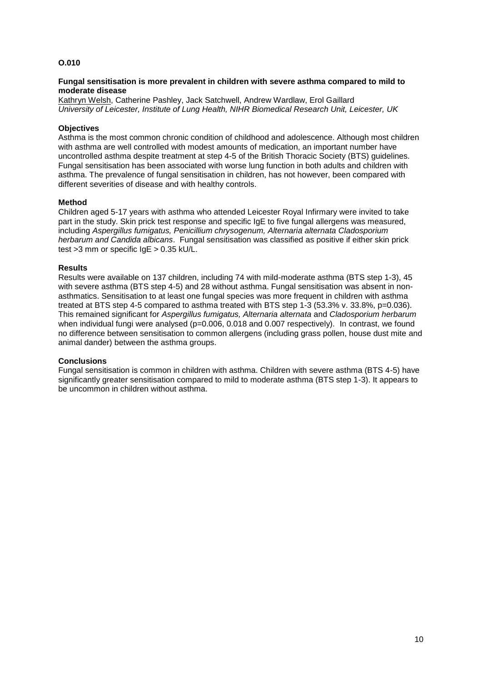#### **Fungal sensitisation is more prevalent in children with severe asthma compared to mild to moderate disease**

Kathryn Welsh, Catherine Pashley, Jack Satchwell, Andrew Wardlaw, Erol Gaillard *University of Leicester, Institute of Lung Health, NIHR Biomedical Research Unit, Leicester, UK*

#### **Objectives**

Asthma is the most common chronic condition of childhood and adolescence. Although most children with asthma are well controlled with modest amounts of medication, an important number have uncontrolled asthma despite treatment at step 4-5 of the British Thoracic Society (BTS) guidelines. Fungal sensitisation has been associated with worse lung function in both adults and children with asthma. The prevalence of fungal sensitisation in children, has not however, been compared with different severities of disease and with healthy controls.

#### **Method**

Children aged 5-17 years with asthma who attended Leicester Royal Infirmary were invited to take part in the study. Skin prick test response and specific IgE to five fungal allergens was measured, including *Aspergillus fumigatus, Penicillium chrysogenum, Alternaria alternata Cladosporium herbarum and Candida albicans*. Fungal sensitisation was classified as positive if either skin prick test >3 mm or specific IgE > 0.35 kU/L.

#### **Results**

Results were available on 137 children, including 74 with mild-moderate asthma (BTS step 1-3), 45 with severe asthma (BTS step 4-5) and 28 without asthma. Fungal sensitisation was absent in nonasthmatics. Sensitisation to at least one fungal species was more frequent in children with asthma treated at BTS step 4-5 compared to asthma treated with BTS step 1-3 (53.3% v. 33.8%, p=0.036). This remained significant for *Aspergillus fumigatus, Alternaria alternata* and *Cladosporium herbarum* when individual fungi were analysed ( $p=0.006$ , 0.018 and 0.007 respectively). In contrast, we found no difference between sensitisation to common allergens (including grass pollen, house dust mite and animal dander) between the asthma groups.

#### **Conclusions**

Fungal sensitisation is common in children with asthma. Children with severe asthma (BTS 4-5) have significantly greater sensitisation compared to mild to moderate asthma (BTS step 1-3). It appears to be uncommon in children without asthma.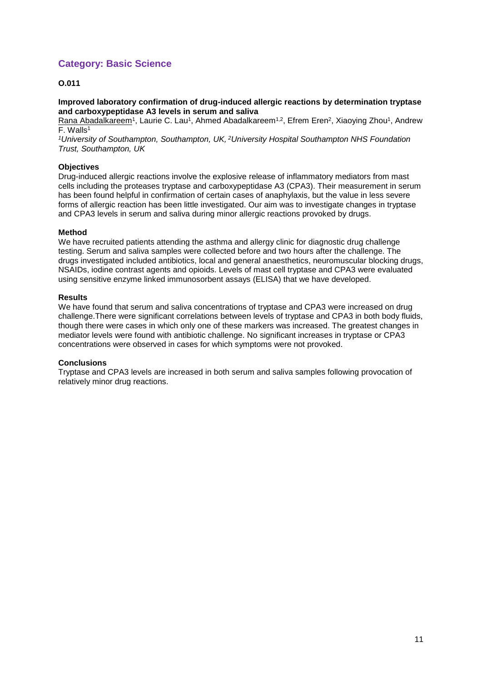# **Category: Basic Science**

## **O.011**

**Improved laboratory confirmation of drug-induced allergic reactions by determination tryptase and carboxypeptidase A3 levels in serum and saliva**

Rana Abadalkareem<sup>1</sup>, Laurie C. Lau<sup>1</sup>, Ahmed Abadalkareem<sup>1,2</sup>, Efrem Eren<sup>2</sup>, Xiaoying Zhou<sup>1</sup>, Andrew F. Walls<sup>1</sup>

*<sup>1</sup>University of Southampton, Southampton, UK, <sup>2</sup>University Hospital Southampton NHS Foundation Trust, Southampton, UK*

#### **Objectives**

Drug-induced allergic reactions involve the explosive release of inflammatory mediators from mast cells including the proteases tryptase and carboxypeptidase A3 (CPA3). Their measurement in serum has been found helpful in confirmation of certain cases of anaphylaxis, but the value in less severe forms of allergic reaction has been little investigated. Our aim was to investigate changes in tryptase and CPA3 levels in serum and saliva during minor allergic reactions provoked by drugs.

#### **Method**

We have recruited patients attending the asthma and allergy clinic for diagnostic drug challenge testing. Serum and saliva samples were collected before and two hours after the challenge. The drugs investigated included antibiotics, local and general anaesthetics, neuromuscular blocking drugs, NSAIDs, iodine contrast agents and opioids. Levels of mast cell tryptase and CPA3 were evaluated using sensitive enzyme linked immunosorbent assays (ELISA) that we have developed.

#### **Results**

We have found that serum and saliva concentrations of tryptase and CPA3 were increased on drug challenge.There were significant correlations between levels of tryptase and CPA3 in both body fluids, though there were cases in which only one of these markers was increased. The greatest changes in mediator levels were found with antibiotic challenge. No significant increases in tryptase or CPA3 concentrations were observed in cases for which symptoms were not provoked.

#### **Conclusions**

Tryptase and CPA3 levels are increased in both serum and saliva samples following provocation of relatively minor drug reactions.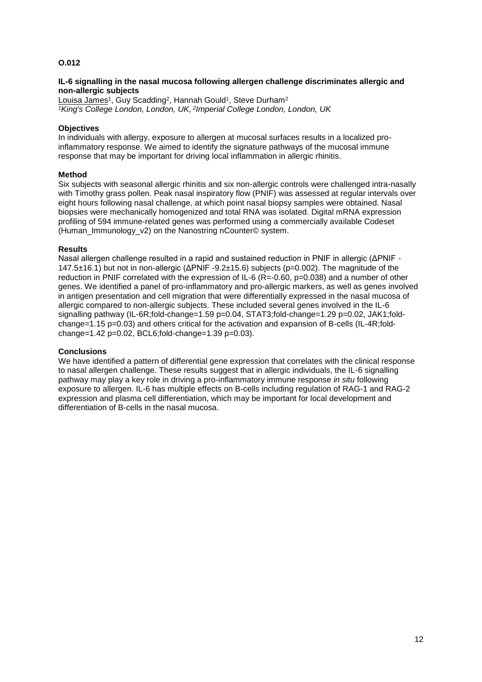#### **IL-6 signalling in the nasal mucosa following allergen challenge discriminates allergic and non-allergic subjects**

Louisa James<sup>1</sup>, Guy Scadding<sup>2</sup>, Hannah Gould<sup>1</sup>, Steve Durham<sup>2</sup> *<sup>1</sup>King's College London, London, UK, <sup>2</sup> Imperial College London, London, UK*

#### **Objectives**

In individuals with allergy, exposure to allergen at mucosal surfaces results in a localized proinflammatory response. We aimed to identify the signature pathways of the mucosal immune response that may be important for driving local inflammation in allergic rhinitis.

#### **Method**

Six subjects with seasonal allergic rhinitis and six non-allergic controls were challenged intra-nasally with Timothy grass pollen. Peak nasal inspiratory flow (PNIF) was assessed at regular intervals over eight hours following nasal challenge, at which point nasal biopsy samples were obtained. Nasal biopsies were mechanically homogenized and total RNA was isolated. Digital mRNA expression profiling of 594 immune-related genes was performed using a commercially available Codeset (Human\_Immunology\_v2) on the Nanostring nCounter© system.

#### **Results**

Nasal allergen challenge resulted in a rapid and sustained reduction in PNIF in allergic (ΔPNIF - 147.5±16.1) but not in non-allergic (ΔPNIF -9.2±15.6) subjects (p=0.002). The magnitude of the reduction in PNIF correlated with the expression of IL-6 ( $R = 0.60$ ,  $p = 0.038$ ) and a number of other genes. We identified a panel of pro-inflammatory and pro-allergic markers, as well as genes involved in antigen presentation and cell migration that were differentially expressed in the nasal mucosa of allergic compared to non-allergic subjects. These included several genes involved in the IL-6 signalling pathway (IL-6R;fold-change=1.59 p=0.04, STAT3;fold-change=1.29 p=0.02, JAK1;foldchange=1.15 p=0.03) and others critical for the activation and expansion of B-cells (IL-4R;fold $change=1.42$   $p=0.02$ , BCL6;fold-change=1.39 p=0.03).

#### **Conclusions**

We have identified a pattern of differential gene expression that correlates with the clinical response to nasal allergen challenge. These results suggest that in allergic individuals, the IL-6 signalling pathway may play a key role in driving a pro-inflammatory immune response *in situ* following exposure to allergen. IL-6 has multiple effects on B-cells including regulation of RAG-1 and RAG-2 expression and plasma cell differentiation, which may be important for local development and differentiation of B-cells in the nasal mucosa.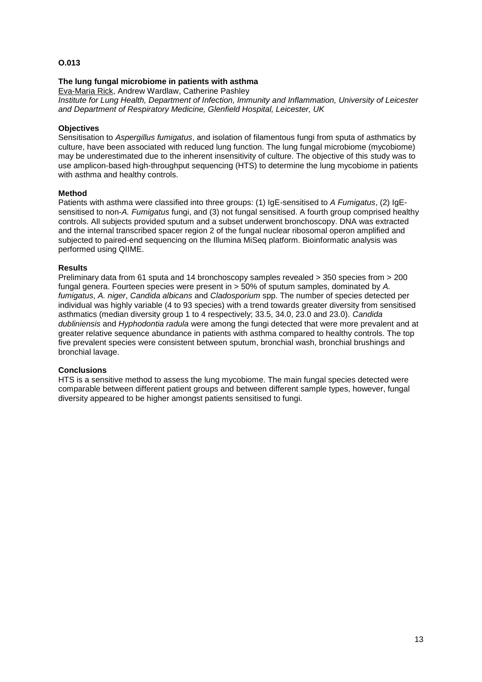#### **The lung fungal microbiome in patients with asthma**

Eva-Maria Rick, Andrew Wardlaw, Catherine Pashley *Institute for Lung Health, Department of Infection, Immunity and Inflammation, University of Leicester and Department of Respiratory Medicine, Glenfield Hospital, Leicester, UK*

#### **Objectives**

Sensitisation to *Aspergillus fumigatus*, and isolation of filamentous fungi from sputa of asthmatics by culture, have been associated with reduced lung function. The lung fungal microbiome (mycobiome) may be underestimated due to the inherent insensitivity of culture. The objective of this study was to use amplicon-based high-throughput sequencing (HTS) to determine the lung mycobiome in patients with asthma and healthy controls.

#### **Method**

Patients with asthma were classified into three groups: (1) IgE-sensitised to *A Fumigatus*, (2) IgEsensitised to non-*A. Fumigatus* fungi, and (3) not fungal sensitised. A fourth group comprised healthy controls. All subjects provided sputum and a subset underwent bronchoscopy. DNA was extracted and the internal transcribed spacer region 2 of the fungal nuclear ribosomal operon amplified and subjected to paired-end sequencing on the Illumina MiSeq platform. Bioinformatic analysis was performed using QIIME.

#### **Results**

Preliminary data from 61 sputa and 14 bronchoscopy samples revealed > 350 species from > 200 fungal genera. Fourteen species were present in > 50% of sputum samples, dominated by *A. fumigatus*, *A. niger*, *Candida albicans* and *Cladosporium* spp. The number of species detected per individual was highly variable (4 to 93 species) with a trend towards greater diversity from sensitised asthmatics (median diversity group 1 to 4 respectively; 33.5, 34.0, 23.0 and 23.0). *Candida dubliniensis* and *Hyphodontia radula* were among the fungi detected that were more prevalent and at greater relative sequence abundance in patients with asthma compared to healthy controls. The top five prevalent species were consistent between sputum, bronchial wash, bronchial brushings and bronchial lavage.

#### **Conclusions**

HTS is a sensitive method to assess the lung mycobiome. The main fungal species detected were comparable between different patient groups and between different sample types, however, fungal diversity appeared to be higher amongst patients sensitised to fungi.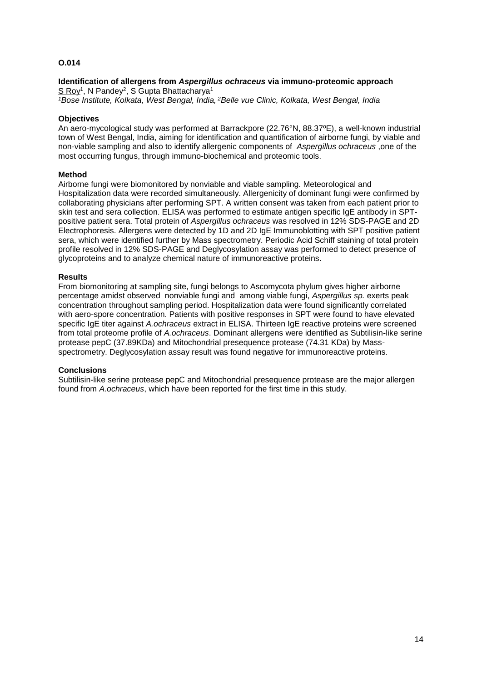# **Identification of allergens from** *Aspergillus ochraceus* **via immuno-proteomic approach**

S Roy<sup>1</sup>, N Pandey<sup>2</sup>, S Gupta Bhattacharya<sup>1</sup> *<sup>1</sup>Bose Institute, Kolkata, West Bengal, India, <sup>2</sup>Belle vue Clinic, Kolkata, West Bengal, India*

## **Objectives**

An aero-mycological study was performed at Barrackpore (22.76°N, 88.37ºE), a well-known industrial town of West Bengal, India, aiming for identification and quantification of airborne fungi, by viable and non-viable sampling and also to identify allergenic components of *Aspergillus ochraceus* ,one of the most occurring fungus, through immuno-biochemical and proteomic tools.

#### **Method**

Airborne fungi were biomonitored by nonviable and viable sampling. Meteorological and Hospitalization data were recorded simultaneously. Allergenicity of dominant fungi were confirmed by collaborating physicians after performing SPT. A written consent was taken from each patient prior to skin test and sera collection. ELISA was performed to estimate antigen specific IgE antibody in SPTpositive patient sera. Total protein of *Aspergillus ochraceus* was resolved in 12% SDS-PAGE and 2D Electrophoresis. Allergens were detected by 1D and 2D IgE Immunoblotting with SPT positive patient sera, which were identified further by Mass spectrometry. Periodic Acid Schiff staining of total protein profile resolved in 12% SDS-PAGE and Deglycosylation assay was performed to detect presence of glycoproteins and to analyze chemical nature of immunoreactive proteins.

#### **Results**

From biomonitoring at sampling site, fungi belongs to Ascomycota phylum gives higher airborne percentage amidst observed nonviable fungi and among viable fungi, *Aspergillus sp.* exerts peak concentration throughout sampling period. Hospitalization data were found significantly correlated with aero-spore concentration. Patients with positive responses in SPT were found to have elevated specific IgE titer against *A.ochraceus* extract in ELISA. Thirteen IgE reactive proteins were screened from total proteome profile of *A.ochraceus*. Dominant allergens were identified as Subtilisin-like serine protease pepC (37.89KDa) and Mitochondrial presequence protease (74.31 KDa) by Massspectrometry. Deglycosylation assay result was found negative for immunoreactive proteins.

#### **Conclusions**

Subtilisin-like serine protease pepC and Mitochondrial presequence protease are the major allergen found from *A.ochraceus*, which have been reported for the first time in this study.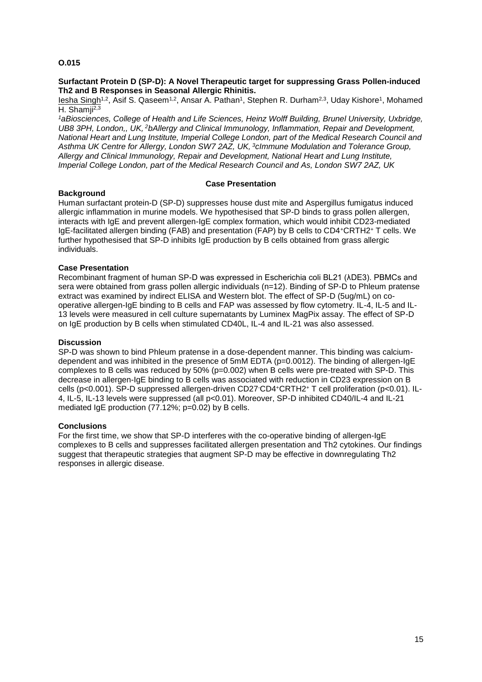#### **Surfactant Protein D (SP-D): A Novel Therapeutic target for suppressing Grass Pollen-induced Th2 and B Responses in Seasonal Allergic Rhinitis.**

<u>lesha Singh</u><sup>1,2</sup>, Asif S. Qaseem<sup>1,2</sup>, Ansar A. Pathan<sup>1</sup>, Stephen R. Durham<sup>2,3</sup>, Uday Kishore<sup>1</sup>, Mohamed H. Shamii<sup>2,3</sup>

*<sup>1</sup>aBiosciences, College of Health and Life Sciences, Heinz Wolff Building, Brunel University, Uxbridge, UB8 3PH, London,, UK, <sup>2</sup>bAllergy and Clinical Immunology, Inflammation, Repair and Development, National Heart and Lung Institute, Imperial College London, part of the Medical Research Council and Asthma UK Centre for Allergy, London SW7 2AZ, UK, <sup>3</sup>cImmune Modulation and Tolerance Group, Allergy and Clinical Immunology, Repair and Development, National Heart and Lung Institute, Imperial College London, part of the Medical Research Council and As, London SW7 2AZ, UK*

#### **Case Presentation**

#### **Background**

Human surfactant protein-D (SP-D) suppresses house dust mite and Aspergillus fumigatus induced allergic inflammation in murine models. We hypothesised that SP-D binds to grass pollen allergen, interacts with IgE and prevent allergen-IgE complex formation, which would inhibit CD23-mediated IgE-facilitated allergen binding (FAB) and presentation (FAP) by B cells to CD4<sup>+</sup>CRTH2<sup>+</sup> T cells. We further hypothesised that SP-D inhibits IgE production by B cells obtained from grass allergic individuals.

#### **Case Presentation**

Recombinant fragment of human SP-D was expressed in Escherichia coli BL21 (λDE3). PBMCs and sera were obtained from grass pollen allergic individuals (n=12). Binding of SP-D to Phleum pratense extract was examined by indirect ELISA and Western blot. The effect of SP-D (5ug/mL) on cooperative allergen-IgE binding to B cells and FAP was assessed by flow cytometry. IL-4, IL-5 and IL-13 levels were measured in cell culture supernatants by Luminex MagPix assay. The effect of SP-D on IgE production by B cells when stimulated CD40L, IL-4 and IL-21 was also assessed.

#### **Discussion**

SP-D was shown to bind Phleum pratense in a dose-dependent manner. This binding was calciumdependent and was inhibited in the presence of 5mM EDTA (p=0.0012). The binding of allergen-IgE complexes to B cells was reduced by 50% (p=0.002) when B cells were pre-treated with SP-D. This decrease in allergen-IgE binding to B cells was associated with reduction in CD23 expression on B cells (p<0.001). SP-D suppressed allergen-driven CD27-CD4<sup>+</sup>CRTH2<sup>+</sup> T cell proliferation (p<0.01). IL-4, IL-5, IL-13 levels were suppressed (all p<0.01). Moreover, SP-D inhibited CD40/IL-4 and IL-21 mediated IgE production (77.12%; p=0.02) by B cells.

#### **Conclusions**

For the first time, we show that SP-D interferes with the co-operative binding of allergen-IgE complexes to B cells and suppresses facilitated allergen presentation and Th2 cytokines. Our findings suggest that therapeutic strategies that augment SP-D may be effective in downregulating Th2 responses in allergic disease.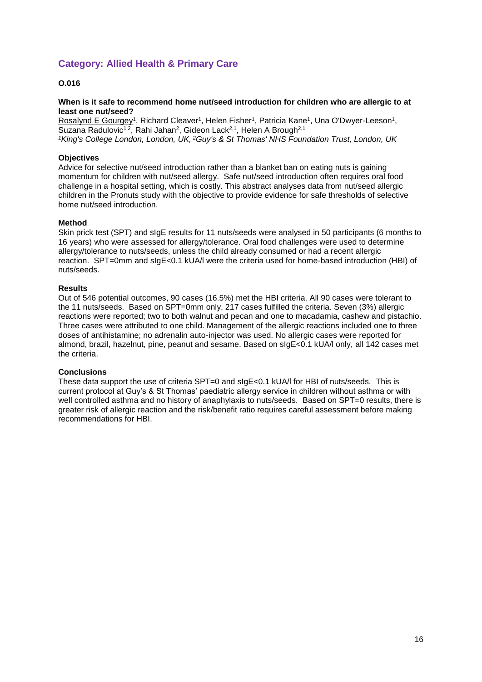# **Category: Allied Health & Primary Care**

## **O.016**

#### **When is it safe to recommend home nut/seed introduction for children who are allergic to at least one nut/seed?**

Rosalynd E Gourgey<sup>1</sup>, Richard Cleaver<sup>1</sup>, Helen Fisher<sup>1</sup>, Patricia Kane<sup>1</sup>, Una O'Dwyer-Leeson<sup>1</sup>, Suzana Radulovic<sup>1,2</sup>, Rahi Jahan<sup>2</sup>, Gideon Lack<sup>2,1</sup>, Helen A Brough<sup>2,1</sup> *<sup>1</sup>King's College London, London, UK, <sup>2</sup>Guy's & St Thomas' NHS Foundation Trust, London, UK*

#### **Objectives**

Advice for selective nut/seed introduction rather than a blanket ban on eating nuts is gaining momentum for children with nut/seed allergy. Safe nut/seed introduction often requires oral food challenge in a hospital setting, which is costly. This abstract analyses data from nut/seed allergic children in the Pronuts study with the objective to provide evidence for safe thresholds of selective home nut/seed introduction.

#### **Method**

Skin prick test (SPT) and sIgE results for 11 nuts/seeds were analysed in 50 participants (6 months to 16 years) who were assessed for allergy/tolerance. Oral food challenges were used to determine allergy/tolerance to nuts/seeds, unless the child already consumed or had a recent allergic reaction. SPT=0mm and sIgE<0.1 kUA/l were the criteria used for home-based introduction (HBI) of nuts/seeds.

#### **Results**

Out of 546 potential outcomes, 90 cases (16.5%) met the HBI criteria. All 90 cases were tolerant to the 11 nuts/seeds. Based on SPT=0mm only, 217 cases fulfilled the criteria. Seven (3%) allergic reactions were reported; two to both walnut and pecan and one to macadamia, cashew and pistachio. Three cases were attributed to one child. Management of the allergic reactions included one to three doses of antihistamine; no adrenalin auto-injector was used. No allergic cases were reported for almond, brazil, hazelnut, pine, peanut and sesame. Based on sIgE<0.1 kUA/l only, all 142 cases met the criteria.

#### **Conclusions**

These data support the use of criteria SPT=0 and sIgE<0.1 kUA/l for HBI of nuts/seeds. This is current protocol at Guy's & St Thomas' paediatric allergy service in children without asthma or with well controlled asthma and no history of anaphylaxis to nuts/seeds. Based on SPT=0 results, there is greater risk of allergic reaction and the risk/benefit ratio requires careful assessment before making recommendations for HBI.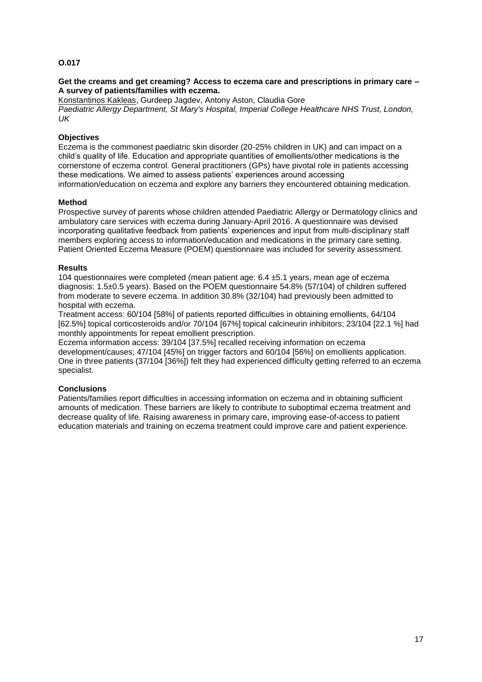#### **Get the creams and get creaming? Access to eczema care and prescriptions in primary care – A survey of patients/families with eczema.**

Konstantinos Kakleas, Gurdeep Jagdev, Antony Aston, Claudia Gore *Paediatric Allergy Department, St Mary's Hospital, Imperial College Healthcare NHS Trust, London, UK*

## **Objectives**

Eczema is the commonest paediatric skin disorder (20-25% children in UK) and can impact on a child's quality of life. Education and appropriate quantities of emollients/other medications is the cornerstone of eczema control. General practitioners (GPs) have pivotal role in patients accessing these medications. We aimed to assess patients' experiences around accessing information/education on eczema and explore any barriers they encountered obtaining medication.

#### **Method**

Prospective survey of parents whose children attended Paediatric Allergy or Dermatology clinics and ambulatory care services with eczema during January-April 2016. A questionnaire was devised incorporating qualitative feedback from patients' experiences and input from multi-disciplinary staff members exploring access to information/education and medications in the primary care setting. Patient Oriented Eczema Measure (POEM) questionnaire was included for severity assessment.

#### **Results**

104 questionnaires were completed (mean patient age:  $6.4 \pm 5.1$  years, mean age of eczema diagnosis: 1.5±0.5 years). Based on the POEM questionnaire 54.8% (57/104) of children suffered from moderate to severe eczema. In addition 30.8% (32/104) had previously been admitted to hospital with eczema.

Treatment access: 60/104 [58%] of patients reported difficulties in obtaining emollients, 64/104 [62.5%] topical corticosteroids and/or 70/104 [67%] topical calcineurin inhibitors; 23/104 [22.1 %] had monthly appointments for repeat emollient prescription.

Eczema information access: 39/104 [37.5%] recalled receiving information on eczema development/causes; 47/104 [45%] on trigger factors and 60/104 [56%] on emollients application. One in three patients (37/104 [36%]) felt they had experienced difficulty getting referred to an eczema specialist.

## **Conclusions**

Patients/families report difficulties in accessing information on eczema and in obtaining sufficient amounts of medication. These barriers are likely to contribute to suboptimal eczema treatment and decrease quality of life. Raising awareness in primary care, improving ease-of-access to patient education materials and training on eczema treatment could improve care and patient experience.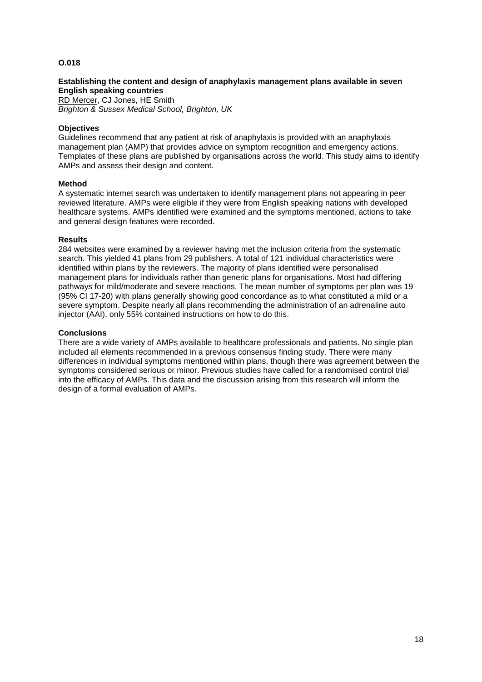#### **Establishing the content and design of anaphylaxis management plans available in seven English speaking countries**

RD Mercer, CJ Jones, HE Smith *Brighton & Sussex Medical School, Brighton, UK*

#### **Objectives**

Guidelines recommend that any patient at risk of anaphylaxis is provided with an anaphylaxis management plan (AMP) that provides advice on symptom recognition and emergency actions. Templates of these plans are published by organisations across the world. This study aims to identify AMPs and assess their design and content.

#### **Method**

A systematic internet search was undertaken to identify management plans not appearing in peer reviewed literature. AMPs were eligible if they were from English speaking nations with developed healthcare systems. AMPs identified were examined and the symptoms mentioned, actions to take and general design features were recorded.

#### **Results**

284 websites were examined by a reviewer having met the inclusion criteria from the systematic search. This yielded 41 plans from 29 publishers. A total of 121 individual characteristics were identified within plans by the reviewers. The majority of plans identified were personalised management plans for individuals rather than generic plans for organisations. Most had differing pathways for mild/moderate and severe reactions. The mean number of symptoms per plan was 19 (95% CI 17-20) with plans generally showing good concordance as to what constituted a mild or a severe symptom. Despite nearly all plans recommending the administration of an adrenaline auto injector (AAI), only 55% contained instructions on how to do this.

#### **Conclusions**

There are a wide variety of AMPs available to healthcare professionals and patients. No single plan included all elements recommended in a previous consensus finding study. There were many differences in individual symptoms mentioned within plans, though there was agreement between the symptoms considered serious or minor. Previous studies have called for a randomised control trial into the efficacy of AMPs. This data and the discussion arising from this research will inform the design of a formal evaluation of AMPs.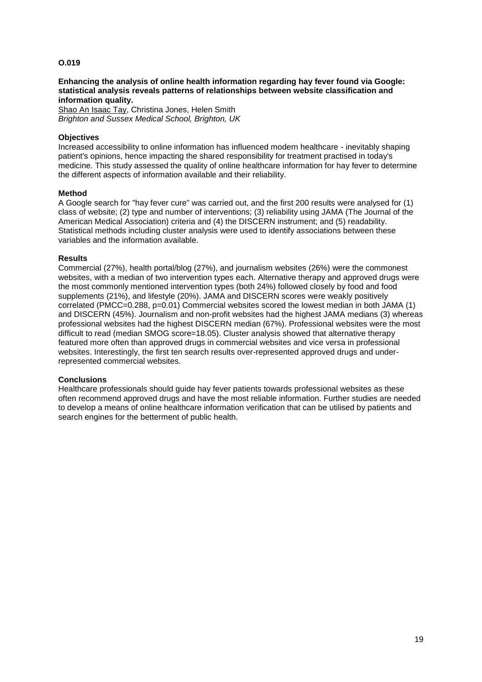**Enhancing the analysis of online health information regarding hay fever found via Google: statistical analysis reveals patterns of relationships between website classification and information quality.**

Shao An Isaac Tay, Christina Jones, Helen Smith *Brighton and Sussex Medical School, Brighton, UK*

#### **Objectives**

Increased accessibility to online information has influenced modern healthcare - inevitably shaping patient's opinions, hence impacting the shared responsibility for treatment practised in today's medicine. This study assessed the quality of online healthcare information for hay fever to determine the different aspects of information available and their reliability.

#### **Method**

A Google search for "hay fever cure" was carried out, and the first 200 results were analysed for (1) class of website; (2) type and number of interventions; (3) reliability using JAMA (The Journal of the American Medical Association) criteria and (4) the DISCERN instrument; and (5) readability. Statistical methods including cluster analysis were used to identify associations between these variables and the information available.

#### **Results**

Commercial (27%), health portal/blog (27%), and journalism websites (26%) were the commonest websites, with a median of two intervention types each. Alternative therapy and approved drugs were the most commonly mentioned intervention types (both 24%) followed closely by food and food supplements (21%), and lifestyle (20%). JAMA and DISCERN scores were weakly positively correlated (PMCC=0.288, p=0.01) Commercial websites scored the lowest median in both JAMA (1) and DISCERN (45%). Journalism and non-profit websites had the highest JAMA medians (3) whereas professional websites had the highest DISCERN median (67%). Professional websites were the most difficult to read (median SMOG score=18.05). Cluster analysis showed that alternative therapy featured more often than approved drugs in commercial websites and vice versa in professional websites. Interestingly, the first ten search results over-represented approved drugs and underrepresented commercial websites.

#### **Conclusions**

Healthcare professionals should guide hay fever patients towards professional websites as these often recommend approved drugs and have the most reliable information. Further studies are needed to develop a means of online healthcare information verification that can be utilised by patients and search engines for the betterment of public health.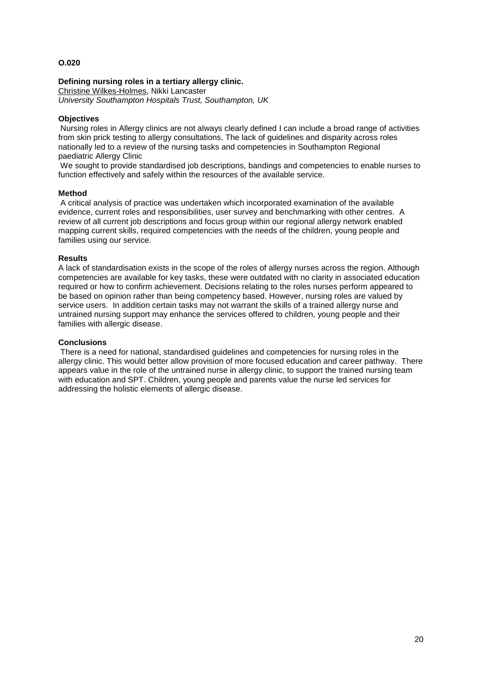#### **Defining nursing roles in a tertiary allergy clinic.**

Christine Wilkes-Holmes, Nikki Lancaster *University Southampton Hospitals Trust, Southampton, UK*

## **Objectives**

Nursing roles in Allergy clinics are not always clearly defined I can include a broad range of activities from skin prick testing to allergy consultations. The lack of guidelines and disparity across roles nationally led to a review of the nursing tasks and competencies in Southampton Regional paediatric Allergy Clinic

We sought to provide standardised job descriptions, bandings and competencies to enable nurses to function effectively and safely within the resources of the available service.

#### **Method**

A critical analysis of practice was undertaken which incorporated examination of the available evidence, current roles and responsibilities, user survey and benchmarking with other centres. A review of all current job descriptions and focus group within our regional allergy network enabled mapping current skills, required competencies with the needs of the children, young people and families using our service.

#### **Results**

A lack of standardisation exists in the scope of the roles of allergy nurses across the region. Although competencies are available for key tasks, these were outdated with no clarity in associated education required or how to confirm achievement. Decisions relating to the roles nurses perform appeared to be based on opinion rather than being competency based. However, nursing roles are valued by service users. In addition certain tasks may not warrant the skills of a trained allergy nurse and untrained nursing support may enhance the services offered to children, young people and their families with allergic disease.

#### **Conclusions**

There is a need for national, standardised guidelines and competencies for nursing roles in the allergy clinic. This would better allow provision of more focused education and career pathway. There appears value in the role of the untrained nurse in allergy clinic, to support the trained nursing team with education and SPT. Children, young people and parents value the nurse led services for addressing the holistic elements of allergic disease.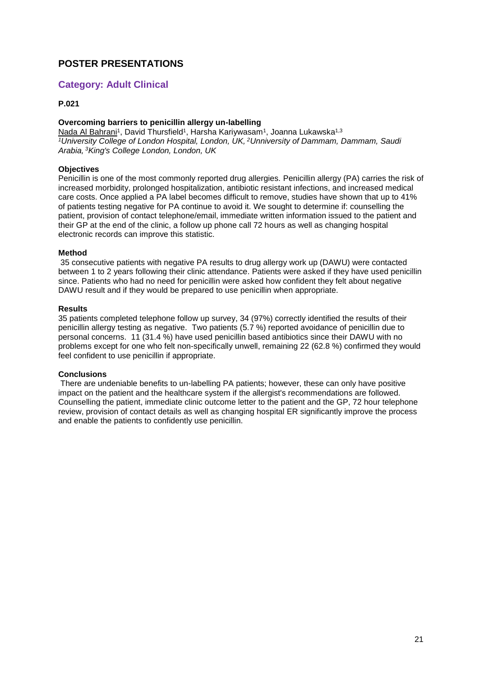# **POSTER PRESENTATIONS**

## **Category: Adult Clinical**

## **P.021**

#### **Overcoming barriers to penicillin allergy un-labelling**

Nada Al Bahrani<sup>1</sup>, David Thursfield<sup>1</sup>, Harsha Kariywasam<sup>1</sup>, Joanna Lukawska<sup>1,3</sup> *<sup>1</sup>University College of London Hospital, London, UK, <sup>2</sup>Unniversity of Dammam, Dammam, Saudi Arabia, <sup>3</sup>King's College London, London, UK*

#### **Objectives**

Penicillin is one of the most commonly reported drug allergies. Penicillin allergy (PA) carries the risk of increased morbidity, prolonged hospitalization, antibiotic resistant infections, and increased medical care costs. Once applied a PA label becomes difficult to remove, studies have shown that up to 41% of patients testing negative for PA continue to avoid it. We sought to determine if: counselling the patient, provision of contact telephone/email, immediate written information issued to the patient and their GP at the end of the clinic, a follow up phone call 72 hours as well as changing hospital electronic records can improve this statistic.

#### **Method**

35 consecutive patients with negative PA results to drug allergy work up (DAWU) were contacted between 1 to 2 years following their clinic attendance. Patients were asked if they have used penicillin since. Patients who had no need for penicillin were asked how confident they felt about negative DAWU result and if they would be prepared to use penicillin when appropriate.

#### **Results**

35 patients completed telephone follow up survey, 34 (97%) correctly identified the results of their penicillin allergy testing as negative. Two patients (5.7 %) reported avoidance of penicillin due to personal concerns. 11 (31.4 %) have used penicillin based antibiotics since their DAWU with no problems except for one who felt non-specifically unwell, remaining 22 (62.8 %) confirmed they would feel confident to use penicillin if appropriate.

#### **Conclusions**

There are undeniable benefits to un-labelling PA patients; however, these can only have positive impact on the patient and the healthcare system if the allergist's recommendations are followed. Counselling the patient, immediate clinic outcome letter to the patient and the GP, 72 hour telephone review, provision of contact details as well as changing hospital ER significantly improve the process and enable the patients to confidently use penicillin.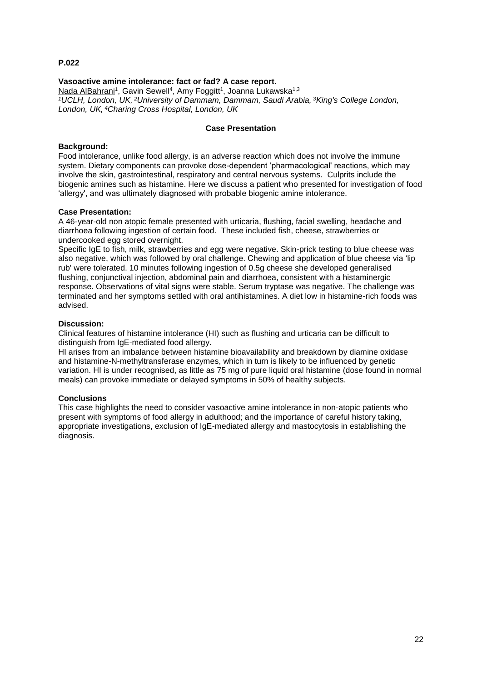## **Vasoactive amine intolerance: fact or fad? A case report.**

Nada AlBahrani<sup>1</sup>, Gavin Sewell<sup>4</sup>, Amy Foggitt<sup>1</sup>, Joanna Lukawska<sup>1,3</sup> *<sup>1</sup>UCLH, London, UK, <sup>2</sup>University of Dammam, Dammam, Saudi Arabia, <sup>3</sup>King's College London, London, UK, <sup>4</sup>Charing Cross Hospital, London, UK*

#### **Case Presentation**

#### **Background:**

Food intolerance, unlike food allergy, is an adverse reaction which does not involve the immune system. Dietary components can provoke dose-dependent 'pharmacological' reactions, which may involve the skin, gastrointestinal, respiratory and central nervous systems. Culprits include the biogenic amines such as histamine. Here we discuss a patient who presented for investigation of food 'allergy', and was ultimately diagnosed with probable biogenic amine intolerance.

#### **Case Presentation:**

A 46-year-old non atopic female presented with urticaria, flushing, facial swelling, headache and diarrhoea following ingestion of certain food. These included fish, cheese, strawberries or undercooked egg stored overnight.

Specific IgE to fish, milk, strawberries and egg were negative. Skin-prick testing to blue cheese was also negative, which was followed by oral challenge. Chewing and application of blue cheese via 'lip rub' were tolerated. 10 minutes following ingestion of 0.5g cheese she developed generalised flushing, conjunctival injection, abdominal pain and diarrhoea, consistent with a histaminergic response. Observations of vital signs were stable. Serum tryptase was negative. The challenge was terminated and her symptoms settled with oral antihistamines. A diet low in histamine-rich foods was advised.

#### **Discussion:**

Clinical features of histamine intolerance (HI) such as flushing and urticaria can be difficult to distinguish from IgE-mediated food allergy.

HI arises from an imbalance between histamine bioavailability and breakdown by diamine oxidase and histamine-N-methyltransferase enzymes, which in turn is likely to be influenced by genetic variation. HI is under recognised, as little as 75 mg of pure liquid oral histamine (dose found in normal meals) can provoke immediate or delayed symptoms in 50% of healthy subjects.

#### **Conclusions**

This case highlights the need to consider vasoactive amine intolerance in non-atopic patients who present with symptoms of food allergy in adulthood; and the importance of careful history taking, appropriate investigations, exclusion of IgE-mediated allergy and mastocytosis in establishing the diagnosis.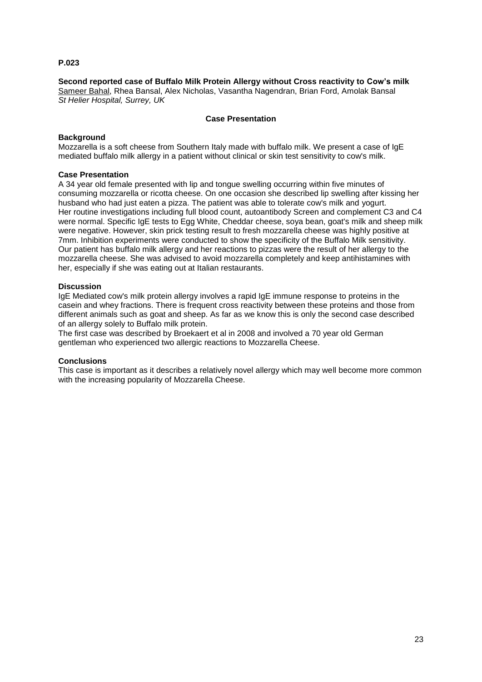**Second reported case of Buffalo Milk Protein Allergy without Cross reactivity to Cow's milk** Sameer Bahal, Rhea Bansal, Alex Nicholas, Vasantha Nagendran, Brian Ford, Amolak Bansal *St Helier Hospital, Surrey, UK*

#### **Case Presentation**

## **Background**

Mozzarella is a soft cheese from Southern Italy made with buffalo milk. We present a case of IgE mediated buffalo milk allergy in a patient without clinical or skin test sensitivity to cow's milk.

#### **Case Presentation**

A 34 year old female presented with lip and tongue swelling occurring within five minutes of consuming mozzarella or ricotta cheese. On one occasion she described lip swelling after kissing her husband who had just eaten a pizza. The patient was able to tolerate cow's milk and yogurt. Her routine investigations including full blood count, autoantibody Screen and complement C3 and C4 were normal. Specific IgE tests to Egg White, Cheddar cheese, soya bean, goat's milk and sheep milk were negative. However, skin prick testing result to fresh mozzarella cheese was highly positive at 7mm. Inhibition experiments were conducted to show the specificity of the Buffalo Milk sensitivity. Our patient has buffalo milk allergy and her reactions to pizzas were the result of her allergy to the mozzarella cheese. She was advised to avoid mozzarella completely and keep antihistamines with her, especially if she was eating out at Italian restaurants.

#### **Discussion**

IgE Mediated cow's milk protein allergy involves a rapid IgE immune response to proteins in the casein and whey fractions. There is frequent cross reactivity between these proteins and those from different animals such as goat and sheep. As far as we know this is only the second case described of an allergy solely to Buffalo milk protein.

The first case was described by Broekaert et al in 2008 and involved a 70 year old German gentleman who experienced two allergic reactions to Mozzarella Cheese.

#### **Conclusions**

This case is important as it describes a relatively novel allergy which may well become more common with the increasing popularity of Mozzarella Cheese.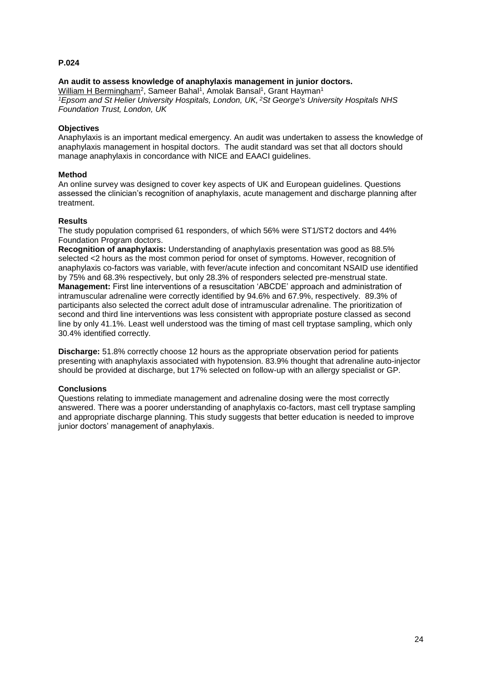### **An audit to assess knowledge of anaphylaxis management in junior doctors.**

William H Bermingham<sup>2</sup>, Sameer Bahal<sup>1</sup>, Amolak Bansal<sup>1</sup>, Grant Hayman<sup>1</sup> *<sup>1</sup>Epsom and St Helier University Hospitals, London, UK, <sup>2</sup>St George's University Hospitals NHS Foundation Trust, London, UK*

#### **Objectives**

Anaphylaxis is an important medical emergency. An audit was undertaken to assess the knowledge of anaphylaxis management in hospital doctors. The audit standard was set that all doctors should manage anaphylaxis in concordance with NICE and EAACI guidelines.

#### **Method**

An online survey was designed to cover key aspects of UK and European guidelines. Questions assessed the clinician's recognition of anaphylaxis, acute management and discharge planning after treatment.

#### **Results**

The study population comprised 61 responders, of which 56% were ST1/ST2 doctors and 44% Foundation Program doctors.

**Recognition of anaphylaxis:** Understanding of anaphylaxis presentation was good as 88.5% selected <2 hours as the most common period for onset of symptoms. However, recognition of anaphylaxis co-factors was variable, with fever/acute infection and concomitant NSAID use identified by 75% and 68.3% respectively, but only 28.3% of responders selected pre-menstrual state. **Management:** First line interventions of a resuscitation 'ABCDE' approach and administration of intramuscular adrenaline were correctly identified by 94.6% and 67.9%, respectively. 89.3% of participants also selected the correct adult dose of intramuscular adrenaline. The prioritization of second and third line interventions was less consistent with appropriate posture classed as second line by only 41.1%. Least well understood was the timing of mast cell tryptase sampling, which only 30.4% identified correctly.

**Discharge:** 51.8% correctly choose 12 hours as the appropriate observation period for patients presenting with anaphylaxis associated with hypotension. 83.9% thought that adrenaline auto-injector should be provided at discharge, but 17% selected on follow-up with an allergy specialist or GP.

## **Conclusions**

Questions relating to immediate management and adrenaline dosing were the most correctly answered. There was a poorer understanding of anaphylaxis co-factors, mast cell tryptase sampling and appropriate discharge planning. This study suggests that better education is needed to improve junior doctors' management of anaphylaxis.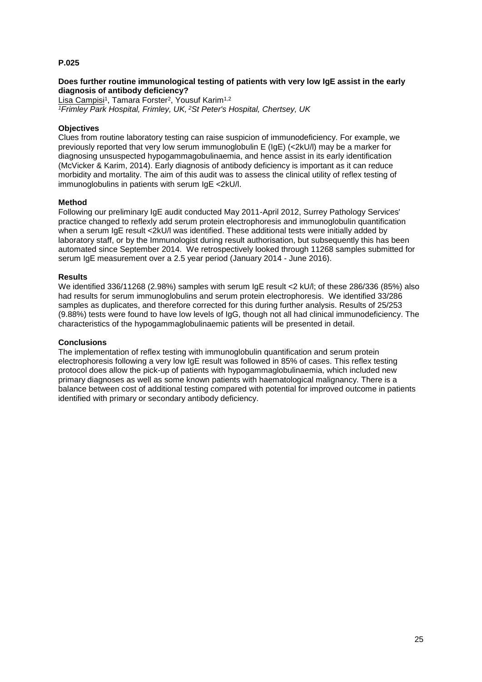#### **Does further routine immunological testing of patients with very low IgE assist in the early diagnosis of antibody deficiency?**

Lisa Campisi<sup>1</sup>, Tamara Forster<sup>2</sup>, Yousuf Karim<sup>1,2</sup> *<sup>1</sup>Frimley Park Hospital, Frimley, UK, <sup>2</sup>St Peter's Hospital, Chertsey, UK*

#### **Objectives**

Clues from routine laboratory testing can raise suspicion of immunodeficiency. For example, we previously reported that very low serum immunoglobulin E (IgE) (<2kU/l) may be a marker for diagnosing unsuspected hypogammagobulinaemia, and hence assist in its early identification (McVicker & Karim, 2014). Early diagnosis of antibody deficiency is important as it can reduce morbidity and mortality. The aim of this audit was to assess the clinical utility of reflex testing of immunoglobulins in patients with serum IgE <2kU/l.

#### **Method**

Following our preliminary IgE audit conducted May 2011-April 2012, Surrey Pathology Services' practice changed to reflexly add serum protein electrophoresis and immunoglobulin quantification when a serum IgE result <2kU/l was identified. These additional tests were initially added by laboratory staff, or by the Immunologist during result authorisation, but subsequently this has been automated since September 2014. We retrospectively looked through 11268 samples submitted for serum IgE measurement over a 2.5 year period (January 2014 - June 2016).

#### **Results**

We identified 336/11268 (2.98%) samples with serum IgE result <2 kU/l; of these 286/336 (85%) also had results for serum immunoglobulins and serum protein electrophoresis. We identified 33/286 samples as duplicates, and therefore corrected for this during further analysis. Results of 25/253 (9.88%) tests were found to have low levels of IgG, though not all had clinical immunodeficiency. The characteristics of the hypogammaglobulinaemic patients will be presented in detail.

#### **Conclusions**

The implementation of reflex testing with immunoglobulin quantification and serum protein electrophoresis following a very low IgE result was followed in 85% of cases. This reflex testing protocol does allow the pick-up of patients with hypogammaglobulinaemia, which included new primary diagnoses as well as some known patients with haematological malignancy. There is a balance between cost of additional testing compared with potential for improved outcome in patients identified with primary or secondary antibody deficiency.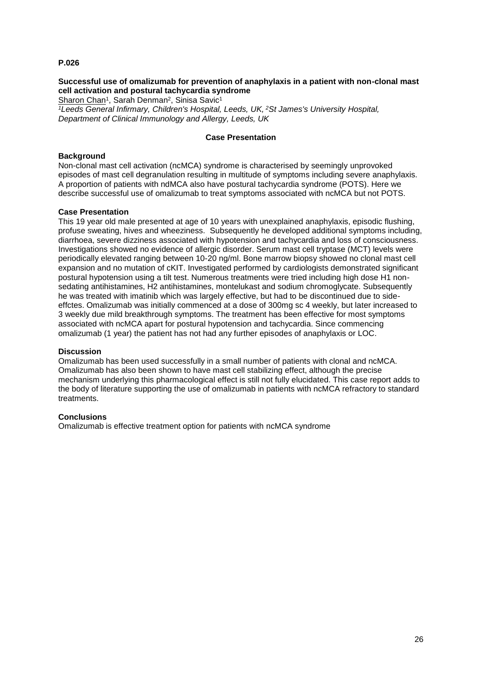## **Successful use of omalizumab for prevention of anaphylaxis in a patient with non-clonal mast cell activation and postural tachycardia syndrome**

Sharon Chan<sup>1</sup>, Sarah Denman<sup>2</sup>, Sinisa Savic<sup>1</sup>

*<sup>1</sup>Leeds General Infirmary, Children's Hospital, Leeds, UK, <sup>2</sup>St James's University Hospital, Department of Clinical Immunology and Allergy, Leeds, UK*

## **Case Presentation**

## **Background**

Non-clonal mast cell activation (ncMCA) syndrome is characterised by seemingly unprovoked episodes of mast cell degranulation resulting in multitude of symptoms including severe anaphylaxis. A proportion of patients with ndMCA also have postural tachycardia syndrome (POTS). Here we describe successful use of omalizumab to treat symptoms associated with ncMCA but not POTS.

#### **Case Presentation**

This 19 year old male presented at age of 10 years with unexplained anaphylaxis, episodic flushing, profuse sweating, hives and wheeziness. Subsequently he developed additional symptoms including, diarrhoea, severe dizziness associated with hypotension and tachycardia and loss of consciousness. Investigations showed no evidence of allergic disorder. Serum mast cell tryptase (MCT) levels were periodically elevated ranging between 10-20 ng/ml. Bone marrow biopsy showed no clonal mast cell expansion and no mutation of cKIT. Investigated performed by cardiologists demonstrated significant postural hypotension using a tilt test. Numerous treatments were tried including high dose H1 nonsedating antihistamines, H2 antihistamines, montelukast and sodium chromoglycate. Subsequently he was treated with imatinib which was largely effective, but had to be discontinued due to sideeffctes. Omalizumab was initially commenced at a dose of 300mg sc 4 weekly, but later increased to 3 weekly due mild breakthrough symptoms. The treatment has been effective for most symptoms associated with ncMCA apart for postural hypotension and tachycardia. Since commencing omalizumab (1 year) the patient has not had any further episodes of anaphylaxis or LOC.

#### **Discussion**

Omalizumab has been used successfully in a small number of patients with clonal and ncMCA. Omalizumab has also been shown to have mast cell stabilizing effect, although the precise mechanism underlying this pharmacological effect is still not fully elucidated. This case report adds to the body of literature supporting the use of omalizumab in patients with ncMCA refractory to standard treatments.

#### **Conclusions**

Omalizumab is effective treatment option for patients with ncMCA syndrome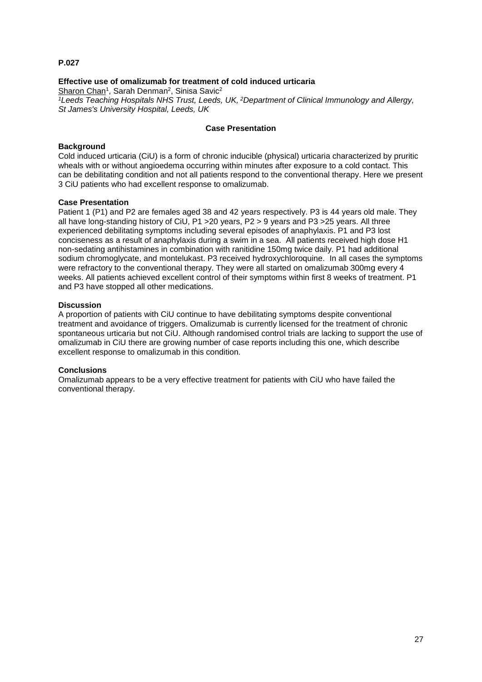## **Effective use of omalizumab for treatment of cold induced urticaria**

Sharon Chan<sup>1</sup>, Sarah Denman<sup>2</sup>, Sinisa Savic<sup>2</sup> *<sup>1</sup>Leeds Teaching Hospitals NHS Trust, Leeds, UK, <sup>2</sup>Department of Clinical Immunology and Allergy, St James's University Hospital, Leeds, UK*

## **Case Presentation**

#### **Background**

Cold induced urticaria (CiU) is a form of chronic inducible (physical) urticaria characterized by pruritic wheals with or without angioedema occurring within minutes after exposure to a cold contact. This can be debilitating condition and not all patients respond to the conventional therapy. Here we present 3 CiU patients who had excellent response to omalizumab.

#### **Case Presentation**

Patient 1 (P1) and P2 are females aged 38 and 42 years respectively. P3 is 44 years old male. They all have long-standing history of CiU, P1 >20 years, P2 > 9 years and P3 >25 years. All three experienced debilitating symptoms including several episodes of anaphylaxis. P1 and P3 lost conciseness as a result of anaphylaxis during a swim in a sea. All patients received high dose H1 non-sedating antihistamines in combination with ranitidine 150mg twice daily. P1 had additional sodium chromoglycate, and montelukast. P3 received hydroxychloroquine. In all cases the symptoms were refractory to the conventional therapy. They were all started on omalizumab 300mg every 4 weeks. All patients achieved excellent control of their symptoms within first 8 weeks of treatment. P1 and P3 have stopped all other medications.

#### **Discussion**

A proportion of patients with CiU continue to have debilitating symptoms despite conventional treatment and avoidance of triggers. Omalizumab is currently licensed for the treatment of chronic spontaneous urticaria but not CiU. Although randomised control trials are lacking to support the use of omalizumab in CiU there are growing number of case reports including this one, which describe excellent response to omalizumab in this condition.

#### **Conclusions**

Omalizumab appears to be a very effective treatment for patients with CiU who have failed the conventional therapy.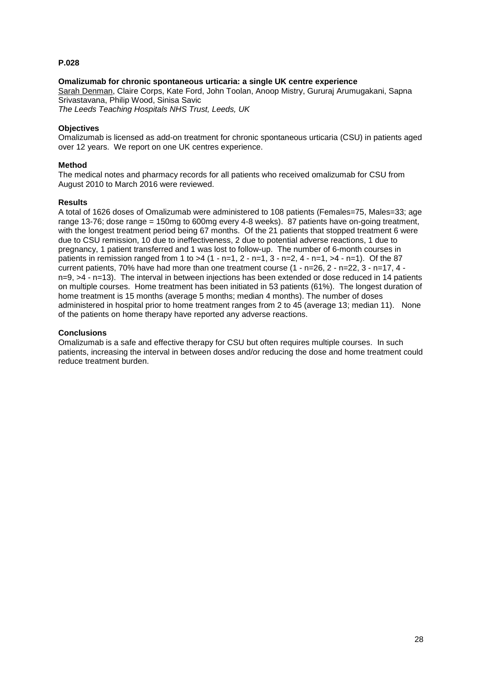## **Omalizumab for chronic spontaneous urticaria: a single UK centre experience**

Sarah Denman, Claire Corps, Kate Ford, John Toolan, Anoop Mistry, Gururaj Arumugakani, Sapna Srivastavana, Philip Wood, Sinisa Savic

*The Leeds Teaching Hospitals NHS Trust, Leeds, UK*

#### **Objectives**

Omalizumab is licensed as add-on treatment for chronic spontaneous urticaria (CSU) in patients aged over 12 years. We report on one UK centres experience.

#### **Method**

The medical notes and pharmacy records for all patients who received omalizumab for CSU from August 2010 to March 2016 were reviewed.

#### **Results**

A total of 1626 doses of Omalizumab were administered to 108 patients (Females=75, Males=33; age range 13-76; dose range = 150mg to 600mg every 4-8 weeks). 87 patients have on-going treatment, with the longest treatment period being 67 months. Of the 21 patients that stopped treatment 6 were due to CSU remission, 10 due to ineffectiveness, 2 due to potential adverse reactions, 1 due to pregnancy, 1 patient transferred and 1 was lost to follow-up. The number of 6-month courses in patients in remission ranged from 1 to  $>4$  (1 - n=1, 2 - n=1, 3 - n=2, 4 - n=1,  $>4$  - n=1). Of the 87 current patients, 70% have had more than one treatment course (1 - n=26, 2 - n=22, 3 - n=17, 4 n=9, >4 - n=13). The interval in between injections has been extended or dose reduced in 14 patients on multiple courses. Home treatment has been initiated in 53 patients (61%). The longest duration of home treatment is 15 months (average 5 months; median 4 months). The number of doses administered in hospital prior to home treatment ranges from 2 to 45 (average 13; median 11). None of the patients on home therapy have reported any adverse reactions.

#### **Conclusions**

Omalizumab is a safe and effective therapy for CSU but often requires multiple courses. In such patients, increasing the interval in between doses and/or reducing the dose and home treatment could reduce treatment burden.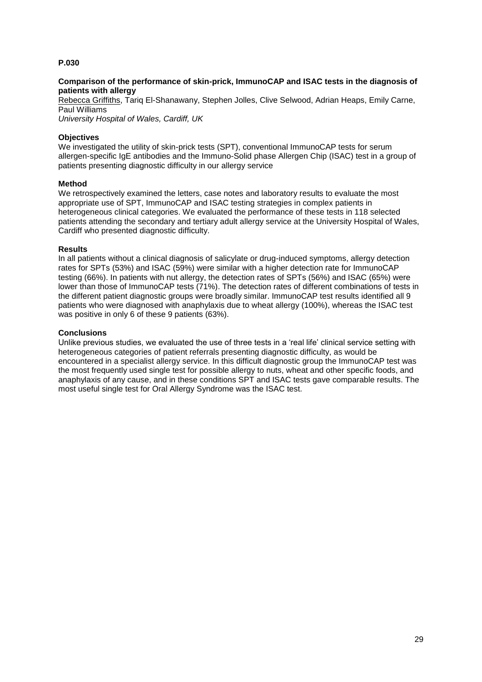#### **Comparison of the performance of skin-prick, ImmunoCAP and ISAC tests in the diagnosis of patients with allergy**

Rebecca Griffiths, Tariq El-Shanawany, Stephen Jolles, Clive Selwood, Adrian Heaps, Emily Carne, Paul Williams

*University Hospital of Wales, Cardiff, UK*

## **Objectives**

We investigated the utility of skin-prick tests (SPT), conventional ImmunoCAP tests for serum allergen-specific IgE antibodies and the Immuno-Solid phase Allergen Chip (ISAC) test in a group of patients presenting diagnostic difficulty in our allergy service

#### **Method**

We retrospectively examined the letters, case notes and laboratory results to evaluate the most appropriate use of SPT, ImmunoCAP and ISAC testing strategies in complex patients in heterogeneous clinical categories. We evaluated the performance of these tests in 118 selected patients attending the secondary and tertiary adult allergy service at the University Hospital of Wales, Cardiff who presented diagnostic difficulty.

#### **Results**

In all patients without a clinical diagnosis of salicylate or drug-induced symptoms, allergy detection rates for SPTs (53%) and ISAC (59%) were similar with a higher detection rate for ImmunoCAP testing (66%). In patients with nut allergy, the detection rates of SPTs (56%) and ISAC (65%) were lower than those of ImmunoCAP tests (71%). The detection rates of different combinations of tests in the different patient diagnostic groups were broadly similar. ImmunoCAP test results identified all 9 patients who were diagnosed with anaphylaxis due to wheat allergy (100%), whereas the ISAC test was positive in only 6 of these 9 patients (63%).

#### **Conclusions**

Unlike previous studies, we evaluated the use of three tests in a 'real life' clinical service setting with heterogeneous categories of patient referrals presenting diagnostic difficulty, as would be encountered in a specialist allergy service. In this difficult diagnostic group the ImmunoCAP test was the most frequently used single test for possible allergy to nuts, wheat and other specific foods, and anaphylaxis of any cause, and in these conditions SPT and ISAC tests gave comparable results. The most useful single test for Oral Allergy Syndrome was the ISAC test.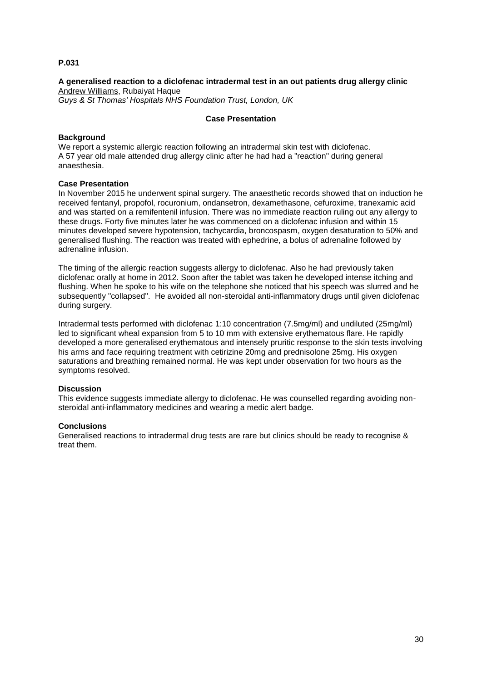# **A generalised reaction to a diclofenac intradermal test in an out patients drug allergy clinic** Andrew Williams, Rubaiyat Haque

*Guys & St Thomas' Hospitals NHS Foundation Trust, London, UK*

## **Case Presentation**

## **Background**

We report a systemic allergic reaction following an intradermal skin test with diclofenac. A 57 year old male attended drug allergy clinic after he had had a "reaction" during general anaesthesia.

## **Case Presentation**

In November 2015 he underwent spinal surgery. The anaesthetic records showed that on induction he received fentanyl, propofol, rocuronium, ondansetron, dexamethasone, cefuroxime, tranexamic acid and was started on a remifentenil infusion. There was no immediate reaction ruling out any allergy to these drugs. Forty five minutes later he was commenced on a diclofenac infusion and within 15 minutes developed severe hypotension, tachycardia, broncospasm, oxygen desaturation to 50% and generalised flushing. The reaction was treated with ephedrine, a bolus of adrenaline followed by adrenaline infusion.

The timing of the allergic reaction suggests allergy to diclofenac. Also he had previously taken diclofenac orally at home in 2012. Soon after the tablet was taken he developed intense itching and flushing. When he spoke to his wife on the telephone she noticed that his speech was slurred and he subsequently "collapsed". He avoided all non-steroidal anti-inflammatory drugs until given diclofenac during surgery.

Intradermal tests performed with diclofenac 1:10 concentration (7.5mg/ml) and undiluted (25mg/ml) led to significant wheal expansion from 5 to 10 mm with extensive erythematous flare. He rapidly developed a more generalised erythematous and intensely pruritic response to the skin tests involving his arms and face requiring treatment with cetirizine 20mg and prednisolone 25mg. His oxygen saturations and breathing remained normal. He was kept under observation for two hours as the symptoms resolved.

## **Discussion**

This evidence suggests immediate allergy to diclofenac. He was counselled regarding avoiding nonsteroidal anti-inflammatory medicines and wearing a medic alert badge.

## **Conclusions**

Generalised reactions to intradermal drug tests are rare but clinics should be ready to recognise & treat them.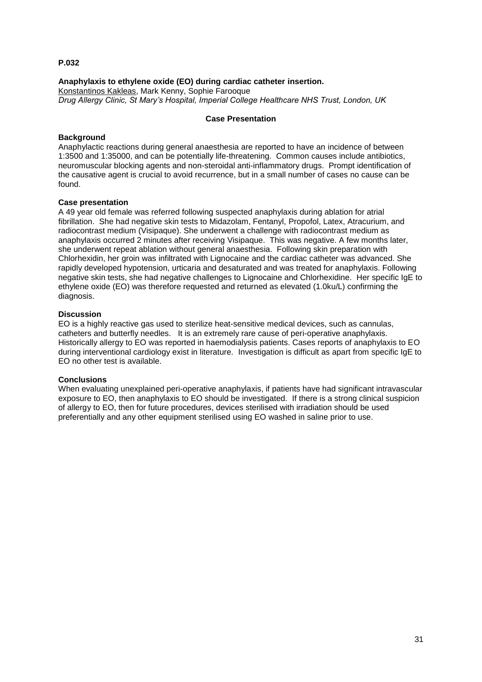#### **Anaphylaxis to ethylene oxide (EO) during cardiac catheter insertion.**

Konstantinos Kakleas, Mark Kenny, Sophie Farooque *Drug Allergy Clinic, St Mary's Hospital, Imperial College Healthcare NHS Trust, London, UK*

#### **Case Presentation**

## **Background**

Anaphylactic reactions during general anaesthesia are reported to have an incidence of between 1:3500 and 1:35000, and can be potentially life-threatening. Common causes include antibiotics, neuromuscular blocking agents and non-steroidal anti-inflammatory drugs. Prompt identification of the causative agent is crucial to avoid recurrence, but in a small number of cases no cause can be found.

#### **Case presentation**

A 49 year old female was referred following suspected anaphylaxis during ablation for atrial fibrillation. She had negative skin tests to Midazolam, Fentanyl, Propofol, Latex, Atracurium, and radiocontrast medium (Visipaque). She underwent a challenge with radiocontrast medium as anaphylaxis occurred 2 minutes after receiving Visipaque. This was negative. A few months later, she underwent repeat ablation without general anaesthesia. Following skin preparation with Chlorhexidin, her groin was infiltrated with Lignocaine and the cardiac catheter was advanced. She rapidly developed hypotension, urticaria and desaturated and was treated for anaphylaxis. Following negative skin tests, she had negative challenges to Lignocaine and Chlorhexidine. Her specific IgE to ethylene oxide (EO) was therefore requested and returned as elevated (1.0ku/L) confirming the diagnosis.

#### **Discussion**

EO is a highly reactive gas used to sterilize heat-sensitive medical devices, such as cannulas, catheters and butterfly needles. It is an extremely rare cause of peri-operative anaphylaxis. Historically allergy to EO was reported in haemodialysis patients. Cases reports of anaphylaxis to EO during interventional cardiology exist in literature. Investigation is difficult as apart from specific IgE to EO no other test is available.

#### **Conclusions**

When evaluating unexplained peri-operative anaphylaxis, if patients have had significant intravascular exposure to EO, then anaphylaxis to EO should be investigated. If there is a strong clinical suspicion of allergy to EO, then for future procedures, devices sterilised with irradiation should be used preferentially and any other equipment sterilised using EO washed in saline prior to use.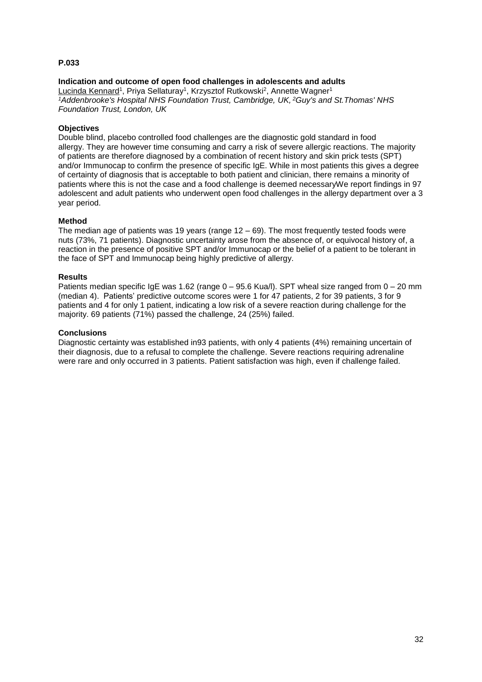## **Indication and outcome of open food challenges in adolescents and adults**

Lucinda Kennard<sup>1</sup>, Priya Sellaturay<sup>1</sup>, Krzysztof Rutkowski<sup>2</sup>, Annette Wagner<sup>1</sup> *<sup>1</sup>Addenbrooke's Hospital NHS Foundation Trust, Cambridge, UK, <sup>2</sup>Guy's and St.Thomas' NHS Foundation Trust, London, UK*

## **Objectives**

Double blind, placebo controlled food challenges are the diagnostic gold standard in food allergy. They are however time consuming and carry a risk of severe allergic reactions. The majority of patients are therefore diagnosed by a combination of recent history and skin prick tests (SPT) and/or Immunocap to confirm the presence of specific IgE. While in most patients this gives a degree of certainty of diagnosis that is acceptable to both patient and clinician, there remains a minority of patients where this is not the case and a food challenge is deemed necessaryWe report findings in 97 adolescent and adult patients who underwent open food challenges in the allergy department over a 3 year period.

#### **Method**

The median age of patients was 19 years (range  $12 - 69$ ). The most frequently tested foods were nuts (73%, 71 patients). Diagnostic uncertainty arose from the absence of, or equivocal history of, a reaction in the presence of positive SPT and/or Immunocap or the belief of a patient to be tolerant in the face of SPT and Immunocap being highly predictive of allergy.

#### **Results**

Patients median specific IgE was 1.62 (range  $0 - 95.6$  Kua/I). SPT wheal size ranged from  $0 - 20$  mm (median 4). Patients' predictive outcome scores were 1 for 47 patients, 2 for 39 patients, 3 for 9 patients and 4 for only 1 patient, indicating a low risk of a severe reaction during challenge for the majority. 69 patients (71%) passed the challenge, 24 (25%) failed.

#### **Conclusions**

Diagnostic certainty was established in93 patients, with only 4 patients (4%) remaining uncertain of their diagnosis, due to a refusal to complete the challenge. Severe reactions requiring adrenaline were rare and only occurred in 3 patients. Patient satisfaction was high, even if challenge failed.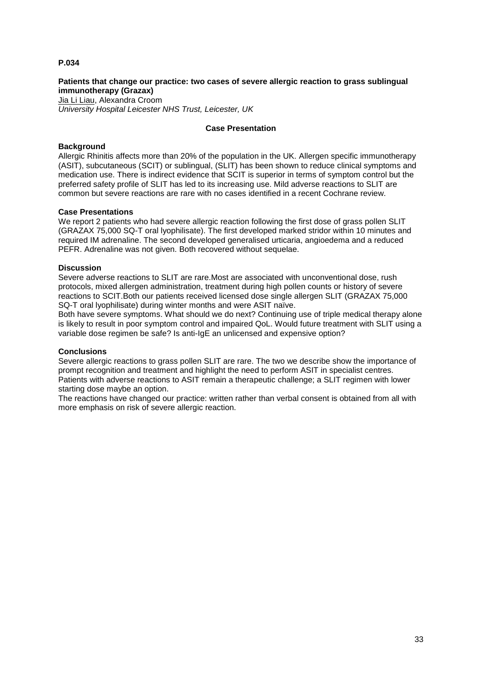## **Patients that change our practice: two cases of severe allergic reaction to grass sublingual immunotherapy (Grazax)**

Jia Li Liau, Alexandra Croom *University Hospital Leicester NHS Trust, Leicester, UK*

## **Case Presentation**

#### **Background**

Allergic Rhinitis affects more than 20% of the population in the UK. Allergen specific immunotherapy (ASIT), subcutaneous (SCIT) or sublingual, (SLIT) has been shown to reduce clinical symptoms and medication use. There is indirect evidence that SCIT is superior in terms of symptom control but the preferred safety profile of SLIT has led to its increasing use. Mild adverse reactions to SLIT are common but severe reactions are rare with no cases identified in a recent Cochrane review.

#### **Case Presentations**

We report 2 patients who had severe allergic reaction following the first dose of grass pollen SLIT (GRAZAX 75,000 SQ-T oral lyophilisate). The first developed marked stridor within 10 minutes and required IM adrenaline. The second developed generalised urticaria, angioedema and a reduced PEFR. Adrenaline was not given. Both recovered without sequelae.

#### **Discussion**

Severe adverse reactions to SLIT are rare.Most are associated with unconventional dose, rush protocols, mixed allergen administration, treatment during high pollen counts or history of severe reactions to SCIT.Both our patients received licensed dose single allergen SLIT (GRAZAX 75,000 SQ-T oral lyophilisate) during winter months and were ASIT naïve.

Both have severe symptoms. What should we do next? Continuing use of triple medical therapy alone is likely to result in poor symptom control and impaired QoL. Would future treatment with SLIT using a variable dose regimen be safe? Is anti-IgE an unlicensed and expensive option?

#### **Conclusions**

Severe allergic reactions to grass pollen SLIT are rare. The two we describe show the importance of prompt recognition and treatment and highlight the need to perform ASIT in specialist centres. Patients with adverse reactions to ASIT remain a therapeutic challenge; a SLIT regimen with lower starting dose maybe an option.

The reactions have changed our practice: written rather than verbal consent is obtained from all with more emphasis on risk of severe allergic reaction.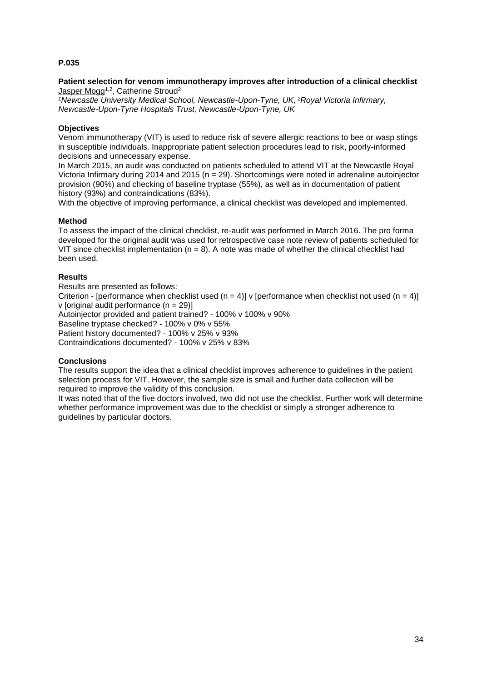#### **Patient selection for venom immunotherapy improves after introduction of a clinical checklist** Jasper Mogg<sup>1,2</sup>, Catherine Stroud<sup>2</sup>

*<sup>1</sup>Newcastle University Medical School, Newcastle-Upon-Tyne, UK, <sup>2</sup>Royal Victoria Infirmary, Newcastle-Upon-Tyne Hospitals Trust, Newcastle-Upon-Tyne, UK*

## **Objectives**

Venom immunotherapy (VIT) is used to reduce risk of severe allergic reactions to bee or wasp stings in susceptible individuals. Inappropriate patient selection procedures lead to risk, poorly-informed decisions and unnecessary expense.

In March 2015, an audit was conducted on patients scheduled to attend VIT at the Newcastle Royal Victoria Infirmary during 2014 and 2015 (n = 29). Shortcomings were noted in adrenaline autoinjector provision (90%) and checking of baseline tryptase (55%), as well as in documentation of patient history (93%) and contraindications (83%).

With the objective of improving performance, a clinical checklist was developed and implemented.

#### **Method**

To assess the impact of the clinical checklist, re-audit was performed in March 2016. The pro forma developed for the original audit was used for retrospective case note review of patients scheduled for VIT since checklist implementation ( $n = 8$ ). A note was made of whether the clinical checklist had been used.

#### **Results**

Results are presented as follows: Criterion - [performance when checklist used (n = 4)] v [performance when checklist not used (n = 4)]  $v$  [original audit performance ( $n = 29$ )]

Autoinjector provided and patient trained? - 100% v 100% v 90%

Baseline tryptase checked? - 100% v 0% v 55%

Patient history documented? - 100% v 25% v 93%

Contraindications documented? - 100% v 25% v 83%

#### **Conclusions**

The results support the idea that a clinical checklist improves adherence to guidelines in the patient selection process for VIT. However, the sample size is small and further data collection will be required to improve the validity of this conclusion.

It was noted that of the five doctors involved, two did not use the checklist. Further work will determine whether performance improvement was due to the checklist or simply a stronger adherence to guidelines by particular doctors.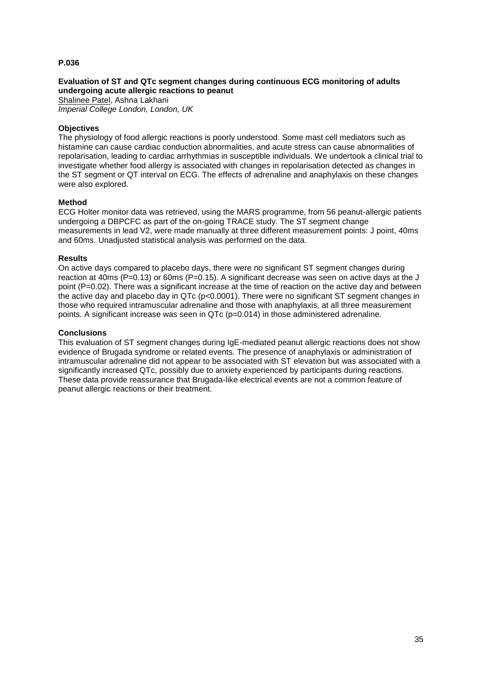# **Evaluation of ST and QTc segment changes during continuous ECG monitoring of adults undergoing acute allergic reactions to peanut**

Shalinee Patel, Ashna Lakhani *Imperial College London, London, UK*

## **Objectives**

The physiology of food allergic reactions is poorly understood. Some mast cell mediators such as histamine can cause cardiac conduction abnormalities, and acute stress can cause abnormalities of repolarisation, leading to cardiac arrhythmias in susceptible individuals. We undertook a clinical trial to investigate whether food allergy is associated with changes in repolarisation detected as changes in the ST segment or QT interval on ECG. The effects of adrenaline and anaphylaxis on these changes were also explored.

### **Method**

ECG Holter monitor data was retrieved, using the MARS programme, from 56 peanut-allergic patients undergoing a DBPCFC as part of the on-going TRACE study. The ST segment change measurements in lead V2, were made manually at three different measurement points: J point, 40ms and 60ms. Unadjusted statistical analysis was performed on the data.

### **Results**

On active days compared to placebo days, there were no significant ST segment changes during reaction at 40ms (P=0.13) or 60ms (P=0.15). A significant decrease was seen on active days at the J point (P=0.02). There was a significant increase at the time of reaction on the active day and between the active day and placebo day in QTc (p<0.0001). There were no significant ST segment changes in those who required intramuscular adrenaline and those with anaphylaxis, at all three measurement points. A significant increase was seen in QTc (p=0.014) in those administered adrenaline.

### **Conclusions**

This evaluation of ST segment changes during IgE-mediated peanut allergic reactions does not show evidence of Brugada syndrome or related events. The presence of anaphylaxis or administration of intramuscular adrenaline did not appear to be associated with ST elevation but was associated with a significantly increased QTc, possibly due to anxiety experienced by participants during reactions. These data provide reassurance that Brugada-like electrical events are not a common feature of peanut allergic reactions or their treatment.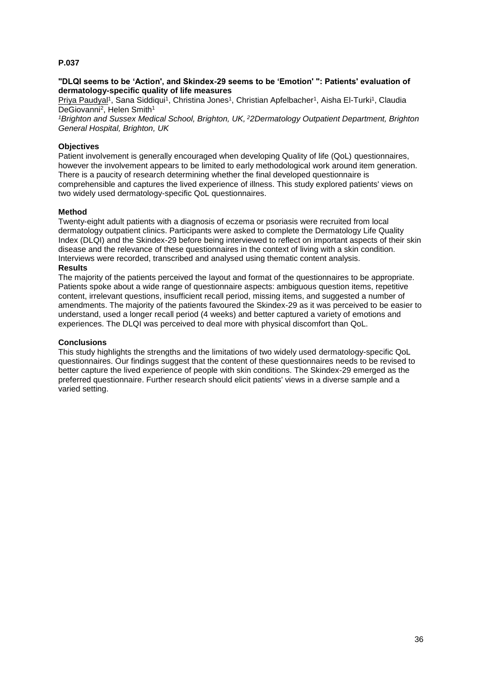### **"DLQI seems to be 'Action', and Skindex-29 seems to be 'Emotion' ": Patients' evaluation of dermatology-specific quality of life measures**

Priya Paudyal<sup>1</sup>, Sana Siddiqui<sup>1</sup>, Christina Jones<sup>1</sup>, Christian Apfelbacher<sup>1</sup>, Aisha El-Turki<sup>1</sup>, Claudia DeGiovanni<sup>2</sup>, Helen Smith<sup>1</sup>

*<sup>1</sup>Brighton and Sussex Medical School, Brighton, UK, <sup>2</sup>2Dermatology Outpatient Department, Brighton General Hospital, Brighton, UK*

### **Objectives**

Patient involvement is generally encouraged when developing Quality of life (QoL) questionnaires, however the involvement appears to be limited to early methodological work around item generation. There is a paucity of research determining whether the final developed questionnaire is comprehensible and captures the lived experience of illness. This study explored patients' views on two widely used dermatology-specific QoL questionnaires.

### **Method**

Twenty-eight adult patients with a diagnosis of eczema or psoriasis were recruited from local dermatology outpatient clinics. Participants were asked to complete the Dermatology Life Quality Index (DLQI) and the Skindex-29 before being interviewed to reflect on important aspects of their skin disease and the relevance of these questionnaires in the context of living with a skin condition. Interviews were recorded, transcribed and analysed using thematic content analysis.

#### **Results**

The majority of the patients perceived the layout and format of the questionnaires to be appropriate. Patients spoke about a wide range of questionnaire aspects: ambiguous question items, repetitive content, irrelevant questions, insufficient recall period, missing items, and suggested a number of amendments. The majority of the patients favoured the Skindex-29 as it was perceived to be easier to understand, used a longer recall period (4 weeks) and better captured a variety of emotions and experiences. The DLQI was perceived to deal more with physical discomfort than QoL.

### **Conclusions**

This study highlights the strengths and the limitations of two widely used dermatology-specific QoL questionnaires. Our findings suggest that the content of these questionnaires needs to be revised to better capture the lived experience of people with skin conditions. The Skindex-29 emerged as the preferred questionnaire. Further research should elicit patients' views in a diverse sample and a varied setting.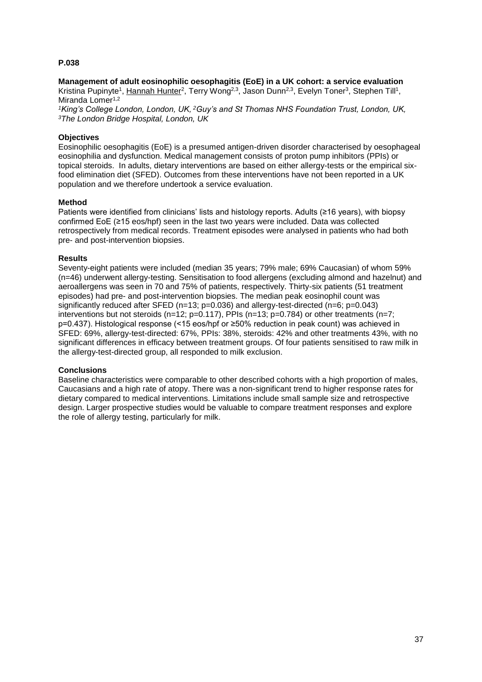**Management of adult eosinophilic oesophagitis (EoE) in a UK cohort: a service evaluation** Kristina Pupinyte<sup>1</sup>, Hannah Hunter<sup>2</sup>, Terry Wong<sup>2,3</sup>, Jason Dunn<sup>2,3</sup>, Evelyn Toner<sup>3</sup>, Stephen Till<sup>1</sup>,

Miranda Lomer<sup>1,2</sup>

*<sup>1</sup>King's College London, London, UK, <sup>2</sup>Guy's and St Thomas NHS Foundation Trust, London, UK, <sup>3</sup>The London Bridge Hospital, London, UK*

# **Objectives**

Eosinophilic oesophagitis (EoE) is a presumed antigen-driven disorder characterised by oesophageal eosinophilia and dysfunction. Medical management consists of proton pump inhibitors (PPIs) or topical steroids. In adults, dietary interventions are based on either allergy-tests or the empirical sixfood elimination diet (SFED). Outcomes from these interventions have not been reported in a UK population and we therefore undertook a service evaluation.

### **Method**

Patients were identified from clinicians' lists and histology reports. Adults (≥16 years), with biopsy confirmed EoE (≥15 eos/hpf) seen in the last two years were included. Data was collected retrospectively from medical records. Treatment episodes were analysed in patients who had both pre- and post-intervention biopsies.

### **Results**

Seventy-eight patients were included (median 35 years; 79% male; 69% Caucasian) of whom 59% (n=46) underwent allergy-testing. Sensitisation to food allergens (excluding almond and hazelnut) and aeroallergens was seen in 70 and 75% of patients, respectively. Thirty-six patients (51 treatment episodes) had pre- and post-intervention biopsies. The median peak eosinophil count was significantly reduced after SFED (n=13; p=0.036) and allergy-test-directed (n=6; p=0.043) interventions but not steroids (n=12; p=0.117), PPIs (n=13; p=0.784) or other treatments (n=7; p=0.437). Histological response (<15 eos/hpf or ≥50% reduction in peak count) was achieved in SFED: 69%, allergy-test-directed: 67%, PPIs: 38%, steroids: 42% and other treatments 43%, with no significant differences in efficacy between treatment groups. Of four patients sensitised to raw milk in the allergy-test-directed group, all responded to milk exclusion.

# **Conclusions**

Baseline characteristics were comparable to other described cohorts with a high proportion of males, Caucasians and a high rate of atopy. There was a non-significant trend to higher response rates for dietary compared to medical interventions. Limitations include small sample size and retrospective design. Larger prospective studies would be valuable to compare treatment responses and explore the role of allergy testing, particularly for milk.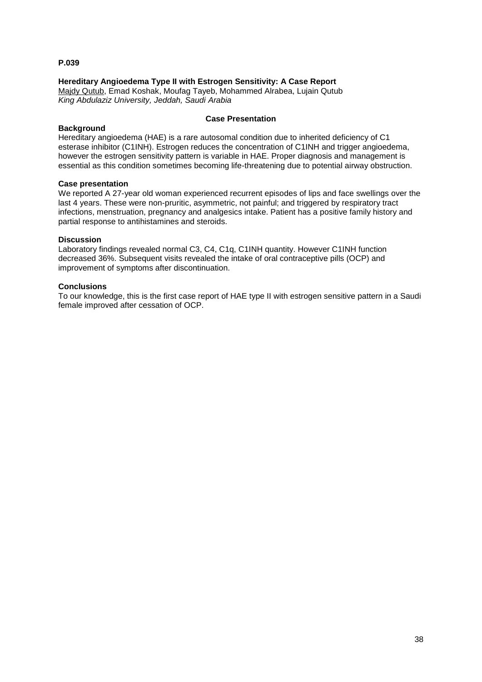# **Hereditary Angioedema Type II with Estrogen Sensitivity: A Case Report**

Majdy Qutub, Emad Koshak, Moufag Tayeb, Mohammed Alrabea, Lujain Qutub *King Abdulaziz University, Jeddah, Saudi Arabia*

### **Background**

#### **Case Presentation**

Hereditary angioedema (HAE) is a rare autosomal condition due to inherited deficiency of C1 esterase inhibitor (C1INH). Estrogen reduces the concentration of C1INH and trigger angioedema. however the estrogen sensitivity pattern is variable in HAE. Proper diagnosis and management is essential as this condition sometimes becoming life-threatening due to potential airway obstruction.

#### **Case presentation**

We reported A 27-year old woman experienced recurrent episodes of lips and face swellings over the last 4 years. These were non-pruritic, asymmetric, not painful; and triggered by respiratory tract infections, menstruation, pregnancy and analgesics intake. Patient has a positive family history and partial response to antihistamines and steroids.

### **Discussion**

Laboratory findings revealed normal C3, C4, C1q, C1INH quantity. However C1INH function decreased 36%. Subsequent visits revealed the intake of oral contraceptive pills (OCP) and improvement of symptoms after discontinuation.

### **Conclusions**

To our knowledge, this is the first case report of HAE type II with estrogen sensitive pattern in a Saudi female improved after cessation of OCP.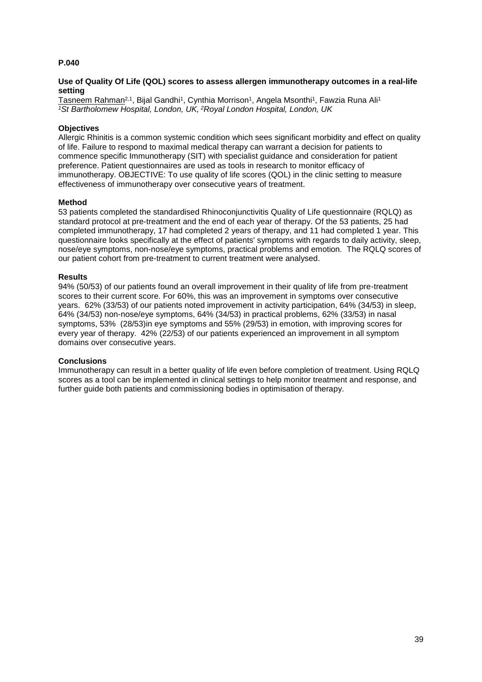## **Use of Quality Of Life (QOL) scores to assess allergen immunotherapy outcomes in a real-life setting**

<u>Tasneem Rahman<sup>2,1</sup>,</u> Bijal Gandhi<sup>1</sup>, Cynthia Morrison<sup>1</sup>, Angela Msonthi<sup>1</sup>, Fawzia Runa Ali<sup>1</sup> *<sup>1</sup>St Bartholomew Hospital, London, UK, <sup>2</sup>Royal London Hospital, London, UK*

## **Objectives**

Allergic Rhinitis is a common systemic condition which sees significant morbidity and effect on quality of life. Failure to respond to maximal medical therapy can warrant a decision for patients to commence specific Immunotherapy (SIT) with specialist guidance and consideration for patient preference. Patient questionnaires are used as tools in research to monitor efficacy of immunotherapy. OBJECTIVE: To use quality of life scores (QOL) in the clinic setting to measure effectiveness of immunotherapy over consecutive years of treatment.

### **Method**

53 patients completed the standardised Rhinoconjunctivitis Quality of Life questionnaire (RQLQ) as standard protocol at pre-treatment and the end of each year of therapy. Of the 53 patients, 25 had completed immunotherapy, 17 had completed 2 years of therapy, and 11 had completed 1 year. This questionnaire looks specifically at the effect of patients' symptoms with regards to daily activity, sleep, nose/eye symptoms, non-nose/eye symptoms, practical problems and emotion. The RQLQ scores of our patient cohort from pre-treatment to current treatment were analysed.

### **Results**

94% (50/53) of our patients found an overall improvement in their quality of life from pre-treatment scores to their current score. For 60%, this was an improvement in symptoms over consecutive years. 62% (33/53) of our patients noted improvement in activity participation, 64% (34/53) in sleep, 64% (34/53) non-nose/eye symptoms, 64% (34/53) in practical problems, 62% (33/53) in nasal symptoms, 53% (28/53)in eye symptoms and 55% (29/53) in emotion, with improving scores for every year of therapy. 42% (22/53) of our patients experienced an improvement in all symptom domains over consecutive years.

### **Conclusions**

Immunotherapy can result in a better quality of life even before completion of treatment. Using RQLQ scores as a tool can be implemented in clinical settings to help monitor treatment and response, and further guide both patients and commissioning bodies in optimisation of therapy.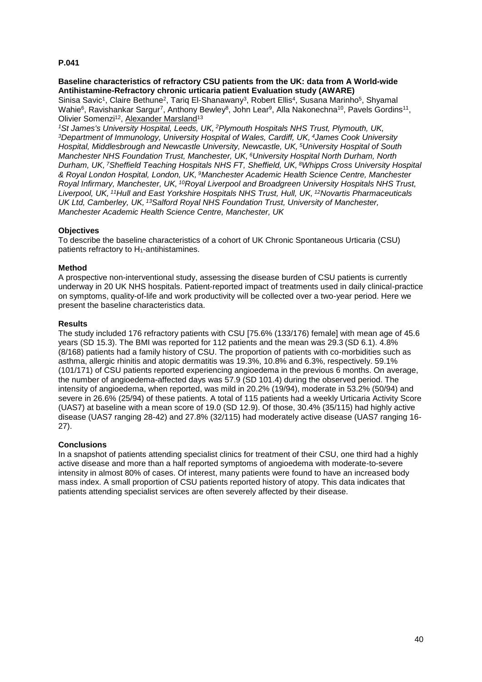## **Baseline characteristics of refractory CSU patients from the UK: data from A World-wide Antihistamine-Refractory chronic urticaria patient Evaluation study (AWARE)**

Sinisa Savic<sup>1</sup>, Claire Bethune<sup>2</sup>, Tariq El-Shanawany<sup>3</sup>, Robert Ellis<sup>4</sup>, Susana Marinho<sup>5</sup>, Shyamal Wahie<sup>6</sup>, Ravishankar Sargur<sup>7</sup>, Anthony Bewley<sup>8</sup>, John Lear<sup>9</sup>, Alla Nakonechna<sup>10</sup>, Pavels Gordins<sup>11</sup>, Olivier Somenzi<sup>12</sup>, Alexander Marsland<sup>13</sup>

*<sup>1</sup>St James's University Hospital, Leeds, UK, <sup>2</sup>Plymouth Hospitals NHS Trust, Plymouth, UK, <sup>3</sup>Department of Immunology, University Hospital of Wales, Cardiff, UK, <sup>4</sup>James Cook University Hospital, Middlesbrough and Newcastle University, Newcastle, UK, <sup>5</sup>University Hospital of South Manchester NHS Foundation Trust, Manchester, UK, <sup>6</sup>University Hospital North Durham, North Durham, UK, <sup>7</sup>Sheffield Teaching Hospitals NHS FT, Sheffield, UK, <sup>8</sup>Whipps Cross University Hospital & Royal London Hospital, London, UK, <sup>9</sup>Manchester Academic Health Science Centre, Manchester Royal Infirmary, Manchester, UK, <sup>10</sup>Royal Liverpool and Broadgreen University Hospitals NHS Trust, Liverpool, UK, <sup>11</sup>Hull and East Yorkshire Hospitals NHS Trust, Hull, UK, <sup>12</sup>Novartis Pharmaceuticals UK Ltd, Camberley, UK, <sup>13</sup>Salford Royal NHS Foundation Trust, University of Manchester, Manchester Academic Health Science Centre, Manchester, UK*

# **Objectives**

To describe the baseline characteristics of a cohort of UK Chronic Spontaneous Urticaria (CSU) patients refractory to H1-antihistamines.

# **Method**

A prospective non-interventional study, assessing the disease burden of CSU patients is currently underway in 20 UK NHS hospitals. Patient-reported impact of treatments used in daily clinical-practice on symptoms, quality-of-life and work productivity will be collected over a two-year period. Here we present the baseline characteristics data.

# **Results**

The study included 176 refractory patients with CSU [75.6% (133/176) female] with mean age of 45.6 years (SD 15.3). The BMI was reported for 112 patients and the mean was 29.3 (SD 6.1). 4.8% (8/168) patients had a family history of CSU. The proportion of patients with co-morbidities such as asthma, allergic rhinitis and atopic dermatitis was 19.3%, 10.8% and 6.3%, respectively. 59.1% (101/171) of CSU patients reported experiencing angioedema in the previous 6 months. On average, the number of angioedema-affected days was 57.9 (SD 101.4) during the observed period. The intensity of angioedema, when reported, was mild in 20.2% (19/94), moderate in 53.2% (50/94) and severe in 26.6% (25/94) of these patients. A total of 115 patients had a weekly Urticaria Activity Score (UAS7) at baseline with a mean score of 19.0 (SD 12.9). Of those, 30.4% (35/115) had highly active disease (UAS7 ranging 28-42) and 27.8% (32/115) had moderately active disease (UAS7 ranging 16- 27).

# **Conclusions**

In a snapshot of patients attending specialist clinics for treatment of their CSU, one third had a highly active disease and more than a half reported symptoms of angioedema with moderate-to-severe intensity in almost 80% of cases. Of interest, many patients were found to have an increased body mass index. A small proportion of CSU patients reported history of atopy. This data indicates that patients attending specialist services are often severely affected by their disease.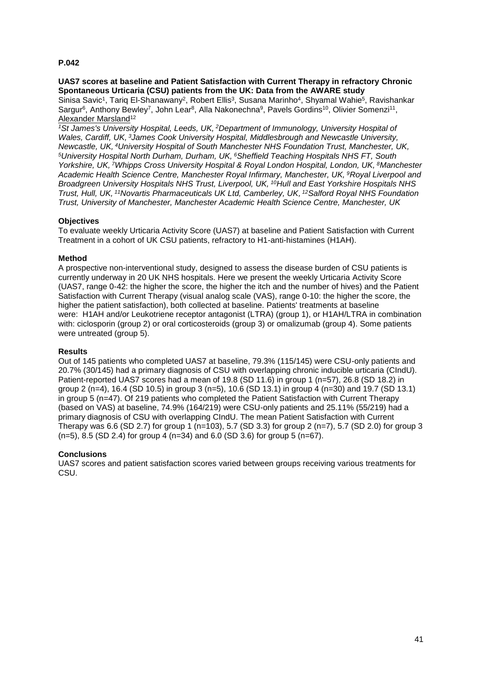### **UAS7 scores at baseline and Patient Satisfaction with Current Therapy in refractory Chronic Spontaneous Urticaria (CSU) patients from the UK: Data from the AWARE study**

Sinisa Savic<sup>1</sup>, Tariq El-Shanawany<sup>2</sup>, Robert Ellis<sup>3</sup>, Susana Marinho<sup>4</sup>, Shyamal Wahie<sup>5</sup>, Ravishankar Sargur<sup>6</sup>, Anthony Bewley<sup>7</sup>, John Lear<sup>8</sup>, Alla Nakonechna<sup>9</sup>, Pavels Gordins<sup>10</sup>, Olivier Somenzi<sup>11</sup>, Alexander Marsland<sup>12</sup>

*<sup>1</sup>St James's University Hospital, Leeds, UK, <sup>2</sup>Department of Immunology, University Hospital of Wales, Cardiff, UK, <sup>3</sup>James Cook University Hospital, Middlesbrough and Newcastle University, Newcastle, UK, <sup>4</sup>University Hospital of South Manchester NHS Foundation Trust, Manchester, UK, <sup>5</sup>University Hospital North Durham, Durham, UK, <sup>6</sup>Sheffield Teaching Hospitals NHS FT, South Yorkshire, UK, <sup>7</sup>Whipps Cross University Hospital & Royal London Hospital, London, UK, <sup>8</sup>Manchester Academic Health Science Centre, Manchester Royal Infirmary, Manchester, UK, <sup>9</sup>Royal Liverpool and Broadgreen University Hospitals NHS Trust, Liverpool, UK, <sup>10</sup>Hull and East Yorkshire Hospitals NHS Trust, Hull, UK, <sup>11</sup>Novartis Pharmaceuticals UK Ltd, Camberley, UK, <sup>12</sup>Salford Royal NHS Foundation Trust, University of Manchester, Manchester Academic Health Science Centre, Manchester, UK*

# **Objectives**

To evaluate weekly Urticaria Activity Score (UAS7) at baseline and Patient Satisfaction with Current Treatment in a cohort of UK CSU patients, refractory to H1-anti-histamines (H1AH).

# **Method**

A prospective non-interventional study, designed to assess the disease burden of CSU patients is currently underway in 20 UK NHS hospitals. Here we present the weekly Urticaria Activity Score (UAS7, range 0-42: the higher the score, the higher the itch and the number of hives) and the Patient Satisfaction with Current Therapy (visual analog scale (VAS), range 0-10: the higher the score, the higher the patient satisfaction), both collected at baseline. Patients' treatments at baseline were: H1AH and/or Leukotriene receptor antagonist (LTRA) (group 1), or H1AH/LTRA in combination with: ciclosporin (group 2) or oral corticosteroids (group 3) or omalizumab (group 4). Some patients were untreated (group 5).

# **Results**

Out of 145 patients who completed UAS7 at baseline, 79.3% (115/145) were CSU-only patients and 20.7% (30/145) had a primary diagnosis of CSU with overlapping chronic inducible urticaria (CIndU). Patient-reported UAS7 scores had a mean of 19.8 (SD 11.6) in group 1 (n=57), 26.8 (SD 18.2) in group 2 (n=4), 16.4 (SD 10.5) in group 3 (n=5), 10.6 (SD 13.1) in group 4 (n=30) and 19.7 (SD 13.1) in group 5 (n=47). Of 219 patients who completed the Patient Satisfaction with Current Therapy (based on VAS) at baseline, 74.9% (164/219) were CSU-only patients and 25.11% (55/219) had a primary diagnosis of CSU with overlapping CIndU. The mean Patient Satisfaction with Current Therapy was 6.6 (SD 2.7) for group 1 (n=103), 5.7 (SD 3.3) for group 2 (n=7), 5.7 (SD 2.0) for group 3  $(n=5)$ , 8.5 (SD 2.4) for group 4 (n=34) and 6.0 (SD 3.6) for group 5 (n=67).

### **Conclusions**

UAS7 scores and patient satisfaction scores varied between groups receiving various treatments for CSU.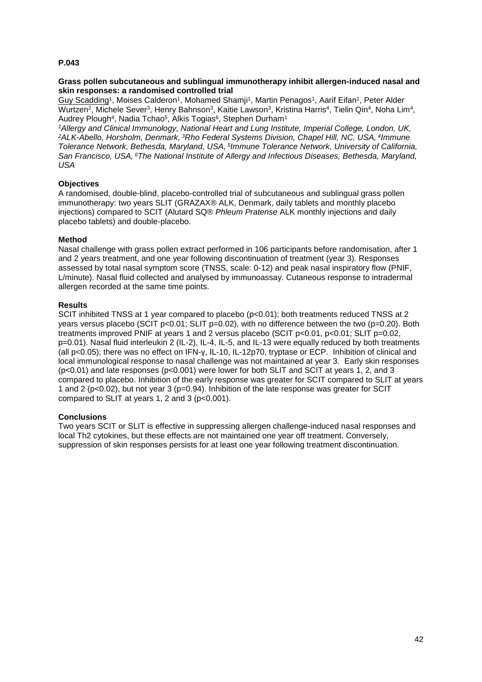### **Grass pollen subcutaneous and sublingual immunotherapy inhibit allergen-induced nasal and skin responses: a randomised controlled trial**

Guy Scadding<sup>1</sup>, Moises Calderon<sup>1</sup>, Mohamed Shamji<sup>1</sup>, Martin Penagos<sup>1</sup>, Aarif Eifan<sup>1</sup>, Peter Alder Wurtzen<sup>2</sup>, Michele Sever<sup>3</sup>, Henry Bahnson<sup>3</sup>, Kaitie Lawson<sup>3</sup>, Kristina Harris<sup>4</sup>, Tielin Qin<sup>4</sup>, Noha Lim<sup>4</sup>, Audrey Plough<sup>4</sup>, Nadia Tchao<sup>5</sup>, Alkis Togias<sup>6</sup>, Stephen Durham<sup>1</sup>

*<sup>1</sup>Allergy and Clinical Immunology, National Heart and Lung Institute, Imperial College, London, UK, <sup>2</sup>ALK-Abello, Horsholm, Denmark, <sup>3</sup>Rho Federal Systems Division, Chapel Hill, NC, USA, <sup>4</sup> Immune Tolerance Network, Bethesda, Maryland, USA, <sup>5</sup> Immune Tolerance Network, University of California, San Francisco, USA, <sup>6</sup>The National Institute of Allergy and Infectious Diseases, Bethesda, Maryland, USA*

# **Objectives**

A randomised, double-blind, placebo-controlled trial of subcutaneous and sublingual grass pollen immunotherapy: two years SLIT (GRAZAX® ALK, Denmark, daily tablets and monthly placebo injections) compared to SCIT (Alutard SQ® *Phleum Pratense* ALK monthly injections and daily placebo tablets) and double-placebo.

### **Method**

Nasal challenge with grass pollen extract performed in 106 participants before randomisation, after 1 and 2 years treatment, and one year following discontinuation of treatment (year 3). Responses assessed by total nasal symptom score (TNSS, scale: 0-12) and peak nasal inspiratory flow (PNIF, L/minute). Nasal fluid collected and analysed by immunoassay. Cutaneous response to intradermal allergen recorded at the same time points.

### **Results**

SCIT inhibited TNSS at 1 year compared to placebo (p<0.01); both treatments reduced TNSS at 2 years versus placebo (SCIT  $p<0.01$ ; SLIT  $p=0.02$ ), with no difference between the two ( $p=0.20$ ). Both treatments improved PNIF at years 1 and 2 versus placebo (SCIT p<0.01, p<0.01; SLIT p=0.02, p=0.01). Nasal fluid interleukin 2 (IL-2), IL-4, IL-5, and IL-13 were equally reduced by both treatments (all p<0.05); there was no effect on IFN-γ, IL-10, IL-12p70, tryptase or ECP. Inhibition of clinical and local immunological response to nasal challenge was not maintained at year 3. Early skin responses (p<0.01) and late responses (p<0.001) were lower for both SLIT and SCIT at years 1, 2, and 3 compared to placebo. Inhibition of the early response was greater for SCIT compared to SLIT at years 1 and 2 (p<0.02), but not year 3 (p=0.94). Inhibition of the late response was greater for SCIT compared to SLIT at years 1, 2 and 3 (p<0.001).

# **Conclusions**

Two years SCIT or SLIT is effective in suppressing allergen challenge-induced nasal responses and local Th2 cytokines, but these effects are not maintained one year off treatment. Conversely, suppression of skin responses persists for at least one year following treatment discontinuation.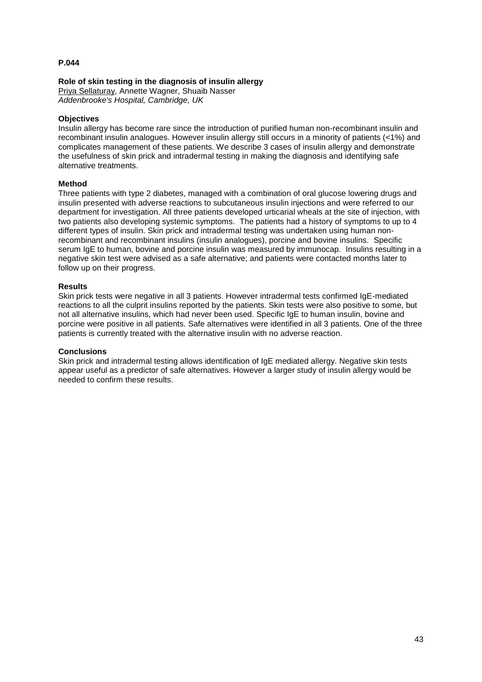# **Role of skin testing in the diagnosis of insulin allergy**

Priya Sellaturay, Annette Wagner, Shuaib Nasser *Addenbrooke's Hospital, Cambridge, UK*

# **Objectives**

Insulin allergy has become rare since the introduction of purified human non-recombinant insulin and recombinant insulin analogues. However insulin allergy still occurs in a minority of patients (<1%) and complicates management of these patients. We describe 3 cases of insulin allergy and demonstrate the usefulness of skin prick and intradermal testing in making the diagnosis and identifying safe alternative treatments.

### **Method**

Three patients with type 2 diabetes, managed with a combination of oral glucose lowering drugs and insulin presented with adverse reactions to subcutaneous insulin injections and were referred to our department for investigation. All three patients developed urticarial wheals at the site of injection, with two patients also developing systemic symptoms. The patients had a history of symptoms to up to 4 different types of insulin. Skin prick and intradermal testing was undertaken using human nonrecombinant and recombinant insulins (insulin analogues), porcine and bovine insulins. Specific serum IgE to human, bovine and porcine insulin was measured by immunocap. Insulins resulting in a negative skin test were advised as a safe alternative; and patients were contacted months later to follow up on their progress.

### **Results**

Skin prick tests were negative in all 3 patients. However intradermal tests confirmed IgE-mediated reactions to all the culprit insulins reported by the patients. Skin tests were also positive to some, but not all alternative insulins, which had never been used. Specific IgE to human insulin, bovine and porcine were positive in all patients. Safe alternatives were identified in all 3 patients. One of the three patients is currently treated with the alternative insulin with no adverse reaction.

### **Conclusions**

Skin prick and intradermal testing allows identification of IgE mediated allergy. Negative skin tests appear useful as a predictor of safe alternatives. However a larger study of insulin allergy would be needed to confirm these results.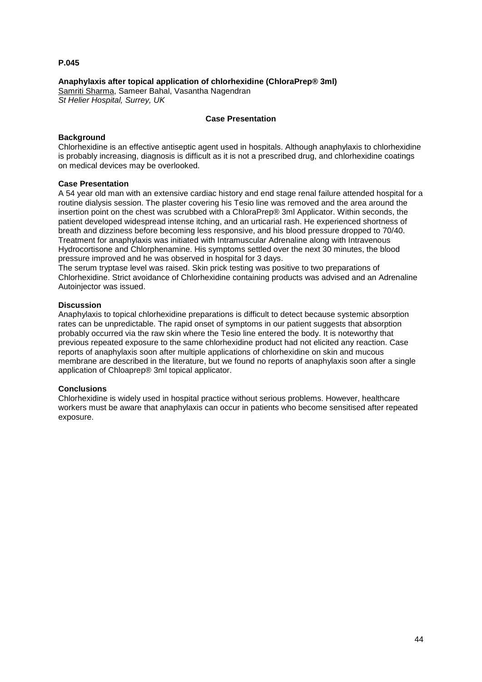### **Anaphylaxis after topical application of chlorhexidine (ChloraPrep® 3ml)**

Samriti Sharma, Sameer Bahal, Vasantha Nagendran *St Helier Hospital, Surrey, UK*

### **Case Presentation**

# **Background**

Chlorhexidine is an effective antiseptic agent used in hospitals. Although anaphylaxis to chlorhexidine is probably increasing, diagnosis is difficult as it is not a prescribed drug, and chlorhexidine coatings on medical devices may be overlooked.

### **Case Presentation**

A 54 year old man with an extensive cardiac history and end stage renal failure attended hospital for a routine dialysis session. The plaster covering his Tesio line was removed and the area around the insertion point on the chest was scrubbed with a ChloraPrep® 3ml Applicator. Within seconds, the patient developed widespread intense itching, and an urticarial rash. He experienced shortness of breath and dizziness before becoming less responsive, and his blood pressure dropped to 70/40. Treatment for anaphylaxis was initiated with Intramuscular Adrenaline along with Intravenous Hydrocortisone and Chlorphenamine. His symptoms settled over the next 30 minutes, the blood pressure improved and he was observed in hospital for 3 days.

The serum tryptase level was raised. Skin prick testing was positive to two preparations of Chlorhexidine. Strict avoidance of Chlorhexidine containing products was advised and an Adrenaline Autoinjector was issued.

### **Discussion**

Anaphylaxis to topical chlorhexidine preparations is difficult to detect because systemic absorption rates can be unpredictable. The rapid onset of symptoms in our patient suggests that absorption probably occurred via the raw skin where the Tesio line entered the body. It is noteworthy that previous repeated exposure to the same chlorhexidine product had not elicited any reaction. Case reports of anaphylaxis soon after multiple applications of chlorhexidine on skin and mucous membrane are described in the literature, but we found no reports of anaphylaxis soon after a single application of Chloaprep® 3ml topical applicator.

### **Conclusions**

Chlorhexidine is widely used in hospital practice without serious problems. However, healthcare workers must be aware that anaphylaxis can occur in patients who become sensitised after repeated exposure.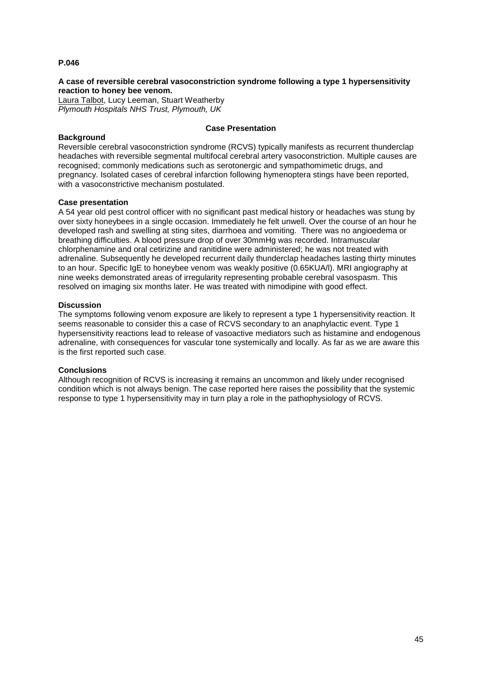## **A case of reversible cerebral vasoconstriction syndrome following a type 1 hypersensitivity reaction to honey bee venom.**

Laura Talbot, Lucy Leeman, Stuart Weatherby *Plymouth Hospitals NHS Trust, Plymouth, UK*

## **Background**

# **Case Presentation**

Reversible cerebral vasoconstriction syndrome (RCVS) typically manifests as recurrent thunderclap headaches with reversible segmental multifocal cerebral artery vasoconstriction. Multiple causes are recognised; commonly medications such as serotonergic and sympathomimetic drugs, and pregnancy. Isolated cases of cerebral infarction following hymenoptera stings have been reported, with a vasoconstrictive mechanism postulated.

### **Case presentation**

A 54 year old pest control officer with no significant past medical history or headaches was stung by over sixty honeybees in a single occasion. Immediately he felt unwell. Over the course of an hour he developed rash and swelling at sting sites, diarrhoea and vomiting. There was no angioedema or breathing difficulties. A blood pressure drop of over 30mmHg was recorded. Intramuscular chlorphenamine and oral cetirizine and ranitidine were administered; he was not treated with adrenaline. Subsequently he developed recurrent daily thunderclap headaches lasting thirty minutes to an hour. Specific IgE to honeybee venom was weakly positive (0.65KUA/l). MRI angiography at nine weeks demonstrated areas of irregularity representing probable cerebral vasospasm. This resolved on imaging six months later. He was treated with nimodipine with good effect.

### **Discussion**

The symptoms following venom exposure are likely to represent a type 1 hypersensitivity reaction. It seems reasonable to consider this a case of RCVS secondary to an anaphylactic event. Type 1 hypersensitivity reactions lead to release of vasoactive mediators such as histamine and endogenous adrenaline, with consequences for vascular tone systemically and locally. As far as we are aware this is the first reported such case.

### **Conclusions**

Although recognition of RCVS is increasing it remains an uncommon and likely under recognised condition which is not always benign. The case reported here raises the possibility that the systemic response to type 1 hypersensitivity may in turn play a role in the pathophysiology of RCVS.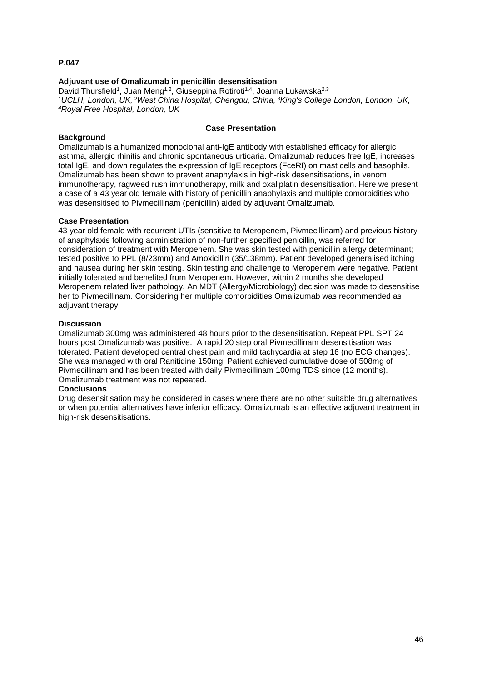# **Adjuvant use of Omalizumab in penicillin desensitisation**

David Thursfield<sup>1</sup>, Juan Meng<sup>1,2</sup>, Giuseppina Rotiroti<sup>1,4</sup>, Joanna Lukawska<sup>2,3</sup> *<sup>1</sup>UCLH, London, UK, <sup>2</sup>West China Hospital, Chengdu, China, <sup>3</sup>King's College London, London, UK, <sup>4</sup>Royal Free Hospital, London, UK*

### **Background**

# **Case Presentation**

Omalizumab is a humanized monoclonal anti-IgE antibody with established efficacy for allergic asthma, allergic rhinitis and chronic spontaneous urticaria. Omalizumab reduces free IgE, increases total IgE, and down regulates the expression of IgE receptors (FceRI) on mast cells and basophils. Omalizumab has been shown to prevent anaphylaxis in high-risk desensitisations, in venom immunotherapy, ragweed rush immunotherapy, milk and oxaliplatin desensitisation. Here we present a case of a 43 year old female with history of penicillin anaphylaxis and multiple comorbidities who was desensitised to Pivmecillinam (penicillin) aided by adjuvant Omalizumab.

# **Case Presentation**

43 year old female with recurrent UTIs (sensitive to Meropenem, Pivmecillinam) and previous history of anaphylaxis following administration of non-further specified penicillin, was referred for consideration of treatment with Meropenem. She was skin tested with penicillin allergy determinant; tested positive to PPL (8/23mm) and Amoxicillin (35/138mm). Patient developed generalised itching and nausea during her skin testing. Skin testing and challenge to Meropenem were negative. Patient initially tolerated and benefited from Meropenem. However, within 2 months she developed Meropenem related liver pathology. An MDT (Allergy/Microbiology) decision was made to desensitise her to Pivmecillinam. Considering her multiple comorbidities Omalizumab was recommended as adjuvant therapy.

### **Discussion**

Omalizumab 300mg was administered 48 hours prior to the desensitisation. Repeat PPL SPT 24 hours post Omalizumab was positive. A rapid 20 step oral Pivmecillinam desensitisation was tolerated. Patient developed central chest pain and mild tachycardia at step 16 (no ECG changes). She was managed with oral Ranitidine 150mg. Patient achieved cumulative dose of 508mg of Pivmecillinam and has been treated with daily Pivmecillinam 100mg TDS since (12 months). Omalizumab treatment was not repeated.

### **Conclusions**

Drug desensitisation may be considered in cases where there are no other suitable drug alternatives or when potential alternatives have inferior efficacy. Omalizumab is an effective adjuvant treatment in high-risk desensitisations.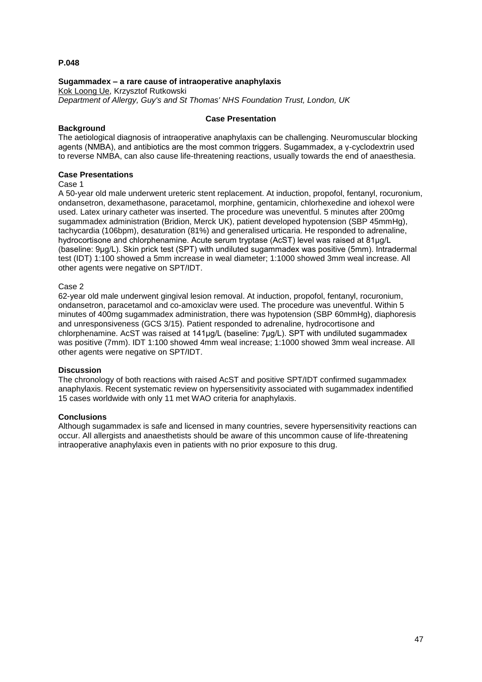### **Sugammadex – a rare cause of intraoperative anaphylaxis**

Kok Loong Ue, Krzysztof Rutkowski *Department of Allergy, Guy's and St Thomas' NHS Foundation Trust, London, UK*

### **Background**

### **Case Presentation**

The aetiological diagnosis of intraoperative anaphylaxis can be challenging. Neuromuscular blocking agents (NMBA), and antibiotics are the most common triggers. Sugammadex, a γ-cyclodextrin used to reverse NMBA, can also cause life-threatening reactions, usually towards the end of anaesthesia.

### **Case Presentations**

#### Case 1

A 50-year old male underwent ureteric stent replacement. At induction, propofol, fentanyl, rocuronium, ondansetron, dexamethasone, paracetamol, morphine, gentamicin, chlorhexedine and iohexol were used. Latex urinary catheter was inserted. The procedure was uneventful. 5 minutes after 200mg sugammadex administration (Bridion, Merck UK), patient developed hypotension (SBP 45mmHg), tachycardia (106bpm), desaturation (81%) and generalised urticaria. He responded to adrenaline, hydrocortisone and chlorphenamine. Acute serum tryptase (AcST) level was raised at 81μg/L (baseline: 9μg/L). Skin prick test (SPT) with undiluted sugammadex was positive (5mm). Intradermal test (IDT) 1:100 showed a 5mm increase in weal diameter; 1:1000 showed 3mm weal increase. All other agents were negative on SPT/IDT.

### Case 2

62-year old male underwent gingival lesion removal. At induction, propofol, fentanyl, rocuronium, ondansetron, paracetamol and co-amoxiclav were used. The procedure was uneventful. Within 5 minutes of 400mg sugammadex administration, there was hypotension (SBP 60mmHg), diaphoresis and unresponsiveness (GCS 3/15). Patient responded to adrenaline, hydrocortisone and chlorphenamine. AcST was raised at 141μg/L (baseline: 7μg/L). SPT with undiluted sugammadex was positive (7mm). IDT 1:100 showed 4mm weal increase; 1:1000 showed 3mm weal increase. All other agents were negative on SPT/IDT.

### **Discussion**

The chronology of both reactions with raised AcST and positive SPT/IDT confirmed sugammadex anaphylaxis. Recent systematic review on hypersensitivity associated with sugammadex indentified 15 cases worldwide with only 11 met WAO criteria for anaphylaxis.

### **Conclusions**

Although sugammadex is safe and licensed in many countries, severe hypersensitivity reactions can occur. All allergists and anaesthetists should be aware of this uncommon cause of life-threatening intraoperative anaphylaxis even in patients with no prior exposure to this drug.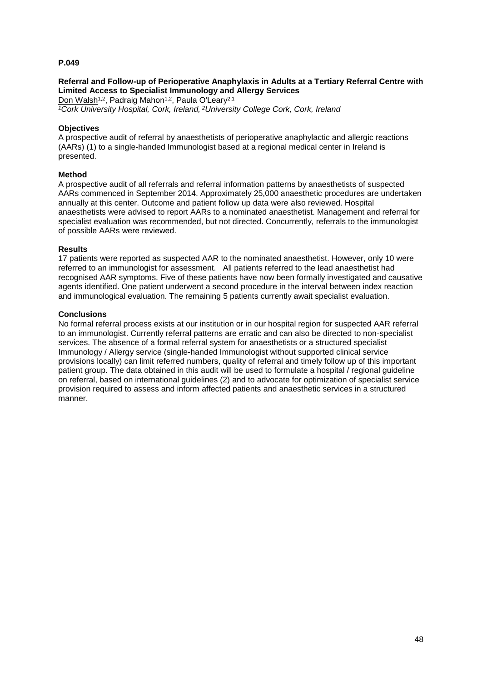## **Referral and Follow-up of Perioperative Anaphylaxis in Adults at a Tertiary Referral Centre with Limited Access to Specialist Immunology and Allergy Services**

Don Walsh<sup>1,2</sup>, Padraig Mahon<sup>1,2</sup>, Paula O'Leary<sup>2,1</sup> *<sup>1</sup>Cork University Hospital, Cork, Ireland, <sup>2</sup>University College Cork, Cork, Ireland*

## **Objectives**

A prospective audit of referral by anaesthetists of perioperative anaphylactic and allergic reactions (AARs) (1) to a single-handed Immunologist based at a regional medical center in Ireland is presented.

### **Method**

A prospective audit of all referrals and referral information patterns by anaesthetists of suspected AARs commenced in September 2014. Approximately 25,000 anaesthetic procedures are undertaken annually at this center. Outcome and patient follow up data were also reviewed. Hospital anaesthetists were advised to report AARs to a nominated anaesthetist. Management and referral for specialist evaluation was recommended, but not directed. Concurrently, referrals to the immunologist of possible AARs were reviewed.

### **Results**

17 patients were reported as suspected AAR to the nominated anaesthetist. However, only 10 were referred to an immunologist for assessment. All patients referred to the lead anaesthetist had recognised AAR symptoms. Five of these patients have now been formally investigated and causative agents identified. One patient underwent a second procedure in the interval between index reaction and immunological evaluation. The remaining 5 patients currently await specialist evaluation.

### **Conclusions**

No formal referral process exists at our institution or in our hospital region for suspected AAR referral to an immunologist. Currently referral patterns are erratic and can also be directed to non-specialist services. The absence of a formal referral system for anaesthetists or a structured specialist Immunology / Allergy service (single-handed Immunologist without supported clinical service provisions locally) can limit referred numbers, quality of referral and timely follow up of this important patient group. The data obtained in this audit will be used to formulate a hospital / regional guideline on referral, based on international guidelines (2) and to advocate for optimization of specialist service provision required to assess and inform affected patients and anaesthetic services in a structured manner.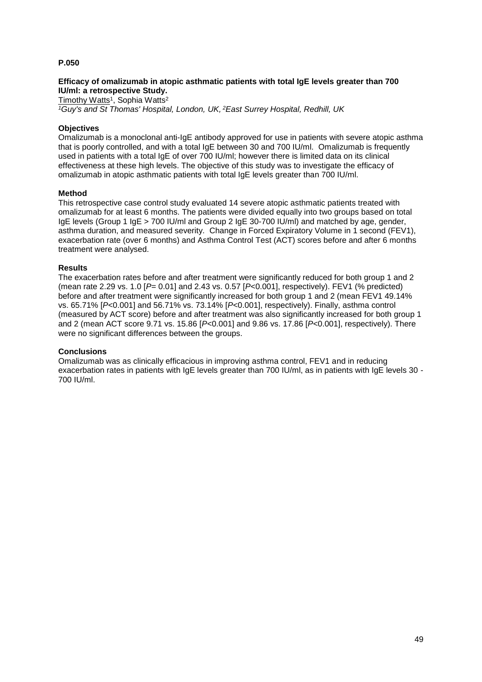## **Efficacy of omalizumab in atopic asthmatic patients with total IgE levels greater than 700 IU/ml: a retrospective Study.**

<u>Timothy Watts</u>1, Sophia Watts<sup>2</sup> *<sup>1</sup>Guy's and St Thomas' Hospital, London, UK, <sup>2</sup>East Surrey Hospital, Redhill, UK*

# **Objectives**

Omalizumab is a monoclonal anti-IgE antibody approved for use in patients with severe atopic asthma that is poorly controlled, and with a total IgE between 30 and 700 IU/ml. Omalizumab is frequently used in patients with a total IgE of over 700 IU/ml; however there is limited data on its clinical effectiveness at these high levels. The objective of this study was to investigate the efficacy of omalizumab in atopic asthmatic patients with total IgE levels greater than 700 IU/ml.

### **Method**

This retrospective case control study evaluated 14 severe atopic asthmatic patients treated with omalizumab for at least 6 months. The patients were divided equally into two groups based on total IgE levels (Group 1 IgE > 700 IU/ml and Group 2 IgE 30-700 IU/ml) and matched by age, gender, asthma duration, and measured severity. Change in Forced Expiratory Volume in 1 second (FEV1), exacerbation rate (over 6 months) and Asthma Control Test (ACT) scores before and after 6 months treatment were analysed.

### **Results**

The exacerbation rates before and after treatment were significantly reduced for both group 1 and 2 (mean rate 2.29 vs. 1.0 [*P*= 0.01] and 2.43 vs. 0.57 [*P*<0.001], respectively). FEV1 (% predicted) before and after treatment were significantly increased for both group 1 and 2 (mean FEV1 49.14% vs. 65.71% [*P*<0.001] and 56.71% vs. 73.14% [*P*<0.001], respectively). Finally, asthma control (measured by ACT score) before and after treatment was also significantly increased for both group 1 and 2 (mean ACT score 9.71 vs. 15.86 [*P*<0.001] and 9.86 vs. 17.86 [*P*<0.001], respectively). There were no significant differences between the groups.

### **Conclusions**

Omalizumab was as clinically efficacious in improving asthma control, FEV1 and in reducing exacerbation rates in patients with IgE levels greater than 700 IU/ml, as in patients with IgE levels 30 - 700 IU/ml.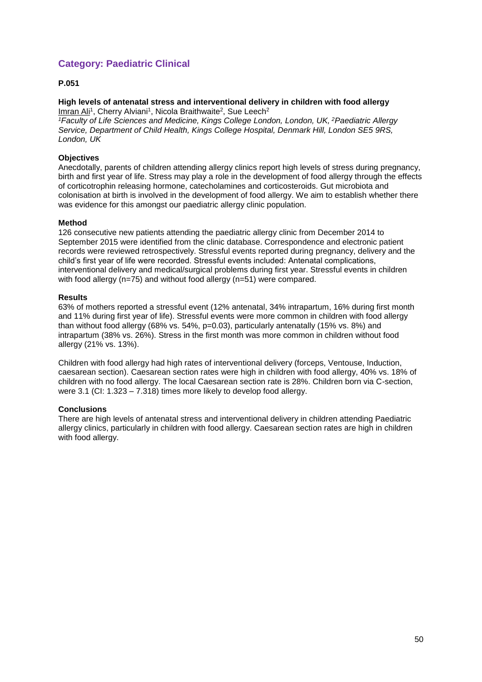# **Category: Paediatric Clinical**

# **P.051**

### **High levels of antenatal stress and interventional delivery in children with food allergy** Imran Ali<sup>1</sup>, Cherry Alviani<sup>1</sup>, Nicola Braithwaite<sup>2</sup>, Sue Leech<sup>2</sup>

*<sup>1</sup>Faculty of Life Sciences and Medicine, Kings College London, London, UK, <sup>2</sup>Paediatric Allergy Service, Department of Child Health, Kings College Hospital, Denmark Hill, London SE5 9RS, London, UK*

# **Objectives**

Anecdotally, parents of children attending allergy clinics report high levels of stress during pregnancy, birth and first year of life. Stress may play a role in the development of food allergy through the effects of corticotrophin releasing hormone, catecholamines and corticosteroids. Gut microbiota and colonisation at birth is involved in the development of food allergy. We aim to establish whether there was evidence for this amongst our paediatric allergy clinic population.

# **Method**

126 consecutive new patients attending the paediatric allergy clinic from December 2014 to September 2015 were identified from the clinic database. Correspondence and electronic patient records were reviewed retrospectively. Stressful events reported during pregnancy, delivery and the child's first year of life were recorded. Stressful events included: Antenatal complications, interventional delivery and medical/surgical problems during first year. Stressful events in children with food allergy (n=75) and without food allergy (n=51) were compared.

### **Results**

63% of mothers reported a stressful event (12% antenatal, 34% intrapartum, 16% during first month and 11% during first year of life). Stressful events were more common in children with food allergy than without food allergy (68% vs.  $54\%$ , p=0.03), particularly antenatally (15% vs. 8%) and intrapartum (38% vs. 26%). Stress in the first month was more common in children without food allergy (21% vs. 13%).

Children with food allergy had high rates of interventional delivery (forceps, Ventouse, Induction, caesarean section). Caesarean section rates were high in children with food allergy, 40% vs. 18% of children with no food allergy. The local Caesarean section rate is 28%. Children born via C-section, were 3.1 (CI: 1.323 – 7.318) times more likely to develop food allergy.

# **Conclusions**

There are high levels of antenatal stress and interventional delivery in children attending Paediatric allergy clinics, particularly in children with food allergy. Caesarean section rates are high in children with food allergy.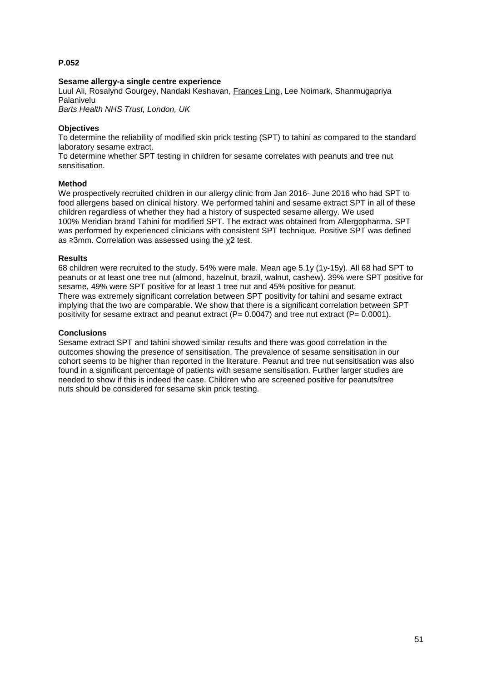## **Sesame allergy-a single centre experience**

Luul Ali, Rosalynd Gourgey, Nandaki Keshavan, Frances Ling, Lee Noimark, Shanmugapriya Palanivelu

*Barts Health NHS Trust, London, UK*

## **Objectives**

To determine the reliability of modified skin prick testing (SPT) to tahini as compared to the standard laboratory sesame extract.

To determine whether SPT testing in children for sesame correlates with peanuts and tree nut sensitisation.

### **Method**

We prospectively recruited children in our allergy clinic from Jan 2016- June 2016 who had SPT to food allergens based on clinical history. We performed tahini and sesame extract SPT in all of these children regardless of whether they had a history of suspected sesame allergy. We used 100% Meridian brand Tahini for modified SPT. The extract was obtained from Allergopharma. SPT was performed by experienced clinicians with consistent SPT technique. Positive SPT was defined as ≥3mm. Correlation was assessed using the χ2 test.

### **Results**

68 children were recruited to the study. 54% were male. Mean age 5.1y (1y-15y). All 68 had SPT to peanuts or at least one tree nut (almond, hazelnut, brazil, walnut, cashew). 39% were SPT positive for sesame, 49% were SPT positive for at least 1 tree nut and 45% positive for peanut. There was extremely significant correlation between SPT positivity for tahini and sesame extract implying that the two are comparable. We show that there is a significant correlation between SPT positivity for sesame extract and peanut extract ( $P= 0.0047$ ) and tree nut extract ( $P= 0.0001$ ).

### **Conclusions**

Sesame extract SPT and tahini showed similar results and there was good correlation in the outcomes showing the presence of sensitisation. The prevalence of sesame sensitisation in our cohort seems to be higher than reported in the literature. Peanut and tree nut sensitisation was also found in a significant percentage of patients with sesame sensitisation. Further larger studies are needed to show if this is indeed the case. Children who are screened positive for peanuts/tree nuts should be considered for sesame skin prick testing.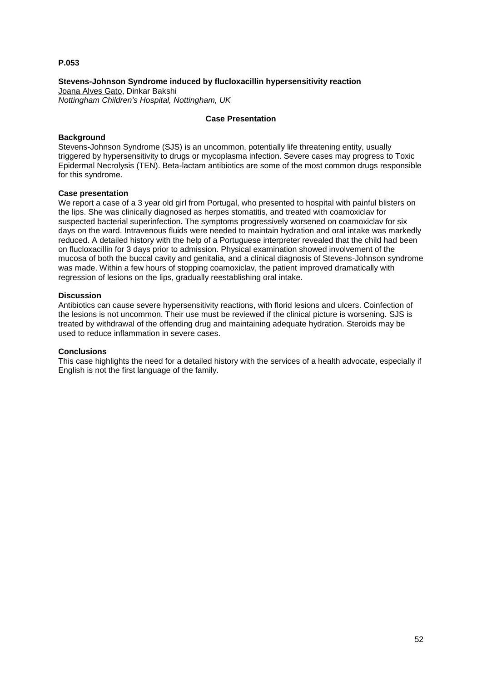## **Stevens-Johnson Syndrome induced by flucloxacillin hypersensitivity reaction**

Joana Alves Gato, Dinkar Bakshi *Nottingham Children's Hospital, Nottingham, UK*

### **Case Presentation**

## **Background**

Stevens-Johnson Syndrome (SJS) is an uncommon, potentially life threatening entity, usually triggered by hypersensitivity to drugs or mycoplasma infection. Severe cases may progress to Toxic Epidermal Necrolysis (TEN). Beta-lactam antibiotics are some of the most common drugs responsible for this syndrome.

### **Case presentation**

We report a case of a 3 year old girl from Portugal, who presented to hospital with painful blisters on the lips. She was clinically diagnosed as herpes stomatitis, and treated with coamoxiclav for suspected bacterial superinfection. The symptoms progressively worsened on coamoxiclav for six days on the ward. Intravenous fluids were needed to maintain hydration and oral intake was markedly reduced. A detailed history with the help of a Portuguese interpreter revealed that the child had been on flucloxacillin for 3 days prior to admission. Physical examination showed involvement of the mucosa of both the buccal cavity and genitalia, and a clinical diagnosis of Stevens-Johnson syndrome was made. Within a few hours of stopping coamoxiclav, the patient improved dramatically with regression of lesions on the lips, gradually reestablishing oral intake.

### **Discussion**

Antibiotics can cause severe hypersensitivity reactions, with florid lesions and ulcers. Coinfection of the lesions is not uncommon. Their use must be reviewed if the clinical picture is worsening. SJS is treated by withdrawal of the offending drug and maintaining adequate hydration. Steroids may be used to reduce inflammation in severe cases.

### **Conclusions**

This case highlights the need for a detailed history with the services of a health advocate, especially if English is not the first language of the family.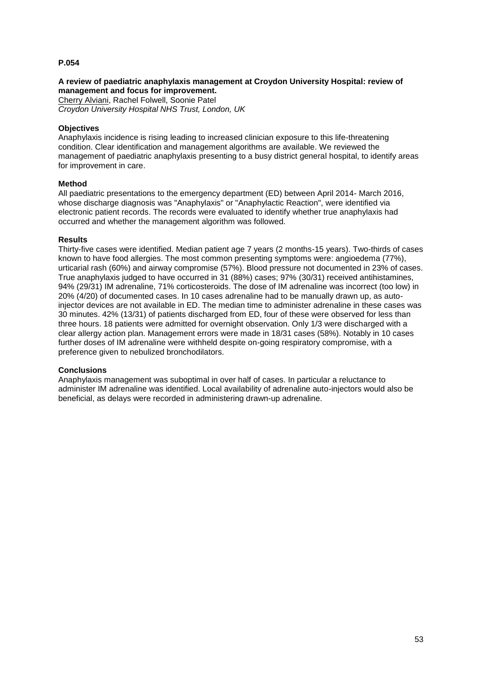## **A review of paediatric anaphylaxis management at Croydon University Hospital: review of management and focus for improvement.**

Cherry Alviani, Rachel Folwell, Soonie Patel *Croydon University Hospital NHS Trust, London, UK*

## **Objectives**

Anaphylaxis incidence is rising leading to increased clinician exposure to this life-threatening condition. Clear identification and management algorithms are available. We reviewed the management of paediatric anaphylaxis presenting to a busy district general hospital, to identify areas for improvement in care.

### **Method**

All paediatric presentations to the emergency department (ED) between April 2014- March 2016, whose discharge diagnosis was "Anaphylaxis" or "Anaphylactic Reaction", were identified via electronic patient records. The records were evaluated to identify whether true anaphylaxis had occurred and whether the management algorithm was followed.

### **Results**

Thirty-five cases were identified. Median patient age 7 years (2 months-15 years). Two-thirds of cases known to have food allergies. The most common presenting symptoms were: angioedema (77%), urticarial rash (60%) and airway compromise (57%). Blood pressure not documented in 23% of cases. True anaphylaxis judged to have occurred in 31 (88%) cases; 97% (30/31) received antihistamines, 94% (29/31) IM adrenaline, 71% corticosteroids. The dose of IM adrenaline was incorrect (too low) in 20% (4/20) of documented cases. In 10 cases adrenaline had to be manually drawn up, as autoinjector devices are not available in ED. The median time to administer adrenaline in these cases was 30 minutes. 42% (13/31) of patients discharged from ED, four of these were observed for less than three hours. 18 patients were admitted for overnight observation. Only 1/3 were discharged with a clear allergy action plan. Management errors were made in 18/31 cases (58%). Notably in 10 cases further doses of IM adrenaline were withheld despite on-going respiratory compromise, with a preference given to nebulized bronchodilators.

# **Conclusions**

Anaphylaxis management was suboptimal in over half of cases. In particular a reluctance to administer IM adrenaline was identified. Local availability of adrenaline auto-injectors would also be beneficial, as delays were recorded in administering drawn-up adrenaline.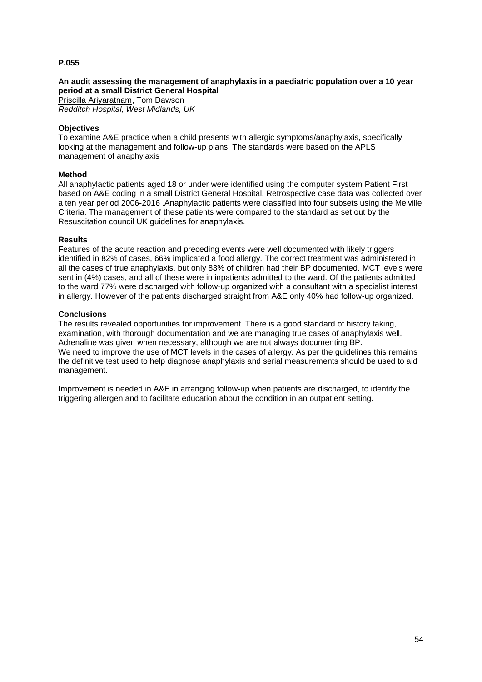# **An audit assessing the management of anaphylaxis in a paediatric population over a 10 year period at a small District General Hospital**

Priscilla Ariyaratnam, Tom Dawson *Redditch Hospital, West Midlands, UK*

### **Objectives**

To examine A&E practice when a child presents with allergic symptoms/anaphylaxis, specifically looking at the management and follow-up plans. The standards were based on the APLS management of anaphylaxis

### **Method**

All anaphylactic patients aged 18 or under were identified using the computer system Patient First based on A&E coding in a small District General Hospital. Retrospective case data was collected over a ten year period 2006-2016 .Anaphylactic patients were classified into four subsets using the Melville Criteria. The management of these patients were compared to the standard as set out by the Resuscitation council UK guidelines for anaphylaxis.

### **Results**

Features of the acute reaction and preceding events were well documented with likely triggers identified in 82% of cases, 66% implicated a food allergy. The correct treatment was administered in all the cases of true anaphylaxis, but only 83% of children had their BP documented. MCT levels were sent in (4%) cases, and all of these were in inpatients admitted to the ward. Of the patients admitted to the ward 77% were discharged with follow-up organized with a consultant with a specialist interest in allergy. However of the patients discharged straight from A&E only 40% had follow-up organized.

### **Conclusions**

The results revealed opportunities for improvement. There is a good standard of history taking, examination, with thorough documentation and we are managing true cases of anaphylaxis well. Adrenaline was given when necessary, although we are not always documenting BP. We need to improve the use of MCT levels in the cases of allergy. As per the quidelines this remains the definitive test used to help diagnose anaphylaxis and serial measurements should be used to aid management.

Improvement is needed in A&E in arranging follow-up when patients are discharged, to identify the triggering allergen and to facilitate education about the condition in an outpatient setting.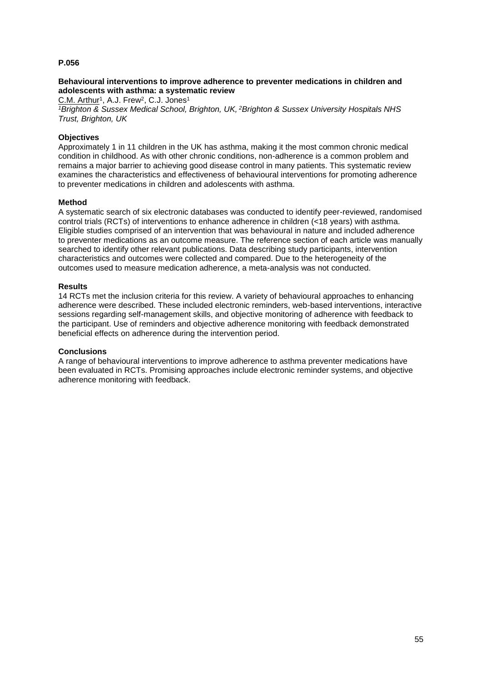## **Behavioural interventions to improve adherence to preventer medications in children and adolescents with asthma: a systematic review**

C.M. Arthur<sup>1</sup>, A.J. Frew<sup>2</sup>, C.J. Jones<sup>1</sup>

*<sup>1</sup>Brighton & Sussex Medical School, Brighton, UK, <sup>2</sup>Brighton & Sussex University Hospitals NHS Trust, Brighton, UK*

## **Objectives**

Approximately 1 in 11 children in the UK has asthma, making it the most common chronic medical condition in childhood. As with other chronic conditions, non-adherence is a common problem and remains a major barrier to achieving good disease control in many patients. This systematic review examines the characteristics and effectiveness of behavioural interventions for promoting adherence to preventer medications in children and adolescents with asthma.

### **Method**

A systematic search of six electronic databases was conducted to identify peer-reviewed, randomised control trials (RCTs) of interventions to enhance adherence in children (<18 years) with asthma. Eligible studies comprised of an intervention that was behavioural in nature and included adherence to preventer medications as an outcome measure. The reference section of each article was manually searched to identify other relevant publications. Data describing study participants, intervention characteristics and outcomes were collected and compared. Due to the heterogeneity of the outcomes used to measure medication adherence, a meta-analysis was not conducted.

### **Results**

14 RCTs met the inclusion criteria for this review. A variety of behavioural approaches to enhancing adherence were described. These included electronic reminders, web-based interventions, interactive sessions regarding self-management skills, and objective monitoring of adherence with feedback to the participant. Use of reminders and objective adherence monitoring with feedback demonstrated beneficial effects on adherence during the intervention period.

### **Conclusions**

A range of behavioural interventions to improve adherence to asthma preventer medications have been evaluated in RCTs. Promising approaches include electronic reminder systems, and objective adherence monitoring with feedback.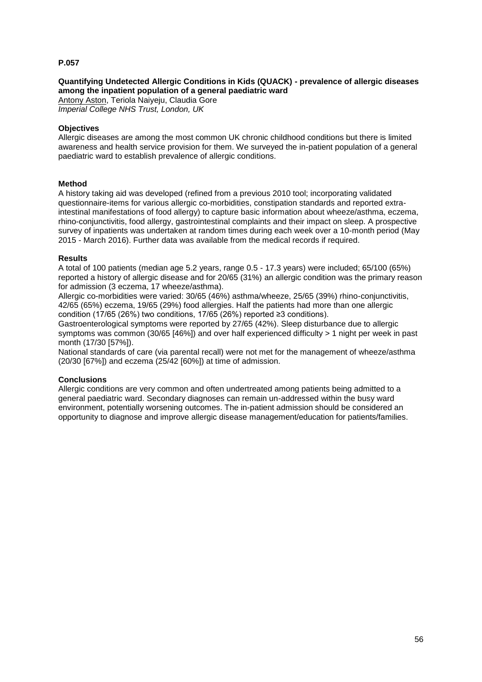## **Quantifying Undetected Allergic Conditions in Kids (QUACK) - prevalence of allergic diseases among the inpatient population of a general paediatric ward**

Antony Aston, Teriola Naiyeju, Claudia Gore *Imperial College NHS Trust, London, UK*

## **Objectives**

Allergic diseases are among the most common UK chronic childhood conditions but there is limited awareness and health service provision for them. We surveyed the in-patient population of a general paediatric ward to establish prevalence of allergic conditions.

### **Method**

A history taking aid was developed (refined from a previous 2010 tool; incorporating validated questionnaire-items for various allergic co-morbidities, constipation standards and reported extraintestinal manifestations of food allergy) to capture basic information about wheeze/asthma, eczema, rhino-conjunctivitis, food allergy, gastrointestinal complaints and their impact on sleep. A prospective survey of inpatients was undertaken at random times during each week over a 10-month period (May 2015 - March 2016). Further data was available from the medical records if required.

### **Results**

A total of 100 patients (median age 5.2 years, range 0.5 - 17.3 years) were included; 65/100 (65%) reported a history of allergic disease and for 20/65 (31%) an allergic condition was the primary reason for admission (3 eczema, 17 wheeze/asthma).

Allergic co-morbidities were varied: 30/65 (46%) asthma/wheeze, 25/65 (39%) rhino-conjunctivitis, 42/65 (65%) eczema, 19/65 (29%) food allergies. Half the patients had more than one allergic condition (17/65 (26%) two conditions, 17/65 (26%) reported ≥3 conditions).

Gastroenterological symptoms were reported by 27/65 (42%). Sleep disturbance due to allergic symptoms was common (30/65 [46%]) and over half experienced difficulty > 1 night per week in past month (17/30 [57%]).

National standards of care (via parental recall) were not met for the management of wheeze/asthma (20/30 [67%]) and eczema (25/42 [60%]) at time of admission.

### **Conclusions**

Allergic conditions are very common and often undertreated among patients being admitted to a general paediatric ward. Secondary diagnoses can remain un-addressed within the busy ward environment, potentially worsening outcomes. The in-patient admission should be considered an opportunity to diagnose and improve allergic disease management/education for patients/families.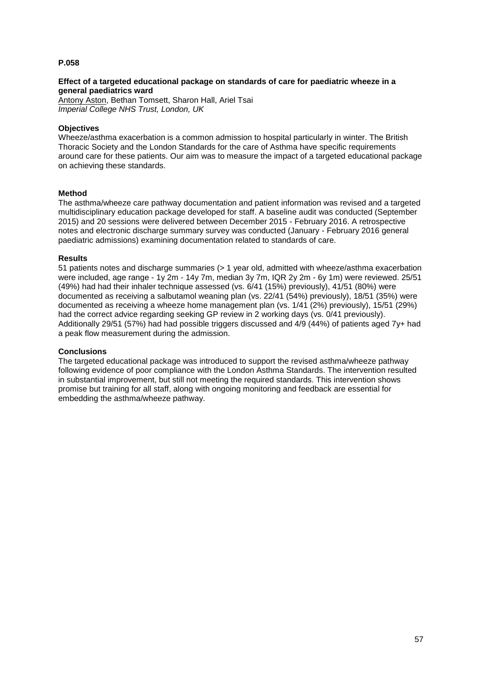### **Effect of a targeted educational package on standards of care for paediatric wheeze in a general paediatrics ward**

Antony Aston, Bethan Tomsett, Sharon Hall, Ariel Tsai *Imperial College NHS Trust, London, UK*

### **Objectives**

Wheeze/asthma exacerbation is a common admission to hospital particularly in winter. The British Thoracic Society and the London Standards for the care of Asthma have specific requirements around care for these patients. Our aim was to measure the impact of a targeted educational package on achieving these standards.

### **Method**

The asthma/wheeze care pathway documentation and patient information was revised and a targeted multidisciplinary education package developed for staff. A baseline audit was conducted (September 2015) and 20 sessions were delivered between December 2015 - February 2016. A retrospective notes and electronic discharge summary survey was conducted (January - February 2016 general paediatric admissions) examining documentation related to standards of care.

### **Results**

51 patients notes and discharge summaries (> 1 year old, admitted with wheeze/asthma exacerbation were included, age range - 1y 2m - 14y 7m, median 3y 7m, IQR 2y 2m - 6y 1m) were reviewed. 25/51 (49%) had had their inhaler technique assessed (vs. 6/41 (15%) previously), 41/51 (80%) were documented as receiving a salbutamol weaning plan (vs. 22/41 (54%) previously), 18/51 (35%) were documented as receiving a wheeze home management plan (vs. 1/41 (2%) previously), 15/51 (29%) had the correct advice regarding seeking GP review in 2 working days (vs. 0/41 previously). Additionally 29/51 (57%) had had possible triggers discussed and 4/9 (44%) of patients aged 7y+ had a peak flow measurement during the admission.

### **Conclusions**

The targeted educational package was introduced to support the revised asthma/wheeze pathway following evidence of poor compliance with the London Asthma Standards. The intervention resulted in substantial improvement, but still not meeting the required standards. This intervention shows promise but training for all staff, along with ongoing monitoring and feedback are essential for embedding the asthma/wheeze pathway.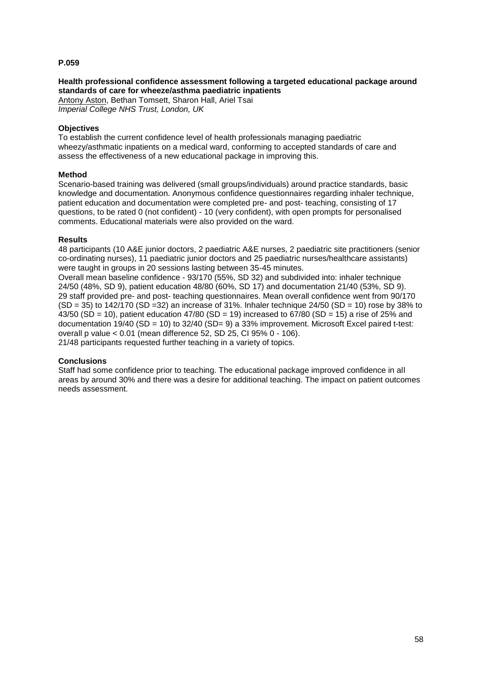# **Health professional confidence assessment following a targeted educational package around standards of care for wheeze/asthma paediatric inpatients**

Antony Aston, Bethan Tomsett, Sharon Hall, Ariel Tsai *Imperial College NHS Trust, London, UK*

## **Objectives**

To establish the current confidence level of health professionals managing paediatric wheezy/asthmatic inpatients on a medical ward, conforming to accepted standards of care and assess the effectiveness of a new educational package in improving this.

## **Method**

Scenario-based training was delivered (small groups/individuals) around practice standards, basic knowledge and documentation. Anonymous confidence questionnaires regarding inhaler technique, patient education and documentation were completed pre- and post- teaching, consisting of 17 questions, to be rated 0 (not confident) - 10 (very confident), with open prompts for personalised comments. Educational materials were also provided on the ward.

# **Results**

48 participants (10 A&E junior doctors, 2 paediatric A&E nurses, 2 paediatric site practitioners (senior co-ordinating nurses), 11 paediatric junior doctors and 25 paediatric nurses/healthcare assistants) were taught in groups in 20 sessions lasting between 35-45 minutes.

Overall mean baseline confidence - 93/170 (55%, SD 32) and subdivided into: inhaler technique 24/50 (48%, SD 9), patient education 48/80 (60%, SD 17) and documentation 21/40 (53%, SD 9). 29 staff provided pre- and post- teaching questionnaires. Mean overall confidence went from 90/170  $(SD = 35)$  to 142/170 (SD = 32) an increase of 31%. Inhaler technique 24/50 (SD = 10) rose by 38% to 43/50 (SD = 10), patient education 47/80 (SD = 19) increased to 67/80 (SD = 15) a rise of 25% and documentation 19/40 (SD = 10) to 32/40 (SD= 9) a 33% improvement. Microsoft Excel paired t-test: overall p value < 0.01 (mean difference 52, SD 25, CI 95% 0 - 106).

21/48 participants requested further teaching in a variety of topics.

# **Conclusions**

Staff had some confidence prior to teaching. The educational package improved confidence in all areas by around 30% and there was a desire for additional teaching. The impact on patient outcomes needs assessment.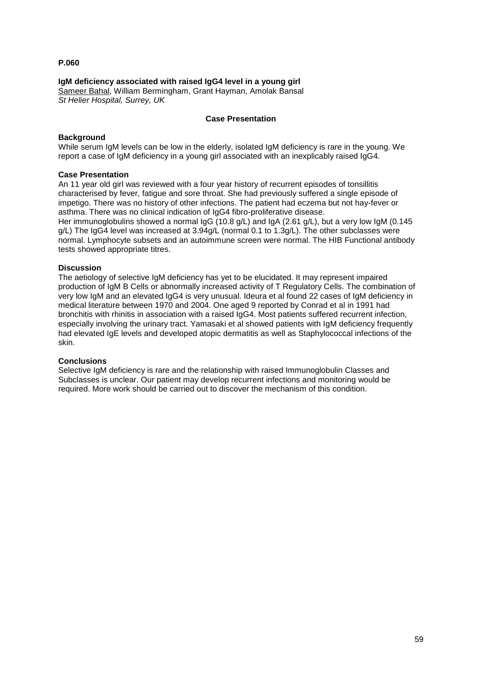## **IgM deficiency associated with raised IgG4 level in a young girl**

Sameer Bahal, William Bermingham, Grant Hayman, Amolak Bansal *St Helier Hospital, Surrey, UK*

### **Case Presentation**

## **Background**

While serum IgM levels can be low in the elderly, isolated IgM deficiency is rare in the young. We report a case of IgM deficiency in a young girl associated with an inexplicably raised IgG4.

### **Case Presentation**

An 11 year old girl was reviewed with a four year history of recurrent episodes of tonsillitis characterised by fever, fatigue and sore throat. She had previously suffered a single episode of impetigo. There was no history of other infections. The patient had eczema but not hay-fever or asthma. There was no clinical indication of IgG4 fibro-proliferative disease.

Her immunoglobulins showed a normal IgG (10.8 g/L) and IgA (2.61 g/L), but a very low IgM (0.145 g/L) The IgG4 level was increased at 3.94g/L (normal 0.1 to 1.3g/L). The other subclasses were normal. Lymphocyte subsets and an autoimmune screen were normal. The HIB Functional antibody tests showed appropriate titres.

### **Discussion**

The aetiology of selective IgM deficiency has yet to be elucidated. It may represent impaired production of IgM B Cells or abnormally increased activity of T Regulatory Cells. The combination of very low IgM and an elevated IgG4 is very unusual. Ideura et al found 22 cases of IgM deficiency in medical literature between 1970 and 2004. One aged 9 reported by Conrad et al in 1991 had bronchitis with rhinitis in association with a raised IgG4. Most patients suffered recurrent infection, especially involving the urinary tract. Yamasaki et al showed patients with IgM deficiency frequently had elevated IgE levels and developed atopic dermatitis as well as Staphylococcal infections of the skin.

### **Conclusions**

Selective IgM deficiency is rare and the relationship with raised Immunoglobulin Classes and Subclasses is unclear. Our patient may develop recurrent infections and monitoring would be required. More work should be carried out to discover the mechanism of this condition.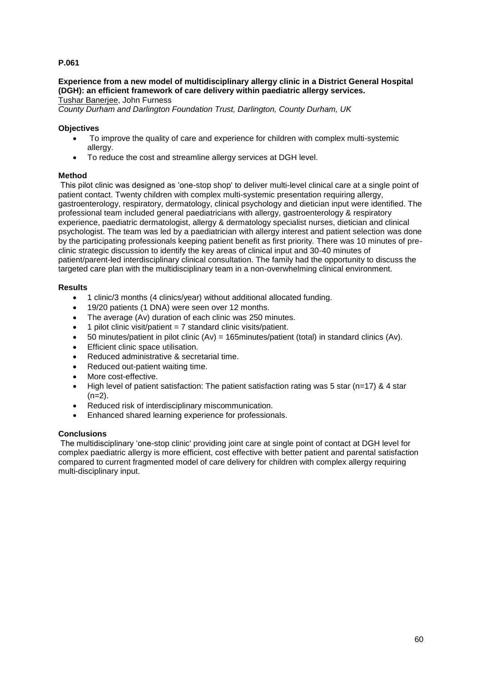# **Experience from a new model of multidisciplinary allergy clinic in a District General Hospital (DGH): an efficient framework of care delivery within paediatric allergy services.**

Tushar Banerjee, John Furness

*County Durham and Darlington Foundation Trust, Darlington, County Durham, UK*

# **Objectives**

- To improve the quality of care and experience for children with complex multi-systemic allergy.
- To reduce the cost and streamline allergy services at DGH level.

# **Method**

This pilot clinic was designed as 'one-stop shop' to deliver multi-level clinical care at a single point of patient contact. Twenty children with complex multi-systemic presentation requiring allergy, gastroenterology, respiratory, dermatology, clinical psychology and dietician input were identified. The professional team included general paediatricians with allergy, gastroenterology & respiratory experience, paediatric dermatologist, allergy & dermatology specialist nurses, dietician and clinical psychologist. The team was led by a paediatrician with allergy interest and patient selection was done by the participating professionals keeping patient benefit as first priority. There was 10 minutes of preclinic strategic discussion to identify the key areas of clinical input and 30-40 minutes of patient/parent-led interdisciplinary clinical consultation. The family had the opportunity to discuss the targeted care plan with the multidisciplinary team in a non-overwhelming clinical environment.

# **Results**

- 1 clinic/3 months (4 clinics/year) without additional allocated funding.
- 19/20 patients (1 DNA) were seen over 12 months.
- The average (Av) duration of each clinic was 250 minutes.
- $\bullet$  1 pilot clinic visit/patient = 7 standard clinic visits/patient.
- $\bullet$  50 minutes/patient in pilot clinic (Av) = 165minutes/patient (total) in standard clinics (Av).
- **•** Efficient clinic space utilisation.
- Reduced administrative & secretarial time.
- Reduced out-patient waiting time.
- More cost-effective.
- $\bullet$  High level of patient satisfaction: The patient satisfaction rating was 5 star (n=17) & 4 star  $(n=2)$ .
- Reduced risk of interdisciplinary miscommunication.
- Enhanced shared learning experience for professionals.

# **Conclusions**

The multidisciplinary 'one-stop clinic' providing joint care at single point of contact at DGH level for complex paediatric allergy is more efficient, cost effective with better patient and parental satisfaction compared to current fragmented model of care delivery for children with complex allergy requiring multi-disciplinary input.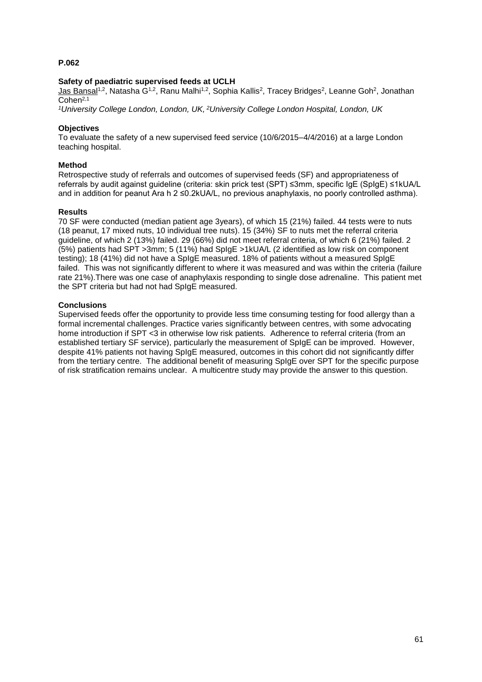## **Safety of paediatric supervised feeds at UCLH**

<u>Jas Bansali,2,</u> Natasha G1,2, Ranu Malhi1,2, Sophia Kallis2, Tracey Bridges2, Leanne Goh<sup>2</sup>, Jonathan Cohen2,1

*<sup>1</sup>University College London, London, UK, <sup>2</sup>University College London Hospital, London, UK*

### **Objectives**

To evaluate the safety of a new supervised feed service (10/6/2015–4/4/2016) at a large London teaching hospital.

### **Method**

Retrospective study of referrals and outcomes of supervised feeds (SF) and appropriateness of referrals by audit against guideline (criteria: skin prick test (SPT) ≤3mm, specific IgE (SpIgE) ≤1kUA/L and in addition for peanut Ara h 2 ≤0.2kUA/L, no previous anaphylaxis, no poorly controlled asthma).

### **Results**

70 SF were conducted (median patient age 3years), of which 15 (21%) failed. 44 tests were to nuts (18 peanut, 17 mixed nuts, 10 individual tree nuts). 15 (34%) SF to nuts met the referral criteria guideline, of which 2 (13%) failed. 29 (66%) did not meet referral criteria, of which 6 (21%) failed. 2 (5%) patients had SPT >3mm; 5 (11%) had SpIgE >1kUA/L (2 identified as low risk on component testing); 18 (41%) did not have a SpIgE measured. 18% of patients without a measured SpIgE failed. This was not significantly different to where it was measured and was within the criteria (failure rate 21%).There was one case of anaphylaxis responding to single dose adrenaline. This patient met the SPT criteria but had not had SpIgE measured.

### **Conclusions**

Supervised feeds offer the opportunity to provide less time consuming testing for food allergy than a formal incremental challenges. Practice varies significantly between centres, with some advocating home introduction if SPT <3 in otherwise low risk patients. Adherence to referral criteria (from an established tertiary SF service), particularly the measurement of SpIgE can be improved. However, despite 41% patients not having SpIgE measured, outcomes in this cohort did not significantly differ from the tertiary centre. The additional benefit of measuring SpIgE over SPT for the specific purpose of risk stratification remains unclear. A multicentre study may provide the answer to this question.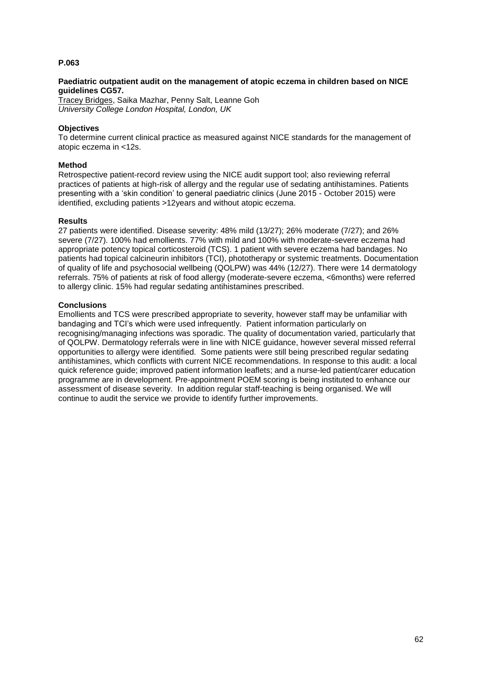### **Paediatric outpatient audit on the management of atopic eczema in children based on NICE guidelines CG57.**

Tracey Bridges, Saika Mazhar, Penny Salt, Leanne Goh *University College London Hospital, London, UK*

## **Objectives**

To determine current clinical practice as measured against NICE standards for the management of atopic eczema in <12s.

### **Method**

Retrospective patient-record review using the NICE audit support tool; also reviewing referral practices of patients at high-risk of allergy and the regular use of sedating antihistamines. Patients presenting with a 'skin condition' to general paediatric clinics (June 2015 - October 2015) were identified, excluding patients >12years and without atopic eczema.

### **Results**

27 patients were identified. Disease severity: 48% mild (13/27); 26% moderate (7/27); and 26% severe (7/27). 100% had emollients. 77% with mild and 100% with moderate-severe eczema had appropriate potency topical corticosteroid (TCS). 1 patient with severe eczema had bandages. No patients had topical calcineurin inhibitors (TCI), phototherapy or systemic treatments. Documentation of quality of life and psychosocial wellbeing (QOLPW) was 44% (12/27). There were 14 dermatology referrals. 75% of patients at risk of food allergy (moderate-severe eczema, <6months) were referred to allergy clinic. 15% had regular sedating antihistamines prescribed.

# **Conclusions**

Emollients and TCS were prescribed appropriate to severity, however staff may be unfamiliar with bandaging and TCI's which were used infrequently. Patient information particularly on recognising/managing infections was sporadic. The quality of documentation varied, particularly that of QOLPW. Dermatology referrals were in line with NICE guidance, however several missed referral opportunities to allergy were identified. Some patients were still being prescribed regular sedating antihistamines, which conflicts with current NICE recommendations. In response to this audit: a local quick reference guide; improved patient information leaflets; and a nurse-led patient/carer education programme are in development. Pre-appointment POEM scoring is being instituted to enhance our assessment of disease severity. In addition regular staff-teaching is being organised. We will continue to audit the service we provide to identify further improvements.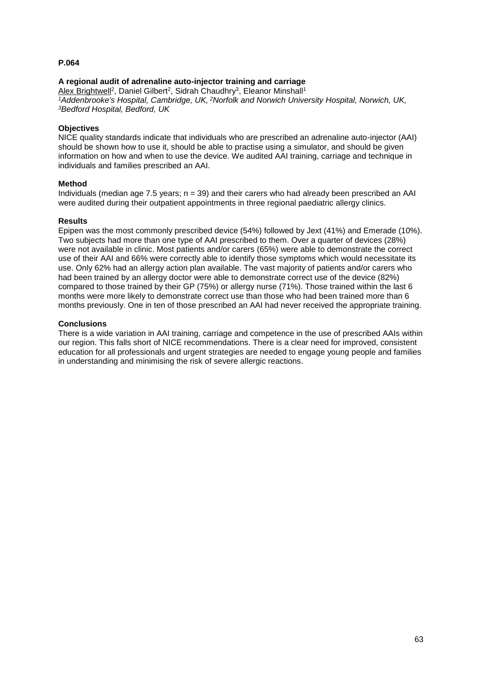# **A regional audit of adrenaline auto-injector training and carriage**

Alex Brightwell<sup>2</sup>, Daniel Gilbert<sup>2</sup>, Sidrah Chaudhry<sup>3</sup>, Eleanor Minshall<sup>1</sup> *<sup>1</sup>Addenbrooke's Hospital, Cambridge, UK, <sup>2</sup>Norfolk and Norwich University Hospital, Norwich, UK, <sup>3</sup>Bedford Hospital, Bedford, UK*

### **Objectives**

NICE quality standards indicate that individuals who are prescribed an adrenaline auto-injector (AAI) should be shown how to use it, should be able to practise using a simulator, and should be given information on how and when to use the device. We audited AAI training, carriage and technique in individuals and families prescribed an AAI.

### **Method**

Individuals (median age 7.5 years;  $n = 39$ ) and their carers who had already been prescribed an AAI were audited during their outpatient appointments in three regional paediatric allergy clinics.

### **Results**

Epipen was the most commonly prescribed device (54%) followed by Jext (41%) and Emerade (10%). Two subjects had more than one type of AAI prescribed to them. Over a quarter of devices (28%) were not available in clinic. Most patients and/or carers (65%) were able to demonstrate the correct use of their AAI and 66% were correctly able to identify those symptoms which would necessitate its use. Only 62% had an allergy action plan available. The vast majority of patients and/or carers who had been trained by an allergy doctor were able to demonstrate correct use of the device (82%) compared to those trained by their GP (75%) or allergy nurse (71%). Those trained within the last 6 months were more likely to demonstrate correct use than those who had been trained more than 6 months previously. One in ten of those prescribed an AAI had never received the appropriate training.

### **Conclusions**

There is a wide variation in AAI training, carriage and competence in the use of prescribed AAIs within our region. This falls short of NICE recommendations. There is a clear need for improved, consistent education for all professionals and urgent strategies are needed to engage young people and families in understanding and minimising the risk of severe allergic reactions.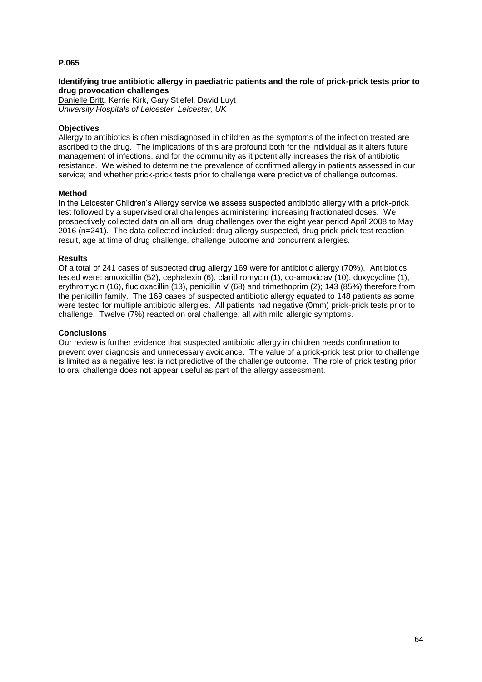## **Identifying true antibiotic allergy in paediatric patients and the role of prick-prick tests prior to drug provocation challenges**

Danielle Britt, Kerrie Kirk, Gary Stiefel, David Luyt *University Hospitals of Leicester, Leicester, UK*

## **Objectives**

Allergy to antibiotics is often misdiagnosed in children as the symptoms of the infection treated are ascribed to the drug. The implications of this are profound both for the individual as it alters future management of infections, and for the community as it potentially increases the risk of antibiotic resistance. We wished to determine the prevalence of confirmed allergy in patients assessed in our service; and whether prick-prick tests prior to challenge were predictive of challenge outcomes.

### **Method**

In the Leicester Children's Allergy service we assess suspected antibiotic allergy with a prick-prick test followed by a supervised oral challenges administering increasing fractionated doses. We prospectively collected data on all oral drug challenges over the eight year period April 2008 to May 2016 (n=241). The data collected included: drug allergy suspected, drug prick-prick test reaction result, age at time of drug challenge, challenge outcome and concurrent allergies.

### **Results**

Of a total of 241 cases of suspected drug allergy 169 were for antibiotic allergy (70%). Antibiotics tested were: amoxicillin (52), cephalexin (6), clarithromycin (1), co-amoxiclav (10), doxycycline (1), erythromycin (16), flucloxacillin (13), penicillin V (68) and trimethoprim (2); 143 (85%) therefore from the penicillin family. The 169 cases of suspected antibiotic allergy equated to 148 patients as some were tested for multiple antibiotic allergies. All patients had negative (0mm) prick-prick tests prior to challenge. Twelve (7%) reacted on oral challenge, all with mild allergic symptoms.

### **Conclusions**

Our review is further evidence that suspected antibiotic allergy in children needs confirmation to prevent over diagnosis and unnecessary avoidance. The value of a prick-prick test prior to challenge is limited as a negative test is not predictive of the challenge outcome. The role of prick testing prior to oral challenge does not appear useful as part of the allergy assessment.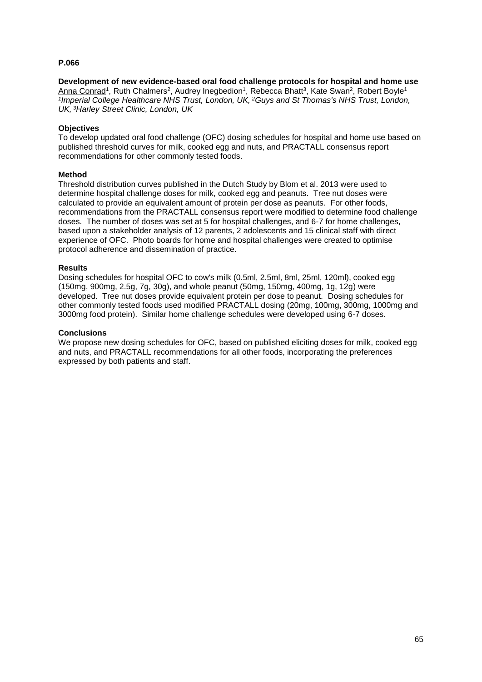**Development of new evidence-based oral food challenge protocols for hospital and home use** Anna Conrad<sup>1</sup>, Ruth Chalmers<sup>2</sup>, Audrey Inegbedion<sup>1</sup>, Rebecca Bhatt<sup>3</sup>, Kate Swan<sup>2</sup>, Robert Boyle<sup>1</sup> *1 Imperial College Healthcare NHS Trust, London, UK, <sup>2</sup>Guys and St Thomas's NHS Trust, London, UK, <sup>3</sup>Harley Street Clinic, London, UK*

# **Objectives**

To develop updated oral food challenge (OFC) dosing schedules for hospital and home use based on published threshold curves for milk, cooked egg and nuts, and PRACTALL consensus report recommendations for other commonly tested foods.

### **Method**

Threshold distribution curves published in the Dutch Study by Blom et al. 2013 were used to determine hospital challenge doses for milk, cooked egg and peanuts. Tree nut doses were calculated to provide an equivalent amount of protein per dose as peanuts. For other foods, recommendations from the PRACTALL consensus report were modified to determine food challenge doses. The number of doses was set at 5 for hospital challenges, and 6-7 for home challenges, based upon a stakeholder analysis of 12 parents, 2 adolescents and 15 clinical staff with direct experience of OFC. Photo boards for home and hospital challenges were created to optimise protocol adherence and dissemination of practice.

### **Results**

Dosing schedules for hospital OFC to cow's milk (0.5ml, 2.5ml, 8ml, 25ml, 120ml), cooked egg (150mg, 900mg, 2.5g, 7g, 30g), and whole peanut (50mg, 150mg, 400mg, 1g, 12g) were developed. Tree nut doses provide equivalent protein per dose to peanut. Dosing schedules for other commonly tested foods used modified PRACTALL dosing (20mg, 100mg, 300mg, 1000mg and 3000mg food protein). Similar home challenge schedules were developed using 6-7 doses.

### **Conclusions**

We propose new dosing schedules for OFC, based on published eliciting doses for milk, cooked egg and nuts, and PRACTALL recommendations for all other foods, incorporating the preferences expressed by both patients and staff.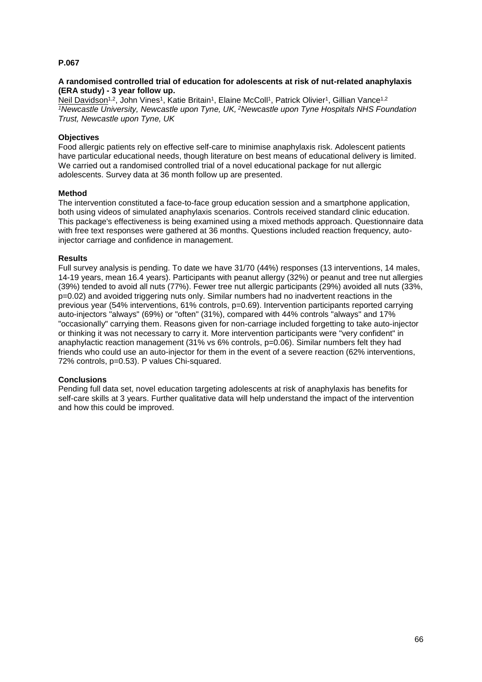## **A randomised controlled trial of education for adolescents at risk of nut-related anaphylaxis (ERA study) - 3 year follow up.**

Neil Davidson<sup>1,2</sup>, John Vines<sup>1</sup>, Katie Britain<sup>1</sup>, Elaine McColl<sup>1</sup>, Patrick Olivier<sup>1</sup>, Gillian Vance<sup>1,2</sup> *<sup>1</sup>Newcastle University, Newcastle upon Tyne, UK, <sup>2</sup>Newcastle upon Tyne Hospitals NHS Foundation Trust, Newcastle upon Tyne, UK*

# **Objectives**

Food allergic patients rely on effective self-care to minimise anaphylaxis risk. Adolescent patients have particular educational needs, though literature on best means of educational delivery is limited. We carried out a randomised controlled trial of a novel educational package for nut allergic adolescents. Survey data at 36 month follow up are presented.

# **Method**

The intervention constituted a face-to-face group education session and a smartphone application, both using videos of simulated anaphylaxis scenarios. Controls received standard clinic education. This package's effectiveness is being examined using a mixed methods approach. Questionnaire data with free text responses were gathered at 36 months. Questions included reaction frequency, autoinjector carriage and confidence in management.

### **Results**

Full survey analysis is pending. To date we have 31/70 (44%) responses (13 interventions, 14 males, 14-19 years, mean 16.4 years). Participants with peanut allergy (32%) or peanut and tree nut allergies (39%) tended to avoid all nuts (77%). Fewer tree nut allergic participants (29%) avoided all nuts (33%, p=0.02) and avoided triggering nuts only. Similar numbers had no inadvertent reactions in the previous year (54% interventions, 61% controls, p=0.69). Intervention participants reported carrying auto-injectors "always" (69%) or "often" (31%), compared with 44% controls "always" and 17% "occasionally" carrying them. Reasons given for non-carriage included forgetting to take auto-injector or thinking it was not necessary to carry it. More intervention participants were "very confident" in anaphylactic reaction management (31% vs 6% controls, p=0.06). Similar numbers felt they had friends who could use an auto-injector for them in the event of a severe reaction (62% interventions, 72% controls, p=0.53). P values Chi-squared.

# **Conclusions**

Pending full data set, novel education targeting adolescents at risk of anaphylaxis has benefits for self-care skills at 3 years. Further qualitative data will help understand the impact of the intervention and how this could be improved.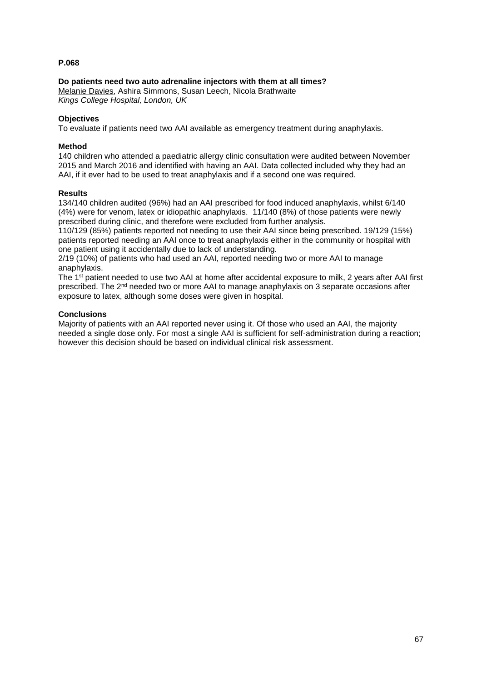## **Do patients need two auto adrenaline injectors with them at all times?**

Melanie Davies, Ashira Simmons, Susan Leech, Nicola Brathwaite *Kings College Hospital, London, UK*

## **Objectives**

To evaluate if patients need two AAI available as emergency treatment during anaphylaxis.

### **Method**

140 children who attended a paediatric allergy clinic consultation were audited between November 2015 and March 2016 and identified with having an AAI. Data collected included why they had an AAI, if it ever had to be used to treat anaphylaxis and if a second one was required.

### **Results**

134/140 children audited (96%) had an AAI prescribed for food induced anaphylaxis, whilst 6/140 (4%) were for venom, latex or idiopathic anaphylaxis. 11/140 (8%) of those patients were newly prescribed during clinic, and therefore were excluded from further analysis.

110/129 (85%) patients reported not needing to use their AAI since being prescribed. 19/129 (15%) patients reported needing an AAI once to treat anaphylaxis either in the community or hospital with one patient using it accidentally due to lack of understanding.

2/19 (10%) of patients who had used an AAI, reported needing two or more AAI to manage anaphylaxis.

The 1st patient needed to use two AAI at home after accidental exposure to milk, 2 years after AAI first prescribed. The 2nd needed two or more AAI to manage anaphylaxis on 3 separate occasions after exposure to latex, although some doses were given in hospital.

# **Conclusions**

Majority of patients with an AAI reported never using it. Of those who used an AAI, the majority needed a single dose only. For most a single AAI is sufficient for self-administration during a reaction; however this decision should be based on individual clinical risk assessment.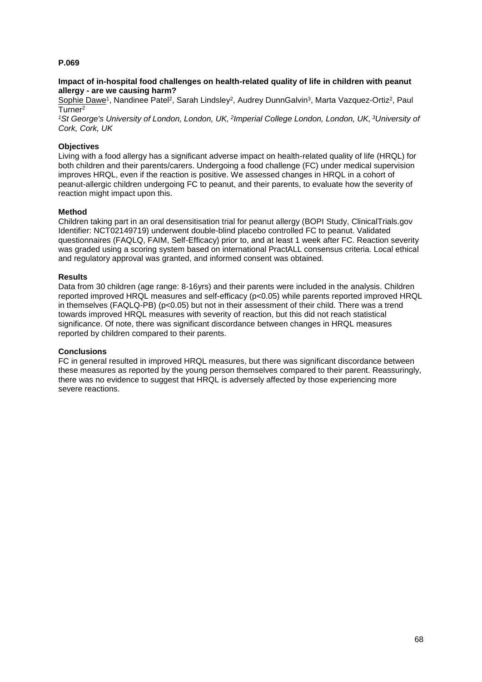### **Impact of in-hospital food challenges on health-related quality of life in children with peanut allergy - are we causing harm?**

Sophie Dawe<sup>1</sup>, Nandinee Patel<sup>2</sup>, Sarah Lindsley<sup>2</sup>, Audrey DunnGalvin<sup>3</sup>, Marta Vazquez-Ortiz<sup>2</sup>, Paul Turner<sup>2</sup>

<sup>1</sup>St George's University of London, London, UK, <sup>2</sup> Imperial College London, London, UK, <sup>3</sup>University of *Cork, Cork, UK*

## **Objectives**

Living with a food allergy has a significant adverse impact on health-related quality of life (HRQL) for both children and their parents/carers. Undergoing a food challenge (FC) under medical supervision improves HRQL, even if the reaction is positive. We assessed changes in HRQL in a cohort of peanut-allergic children undergoing FC to peanut, and their parents, to evaluate how the severity of reaction might impact upon this.

## **Method**

Children taking part in an oral desensitisation trial for peanut allergy (BOPI Study, ClinicalTrials.gov Identifier: NCT02149719) underwent double-blind placebo controlled FC to peanut. Validated questionnaires (FAQLQ, FAIM, Self-Efficacy) prior to, and at least 1 week after FC. Reaction severity was graded using a scoring system based on international PractALL consensus criteria. Local ethical and regulatory approval was granted, and informed consent was obtained.

### **Results**

Data from 30 children (age range: 8-16yrs) and their parents were included in the analysis. Children reported improved HRQL measures and self-efficacy (p<0.05) while parents reported improved HRQL in themselves (FAQLQ-PB) (p<0.05) but not in their assessment of their child. There was a trend towards improved HRQL measures with severity of reaction, but this did not reach statistical significance. Of note, there was significant discordance between changes in HRQL measures reported by children compared to their parents.

### **Conclusions**

FC in general resulted in improved HRQL measures, but there was significant discordance between these measures as reported by the young person themselves compared to their parent. Reassuringly, there was no evidence to suggest that HRQL is adversely affected by those experiencing more severe reactions.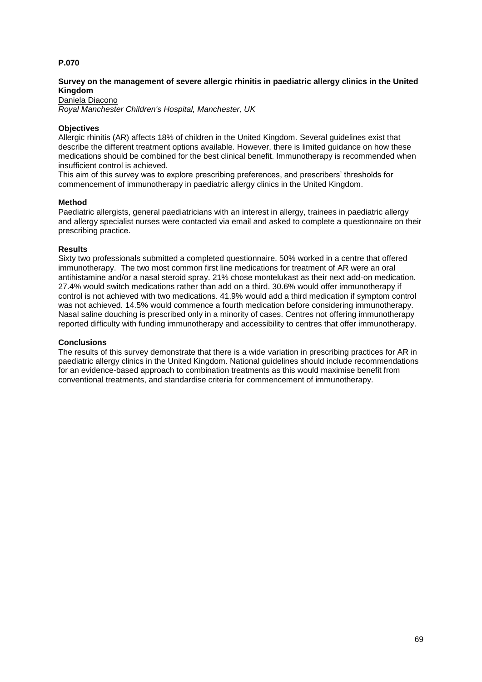## **Survey on the management of severe allergic rhinitis in paediatric allergy clinics in the United Kingdom**

Daniela Diacono *Royal Manchester Children's Hospital, Manchester, UK*

### **Objectives**

Allergic rhinitis (AR) affects 18% of children in the United Kingdom. Several guidelines exist that describe the different treatment options available. However, there is limited guidance on how these medications should be combined for the best clinical benefit. Immunotherapy is recommended when insufficient control is achieved.

This aim of this survey was to explore prescribing preferences, and prescribers' thresholds for commencement of immunotherapy in paediatric allergy clinics in the United Kingdom.

### **Method**

Paediatric allergists, general paediatricians with an interest in allergy, trainees in paediatric allergy and allergy specialist nurses were contacted via email and asked to complete a questionnaire on their prescribing practice.

### **Results**

Sixty two professionals submitted a completed questionnaire. 50% worked in a centre that offered immunotherapy. The two most common first line medications for treatment of AR were an oral antihistamine and/or a nasal steroid spray. 21% chose montelukast as their next add-on medication. 27.4% would switch medications rather than add on a third. 30.6% would offer immunotherapy if control is not achieved with two medications. 41.9% would add a third medication if symptom control was not achieved. 14.5% would commence a fourth medication before considering immunotherapy. Nasal saline douching is prescribed only in a minority of cases. Centres not offering immunotherapy reported difficulty with funding immunotherapy and accessibility to centres that offer immunotherapy.

### **Conclusions**

The results of this survey demonstrate that there is a wide variation in prescribing practices for AR in paediatric allergy clinics in the United Kingdom. National guidelines should include recommendations for an evidence-based approach to combination treatments as this would maximise benefit from conventional treatments, and standardise criteria for commencement of immunotherapy.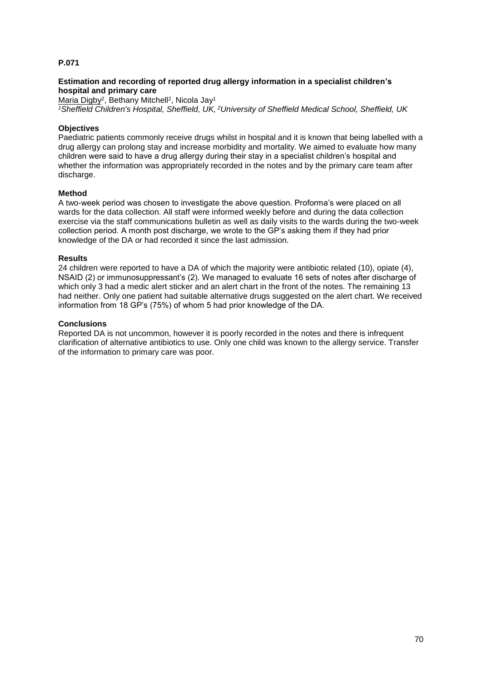# **Estimation and recording of reported drug allergy information in a specialist children's hospital and primary care**

Maria Digby<sup>2</sup>, Bethany Mitchell<sup>2</sup>, Nicola Jay<sup>1</sup>

*<sup>1</sup>Sheffield Children's Hospital, Sheffield, UK, <sup>2</sup>University of Sheffield Medical School, Sheffield, UK*

## **Objectives**

Paediatric patients commonly receive drugs whilst in hospital and it is known that being labelled with a drug allergy can prolong stay and increase morbidity and mortality. We aimed to evaluate how many children were said to have a drug allergy during their stay in a specialist children's hospital and whether the information was appropriately recorded in the notes and by the primary care team after discharge.

### **Method**

A two-week period was chosen to investigate the above question. Proforma's were placed on all wards for the data collection. All staff were informed weekly before and during the data collection exercise via the staff communications bulletin as well as daily visits to the wards during the two-week collection period. A month post discharge, we wrote to the GP's asking them if they had prior knowledge of the DA or had recorded it since the last admission.

### **Results**

24 children were reported to have a DA of which the majority were antibiotic related (10), opiate (4), NSAID (2) or immunosuppressant's (2). We managed to evaluate 16 sets of notes after discharge of which only 3 had a medic alert sticker and an alert chart in the front of the notes. The remaining 13 had neither. Only one patient had suitable alternative drugs suggested on the alert chart. We received information from 18 GP's (75%) of whom 5 had prior knowledge of the DA.

### **Conclusions**

Reported DA is not uncommon, however it is poorly recorded in the notes and there is infrequent clarification of alternative antibiotics to use. Only one child was known to the allergy service. Transfer of the information to primary care was poor.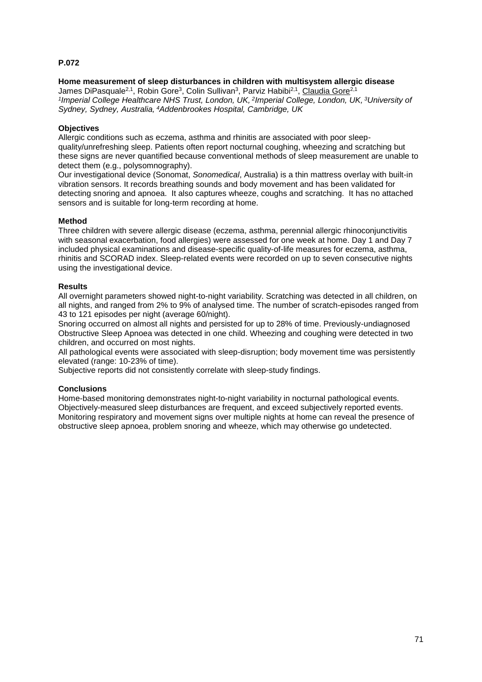**Home measurement of sleep disturbances in children with multisystem allergic disease**  James DiPasquale<sup>2,1</sup>, Robin Gore<sup>3</sup>, Colin Sullivan<sup>3</sup>, Parviz Habibi<sup>2,1</sup>, <u>Claudia Gore<sup>2,1</sup></u> *1 Imperial College Healthcare NHS Trust, London, UK, <sup>2</sup> Imperial College, London, UK, <sup>3</sup>University of Sydney, Sydney, Australia, <sup>4</sup>Addenbrookes Hospital, Cambridge, UK*

## **Objectives**

Allergic conditions such as eczema, asthma and rhinitis are associated with poor sleepquality/unrefreshing sleep. Patients often report nocturnal coughing, wheezing and scratching but these signs are never quantified because conventional methods of sleep measurement are unable to detect them (e.g., polysomnography).

Our investigational device (Sonomat, *Sonomedical*, Australia) is a thin mattress overlay with built-in vibration sensors. It records breathing sounds and body movement and has been validated for detecting snoring and apnoea. It also captures wheeze, coughs and scratching. It has no attached sensors and is suitable for long-term recording at home.

## **Method**

Three children with severe allergic disease (eczema, asthma, perennial allergic rhinoconjunctivitis with seasonal exacerbation, food allergies) were assessed for one week at home. Day 1 and Day 7 included physical examinations and disease-specific quality-of-life measures for eczema, asthma, rhinitis and SCORAD index. Sleep-related events were recorded on up to seven consecutive nights using the investigational device.

## **Results**

All overnight parameters showed night-to-night variability. Scratching was detected in all children, on all nights, and ranged from 2% to 9% of analysed time. The number of scratch-episodes ranged from 43 to 121 episodes per night (average 60/night).

Snoring occurred on almost all nights and persisted for up to 28% of time. Previously-undiagnosed Obstructive Sleep Apnoea was detected in one child. Wheezing and coughing were detected in two children, and occurred on most nights.

All pathological events were associated with sleep-disruption; body movement time was persistently elevated (range: 10-23% of time).

Subjective reports did not consistently correlate with sleep-study findings.

## **Conclusions**

Home-based monitoring demonstrates night-to-night variability in nocturnal pathological events. Objectively-measured sleep disturbances are frequent, and exceed subjectively reported events. Monitoring respiratory and movement signs over multiple nights at home can reveal the presence of obstructive sleep apnoea, problem snoring and wheeze, which may otherwise go undetected.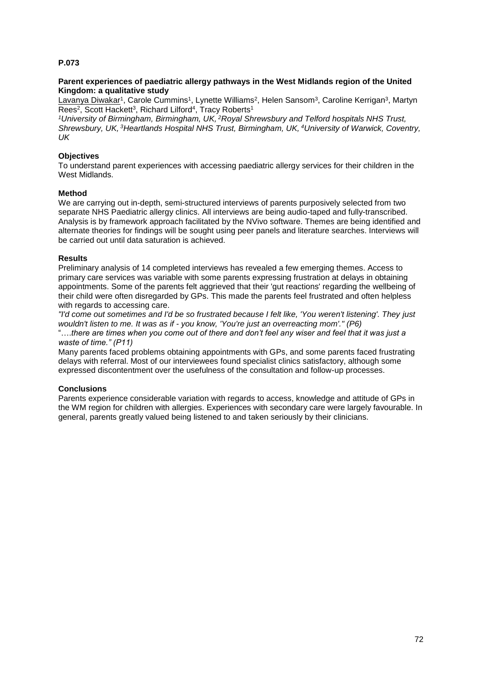## **Parent experiences of paediatric allergy pathways in the West Midlands region of the United Kingdom: a qualitative study**

<u>Lavanya Diwakar</u>1, Carole Cummins1, Lynette Williams<sup>2</sup>, Helen Sansom<sup>3</sup>, Caroline Kerrigan<sup>3</sup>, Martyn Rees<sup>2</sup>, Scott Hackett<sup>3</sup>, Richard Lilford<sup>4</sup>, Tracy Roberts<sup>1</sup>

*<sup>1</sup>University of Birmingham, Birmingham, UK, <sup>2</sup>Royal Shrewsbury and Telford hospitals NHS Trust, Shrewsbury, UK, <sup>3</sup>Heartlands Hospital NHS Trust, Birmingham, UK, <sup>4</sup>University of Warwick, Coventry, UK*

## **Objectives**

To understand parent experiences with accessing paediatric allergy services for their children in the West Midlands.

## **Method**

We are carrying out in-depth, semi-structured interviews of parents purposively selected from two separate NHS Paediatric allergy clinics. All interviews are being audio-taped and fully-transcribed. Analysis is by framework approach facilitated by the NVivo software. Themes are being identified and alternate theories for findings will be sought using peer panels and literature searches. Interviews will be carried out until data saturation is achieved.

## **Results**

Preliminary analysis of 14 completed interviews has revealed a few emerging themes. Access to primary care services was variable with some parents expressing frustration at delays in obtaining appointments. Some of the parents felt aggrieved that their 'gut reactions' regarding the wellbeing of their child were often disregarded by GPs. This made the parents feel frustrated and often helpless with regards to accessing care.

*"I'd come out sometimes and I'd be so frustrated because I felt like, 'You weren't listening'. They just wouldn't listen to me. It was as if - you know, 'You're just an overreacting mom'." (P6)*

"….*there are times when you come out of there and don't feel any wiser and feel that it was just a waste of time." (P11)*

Many parents faced problems obtaining appointments with GPs, and some parents faced frustrating delays with referral. Most of our interviewees found specialist clinics satisfactory, although some expressed discontentment over the usefulness of the consultation and follow-up processes.

## **Conclusions**

Parents experience considerable variation with regards to access, knowledge and attitude of GPs in the WM region for children with allergies. Experiences with secondary care were largely favourable. In general, parents greatly valued being listened to and taken seriously by their clinicians.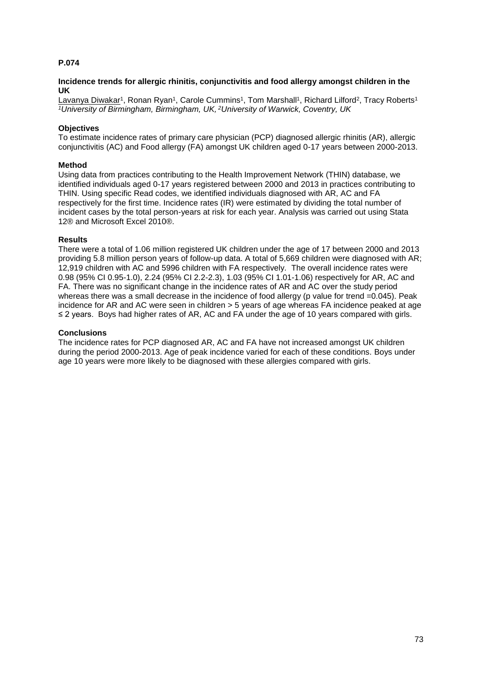## **Incidence trends for allergic rhinitis, conjunctivitis and food allergy amongst children in the UK**

<u>Lavanya Diwakar</u>1, Ronan Ryan1, Carole Cummins1, Tom Marshall1, Richard Lilford<sup>2</sup>, Tracy Roberts<sup>1</sup> *<sup>1</sup>University of Birmingham, Birmingham, UK, <sup>2</sup>University of Warwick, Coventry, UK*

## **Objectives**

To estimate incidence rates of primary care physician (PCP) diagnosed allergic rhinitis (AR), allergic conjunctivitis (AC) and Food allergy (FA) amongst UK children aged 0-17 years between 2000-2013.

### **Method**

Using data from practices contributing to the Health Improvement Network (THIN) database, we identified individuals aged 0-17 years registered between 2000 and 2013 in practices contributing to THIN. Using specific Read codes, we identified individuals diagnosed with AR, AC and FA respectively for the first time. Incidence rates (IR) were estimated by dividing the total number of incident cases by the total person-years at risk for each year. Analysis was carried out using Stata 12® and Microsoft Excel 2010®.

## **Results**

There were a total of 1.06 million registered UK children under the age of 17 between 2000 and 2013 providing 5.8 million person years of follow-up data. A total of 5,669 children were diagnosed with AR; 12,919 children with AC and 5996 children with FA respectively. The overall incidence rates were 0.98 (95% CI 0.95-1.0), 2.24 (95% CI 2.2-2.3), 1.03 (95% CI 1.01-1.06) respectively for AR, AC and FA. There was no significant change in the incidence rates of AR and AC over the study period whereas there was a small decrease in the incidence of food allergy (p value for trend =0.045). Peak incidence for AR and AC were seen in children > 5 years of age whereas FA incidence peaked at age ≤ 2 years. Boys had higher rates of AR, AC and FA under the age of 10 years compared with girls.

## **Conclusions**

The incidence rates for PCP diagnosed AR, AC and FA have not increased amongst UK children during the period 2000-2013. Age of peak incidence varied for each of these conditions. Boys under age 10 years were more likely to be diagnosed with these allergies compared with girls.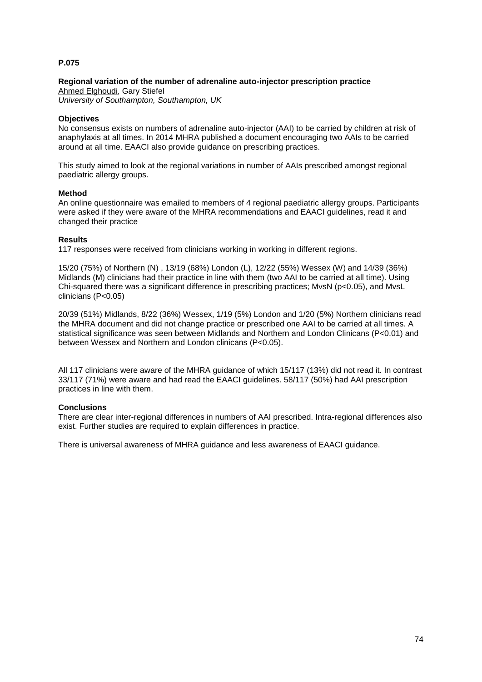## **Regional variation of the number of adrenaline auto-injector prescription practice**

Ahmed Elghoudi, Gary Stiefel *University of Southampton, Southampton, UK*

## **Objectives**

No consensus exists on numbers of adrenaline auto-injector (AAI) to be carried by children at risk of anaphylaxis at all times. In 2014 MHRA published a document encouraging two AAIs to be carried around at all time. EAACI also provide guidance on prescribing practices.

This study aimed to look at the regional variations in number of AAIs prescribed amongst regional paediatric allergy groups.

## **Method**

An online questionnaire was emailed to members of 4 regional paediatric allergy groups. Participants were asked if they were aware of the MHRA recommendations and EAACI guidelines, read it and changed their practice

## **Results**

117 responses were received from clinicians working in working in different regions.

15/20 (75%) of Northern (N) , 13/19 (68%) London (L), 12/22 (55%) Wessex (W) and 14/39 (36%) Midlands (M) clinicians had their practice in line with them (two AAI to be carried at all time). Using Chi-squared there was a significant difference in prescribing practices; MvsN (p<0.05), and MvsL clinicians (P<0.05)

20/39 (51%) Midlands, 8/22 (36%) Wessex, 1/19 (5%) London and 1/20 (5%) Northern clinicians read the MHRA document and did not change practice or prescribed one AAI to be carried at all times. A statistical significance was seen between Midlands and Northern and London Clinicans (P<0.01) and between Wessex and Northern and London clinicans (P<0.05).

All 117 clinicians were aware of the MHRA guidance of which 15/117 (13%) did not read it. In contrast 33/117 (71%) were aware and had read the EAACI guidelines. 58/117 (50%) had AAI prescription practices in line with them.

## **Conclusions**

There are clear inter-regional differences in numbers of AAI prescribed. Intra-regional differences also exist. Further studies are required to explain differences in practice.

There is universal awareness of MHRA guidance and less awareness of EAACI guidance.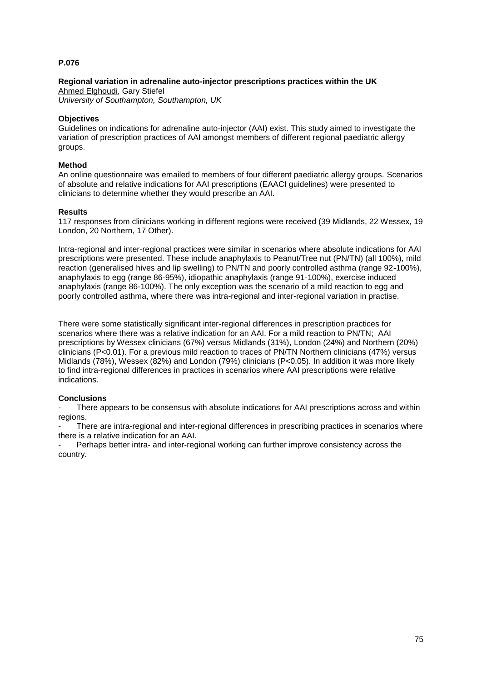# **Regional variation in adrenaline auto-injector prescriptions practices within the UK**

Ahmed Elghoudi, Gary Stiefel *University of Southampton, Southampton, UK*

## **Objectives**

Guidelines on indications for adrenaline auto-injector (AAI) exist. This study aimed to investigate the variation of prescription practices of AAI amongst members of different regional paediatric allergy groups.

## **Method**

An online questionnaire was emailed to members of four different paediatric allergy groups. Scenarios of absolute and relative indications for AAI prescriptions (EAACI guidelines) were presented to clinicians to determine whether they would prescribe an AAI.

## **Results**

117 responses from clinicians working in different regions were received (39 Midlands, 22 Wessex, 19 London, 20 Northern, 17 Other).

Intra-regional and inter-regional practices were similar in scenarios where absolute indications for AAI prescriptions were presented. These include anaphylaxis to Peanut/Tree nut (PN/TN) (all 100%), mild reaction (generalised hives and lip swelling) to PN/TN and poorly controlled asthma (range 92-100%), anaphylaxis to egg (range 86-95%), idiopathic anaphylaxis (range 91-100%), exercise induced anaphylaxis (range 86-100%). The only exception was the scenario of a mild reaction to egg and poorly controlled asthma, where there was intra-regional and inter-regional variation in practise.

There were some statistically significant inter-regional differences in prescription practices for scenarios where there was a relative indication for an AAI. For a mild reaction to PN/TN; AAI prescriptions by Wessex clinicians (67%) versus Midlands (31%), London (24%) and Northern (20%) clinicians (P<0.01). For a previous mild reaction to traces of PN/TN Northern clinicians (47%) versus Midlands (78%), Wessex (82%) and London (79%) clinicians (P<0.05). In addition it was more likely to find intra-regional differences in practices in scenarios where AAI prescriptions were relative indications.

## **Conclusions**

There appears to be consensus with absolute indications for AAI prescriptions across and within regions.

There are intra-regional and inter-regional differences in prescribing practices in scenarios where there is a relative indication for an AAI.

Perhaps better intra- and inter-regional working can further improve consistency across the country.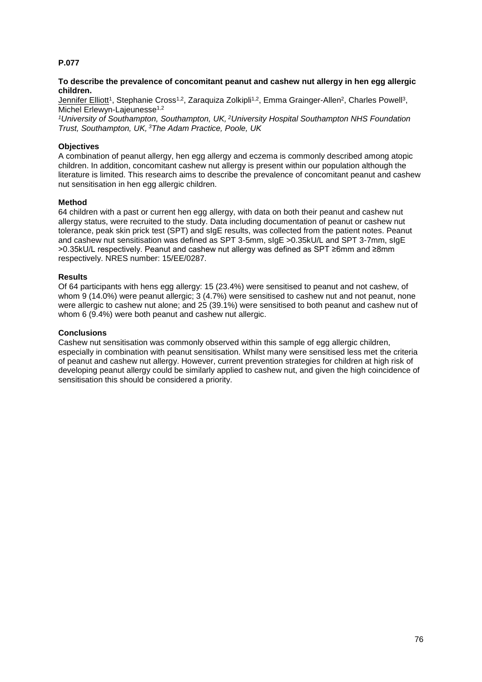## **To describe the prevalence of concomitant peanut and cashew nut allergy in hen egg allergic children.**

<u>Jennifer Elliott</u>1, Stephanie Cross<sup>1,2</sup>, Zaraquiza Zolkipli<sup>1,2</sup>, Emma Grainger-Allen<sup>2</sup>, Charles Powell<sup>3</sup>, Michel Erlewyn-Lajeunesse<sup>1,2</sup>

*<sup>1</sup>University of Southampton, Southampton, UK, <sup>2</sup>University Hospital Southampton NHS Foundation Trust, Southampton, UK, <sup>3</sup>The Adam Practice, Poole, UK*

## **Objectives**

A combination of peanut allergy, hen egg allergy and eczema is commonly described among atopic children. In addition, concomitant cashew nut allergy is present within our population although the literature is limited. This research aims to describe the prevalence of concomitant peanut and cashew nut sensitisation in hen egg allergic children.

## **Method**

64 children with a past or current hen egg allergy, with data on both their peanut and cashew nut allergy status, were recruited to the study. Data including documentation of peanut or cashew nut tolerance, peak skin prick test (SPT) and sIgE results, was collected from the patient notes. Peanut and cashew nut sensitisation was defined as SPT 3-5mm, sIgE >0.35kU/L and SPT 3-7mm, sIgE >0.35kU/L respectively. Peanut and cashew nut allergy was defined as SPT ≥6mm and ≥8mm respectively. NRES number: 15/EE/0287.

## **Results**

Of 64 participants with hens egg allergy: 15 (23.4%) were sensitised to peanut and not cashew, of whom 9 (14.0%) were peanut allergic; 3 (4.7%) were sensitised to cashew nut and not peanut, none were allergic to cashew nut alone; and 25 (39.1%) were sensitised to both peanut and cashew nut of whom 6 (9.4%) were both peanut and cashew nut allergic.

## **Conclusions**

Cashew nut sensitisation was commonly observed within this sample of egg allergic children, especially in combination with peanut sensitisation. Whilst many were sensitised less met the criteria of peanut and cashew nut allergy. However, current prevention strategies for children at high risk of developing peanut allergy could be similarly applied to cashew nut, and given the high coincidence of sensitisation this should be considered a priority.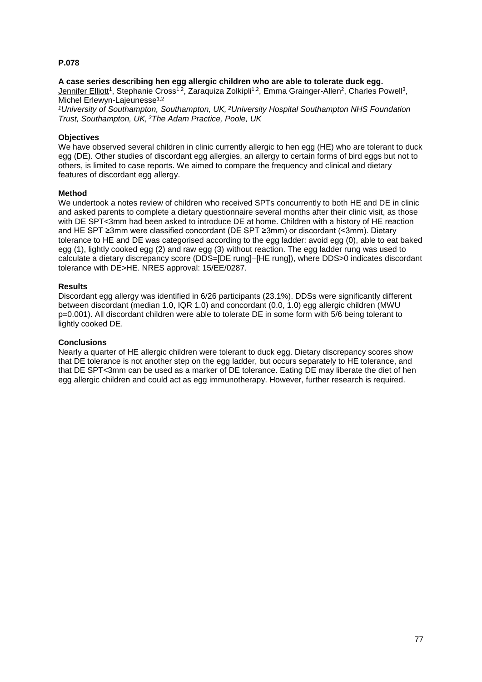## **A case series describing hen egg allergic children who are able to tolerate duck egg.**

Jennifer Elliott<sup>1</sup>, Stephanie Cross<sup>1,2</sup>, Zaraquiza Zolkipli<sup>1,2</sup>, Emma Grainger-Allen<sup>2</sup>, Charles Powell<sup>3</sup>, Michel Erlewyn-Laieunesse<sup>1,2</sup>

*<sup>1</sup>University of Southampton, Southampton, UK, <sup>2</sup>University Hospital Southampton NHS Foundation Trust, Southampton, UK, <sup>3</sup>The Adam Practice, Poole, UK*

## **Objectives**

We have observed several children in clinic currently allergic to hen egg (HE) who are tolerant to duck egg (DE). Other studies of discordant egg allergies, an allergy to certain forms of bird eggs but not to others, is limited to case reports. We aimed to compare the frequency and clinical and dietary features of discordant egg allergy.

#### **Method**

We undertook a notes review of children who received SPTs concurrently to both HE and DE in clinic and asked parents to complete a dietary questionnaire several months after their clinic visit, as those with DE SPT<3mm had been asked to introduce DE at home. Children with a history of HE reaction and HE SPT ≥3mm were classified concordant (DE SPT ≥3mm) or discordant (<3mm). Dietary tolerance to HE and DE was categorised according to the egg ladder: avoid egg (0), able to eat baked egg (1), lightly cooked egg (2) and raw egg (3) without reaction. The egg ladder rung was used to calculate a dietary discrepancy score (DDS=[DE rung]–[HE rung]), where DDS>0 indicates discordant tolerance with DE>HE. NRES approval: 15/EE/0287.

## **Results**

Discordant egg allergy was identified in 6/26 participants (23.1%). DDSs were significantly different between discordant (median 1.0, IQR 1.0) and concordant (0.0, 1.0) egg allergic children (MWU p=0.001). All discordant children were able to tolerate DE in some form with 5/6 being tolerant to lightly cooked DE.

#### **Conclusions**

Nearly a quarter of HE allergic children were tolerant to duck egg. Dietary discrepancy scores show that DE tolerance is not another step on the egg ladder, but occurs separately to HE tolerance, and that DE SPT<3mm can be used as a marker of DE tolerance. Eating DE may liberate the diet of hen egg allergic children and could act as egg immunotherapy. However, further research is required.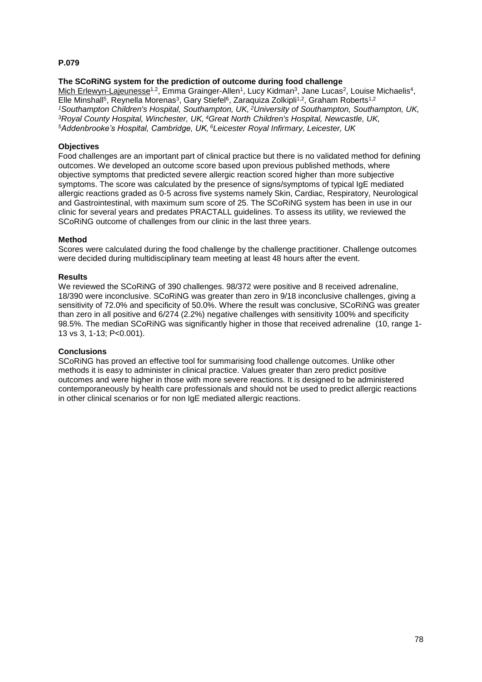## **The SCoRiNG system for the prediction of outcome during food challenge**

Mich Erlewyn-Lajeunesse<sup>1,2</sup>, Emma Grainger-Allen<sup>1</sup>, Lucy Kidman<sup>3</sup>, Jane Lucas<sup>2</sup>, Louise Michaelis<sup>4</sup>, Elle Minshall<sup>5</sup>, Reynella Morenas<sup>3</sup>, Gary Stiefel<sup>6</sup>, Zaraquiza Zolkipli<sup>1,2</sup>, Graham Roberts<sup>1,2</sup> *<sup>1</sup>Southampton Children's Hospital, Southampton, UK, <sup>2</sup>University of Southampton, Southampton, UK, <sup>3</sup>Royal County Hospital, Winchester, UK, <sup>4</sup>Great North Children's Hospital, Newcastle, UK, <sup>5</sup>Addenbrooke's Hospital, Cambridge, UK, <sup>6</sup>Leicester Royal Infirmary, Leicester, UK*

### **Objectives**

Food challenges are an important part of clinical practice but there is no validated method for defining outcomes. We developed an outcome score based upon previous published methods, where objective symptoms that predicted severe allergic reaction scored higher than more subjective symptoms. The score was calculated by the presence of signs/symptoms of typical IgE mediated allergic reactions graded as 0-5 across five systems namely Skin, Cardiac, Respiratory, Neurological and Gastrointestinal, with maximum sum score of 25. The SCoRiNG system has been in use in our clinic for several years and predates PRACTALL guidelines. To assess its utility, we reviewed the SCoRiNG outcome of challenges from our clinic in the last three years.

#### **Method**

Scores were calculated during the food challenge by the challenge practitioner. Challenge outcomes were decided during multidisciplinary team meeting at least 48 hours after the event.

## **Results**

We reviewed the SCoRiNG of 390 challenges. 98/372 were positive and 8 received adrenaline, 18/390 were inconclusive. SCoRiNG was greater than zero in 9/18 inconclusive challenges, giving a sensitivity of 72.0% and specificity of 50.0%. Where the result was conclusive, SCoRiNG was greater than zero in all positive and 6/274 (2.2%) negative challenges with sensitivity 100% and specificity 98.5%. The median SCoRiNG was significantly higher in those that received adrenaline (10, range 1- 13 vs 3, 1-13; P<0.001).

#### **Conclusions**

SCoRiNG has proved an effective tool for summarising food challenge outcomes. Unlike other methods it is easy to administer in clinical practice. Values greater than zero predict positive outcomes and were higher in those with more severe reactions. It is designed to be administered contemporaneously by health care professionals and should not be used to predict allergic reactions in other clinical scenarios or for non IgE mediated allergic reactions.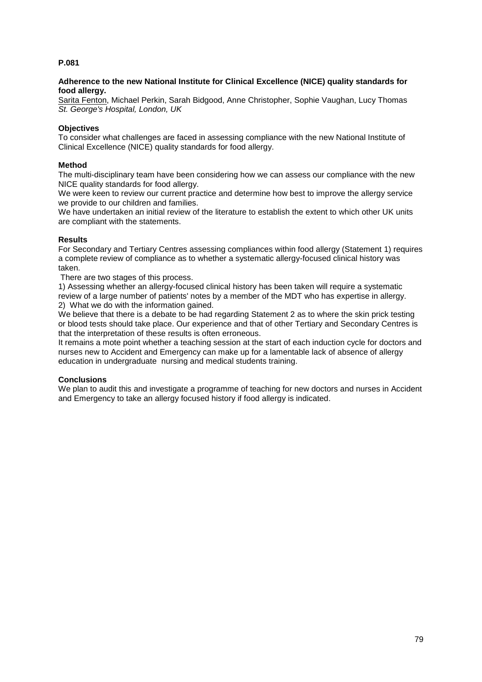## **Adherence to the new National Institute for Clinical Excellence (NICE) quality standards for food allergy.**

Sarita Fenton, Michael Perkin, Sarah Bidgood, Anne Christopher, Sophie Vaughan, Lucy Thomas *St. George's Hospital, London, UK*

## **Objectives**

To consider what challenges are faced in assessing compliance with the new National Institute of Clinical Excellence (NICE) quality standards for food allergy.

## **Method**

The multi-disciplinary team have been considering how we can assess our compliance with the new NICE quality standards for food allergy.

We were keen to review our current practice and determine how best to improve the allergy service we provide to our children and families.

We have undertaken an initial review of the literature to establish the extent to which other UK units are compliant with the statements.

## **Results**

For Secondary and Tertiary Centres assessing compliances within food allergy (Statement 1) requires a complete review of compliance as to whether a systematic allergy-focused clinical history was taken.

There are two stages of this process.

1) Assessing whether an allergy-focused clinical history has been taken will require a systematic review of a large number of patients' notes by a member of the MDT who has expertise in allergy. 2) What we do with the information gained.

We believe that there is a debate to be had regarding Statement 2 as to where the skin prick testing or blood tests should take place. Our experience and that of other Tertiary and Secondary Centres is that the interpretation of these results is often erroneous.

It remains a mote point whether a teaching session at the start of each induction cycle for doctors and nurses new to Accident and Emergency can make up for a lamentable lack of absence of allergy education in undergraduate nursing and medical students training.

## **Conclusions**

We plan to audit this and investigate a programme of teaching for new doctors and nurses in Accident and Emergency to take an allergy focused history if food allergy is indicated.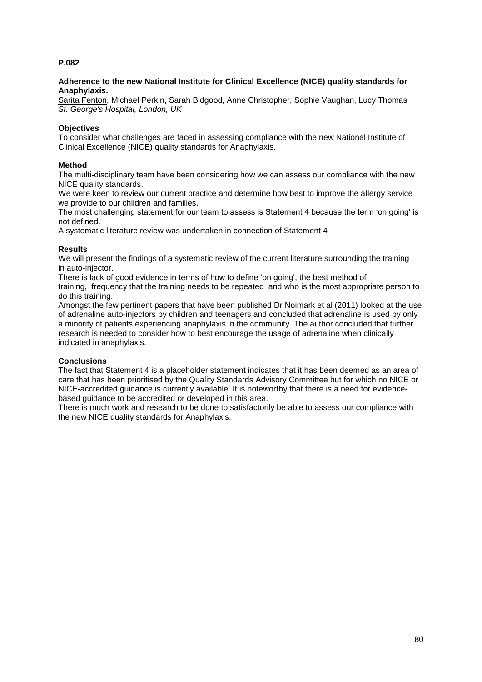## **Adherence to the new National Institute for Clinical Excellence (NICE) quality standards for Anaphylaxis.**

Sarita Fenton, Michael Perkin, Sarah Bidgood, Anne Christopher, Sophie Vaughan, Lucy Thomas *St. George's Hospital, London, UK*

## **Objectives**

To consider what challenges are faced in assessing compliance with the new National Institute of Clinical Excellence (NICE) quality standards for Anaphylaxis.

## **Method**

The multi-disciplinary team have been considering how we can assess our compliance with the new NICE quality standards.

We were keen to review our current practice and determine how best to improve the allergy service we provide to our children and families.

The most challenging statement for our team to assess is Statement 4 because the term 'on going' is not defined.

A systematic literature review was undertaken in connection of Statement 4

## **Results**

We will present the findings of a systematic review of the current literature surrounding the training in auto-injector.

There is lack of good evidence in terms of how to define 'on going', the best method of training, frequency that the training needs to be repeated and who is the most appropriate person to do this training.

Amongst the few pertinent papers that have been published Dr Noimark et al (2011) looked at the use of adrenaline auto-injectors by children and teenagers and concluded that adrenaline is used by only a minority of patients experiencing anaphylaxis in the community. The author concluded that further research is needed to consider how to best encourage the usage of adrenaline when clinically indicated in anaphylaxis.

## **Conclusions**

The fact that Statement 4 is a placeholder statement indicates that it has been deemed as an area of care that has been prioritised by the Quality Standards Advisory Committee but for which no NICE or NICE-accredited guidance is currently available. It is noteworthy that there is a need for evidencebased guidance to be accredited or developed in this area.

There is much work and research to be done to satisfactorily be able to assess our compliance with the new NICE quality standards for Anaphylaxis.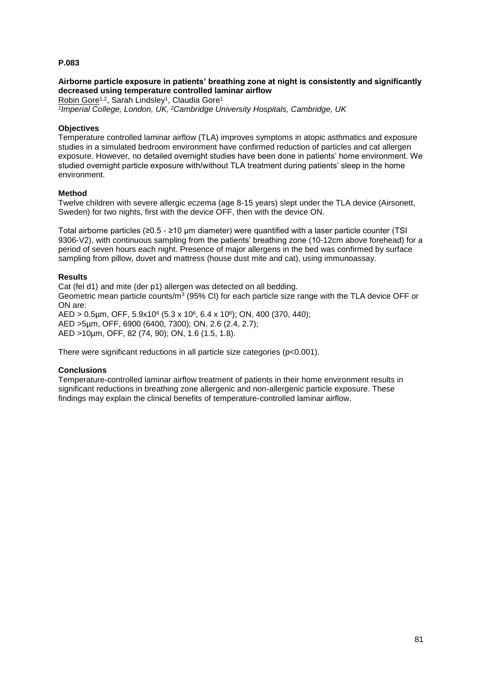## **Airborne particle exposure in patients' breathing zone at night is consistently and significantly decreased using temperature controlled laminar airflow**

Robin Gore<sup>1,2</sup>, Sarah Lindsley<sup>1</sup>, Claudia Gore<sup>1</sup> *1 Imperial College, London, UK, <sup>2</sup>Cambridge University Hospitals, Cambridge, UK*

## **Objectives**

Temperature controlled laminar airflow (TLA) improves symptoms in atopic asthmatics and exposure studies in a simulated bedroom environment have confirmed reduction of particles and cat allergen exposure. However, no detailed overnight studies have been done in patients' home environment. We studied overnight particle exposure with/without TLA treatment during patients' sleep in the home environment.

## **Method**

Twelve children with severe allergic eczema (age 8-15 years) slept under the TLA device (Airsonett, Sweden) for two nights, first with the device OFF, then with the device ON.

Total airborne particles (≥0.5 - ≥10 μm diameter) were quantified with a laser particle counter (TSI 9306-V2), with continuous sampling from the patients' breathing zone (10-12cm above forehead) for a period of seven hours each night. Presence of major allergens in the bed was confirmed by surface sampling from pillow, duvet and mattress (house dust mite and cat), using immunoassay.

## **Results**

Cat (fel d1) and mite (der p1) allergen was detected on all bedding. Geometric mean particle counts/ $m^3$  (95% CI) for each particle size range with the TLA device OFF or ON are: AED > 0.5µm, OFF, 5.9x10<sup>6</sup> (5.3 x 10<sup>6</sup>, 6.4 x 10<sup>6</sup>); ON, 400 (370, 440); AED >5µm, OFF, 6900 (6400, 7300); ON, 2.6 (2.4, 2.7);

AED >10µm, OFF, 82 (74, 90); ON, 1.6 (1.5, 1.8).

There were significant reductions in all particle size categories (p<0.001).

#### **Conclusions**

Temperature-controlled laminar airflow treatment of patients in their home environment results in significant reductions in breathing zone allergenic and non-allergenic particle exposure. These findings may explain the clinical benefits of temperature-controlled laminar airflow.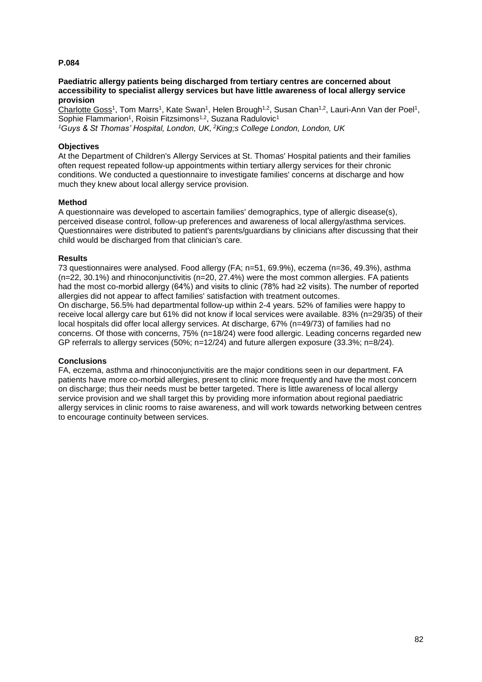#### **Paediatric allergy patients being discharged from tertiary centres are concerned about accessibility to specialist allergy services but have little awareness of local allergy service provision**

Charlotte Goss<sup>1</sup>, Tom Marrs<sup>1</sup>, Kate Swan<sup>1</sup>, Helen Brough<sup>1,2</sup>, Susan Chan<sup>1,2</sup>, Lauri-Ann Van der Poel<sup>1</sup>, Sophie Flammarion<sup>1</sup>, Roisin Fitzsimons<sup>1,2</sup>, Suzana Radulovic<sup>1</sup> *<sup>1</sup>Guys & St Thomas' Hospital, London, UK, <sup>2</sup>King;s College London, London, UK*

## **Objectives**

At the Department of Children's Allergy Services at St. Thomas' Hospital patients and their families often request repeated follow-up appointments within tertiary allergy services for their chronic conditions. We conducted a questionnaire to investigate families' concerns at discharge and how much they knew about local allergy service provision.

## **Method**

A questionnaire was developed to ascertain families' demographics, type of allergic disease(s), perceived disease control, follow-up preferences and awareness of local allergy/asthma services. Questionnaires were distributed to patient's parents/guardians by clinicians after discussing that their child would be discharged from that clinician's care.

## **Results**

73 questionnaires were analysed. Food allergy (FA; n=51, 69.9%), eczema (n=36, 49.3%), asthma (n=22, 30.1%) and rhinoconjunctivitis (n=20, 27.4%) were the most common allergies. FA patients had the most co-morbid allergy (64%) and visits to clinic (78% had ≥2 visits). The number of reported allergies did not appear to affect families' satisfaction with treatment outcomes. On discharge, 56.5% had departmental follow-up within 2-4 years. 52% of families were happy to receive local allergy care but 61% did not know if local services were available. 83% (n=29/35) of their local hospitals did offer local allergy services. At discharge, 67% (n=49/73) of families had no concerns. Of those with concerns, 75% (n=18/24) were food allergic. Leading concerns regarded new GP referrals to allergy services (50%; n=12/24) and future allergen exposure (33.3%; n=8/24).

## **Conclusions**

FA, eczema, asthma and rhinoconjunctivitis are the major conditions seen in our department. FA patients have more co-morbid allergies, present to clinic more frequently and have the most concern on discharge; thus their needs must be better targeted. There is little awareness of local allergy service provision and we shall target this by providing more information about regional paediatric allergy services in clinic rooms to raise awareness, and will work towards networking between centres to encourage continuity between services.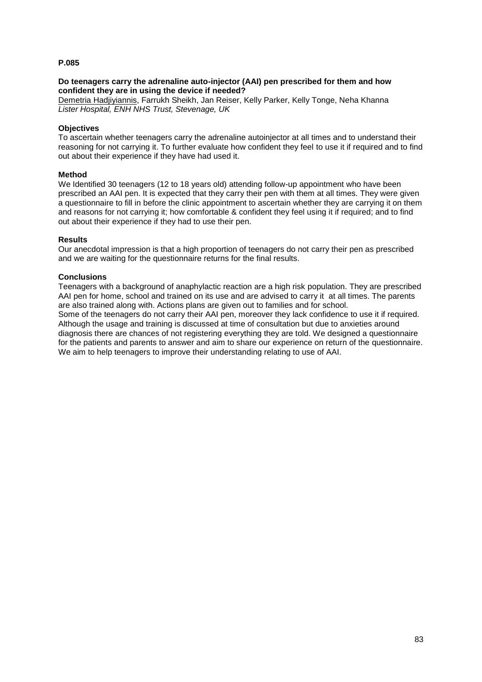### **Do teenagers carry the adrenaline auto-injector (AAI) pen prescribed for them and how confident they are in using the device if needed?**

Demetria Hadjiyiannis, Farrukh Sheikh, Jan Reiser, Kelly Parker, Kelly Tonge, Neha Khanna *Lister Hospital, ENH NHS Trust, Stevenage, UK*

## **Objectives**

To ascertain whether teenagers carry the adrenaline autoinjector at all times and to understand their reasoning for not carrying it. To further evaluate how confident they feel to use it if required and to find out about their experience if they have had used it.

## **Method**

We Identified 30 teenagers (12 to 18 years old) attending follow-up appointment who have been prescribed an AAI pen. It is expected that they carry their pen with them at all times. They were given a questionnaire to fill in before the clinic appointment to ascertain whether they are carrying it on them and reasons for not carrying it; how comfortable & confident they feel using it if required; and to find out about their experience if they had to use their pen.

## **Results**

Our anecdotal impression is that a high proportion of teenagers do not carry their pen as prescribed and we are waiting for the questionnaire returns for the final results.

## **Conclusions**

Teenagers with a background of anaphylactic reaction are a high risk population. They are prescribed AAI pen for home, school and trained on its use and are advised to carry it at all times. The parents are also trained along with. Actions plans are given out to families and for school.

Some of the teenagers do not carry their AAI pen, moreover they lack confidence to use it if required. Although the usage and training is discussed at time of consultation but due to anxieties around diagnosis there are chances of not registering everything they are told. We designed a questionnaire for the patients and parents to answer and aim to share our experience on return of the questionnaire. We aim to help teenagers to improve their understanding relating to use of AAI.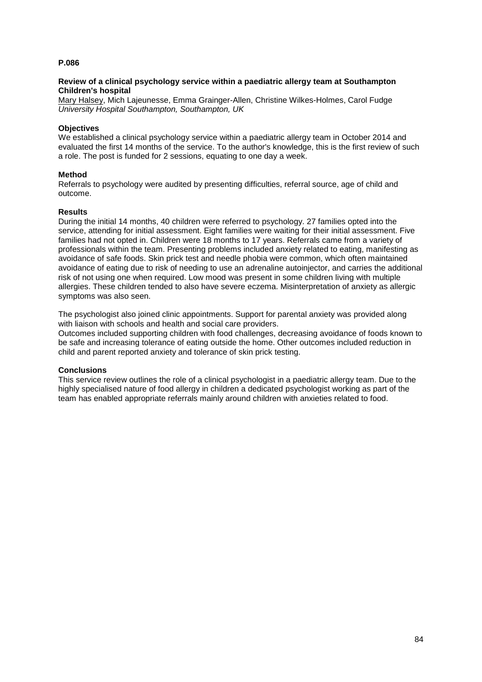## **Review of a clinical psychology service within a paediatric allergy team at Southampton Children's hospital**

Mary Halsey, Mich Lajeunesse, Emma Grainger-Allen, Christine Wilkes-Holmes, Carol Fudge *University Hospital Southampton, Southampton, UK*

## **Objectives**

We established a clinical psychology service within a paediatric allergy team in October 2014 and evaluated the first 14 months of the service. To the author's knowledge, this is the first review of such a role. The post is funded for 2 sessions, equating to one day a week.

## **Method**

Referrals to psychology were audited by presenting difficulties, referral source, age of child and outcome.

## **Results**

During the initial 14 months, 40 children were referred to psychology. 27 families opted into the service, attending for initial assessment. Eight families were waiting for their initial assessment. Five families had not opted in. Children were 18 months to 17 years. Referrals came from a variety of professionals within the team. Presenting problems included anxiety related to eating, manifesting as avoidance of safe foods. Skin prick test and needle phobia were common, which often maintained avoidance of eating due to risk of needing to use an adrenaline autoinjector, and carries the additional risk of not using one when required. Low mood was present in some children living with multiple allergies. These children tended to also have severe eczema. Misinterpretation of anxiety as allergic symptoms was also seen.

The psychologist also joined clinic appointments. Support for parental anxiety was provided along with liaison with schools and health and social care providers.

Outcomes included supporting children with food challenges, decreasing avoidance of foods known to be safe and increasing tolerance of eating outside the home. Other outcomes included reduction in child and parent reported anxiety and tolerance of skin prick testing.

#### **Conclusions**

This service review outlines the role of a clinical psychologist in a paediatric allergy team. Due to the highly specialised nature of food allergy in children a dedicated psychologist working as part of the team has enabled appropriate referrals mainly around children with anxieties related to food.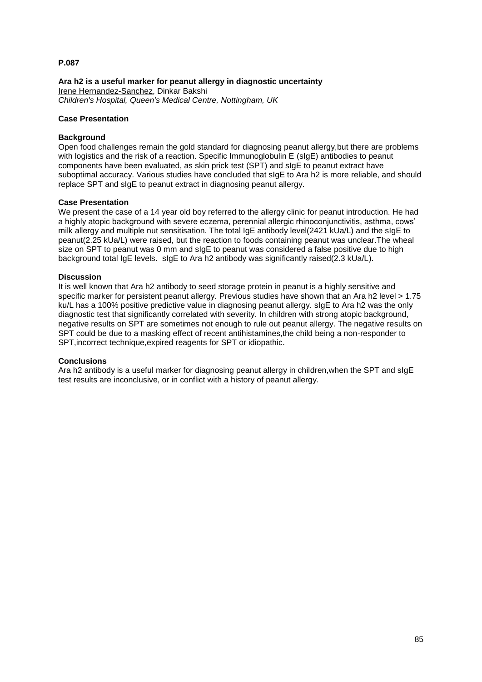**Ara h2 is a useful marker for peanut allergy in diagnostic uncertainty** Irene Hernandez-Sanchez, Dinkar Bakshi *Children's Hospital, Queen's Medical Centre, Nottingham, UK*

## **Case Presentation**

## **Background**

Open food challenges remain the gold standard for diagnosing peanut allergy,but there are problems with logistics and the risk of a reaction. Specific Immunoglobulin E (sIgE) antibodies to peanut components have been evaluated, as skin prick test (SPT) and sIgE to peanut extract have suboptimal accuracy. Various studies have concluded that sIgE to Ara h2 is more reliable, and should replace SPT and sIgE to peanut extract in diagnosing peanut allergy.

#### **Case Presentation**

We present the case of a 14 year old boy referred to the allergy clinic for peanut introduction. He had a highly atopic background with severe eczema, perennial allergic rhinoconjunctivitis, asthma, cows' milk allergy and multiple nut sensitisation. The total IgE antibody level(2421 kUa/L) and the sIgE to peanut(2.25 kUa/L) were raised, but the reaction to foods containing peanut was unclear.The wheal size on SPT to peanut was 0 mm and sIgE to peanut was considered a false positive due to high background total IgE levels. sIgE to Ara h2 antibody was significantly raised(2.3 kUa/L).

## **Discussion**

It is well known that Ara h2 antibody to seed storage protein in peanut is a highly sensitive and specific marker for persistent peanut allergy. Previous studies have shown that an Ara h2 level > 1.75 ku/L has a 100% positive predictive value in diagnosing peanut allergy. sIgE to Ara h2 was the only diagnostic test that significantly correlated with severity. In children with strong atopic background, negative results on SPT are sometimes not enough to rule out peanut allergy. The negative results on SPT could be due to a masking effect of recent antihistamines,the child being a non-responder to SPT,incorrect technique,expired reagents for SPT or idiopathic.

#### **Conclusions**

Ara h2 antibody is a useful marker for diagnosing peanut allergy in children,when the SPT and sIgE test results are inconclusive, or in conflict with a history of peanut allergy.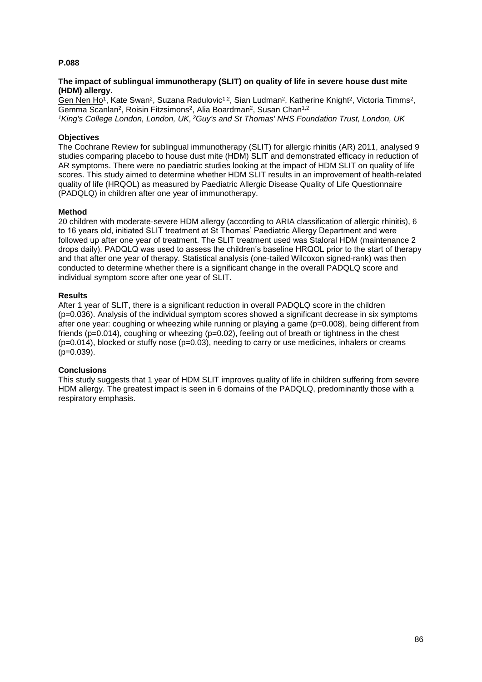## **The impact of sublingual immunotherapy (SLIT) on quality of life in severe house dust mite (HDM) allergy.**

Gen Nen Ho<sup>1</sup>, Kate Swan<sup>2</sup>, Suzana Radulovic<sup>1,2</sup>, Sian Ludman<sup>2</sup>, Katherine Knight<sup>2</sup>, Victoria Timms<sup>2</sup>, Gemma Scanlan<sup>2</sup>, Roisin Fitzsimons<sup>2</sup>, Alia Boardman<sup>2</sup>, Susan Chan<sup>1,2</sup> *<sup>1</sup>King's College London, London, UK, <sup>2</sup>Guy's and St Thomas' NHS Foundation Trust, London, UK*

## **Objectives**

The Cochrane Review for sublingual immunotherapy (SLIT) for allergic rhinitis (AR) 2011, analysed 9 studies comparing placebo to house dust mite (HDM) SLIT and demonstrated efficacy in reduction of AR symptoms. There were no paediatric studies looking at the impact of HDM SLIT on quality of life scores. This study aimed to determine whether HDM SLIT results in an improvement of health-related quality of life (HRQOL) as measured by Paediatric Allergic Disease Quality of Life Questionnaire (PADQLQ) in children after one year of immunotherapy.

## **Method**

20 children with moderate-severe HDM allergy (according to ARIA classification of allergic rhinitis), 6 to 16 years old, initiated SLIT treatment at St Thomas' Paediatric Allergy Department and were followed up after one year of treatment. The SLIT treatment used was Staloral HDM (maintenance 2 drops daily). PADQLQ was used to assess the children's baseline HRQOL prior to the start of therapy and that after one year of therapy. Statistical analysis (one-tailed Wilcoxon signed-rank) was then conducted to determine whether there is a significant change in the overall PADQLQ score and individual symptom score after one year of SLIT.

## **Results**

After 1 year of SLIT, there is a significant reduction in overall PADQLQ score in the children (p=0.036). Analysis of the individual symptom scores showed a significant decrease in six symptoms after one year: coughing or wheezing while running or playing a game (p=0.008), being different from friends (p=0.014), coughing or wheezing (p=0.02), feeling out of breath or tightness in the chest (p=0.014), blocked or stuffy nose (p=0.03), needing to carry or use medicines, inhalers or creams  $(p=0.039)$ .

## **Conclusions**

This study suggests that 1 year of HDM SLIT improves quality of life in children suffering from severe HDM allergy. The greatest impact is seen in 6 domains of the PADQLQ, predominantly those with a respiratory emphasis.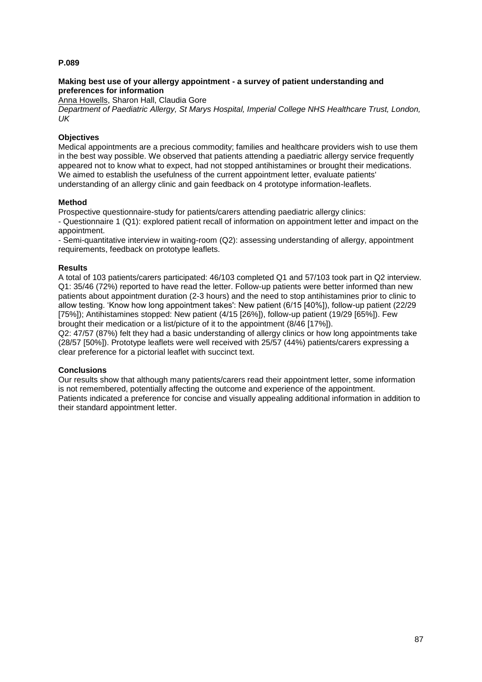## **Making best use of your allergy appointment - a survey of patient understanding and preferences for information**

Anna Howells, Sharon Hall, Claudia Gore

*Department of Paediatric Allergy, St Marys Hospital, Imperial College NHS Healthcare Trust, London, UK*

## **Objectives**

Medical appointments are a precious commodity; families and healthcare providers wish to use them in the best way possible. We observed that patients attending a paediatric allergy service frequently appeared not to know what to expect, had not stopped antihistamines or brought their medications. We aimed to establish the usefulness of the current appointment letter, evaluate patients' understanding of an allergy clinic and gain feedback on 4 prototype information-leaflets.

## **Method**

Prospective questionnaire-study for patients/carers attending paediatric allergy clinics:

- Questionnaire 1 (Q1): explored patient recall of information on appointment letter and impact on the appointment.

- Semi-quantitative interview in waiting-room (Q2): assessing understanding of allergy, appointment requirements, feedback on prototype leaflets.

## **Results**

A total of 103 patients/carers participated: 46/103 completed Q1 and 57/103 took part in Q2 interview. Q1: 35/46 (72%) reported to have read the letter. Follow-up patients were better informed than new patients about appointment duration (2-3 hours) and the need to stop antihistamines prior to clinic to allow testing. 'Know how long appointment takes': New patient (6/15 [40%]), follow-up patient (22/29 [75%]); Antihistamines stopped: New patient (4/15 [26%]), follow-up patient (19/29 [65%]). Few brought their medication or a list/picture of it to the appointment (8/46 [17%]).

Q2: 47/57 (87%) felt they had a basic understanding of allergy clinics or how long appointments take (28/57 [50%]). Prototype leaflets were well received with 25/57 (44%) patients/carers expressing a clear preference for a pictorial leaflet with succinct text.

## **Conclusions**

Our results show that although many patients/carers read their appointment letter, some information is not remembered, potentially affecting the outcome and experience of the appointment. Patients indicated a preference for concise and visually appealing additional information in addition to their standard appointment letter.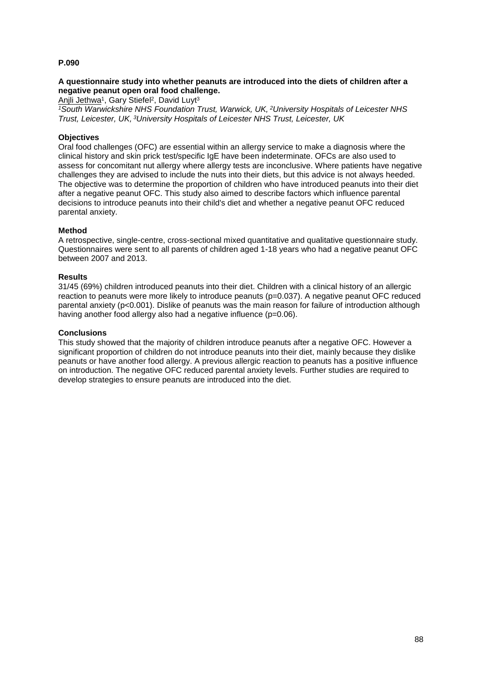## **A questionnaire study into whether peanuts are introduced into the diets of children after a negative peanut open oral food challenge.**

Anjli Jethwa<sup>1</sup>, Gary Stiefel<sup>2</sup>, David Luyt<sup>3</sup>

*<sup>1</sup>South Warwickshire NHS Foundation Trust, Warwick, UK, <sup>2</sup>University Hospitals of Leicester NHS Trust, Leicester, UK, <sup>3</sup>University Hospitals of Leicester NHS Trust, Leicester, UK*

## **Objectives**

Oral food challenges (OFC) are essential within an allergy service to make a diagnosis where the clinical history and skin prick test/specific IgE have been indeterminate. OFCs are also used to assess for concomitant nut allergy where allergy tests are inconclusive. Where patients have negative challenges they are advised to include the nuts into their diets, but this advice is not always heeded. The objective was to determine the proportion of children who have introduced peanuts into their diet after a negative peanut OFC. This study also aimed to describe factors which influence parental decisions to introduce peanuts into their child's diet and whether a negative peanut OFC reduced parental anxiety.

## **Method**

A retrospective, single-centre, cross-sectional mixed quantitative and qualitative questionnaire study. Questionnaires were sent to all parents of children aged 1-18 years who had a negative peanut OFC between 2007 and 2013.

## **Results**

31/45 (69%) children introduced peanuts into their diet. Children with a clinical history of an allergic reaction to peanuts were more likely to introduce peanuts (p=0.037). A negative peanut OFC reduced parental anxiety (p<0.001). Dislike of peanuts was the main reason for failure of introduction although having another food allergy also had a negative influence (p=0.06).

## **Conclusions**

This study showed that the majority of children introduce peanuts after a negative OFC. However a significant proportion of children do not introduce peanuts into their diet, mainly because they dislike peanuts or have another food allergy. A previous allergic reaction to peanuts has a positive influence on introduction. The negative OFC reduced parental anxiety levels. Further studies are required to develop strategies to ensure peanuts are introduced into the diet.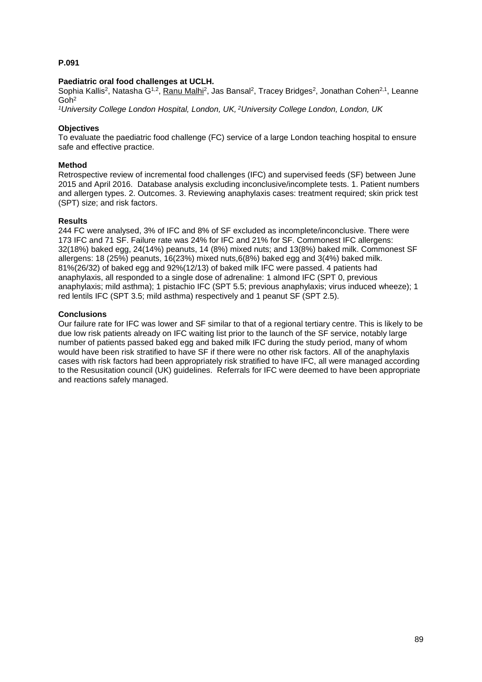## **Paediatric oral food challenges at UCLH.**

Sophia Kallis<sup>2</sup>, Natasha G<sup>1,2</sup>, <u>Ranu Malhi</u><sup>2</sup>, Jas Bansal<sup>2</sup>, Tracey Bridges<sup>2</sup>, Jonathan Cohen<sup>2,1</sup>, Leanne Goh<sup>2</sup>

*<sup>1</sup>University College London Hospital, London, UK, <sup>2</sup>University College London, London, UK*

## **Objectives**

To evaluate the paediatric food challenge (FC) service of a large London teaching hospital to ensure safe and effective practice.

## **Method**

Retrospective review of incremental food challenges (IFC) and supervised feeds (SF) between June 2015 and April 2016. Database analysis excluding inconclusive/incomplete tests. 1. Patient numbers and allergen types. 2. Outcomes. 3. Reviewing anaphylaxis cases: treatment required; skin prick test (SPT) size; and risk factors.

## **Results**

244 FC were analysed, 3% of IFC and 8% of SF excluded as incomplete/inconclusive. There were 173 IFC and 71 SF. Failure rate was 24% for IFC and 21% for SF. Commonest IFC allergens: 32(18%) baked egg, 24(14%) peanuts, 14 (8%) mixed nuts; and 13(8%) baked milk. Commonest SF allergens: 18 (25%) peanuts, 16(23%) mixed nuts,6(8%) baked egg and 3(4%) baked milk. 81%(26/32) of baked egg and 92%(12/13) of baked milk IFC were passed. 4 patients had anaphylaxis, all responded to a single dose of adrenaline: 1 almond IFC (SPT 0, previous anaphylaxis; mild asthma); 1 pistachio IFC (SPT 5.5; previous anaphylaxis; virus induced wheeze); 1 red lentils IFC (SPT 3.5; mild asthma) respectively and 1 peanut SF (SPT 2.5).

## **Conclusions**

Our failure rate for IFC was lower and SF similar to that of a regional tertiary centre. This is likely to be due low risk patients already on IFC waiting list prior to the launch of the SF service, notably large number of patients passed baked egg and baked milk IFC during the study period, many of whom would have been risk stratified to have SF if there were no other risk factors. All of the anaphylaxis cases with risk factors had been appropriately risk stratified to have IFC, all were managed according to the Resusitation council (UK) guidelines. Referrals for IFC were deemed to have been appropriate and reactions safely managed.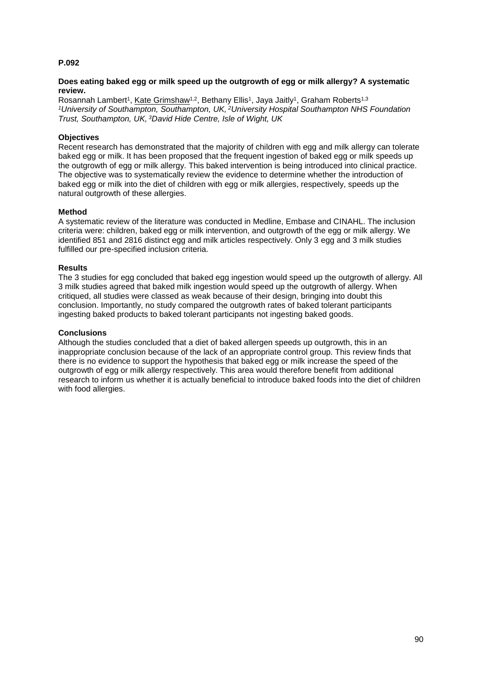## **Does eating baked egg or milk speed up the outgrowth of egg or milk allergy? A systematic review.**

Rosannah Lambert<sup>1</sup>, Kate Grimshaw<sup>1,2</sup>, Bethany Ellis<sup>1</sup>, Jaya Jaitly<sup>1</sup>, Graham Roberts<sup>1,3</sup> *<sup>1</sup>University of Southampton, Southampton, UK, <sup>2</sup>University Hospital Southampton NHS Foundation Trust, Southampton, UK, <sup>3</sup>David Hide Centre, Isle of Wight, UK*

## **Objectives**

Recent research has demonstrated that the majority of children with egg and milk allergy can tolerate baked egg or milk. It has been proposed that the frequent ingestion of baked egg or milk speeds up the outgrowth of egg or milk allergy. This baked intervention is being introduced into clinical practice. The objective was to systematically review the evidence to determine whether the introduction of baked egg or milk into the diet of children with egg or milk allergies, respectively, speeds up the natural outgrowth of these allergies.

## **Method**

A systematic review of the literature was conducted in Medline, Embase and CINAHL. The inclusion criteria were: children, baked egg or milk intervention, and outgrowth of the egg or milk allergy. We identified 851 and 2816 distinct egg and milk articles respectively. Only 3 egg and 3 milk studies fulfilled our pre-specified inclusion criteria.

#### **Results**

The 3 studies for egg concluded that baked egg ingestion would speed up the outgrowth of allergy. All 3 milk studies agreed that baked milk ingestion would speed up the outgrowth of allergy. When critiqued, all studies were classed as weak because of their design, bringing into doubt this conclusion. Importantly, no study compared the outgrowth rates of baked tolerant participants ingesting baked products to baked tolerant participants not ingesting baked goods.

## **Conclusions**

Although the studies concluded that a diet of baked allergen speeds up outgrowth, this in an inappropriate conclusion because of the lack of an appropriate control group. This review finds that there is no evidence to support the hypothesis that baked egg or milk increase the speed of the outgrowth of egg or milk allergy respectively. This area would therefore benefit from additional research to inform us whether it is actually beneficial to introduce baked foods into the diet of children with food allergies.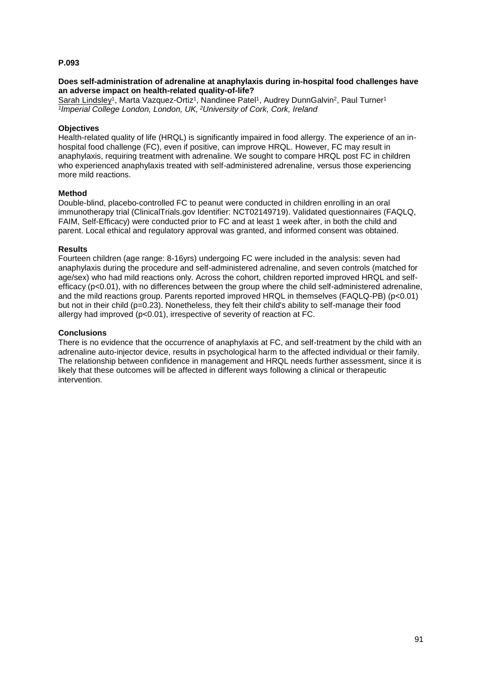## **Does self-administration of adrenaline at anaphylaxis during in-hospital food challenges have an adverse impact on health-related quality-of-life?**

Sarah Lindsley<sup>1</sup>, Marta Vazquez-Ortiz<sup>1</sup>, Nandinee Patel<sup>1</sup>, Audrey DunnGalvin<sup>2</sup>, Paul Turner<sup>1</sup> *1 Imperial College London, London, UK, <sup>2</sup>University of Cork, Cork, Ireland*

## **Objectives**

Health-related quality of life (HRQL) is significantly impaired in food allergy. The experience of an inhospital food challenge (FC), even if positive, can improve HRQL. However, FC may result in anaphylaxis, requiring treatment with adrenaline. We sought to compare HRQL post FC in children who experienced anaphylaxis treated with self-administered adrenaline, versus those experiencing more mild reactions.

## **Method**

Double-blind, placebo-controlled FC to peanut were conducted in children enrolling in an oral immunotherapy trial (ClinicalTrials.gov Identifier: NCT02149719). Validated questionnaires (FAQLQ, FAIM, Self-Efficacy) were conducted prior to FC and at least 1 week after, in both the child and parent. Local ethical and regulatory approval was granted, and informed consent was obtained.

## **Results**

Fourteen children (age range: 8-16yrs) undergoing FC were included in the analysis: seven had anaphylaxis during the procedure and self-administered adrenaline, and seven controls (matched for age/sex) who had mild reactions only. Across the cohort, children reported improved HRQL and selfefficacy (p<0.01), with no differences between the group where the child self-administered adrenaline, and the mild reactions group. Parents reported improved HRQL in themselves (FAQLQ-PB) (p<0.01) but not in their child (p=0.23). Nonetheless, they felt their child's ability to self-manage their food allergy had improved (p<0.01), irrespective of severity of reaction at FC.

## **Conclusions**

There is no evidence that the occurrence of anaphylaxis at FC, and self-treatment by the child with an adrenaline auto-injector device, results in psychological harm to the affected individual or their family. The relationship between confidence in management and HRQL needs further assessment, since it is likely that these outcomes will be affected in different ways following a clinical or therapeutic intervention.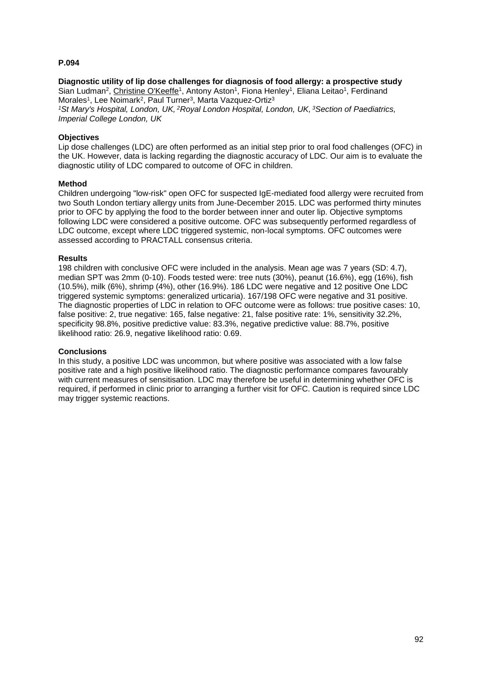#### **Diagnostic utility of lip dose challenges for diagnosis of food allergy: a prospective study** Sian Ludman<sup>2</sup>, Christine O'Keeffe<sup>1</sup>, Antony Aston<sup>1</sup>, Fiona Henley<sup>1</sup>, Eliana Leitao<sup>1</sup>, Ferdinand Morales<sup>1</sup>, Lee Noimark<sup>2</sup>, Paul Turner<sup>3</sup>, Marta Vazquez-Ortiz<sup>3</sup> *<sup>1</sup>St Mary's Hospital, London, UK, <sup>2</sup>Royal London Hospital, London, UK, <sup>3</sup>Section of Paediatrics,*

*Imperial College London, UK*

## **Objectives**

Lip dose challenges (LDC) are often performed as an initial step prior to oral food challenges (OFC) in the UK. However, data is lacking regarding the diagnostic accuracy of LDC. Our aim is to evaluate the diagnostic utility of LDC compared to outcome of OFC in children.

## **Method**

Children undergoing "low-risk" open OFC for suspected IgE-mediated food allergy were recruited from two South London tertiary allergy units from June-December 2015. LDC was performed thirty minutes prior to OFC by applying the food to the border between inner and outer lip. Objective symptoms following LDC were considered a positive outcome. OFC was subsequently performed regardless of LDC outcome, except where LDC triggered systemic, non-local symptoms. OFC outcomes were assessed according to PRACTALL consensus criteria.

## **Results**

198 children with conclusive OFC were included in the analysis. Mean age was 7 years (SD: 4.7), median SPT was 2mm (0-10). Foods tested were: tree nuts (30%), peanut (16.6%), egg (16%), fish (10.5%), milk (6%), shrimp (4%), other (16.9%). 186 LDC were negative and 12 positive One LDC triggered systemic symptoms: generalized urticaria). 167/198 OFC were negative and 31 positive. The diagnostic properties of LDC in relation to OFC outcome were as follows: true positive cases: 10, false positive: 2, true negative: 165, false negative: 21, false positive rate: 1%, sensitivity 32.2%, specificity 98.8%, positive predictive value: 83.3%, negative predictive value: 88.7%, positive likelihood ratio: 26.9, negative likelihood ratio: 0.69.

## **Conclusions**

In this study, a positive LDC was uncommon, but where positive was associated with a low false positive rate and a high positive likelihood ratio. The diagnostic performance compares favourably with current measures of sensitisation. LDC may therefore be useful in determining whether OFC is required, if performed in clinic prior to arranging a further visit for OFC. Caution is required since LDC may trigger systemic reactions.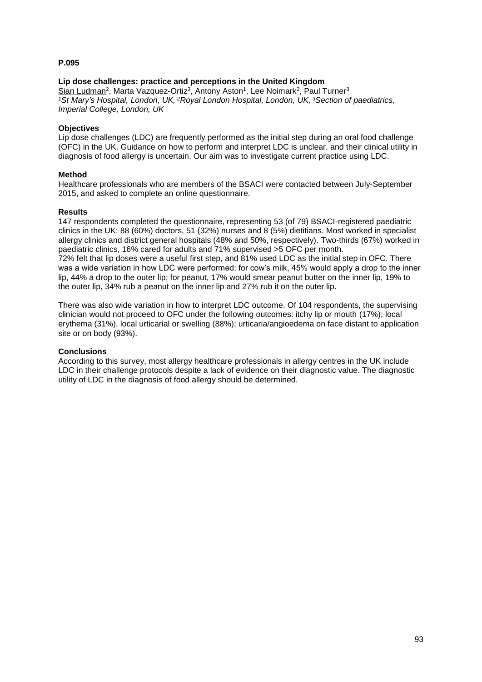## **Lip dose challenges: practice and perceptions in the United Kingdom**

Sian Ludman<sup>2</sup>, Marta Vazquez-Ortiz<sup>3</sup>, Antony Aston<sup>1</sup>, Lee Noimark<sup>2</sup>, Paul Turner<sup>3</sup> *<sup>1</sup>St Mary's Hospital, London, UK, <sup>2</sup>Royal London Hospital, London, UK, <sup>3</sup>Section of paediatrics, Imperial College, London, UK*

## **Objectives**

Lip dose challenges (LDC) are frequently performed as the initial step during an oral food challenge (OFC) in the UK. Guidance on how to perform and interpret LDC is unclear, and their clinical utility in diagnosis of food allergy is uncertain. Our aim was to investigate current practice using LDC.

## **Method**

Healthcare professionals who are members of the BSACI were contacted between July-September 2015, and asked to complete an online questionnaire.

## **Results**

147 respondents completed the questionnaire, representing 53 (of 79) BSACI-registered paediatric clinics in the UK: 88 (60%) doctors, 51 (32%) nurses and 8 (5%) dietitians. Most worked in specialist allergy clinics and district general hospitals (48% and 50%, respectively). Two-thirds (67%) worked in paediatric clinics, 16% cared for adults and 71% supervised >5 OFC per month. 72% felt that lip doses were a useful first step, and 81% used LDC as the initial step in OFC. There was a wide variation in how LDC were performed: for cow's milk, 45% would apply a drop to the inner lip, 44% a drop to the outer lip; for peanut, 17% would smear peanut butter on the inner lip, 19% to the outer lip, 34% rub a peanut on the inner lip and 27% rub it on the outer lip.

There was also wide variation in how to interpret LDC outcome. Of 104 respondents, the supervising clinician would not proceed to OFC under the following outcomes: itchy lip or mouth (17%); local erythema (31%), local urticarial or swelling (88%); urticaria/angioedema on face distant to application site or on body (93%).

#### **Conclusions**

According to this survey, most allergy healthcare professionals in allergy centres in the UK include LDC in their challenge protocols despite a lack of evidence on their diagnostic value. The diagnostic utility of LDC in the diagnosis of food allergy should be determined.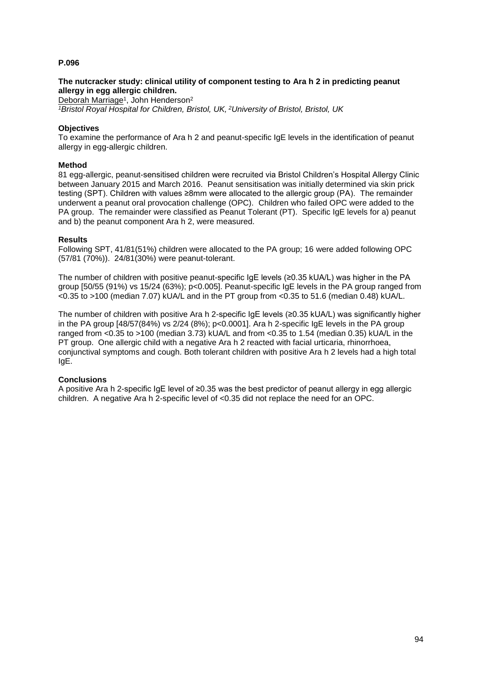## **The nutcracker study: clinical utility of component testing to Ara h 2 in predicting peanut allergy in egg allergic children.**

Deborah Marriage<sup>1</sup>, John Henderson<sup>2</sup>

*<sup>1</sup>Bristol Royal Hospital for Children, Bristol, UK, <sup>2</sup>University of Bristol, Bristol, UK*

## **Objectives**

To examine the performance of Ara h 2 and peanut-specific IgE levels in the identification of peanut allergy in egg-allergic children.

## **Method**

81 egg-allergic, peanut-sensitised children were recruited via Bristol Children's Hospital Allergy Clinic between January 2015 and March 2016. Peanut sensitisation was initially determined via skin prick testing (SPT). Children with values ≥8mm were allocated to the allergic group (PA). The remainder underwent a peanut oral provocation challenge (OPC). Children who failed OPC were added to the PA group. The remainder were classified as Peanut Tolerant (PT). Specific IgE levels for a) peanut and b) the peanut component Ara h 2, were measured.

## **Results**

Following SPT, 41/81(51%) children were allocated to the PA group; 16 were added following OPC (57/81 (70%)). 24/81(30%) were peanut-tolerant.

The number of children with positive peanut-specific IgE levels (≥0.35 kUA/L) was higher in the PA group [50/55 (91%) vs 15/24 (63%); p<0.005]. Peanut-specific IgE levels in the PA group ranged from <0.35 to >100 (median 7.07) kUA/L and in the PT group from <0.35 to 51.6 (median 0.48) kUA/L.

The number of children with positive Ara h 2-specific IgE levels (≥0.35 kUA/L) was significantly higher in the PA group  $[48/57(84%)$  vs  $2/24(8%)$ ; p<0.0001]. Ara h 2-specific  $lgE$  levels in the PA group ranged from <0.35 to >100 (median 3.73) kUA/L and from <0.35 to 1.54 (median 0.35) kUA/L in the PT group. One allergic child with a negative Ara h 2 reacted with facial urticaria, rhinorrhoea, conjunctival symptoms and cough. Both tolerant children with positive Ara h 2 levels had a high total IgE.

## **Conclusions**

A positive Ara h 2-specific IgE level of ≥0.35 was the best predictor of peanut allergy in egg allergic children. A negative Ara h 2-specific level of <0.35 did not replace the need for an OPC.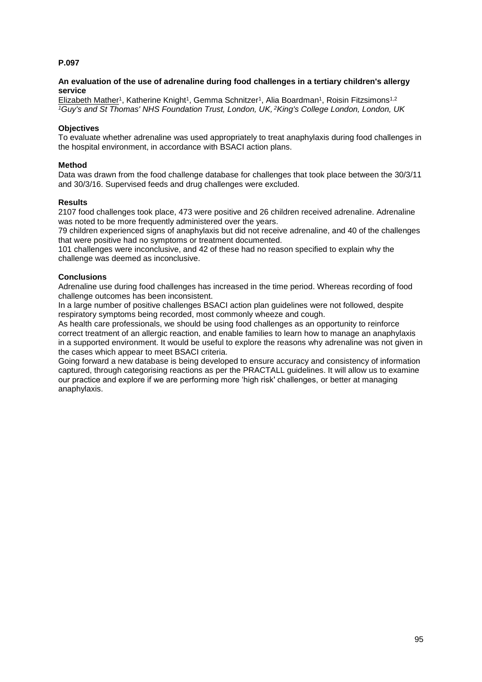## **An evaluation of the use of adrenaline during food challenges in a tertiary children's allergy service**

Elizabeth Mather<sup>1</sup>, Katherine Knight<sup>1</sup>, Gemma Schnitzer<sup>1</sup>, Alia Boardman<sup>1</sup>, Roisin Fitzsimons<sup>1,2</sup> *<sup>1</sup>Guy's and St Thomas' NHS Foundation Trust, London, UK, <sup>2</sup>King's College London, London, UK*

## **Objectives**

To evaluate whether adrenaline was used appropriately to treat anaphylaxis during food challenges in the hospital environment, in accordance with BSACI action plans.

## **Method**

Data was drawn from the food challenge database for challenges that took place between the 30/3/11 and 30/3/16. Supervised feeds and drug challenges were excluded.

#### **Results**

2107 food challenges took place, 473 were positive and 26 children received adrenaline. Adrenaline was noted to be more frequently administered over the years.

79 children experienced signs of anaphylaxis but did not receive adrenaline, and 40 of the challenges that were positive had no symptoms or treatment documented.

101 challenges were inconclusive, and 42 of these had no reason specified to explain why the challenge was deemed as inconclusive.

## **Conclusions**

Adrenaline use during food challenges has increased in the time period. Whereas recording of food challenge outcomes has been inconsistent.

In a large number of positive challenges BSACI action plan guidelines were not followed, despite respiratory symptoms being recorded, most commonly wheeze and cough.

As health care professionals, we should be using food challenges as an opportunity to reinforce correct treatment of an allergic reaction, and enable families to learn how to manage an anaphylaxis in a supported environment. It would be useful to explore the reasons why adrenaline was not given in the cases which appear to meet BSACI criteria.

Going forward a new database is being developed to ensure accuracy and consistency of information captured, through categorising reactions as per the PRACTALL guidelines. It will allow us to examine our practice and explore if we are performing more 'high risk' challenges, or better at managing anaphylaxis.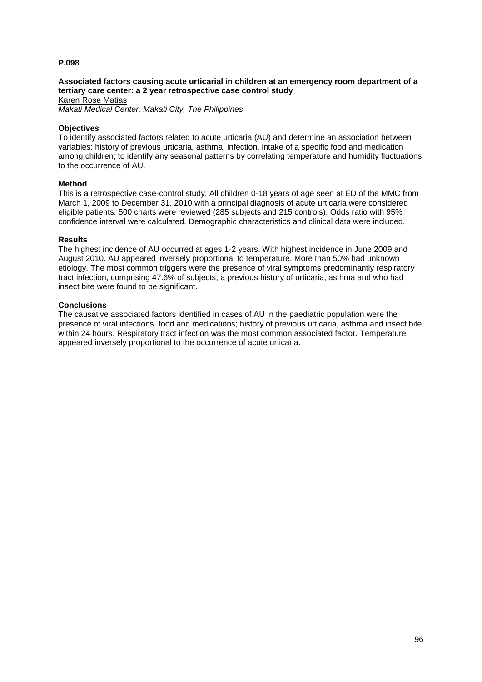## **Associated factors causing acute urticarial in children at an emergency room department of a tertiary care center: a 2 year retrospective case control study**

Karen Rose Matias *Makati Medical Center, Makati City, The Philippines*

#### **Objectives**

To identify associated factors related to acute urticaria (AU) and determine an association between variables: history of previous urticaria, asthma, infection, intake of a specific food and medication among children; to identify any seasonal patterns by correlating temperature and humidity fluctuations to the occurrence of AU.

#### **Method**

This is a retrospective case-control study. All children 0-18 years of age seen at ED of the MMC from March 1, 2009 to December 31, 2010 with a principal diagnosis of acute urticaria were considered eligible patients. 500 charts were reviewed (285 subjects and 215 controls). Odds ratio with 95% confidence interval were calculated. Demographic characteristics and clinical data were included.

#### **Results**

The highest incidence of AU occurred at ages 1-2 years. With highest incidence in June 2009 and August 2010. AU appeared inversely proportional to temperature. More than 50% had unknown etiology. The most common triggers were the presence of viral symptoms predominantly respiratory tract infection, comprising 47.6% of subjects; a previous history of urticaria, asthma and who had insect bite were found to be significant.

#### **Conclusions**

The causative associated factors identified in cases of AU in the paediatric population were the presence of viral infections, food and medications; history of previous urticaria, asthma and insect bite within 24 hours. Respiratory tract infection was the most common associated factor. Temperature appeared inversely proportional to the occurrence of acute urticaria.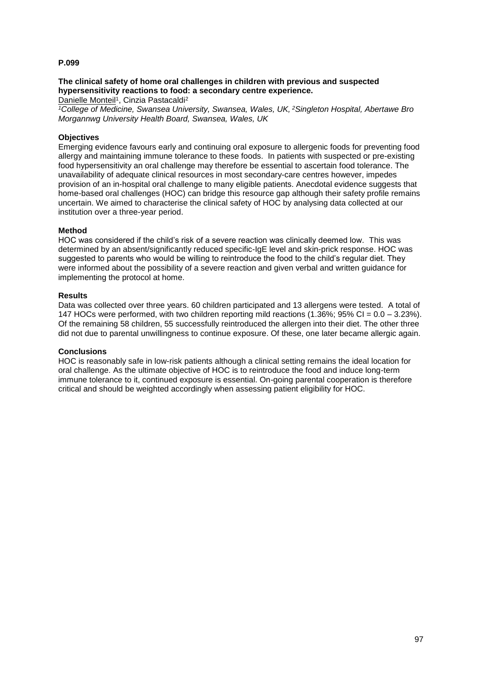## **The clinical safety of home oral challenges in children with previous and suspected hypersensitivity reactions to food: a secondary centre experience.**

Danielle Monteil<sup>1</sup>, Cinzia Pastacaldi<sup>2</sup>

*<sup>1</sup>College of Medicine, Swansea University, Swansea, Wales, UK, <sup>2</sup>Singleton Hospital, Abertawe Bro Morgannwg University Health Board, Swansea, Wales, UK*

## **Objectives**

Emerging evidence favours early and continuing oral exposure to allergenic foods for preventing food allergy and maintaining immune tolerance to these foods. In patients with suspected or pre-existing food hypersensitivity an oral challenge may therefore be essential to ascertain food tolerance. The unavailability of adequate clinical resources in most secondary-care centres however, impedes provision of an in-hospital oral challenge to many eligible patients. Anecdotal evidence suggests that home-based oral challenges (HOC) can bridge this resource gap although their safety profile remains uncertain. We aimed to characterise the clinical safety of HOC by analysing data collected at our institution over a three-year period.

## **Method**

HOC was considered if the child's risk of a severe reaction was clinically deemed low. This was determined by an absent/significantly reduced specific-IgE level and skin-prick response. HOC was suggested to parents who would be willing to reintroduce the food to the child's regular diet. They were informed about the possibility of a severe reaction and given verbal and written guidance for implementing the protocol at home.

## **Results**

Data was collected over three years. 60 children participated and 13 allergens were tested. A total of 147 HOCs were performed, with two children reporting mild reactions (1.36%; 95% CI = 0.0 – 3.23%). Of the remaining 58 children, 55 successfully reintroduced the allergen into their diet. The other three did not due to parental unwillingness to continue exposure. Of these, one later became allergic again.

#### **Conclusions**

HOC is reasonably safe in low-risk patients although a clinical setting remains the ideal location for oral challenge. As the ultimate objective of HOC is to reintroduce the food and induce long-term immune tolerance to it, continued exposure is essential. On-going parental cooperation is therefore critical and should be weighted accordingly when assessing patient eligibility for HOC.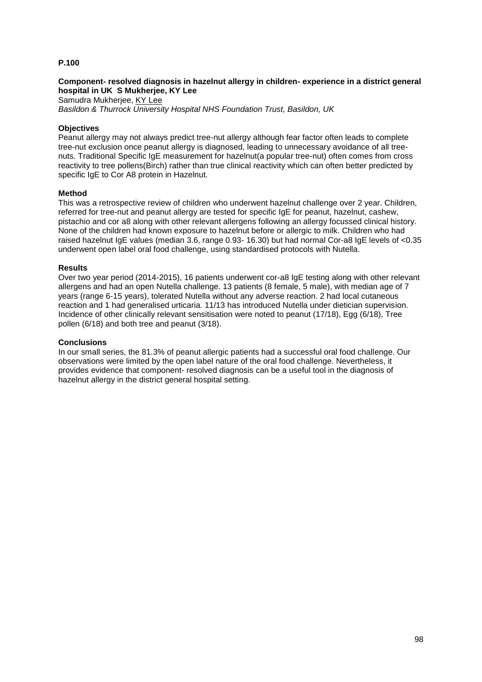## **Component- resolved diagnosis in hazelnut allergy in children- experience in a district general hospital in UK S Mukherjee, KY Lee**

Samudra Mukherjee, KY Lee *Basildon & Thurrock University Hospital NHS Foundation Trust, Basildon, UK*

## **Objectives**

Peanut allergy may not always predict tree-nut allergy although fear factor often leads to complete tree-nut exclusion once peanut allergy is diagnosed, leading to unnecessary avoidance of all treenuts. Traditional Specific IgE measurement for hazelnut(a popular tree-nut) often comes from cross reactivity to tree pollens(Birch) rather than true clinical reactivity which can often better predicted by specific IgE to Cor A8 protein in Hazelnut.

#### **Method**

This was a retrospective review of children who underwent hazelnut challenge over 2 year. Children, referred for tree-nut and peanut allergy are tested for specific IgE for peanut, hazelnut, cashew, pistachio and cor a8 along with other relevant allergens following an allergy focussed clinical history. None of the children had known exposure to hazelnut before or allergic to milk. Children who had raised hazelnut IgE values (median 3.6, range 0.93- 16.30) but had normal Cor-a8 IgE levels of <0.35 underwent open label oral food challenge, using standardised protocols with Nutella.

#### **Results**

Over two year period (2014-2015), 16 patients underwent cor-a8 IgE testing along with other relevant allergens and had an open Nutella challenge. 13 patients (8 female, 5 male), with median age of 7 years (range 6-15 years), tolerated Nutella without any adverse reaction. 2 had local cutaneous reaction and 1 had generalised urticaria. 11/13 has introduced Nutella under dietician supervision. Incidence of other clinically relevant sensitisation were noted to peanut (17/18), Egg (6/18), Tree pollen (6/18) and both tree and peanut (3/18).

#### **Conclusions**

In our small series, the 81.3% of peanut allergic patients had a successful oral food challenge. Our observations were limited by the open label nature of the oral food challenge. Nevertheless, it provides evidence that component- resolved diagnosis can be a useful tool in the diagnosis of hazelnut allergy in the district general hospital setting.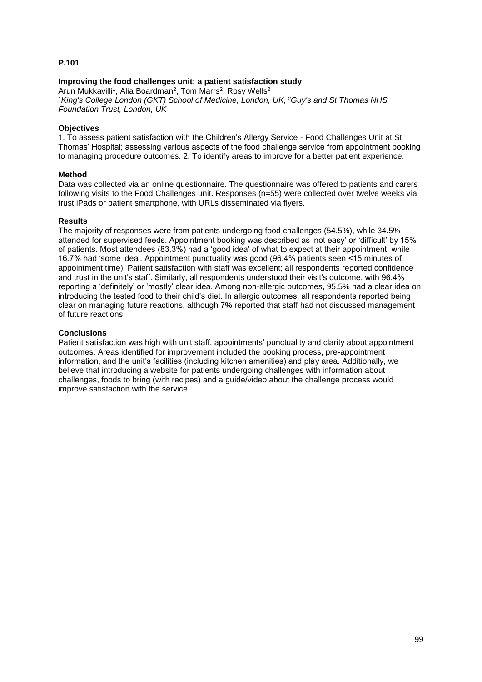## **Improving the food challenges unit: a patient satisfaction study**

Arun Mukkavilli<sup>1</sup>, Alia Boardman<sup>2</sup>, Tom Marrs<sup>2</sup>, Rosy Wells<sup>2</sup> *<sup>1</sup>King's College London (GKT) School of Medicine, London, UK, <sup>2</sup>Guy's and St Thomas NHS Foundation Trust, London, UK*

## **Objectives**

1. To assess patient satisfaction with the Children's Allergy Service - Food Challenges Unit at St Thomas' Hospital; assessing various aspects of the food challenge service from appointment booking to managing procedure outcomes. 2. To identify areas to improve for a better patient experience.

## **Method**

Data was collected via an online questionnaire. The questionnaire was offered to patients and carers following visits to the Food Challenges unit. Responses (n=55) were collected over twelve weeks via trust iPads or patient smartphone, with URLs disseminated via flyers.

## **Results**

The majority of responses were from patients undergoing food challenges (54.5%), while 34.5% attended for supervised feeds. Appointment booking was described as 'not easy' or 'difficult' by 15% of patients. Most attendees (83.3%) had a 'good idea' of what to expect at their appointment, while 16.7% had 'some idea'. Appointment punctuality was good (96.4% patients seen <15 minutes of appointment time). Patient satisfaction with staff was excellent; all respondents reported confidence and trust in the unit's staff. Similarly, all respondents understood their visit's outcome, with 96.4% reporting a 'definitely' or 'mostly' clear idea. Among non-allergic outcomes, 95.5% had a clear idea on introducing the tested food to their child's diet. In allergic outcomes, all respondents reported being clear on managing future reactions, although 7% reported that staff had not discussed management of future reactions.

## **Conclusions**

Patient satisfaction was high with unit staff, appointments' punctuality and clarity about appointment outcomes. Areas identified for improvement included the booking process, pre-appointment information, and the unit's facilities (including kitchen amenities) and play area. Additionally, we believe that introducing a website for patients undergoing challenges with information about challenges, foods to bring (with recipes) and a guide/video about the challenge process would improve satisfaction with the service.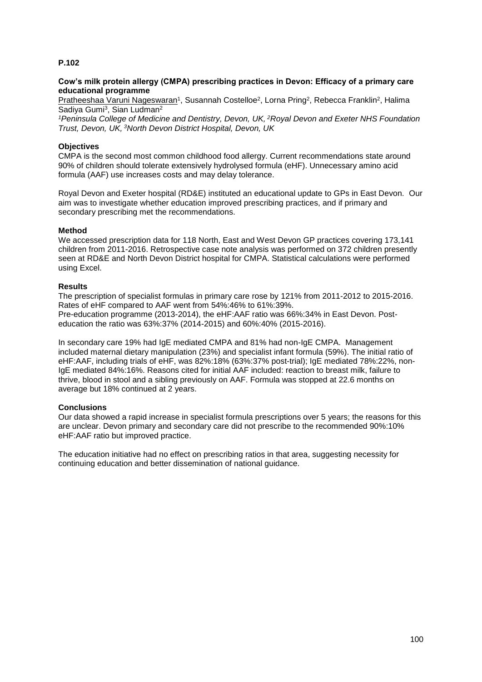## **Cow's milk protein allergy (CMPA) prescribing practices in Devon: Efficacy of a primary care educational programme**

Pratheeshaa Varuni Nageswaran<sup>1</sup>, Susannah Costelloe<sup>2</sup>, Lorna Pring<sup>2</sup>, Rebecca Franklin<sup>2</sup>, Halima Sadiya Gumi<sup>3</sup>, Sian Ludman<sup>2</sup>

*<sup>1</sup>Peninsula College of Medicine and Dentistry, Devon, UK, <sup>2</sup>Royal Devon and Exeter NHS Foundation Trust, Devon, UK, <sup>3</sup>North Devon District Hospital, Devon, UK*

## **Objectives**

CMPA is the second most common childhood food allergy. Current recommendations state around 90% of children should tolerate extensively hydrolysed formula (eHF). Unnecessary amino acid formula (AAF) use increases costs and may delay tolerance.

Royal Devon and Exeter hospital (RD&E) instituted an educational update to GPs in East Devon. Our aim was to investigate whether education improved prescribing practices, and if primary and secondary prescribing met the recommendations.

## **Method**

We accessed prescription data for 118 North, East and West Devon GP practices covering 173,141 children from 2011-2016. Retrospective case note analysis was performed on 372 children presently seen at RD&E and North Devon District hospital for CMPA. Statistical calculations were performed using Excel.

## **Results**

The prescription of specialist formulas in primary care rose by 121% from 2011-2012 to 2015-2016. Rates of eHF compared to AAF went from 54%:46% to 61%:39%. Pre-education programme (2013-2014), the eHF:AAF ratio was 66%:34% in East Devon. Posteducation the ratio was 63%:37% (2014-2015) and 60%:40% (2015-2016).

In secondary care 19% had IgE mediated CMPA and 81% had non-IgE CMPA. Management included maternal dietary manipulation (23%) and specialist infant formula (59%). The initial ratio of eHF:AAF, including trials of eHF, was 82%:18% (63%:37% post-trial); IgE mediated 78%:22%, non-IgE mediated 84%:16%. Reasons cited for initial AAF included: reaction to breast milk, failure to thrive, blood in stool and a sibling previously on AAF. Formula was stopped at 22.6 months on average but 18% continued at 2 years.

## **Conclusions**

Our data showed a rapid increase in specialist formula prescriptions over 5 years; the reasons for this are unclear. Devon primary and secondary care did not prescribe to the recommended 90%:10% eHF:AAF ratio but improved practice.

The education initiative had no effect on prescribing ratios in that area, suggesting necessity for continuing education and better dissemination of national guidance.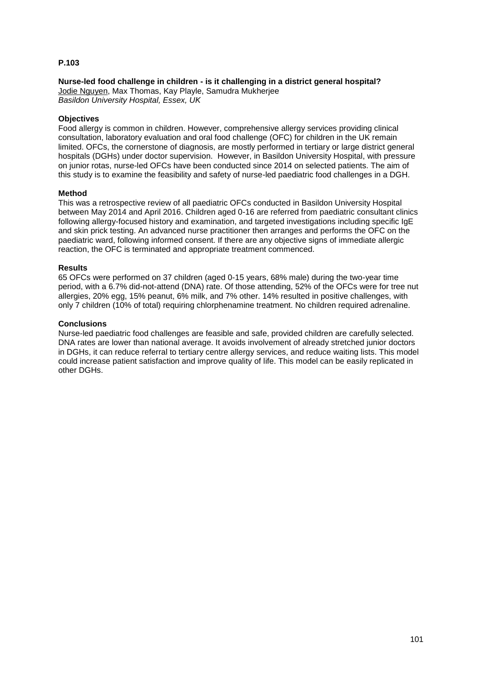## **Nurse-led food challenge in children - is it challenging in a district general hospital?**

Jodie Nguyen, Max Thomas, Kay Playle, Samudra Mukherjee *Basildon University Hospital, Essex, UK*

## **Objectives**

Food allergy is common in children. However, comprehensive allergy services providing clinical consultation, laboratory evaluation and oral food challenge (OFC) for children in the UK remain limited. OFCs, the cornerstone of diagnosis, are mostly performed in tertiary or large district general hospitals (DGHs) under doctor supervision. However, in Basildon University Hospital, with pressure on junior rotas, nurse-led OFCs have been conducted since 2014 on selected patients. The aim of this study is to examine the feasibility and safety of nurse-led paediatric food challenges in a DGH.

#### **Method**

This was a retrospective review of all paediatric OFCs conducted in Basildon University Hospital between May 2014 and April 2016. Children aged 0-16 are referred from paediatric consultant clinics following allergy-focused history and examination, and targeted investigations including specific IgE and skin prick testing. An advanced nurse practitioner then arranges and performs the OFC on the paediatric ward, following informed consent. If there are any objective signs of immediate allergic reaction, the OFC is terminated and appropriate treatment commenced.

#### **Results**

65 OFCs were performed on 37 children (aged 0-15 years, 68% male) during the two-year time period, with a 6.7% did-not-attend (DNA) rate. Of those attending, 52% of the OFCs were for tree nut allergies, 20% egg, 15% peanut, 6% milk, and 7% other. 14% resulted in positive challenges, with only 7 children (10% of total) requiring chlorphenamine treatment. No children required adrenaline.

## **Conclusions**

Nurse-led paediatric food challenges are feasible and safe, provided children are carefully selected. DNA rates are lower than national average. It avoids involvement of already stretched junior doctors in DGHs, it can reduce referral to tertiary centre allergy services, and reduce waiting lists. This model could increase patient satisfaction and improve quality of life. This model can be easily replicated in other DGHs.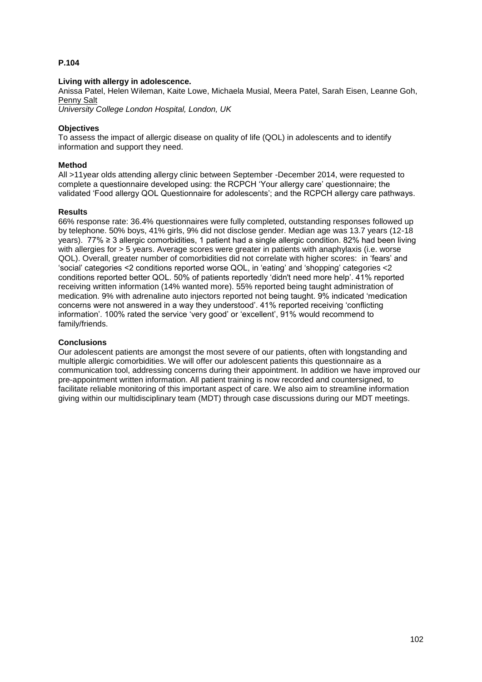## **Living with allergy in adolescence.**

Anissa Patel, Helen Wileman, Kaite Lowe, Michaela Musial, Meera Patel, Sarah Eisen, Leanne Goh, Penny Salt

*University College London Hospital, London, UK*

### **Objectives**

To assess the impact of allergic disease on quality of life (QOL) in adolescents and to identify information and support they need.

### **Method**

All >11year olds attending allergy clinic between September -December 2014, were requested to complete a questionnaire developed using: the RCPCH 'Your allergy care' questionnaire; the validated 'Food allergy QOL Questionnaire for adolescents'; and the RCPCH allergy care pathways.

#### **Results**

66% response rate: 36.4% questionnaires were fully completed, outstanding responses followed up by telephone. 50% boys, 41% girls, 9% did not disclose gender. Median age was 13.7 years (12-18 years). 77% ≥ 3 allergic comorbidities, 1 patient had a single allergic condition. 82% had been living with allergies for > 5 years. Average scores were greater in patients with anaphylaxis (i.e. worse QOL). Overall, greater number of comorbidities did not correlate with higher scores: in 'fears' and 'social' categories <2 conditions reported worse QOL, in 'eating' and 'shopping' categories <2 conditions reported better QOL. 50% of patients reportedly 'didn't need more help'. 41% reported receiving written information (14% wanted more). 55% reported being taught administration of medication. 9% with adrenaline auto injectors reported not being taught. 9% indicated 'medication concerns were not answered in a way they understood'. 41% reported receiving 'conflicting information'. 100% rated the service 'very good' or 'excellent', 91% would recommend to family/friends.

#### **Conclusions**

Our adolescent patients are amongst the most severe of our patients, often with longstanding and multiple allergic comorbidities. We will offer our adolescent patients this questionnaire as a communication tool, addressing concerns during their appointment. In addition we have improved our pre-appointment written information. All patient training is now recorded and countersigned, to facilitate reliable monitoring of this important aspect of care. We also aim to streamline information giving within our multidisciplinary team (MDT) through case discussions during our MDT meetings.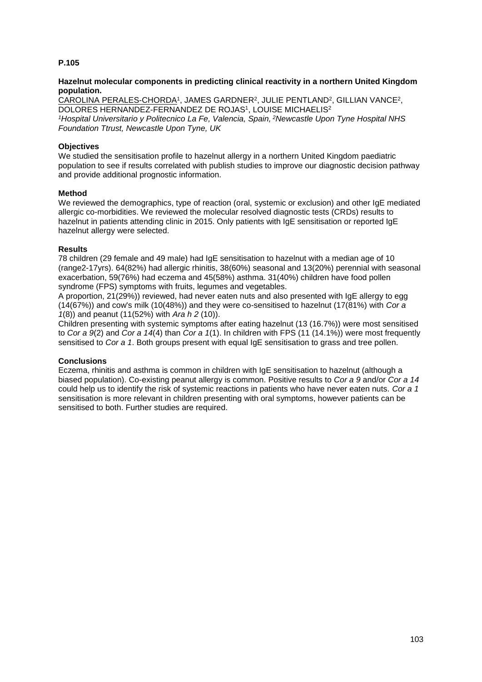### **Hazelnut molecular components in predicting clinical reactivity in a northern United Kingdom population.**

CAROLINA PERALES-CHORDA<sup>1</sup>, JAMES GARDNER<sup>2</sup>, JULIE PENTLAND<sup>2</sup>, GILLIAN VANCE<sup>2</sup>, DOLORES HERNANDEZ-FERNANDEZ DE ROJAS<sup>1</sup>, LOUISE MICHAELIS<sup>2</sup> *<sup>1</sup>Hospital Universitario y Politecnico La Fe, Valencia, Spain, <sup>2</sup>Newcastle Upon Tyne Hospital NHS Foundation Ttrust, Newcastle Upon Tyne, UK*

## **Objectives**

We studied the sensitisation profile to hazelnut allergy in a northern United Kingdom paediatric population to see if results correlated with publish studies to improve our diagnostic decision pathway and provide additional prognostic information.

## **Method**

We reviewed the demographics, type of reaction (oral, systemic or exclusion) and other IgE mediated allergic co-morbidities. We reviewed the molecular resolved diagnostic tests (CRDs) results to hazelnut in patients attending clinic in 2015. Only patients with IgE sensitisation or reported IgE hazelnut allergy were selected.

## **Results**

78 children (29 female and 49 male) had IgE sensitisation to hazelnut with a median age of 10 (range2-17yrs). 64(82%) had allergic rhinitis, 38(60%) seasonal and 13(20%) perennial with seasonal exacerbation, 59(76%) had eczema and 45(58%) asthma. 31(40%) children have food pollen syndrome (FPS) symptoms with fruits, legumes and vegetables.

A proportion, 21(29%)) reviewed, had never eaten nuts and also presented with IgE allergy to egg (14(67%)) and cow's milk (10(48%)) and they were co-sensitised to hazelnut (17(81%) with *Cor a 1*(8)) and peanut (11(52%) with *Ara h 2* (10)).

Children presenting with systemic symptoms after eating hazelnut (13 (16.7%)) were most sensitised to *Cor a 9*(2) and *Cor a 14*(4) than *Cor a 1*(1). In children with FPS (11 (14.1%)) were most frequently sensitised to *Cor a 1*. Both groups present with equal IgE sensitisation to grass and tree pollen.

## **Conclusions**

Eczema, rhinitis and asthma is common in children with IgE sensitisation to hazelnut (although a biased population). Co-existing peanut allergy is common. Positive results to *Cor a 9* and/or *Cor a 14* could help us to identify the risk of systemic reactions in patients who have never eaten nuts. *Cor a 1* sensitisation is more relevant in children presenting with oral symptoms, however patients can be sensitised to both. Further studies are required.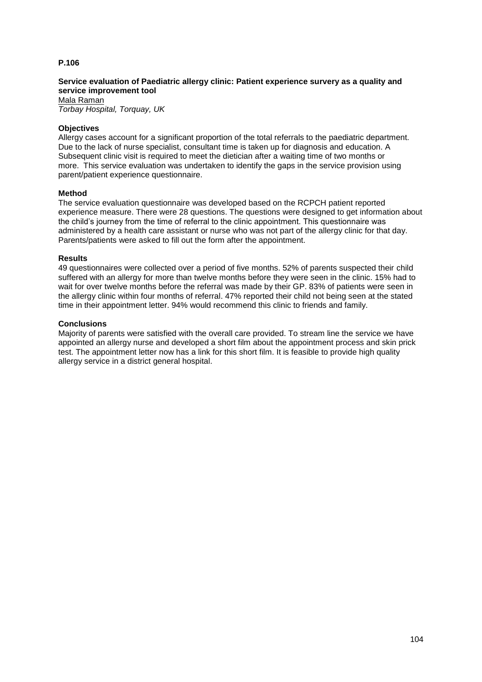## **Service evaluation of Paediatric allergy clinic: Patient experience survery as a quality and service improvement tool**

Mala Raman *Torbay Hospital, Torquay, UK*

## **Objectives**

Allergy cases account for a significant proportion of the total referrals to the paediatric department. Due to the lack of nurse specialist, consultant time is taken up for diagnosis and education. A Subsequent clinic visit is required to meet the dietician after a waiting time of two months or more. This service evaluation was undertaken to identify the gaps in the service provision using parent/patient experience questionnaire.

#### **Method**

The service evaluation questionnaire was developed based on the RCPCH patient reported experience measure. There were 28 questions. The questions were designed to get information about the child's journey from the time of referral to the clinic appointment. This questionnaire was administered by a health care assistant or nurse who was not part of the allergy clinic for that day. Parents/patients were asked to fill out the form after the appointment.

#### **Results**

49 questionnaires were collected over a period of five months. 52% of parents suspected their child suffered with an allergy for more than twelve months before they were seen in the clinic. 15% had to wait for over twelve months before the referral was made by their GP. 83% of patients were seen in the allergy clinic within four months of referral. 47% reported their child not being seen at the stated time in their appointment letter. 94% would recommend this clinic to friends and family.

## **Conclusions**

Majority of parents were satisfied with the overall care provided. To stream line the service we have appointed an allergy nurse and developed a short film about the appointment process and skin prick test. The appointment letter now has a link for this short film. It is feasible to provide high quality allergy service in a district general hospital.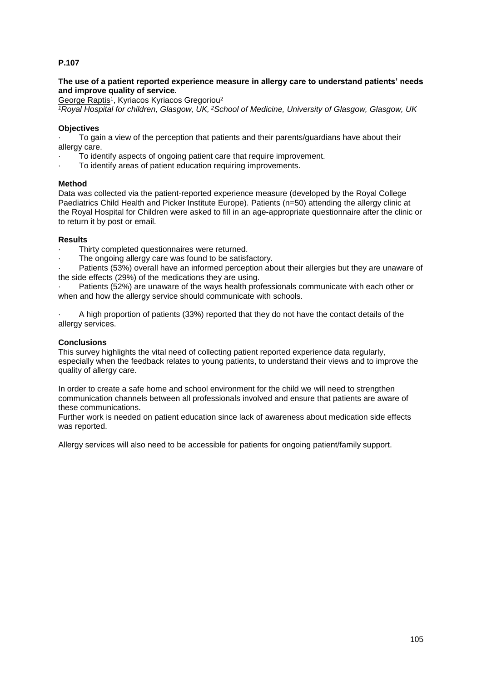## **The use of a patient reported experience measure in allergy care to understand patients' needs and improve quality of service.**

George Raptis<sup>1</sup>, Kyriacos Kyriacos Gregoriou<sup>2</sup>

*<sup>1</sup>Royal Hospital for children, Glasgow, UK, <sup>2</sup>School of Medicine, University of Glasgow, Glasgow, UK*

## **Objectives**

To gain a view of the perception that patients and their parents/guardians have about their allergy care.

- To identify aspects of ongoing patient care that require improvement.
- To identify areas of patient education requiring improvements.

## **Method**

Data was collected via the patient-reported experience measure (developed by the Royal College Paediatrics Child Health and Picker Institute Europe). Patients (n=50) attending the allergy clinic at the Royal Hospital for Children were asked to fill in an age-appropriate questionnaire after the clinic or to return it by post or email.

## **Results**

- Thirty completed questionnaires were returned.
- The ongoing allergy care was found to be satisfactory.

Patients (53%) overall have an informed perception about their allergies but they are unaware of the side effects (29%) of the medications they are using.

Patients (52%) are unaware of the ways health professionals communicate with each other or when and how the allergy service should communicate with schools.

· A high proportion of patients (33%) reported that they do not have the contact details of the allergy services.

### **Conclusions**

This survey highlights the vital need of collecting patient reported experience data regularly, especially when the feedback relates to young patients, to understand their views and to improve the quality of allergy care.

In order to create a safe home and school environment for the child we will need to strengthen communication channels between all professionals involved and ensure that patients are aware of these communications.

Further work is needed on patient education since lack of awareness about medication side effects was reported.

Allergy services will also need to be accessible for patients for ongoing patient/family support.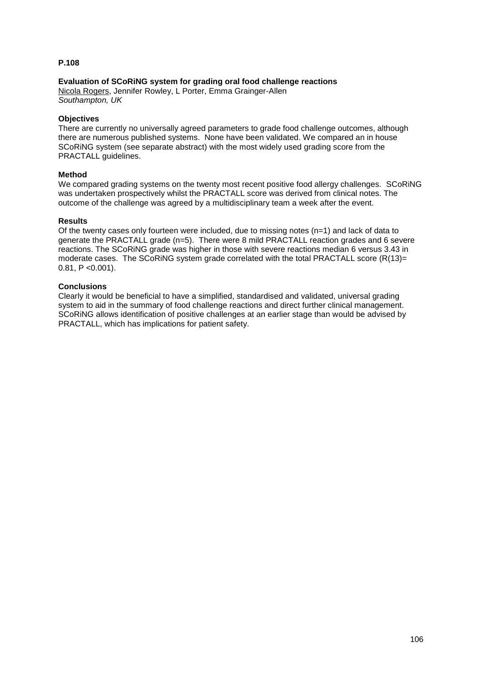## **Evaluation of SCoRiNG system for grading oral food challenge reactions**

Nicola Rogers, Jennifer Rowley, L Porter, Emma Grainger-Allen *Southampton, UK*

## **Objectives**

There are currently no universally agreed parameters to grade food challenge outcomes, although there are numerous published systems. None have been validated. We compared an in house SCoRiNG system (see separate abstract) with the most widely used grading score from the PRACTALL guidelines.

## **Method**

We compared grading systems on the twenty most recent positive food allergy challenges. SCoRING was undertaken prospectively whilst the PRACTALL score was derived from clinical notes. The outcome of the challenge was agreed by a multidisciplinary team a week after the event.

## **Results**

Of the twenty cases only fourteen were included, due to missing notes  $(n=1)$  and lack of data to generate the PRACTALL grade (n=5). There were 8 mild PRACTALL reaction grades and 6 severe reactions. The SCoRiNG grade was higher in those with severe reactions median 6 versus 3.43 in moderate cases. The SCoRiNG system grade correlated with the total PRACTALL score  $(R(13)=$  $0.81, P < 0.001$ ).

## **Conclusions**

Clearly it would be beneficial to have a simplified, standardised and validated, universal grading system to aid in the summary of food challenge reactions and direct further clinical management. SCoRiNG allows identification of positive challenges at an earlier stage than would be advised by PRACTALL, which has implications for patient safety.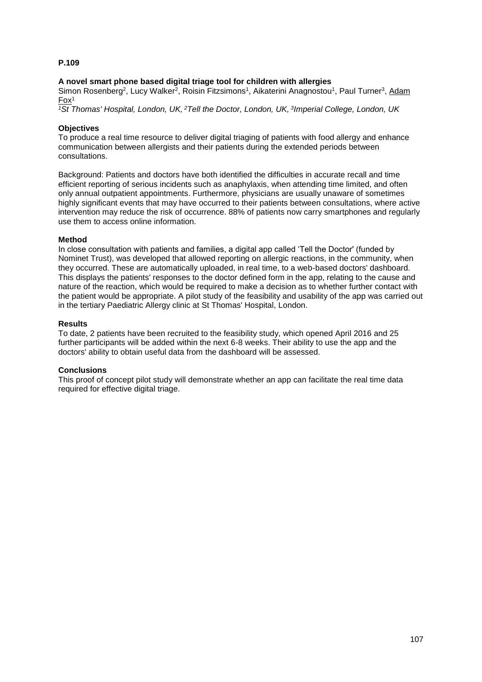#### **A novel smart phone based digital triage tool for children with allergies**

Simon Rosenberg<sup>2</sup>, Lucy Walker<sup>2</sup>, Roisin Fitzsimons<sup>1</sup>, Aikaterini Anagnostou<sup>1</sup>, Paul Turner<sup>3</sup>, Adam Fox<sup>1</sup>

*<sup>1</sup>St Thomas' Hospital, London, UK, <sup>2</sup>Tell the Doctor, London, UK, <sup>3</sup> Imperial College, London, UK*

#### **Objectives**

To produce a real time resource to deliver digital triaging of patients with food allergy and enhance communication between allergists and their patients during the extended periods between consultations.

Background: Patients and doctors have both identified the difficulties in accurate recall and time efficient reporting of serious incidents such as anaphylaxis, when attending time limited, and often only annual outpatient appointments. Furthermore, physicians are usually unaware of sometimes highly significant events that may have occurred to their patients between consultations, where active intervention may reduce the risk of occurrence. 88% of patients now carry smartphones and regularly use them to access online information.

#### **Method**

In close consultation with patients and families, a digital app called 'Tell the Doctor' (funded by Nominet Trust), was developed that allowed reporting on allergic reactions, in the community, when they occurred. These are automatically uploaded, in real time, to a web-based doctors' dashboard. This displays the patients' responses to the doctor defined form in the app, relating to the cause and nature of the reaction, which would be required to make a decision as to whether further contact with the patient would be appropriate. A pilot study of the feasibility and usability of the app was carried out in the tertiary Paediatric Allergy clinic at St Thomas' Hospital, London.

#### **Results**

To date, 2 patients have been recruited to the feasibility study, which opened April 2016 and 25 further participants will be added within the next 6-8 weeks. Their ability to use the app and the doctors' ability to obtain useful data from the dashboard will be assessed.

#### **Conclusions**

This proof of concept pilot study will demonstrate whether an app can facilitate the real time data required for effective digital triage.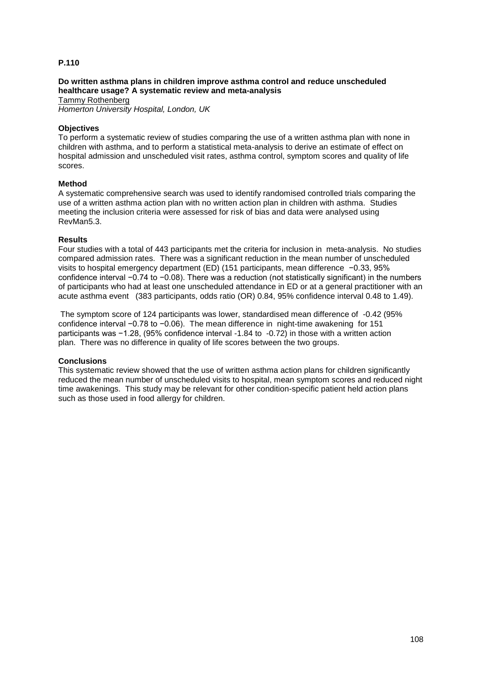## **Do written asthma plans in children improve asthma control and reduce unscheduled healthcare usage? A systematic review and meta-analysis**

Tammy Rothenberg *Homerton University Hospital, London, UK*

#### **Objectives**

To perform a systematic review of studies comparing the use of a written asthma plan with none in children with asthma, and to perform a statistical meta-analysis to derive an estimate of effect on hospital admission and unscheduled visit rates, asthma control, symptom scores and quality of life scores.

#### **Method**

A systematic comprehensive search was used to identify randomised controlled trials comparing the use of a written asthma action plan with no written action plan in children with asthma. Studies meeting the inclusion criteria were assessed for risk of bias and data were analysed using RevMan5.3.

#### **Results**

Four studies with a total of 443 participants met the criteria for inclusion in meta-analysis. No studies compared admission rates. There was a significant reduction in the mean number of unscheduled visits to hospital emergency department (ED) (151 participants, mean difference −0.33, 95% confidence interval −0.74 to −0.08). There was a reduction (not statistically significant) in the numbers of participants who had at least one unscheduled attendance in ED or at a general practitioner with an acute asthma event (383 participants, odds ratio (OR) 0.84, 95% confidence interval 0.48 to 1.49).

The symptom score of 124 participants was lower, standardised mean difference of -0.42 (95% confidence interval −0.78 to −0.06). The mean difference in night-time awakening for 151 participants was −1.28, (95% confidence interval -1.84 to -0.72) in those with a written action plan. There was no difference in quality of life scores between the two groups.

#### **Conclusions**

This systematic review showed that the use of written asthma action plans for children significantly reduced the mean number of unscheduled visits to hospital, mean symptom scores and reduced night time awakenings. This study may be relevant for other condition-specific patient held action plans such as those used in food allergy for children.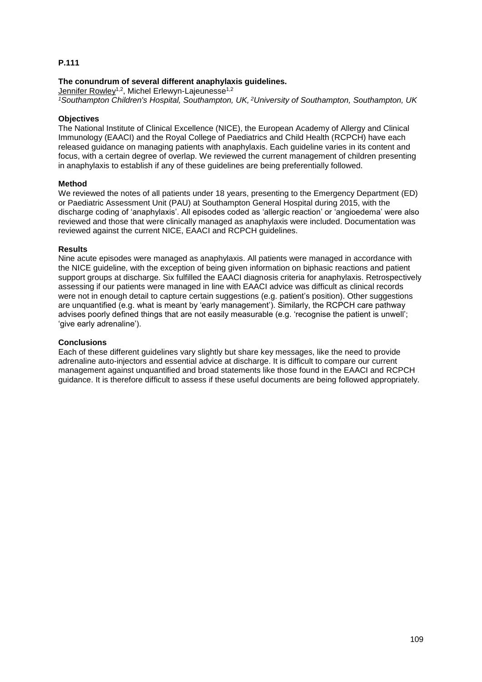## **The conundrum of several different anaphylaxis guidelines.**

Jennifer Rowley<sup>1,2</sup>, Michel Erlewyn-Lajeunesse<sup>1,2</sup>

*<sup>1</sup>Southampton Children's Hospital, Southampton, UK, <sup>2</sup>University of Southampton, Southampton, UK*

#### **Objectives**

The National Institute of Clinical Excellence (NICE), the European Academy of Allergy and Clinical Immunology (EAACI) and the Royal College of Paediatrics and Child Health (RCPCH) have each released guidance on managing patients with anaphylaxis. Each guideline varies in its content and focus, with a certain degree of overlap. We reviewed the current management of children presenting in anaphylaxis to establish if any of these guidelines are being preferentially followed.

#### **Method**

We reviewed the notes of all patients under 18 years, presenting to the Emergency Department (ED) or Paediatric Assessment Unit (PAU) at Southampton General Hospital during 2015, with the discharge coding of 'anaphylaxis'. All episodes coded as 'allergic reaction' or 'angioedema' were also reviewed and those that were clinically managed as anaphylaxis were included. Documentation was reviewed against the current NICE, EAACI and RCPCH guidelines.

#### **Results**

Nine acute episodes were managed as anaphylaxis. All patients were managed in accordance with the NICE guideline, with the exception of being given information on biphasic reactions and patient support groups at discharge. Six fulfilled the EAACI diagnosis criteria for anaphylaxis. Retrospectively assessing if our patients were managed in line with EAACI advice was difficult as clinical records were not in enough detail to capture certain suggestions (e.g. patient's position). Other suggestions are unquantified (e.g. what is meant by 'early management'). Similarly, the RCPCH care pathway advises poorly defined things that are not easily measurable (e.g. 'recognise the patient is unwell'; 'give early adrenaline').

#### **Conclusions**

Each of these different guidelines vary slightly but share key messages, like the need to provide adrenaline auto-injectors and essential advice at discharge. It is difficult to compare our current management against unquantified and broad statements like those found in the EAACI and RCPCH guidance. It is therefore difficult to assess if these useful documents are being followed appropriately.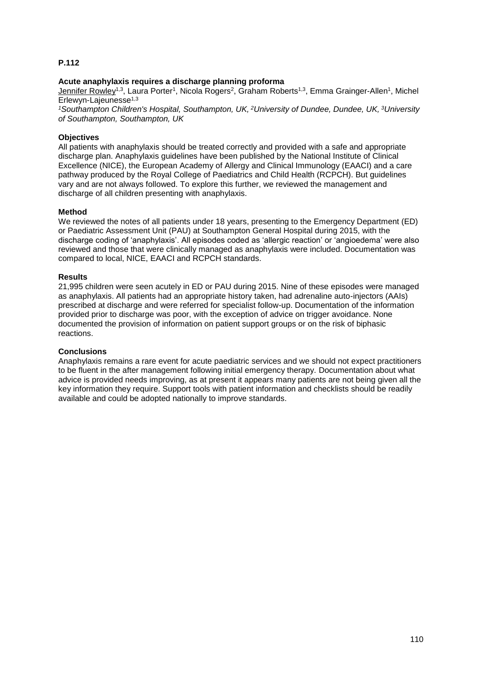#### **Acute anaphylaxis requires a discharge planning proforma**

Jennifer Rowley<sup>1,3</sup>, Laura Porter<sup>1</sup>, Nicola Rogers<sup>2</sup>, Graham Roberts<sup>1,3</sup>, Emma Grainger-Allen<sup>1</sup>, Michel Erlewyn-Lajeunesse1,3

*<sup>1</sup>Southampton Children's Hospital, Southampton, UK, <sup>2</sup>University of Dundee, Dundee, UK, <sup>3</sup>University of Southampton, Southampton, UK*

#### **Objectives**

All patients with anaphylaxis should be treated correctly and provided with a safe and appropriate discharge plan. Anaphylaxis guidelines have been published by the National Institute of Clinical Excellence (NICE), the European Academy of Allergy and Clinical Immunology (EAACI) and a care pathway produced by the Royal College of Paediatrics and Child Health (RCPCH). But guidelines vary and are not always followed. To explore this further, we reviewed the management and discharge of all children presenting with anaphylaxis.

#### **Method**

We reviewed the notes of all patients under 18 years, presenting to the Emergency Department (ED) or Paediatric Assessment Unit (PAU) at Southampton General Hospital during 2015, with the discharge coding of 'anaphylaxis'. All episodes coded as 'allergic reaction' or 'angioedema' were also reviewed and those that were clinically managed as anaphylaxis were included. Documentation was compared to local, NICE, EAACI and RCPCH standards.

#### **Results**

21,995 children were seen acutely in ED or PAU during 2015. Nine of these episodes were managed as anaphylaxis. All patients had an appropriate history taken, had adrenaline auto-injectors (AAIs) prescribed at discharge and were referred for specialist follow-up. Documentation of the information provided prior to discharge was poor, with the exception of advice on trigger avoidance. None documented the provision of information on patient support groups or on the risk of biphasic reactions.

#### **Conclusions**

Anaphylaxis remains a rare event for acute paediatric services and we should not expect practitioners to be fluent in the after management following initial emergency therapy. Documentation about what advice is provided needs improving, as at present it appears many patients are not being given all the key information they require. Support tools with patient information and checklists should be readily available and could be adopted nationally to improve standards.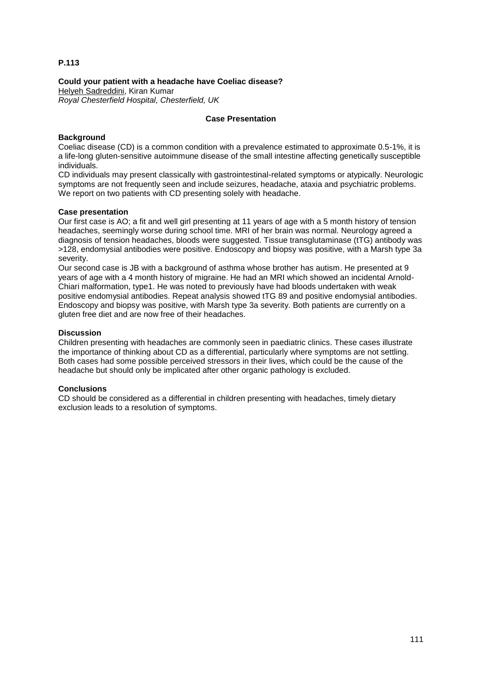**Could your patient with a headache have Coeliac disease?**

Helyeh Sadreddini, Kiran Kumar *Royal Chesterfield Hospital, Chesterfield, UK*

## **Case Presentation**

## **Background**

Coeliac disease (CD) is a common condition with a prevalence estimated to approximate 0.5-1%, it is a life-long gluten-sensitive autoimmune disease of the small intestine affecting genetically susceptible individuals.

CD individuals may present classically with gastrointestinal-related symptoms or atypically. Neurologic symptoms are not frequently seen and include seizures, headache, ataxia and psychiatric problems. We report on two patients with CD presenting solely with headache.

## **Case presentation**

Our first case is AO; a fit and well girl presenting at 11 years of age with a 5 month history of tension headaches, seemingly worse during school time. MRI of her brain was normal. Neurology agreed a diagnosis of tension headaches, bloods were suggested. Tissue transglutaminase (tTG) antibody was >128, endomysial antibodies were positive. Endoscopy and biopsy was positive, with a Marsh type 3a severity.

Our second case is JB with a background of asthma whose brother has autism. He presented at 9 years of age with a 4 month history of migraine. He had an MRI which showed an incidental Arnold-Chiari malformation, type1. He was noted to previously have had bloods undertaken with weak positive endomysial antibodies. Repeat analysis showed tTG 89 and positive endomysial antibodies. Endoscopy and biopsy was positive, with Marsh type 3a severity. Both patients are currently on a gluten free diet and are now free of their headaches.

## **Discussion**

Children presenting with headaches are commonly seen in paediatric clinics. These cases illustrate the importance of thinking about CD as a differential, particularly where symptoms are not settling. Both cases had some possible perceived stressors in their lives, which could be the cause of the headache but should only be implicated after other organic pathology is excluded.

## **Conclusions**

CD should be considered as a differential in children presenting with headaches, timely dietary exclusion leads to a resolution of symptoms.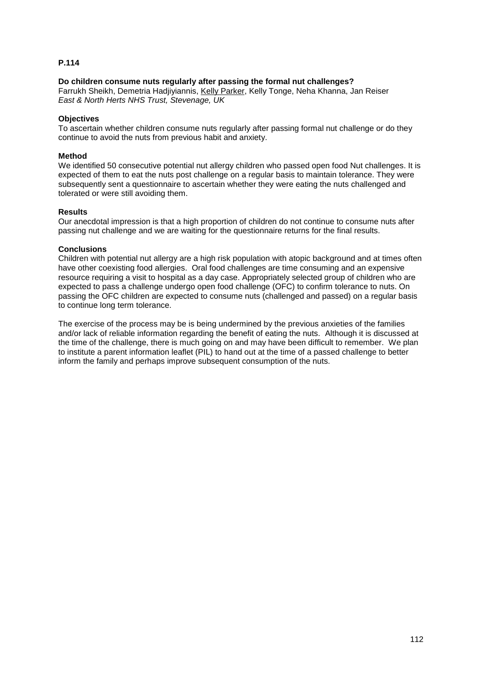#### **Do children consume nuts regularly after passing the formal nut challenges?**

Farrukh Sheikh, Demetria Hadjiyiannis, Kelly Parker, Kelly Tonge, Neha Khanna, Jan Reiser *East & North Herts NHS Trust, Stevenage, UK*

#### **Objectives**

To ascertain whether children consume nuts regularly after passing formal nut challenge or do they continue to avoid the nuts from previous habit and anxiety.

#### **Method**

We identified 50 consecutive potential nut allergy children who passed open food Nut challenges. It is expected of them to eat the nuts post challenge on a regular basis to maintain tolerance. They were subsequently sent a questionnaire to ascertain whether they were eating the nuts challenged and tolerated or were still avoiding them.

#### **Results**

Our anecdotal impression is that a high proportion of children do not continue to consume nuts after passing nut challenge and we are waiting for the questionnaire returns for the final results.

#### **Conclusions**

Children with potential nut allergy are a high risk population with atopic background and at times often have other coexisting food allergies. Oral food challenges are time consuming and an expensive resource requiring a visit to hospital as a day case. Appropriately selected group of children who are expected to pass a challenge undergo open food challenge (OFC) to confirm tolerance to nuts. On passing the OFC children are expected to consume nuts (challenged and passed) on a regular basis to continue long term tolerance.

The exercise of the process may be is being undermined by the previous anxieties of the families and/or lack of reliable information regarding the benefit of eating the nuts. Although it is discussed at the time of the challenge, there is much going on and may have been difficult to remember. We plan to institute a parent information leaflet (PIL) to hand out at the time of a passed challenge to better inform the family and perhaps improve subsequent consumption of the nuts.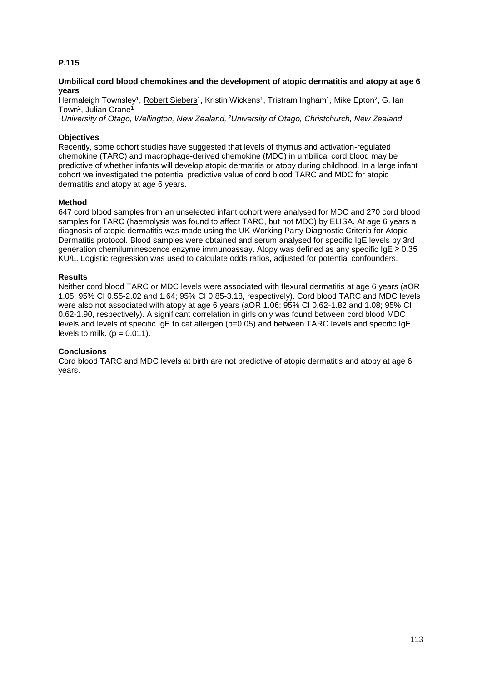#### **Umbilical cord blood chemokines and the development of atopic dermatitis and atopy at age 6 years**

Hermaleigh Townsley<sup>1</sup>, Robert Siebers<sup>1</sup>, Kristin Wickens<sup>1</sup>, Tristram Ingham<sup>1</sup>, Mike Epton<sup>2</sup>, G. Ian Town<sup>2</sup>, Julian Crane<sup>1</sup>

*<sup>1</sup>University of Otago, Wellington, New Zealand, <sup>2</sup>University of Otago, Christchurch, New Zealand*

#### **Objectives**

Recently, some cohort studies have suggested that levels of thymus and activation-regulated chemokine (TARC) and macrophage-derived chemokine (MDC) in umbilical cord blood may be predictive of whether infants will develop atopic dermatitis or atopy during childhood. In a large infant cohort we investigated the potential predictive value of cord blood TARC and MDC for atopic dermatitis and atopy at age 6 years.

#### **Method**

647 cord blood samples from an unselected infant cohort were analysed for MDC and 270 cord blood samples for TARC (haemolysis was found to affect TARC, but not MDC) by ELISA. At age 6 years a diagnosis of atopic dermatitis was made using the UK Working Party Diagnostic Criteria for Atopic Dermatitis protocol. Blood samples were obtained and serum analysed for specific IgE levels by 3rd generation chemiluminescence enzyme immunoassay. Atopy was defined as any specific IgE ≥ 0.35 KU/L. Logistic regression was used to calculate odds ratios, adjusted for potential confounders.

#### **Results**

Neither cord blood TARC or MDC levels were associated with flexural dermatitis at age 6 years (aOR 1.05; 95% CI 0.55-2.02 and 1.64; 95% CI 0.85-3.18, respectively). Cord blood TARC and MDC levels were also not associated with atopy at age 6 years (aOR 1.06; 95% CI 0.62-1.82 and 1.08; 95% CI 0.62-1.90, respectively). A significant correlation in girls only was found between cord blood MDC levels and levels of specific IgE to cat allergen (p=0.05) and between TARC levels and specific IgE levels to milk. ( $p = 0.011$ ).

#### **Conclusions**

Cord blood TARC and MDC levels at birth are not predictive of atopic dermatitis and atopy at age 6 years.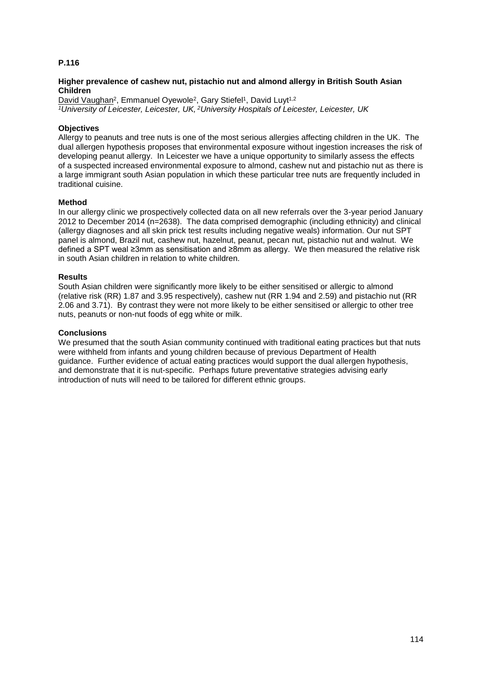#### **Higher prevalence of cashew nut, pistachio nut and almond allergy in British South Asian Children**

David Vaughan<sup>2</sup>, Emmanuel Oyewole<sup>2</sup>, Gary Stiefel<sup>1</sup>, David Luyt<sup>1,2</sup> *<sup>1</sup>University of Leicester, Leicester, UK, <sup>2</sup>University Hospitals of Leicester, Leicester, UK*

#### **Objectives**

Allergy to peanuts and tree nuts is one of the most serious allergies affecting children in the UK. The dual allergen hypothesis proposes that environmental exposure without ingestion increases the risk of developing peanut allergy. In Leicester we have a unique opportunity to similarly assess the effects of a suspected increased environmental exposure to almond, cashew nut and pistachio nut as there is a large immigrant south Asian population in which these particular tree nuts are frequently included in traditional cuisine.

#### **Method**

In our allergy clinic we prospectively collected data on all new referrals over the 3-year period January 2012 to December 2014 (n=2638). The data comprised demographic (including ethnicity) and clinical (allergy diagnoses and all skin prick test results including negative weals) information. Our nut SPT panel is almond, Brazil nut, cashew nut, hazelnut, peanut, pecan nut, pistachio nut and walnut. We defined a SPT weal ≥3mm as sensitisation and ≥8mm as allergy. We then measured the relative risk in south Asian children in relation to white children.

#### **Results**

South Asian children were significantly more likely to be either sensitised or allergic to almond (relative risk (RR) 1.87 and 3.95 respectively), cashew nut (RR 1.94 and 2.59) and pistachio nut (RR 2.06 and 3.71). By contrast they were not more likely to be either sensitised or allergic to other tree nuts, peanuts or non-nut foods of egg white or milk.

#### **Conclusions**

We presumed that the south Asian community continued with traditional eating practices but that nuts were withheld from infants and young children because of previous Department of Health guidance. Further evidence of actual eating practices would support the dual allergen hypothesis, and demonstrate that it is nut-specific. Perhaps future preventative strategies advising early introduction of nuts will need to be tailored for different ethnic groups.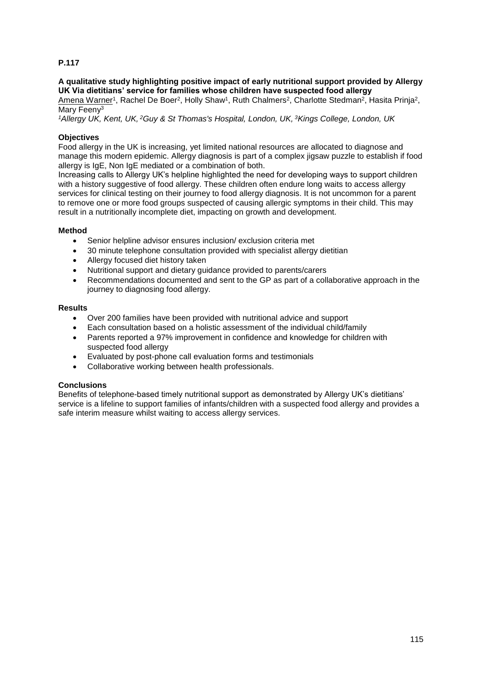#### **A qualitative study highlighting positive impact of early nutritional support provided by Allergy UK Via dietitians' service for families whose children have suspected food allergy**

Amena Warner<sup>1</sup>, Rachel De Boer<sup>2</sup>, Holly Shaw<sup>1</sup>, Ruth Chalmers<sup>2</sup>, Charlotte Stedman<sup>2</sup>, Hasita Prinja<sup>2</sup>, Mary Feeny<sup>3</sup>

*<sup>1</sup>Allergy UK, Kent, UK, <sup>2</sup>Guy & St Thomas's Hospital, London, UK, <sup>3</sup>Kings College, London, UK*

## **Objectives**

Food allergy in the UK is increasing, yet limited national resources are allocated to diagnose and manage this modern epidemic. Allergy diagnosis is part of a complex jigsaw puzzle to establish if food allergy is IgE, Non IgE mediated or a combination of both.

Increasing calls to Allergy UK's helpline highlighted the need for developing ways to support children with a history suggestive of food allergy. These children often endure long waits to access allergy services for clinical testing on their journey to food allergy diagnosis. It is not uncommon for a parent to remove one or more food groups suspected of causing allergic symptoms in their child. This may result in a nutritionally incomplete diet, impacting on growth and development.

## **Method**

- Senior helpline advisor ensures inclusion/ exclusion criteria met
- 30 minute telephone consultation provided with specialist allergy dietitian
- Allergy focused diet history taken
- Nutritional support and dietary guidance provided to parents/carers
- Recommendations documented and sent to the GP as part of a collaborative approach in the journey to diagnosing food allergy.

#### **Results**

- Over 200 families have been provided with nutritional advice and support
- Each consultation based on a holistic assessment of the individual child/family
- Parents reported a 97% improvement in confidence and knowledge for children with suspected food allergy
- Evaluated by post-phone call evaluation forms and testimonials
- Collaborative working between health professionals.

## **Conclusions**

Benefits of telephone-based timely nutritional support as demonstrated by Allergy UK's dietitians' service is a lifeline to support families of infants/children with a suspected food allergy and provides a safe interim measure whilst waiting to access allergy services.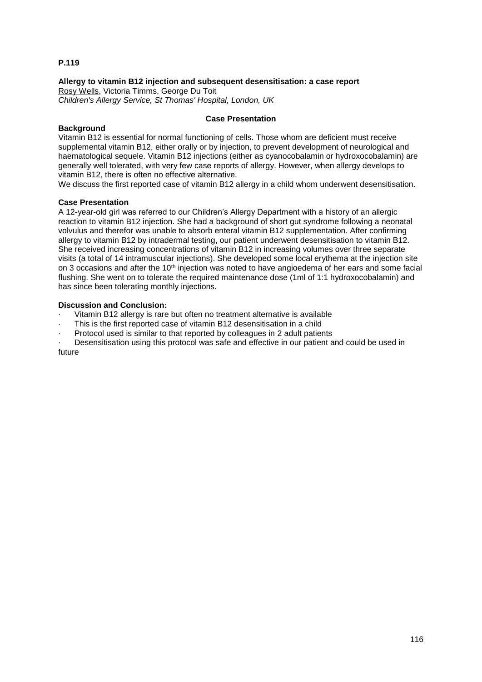## **Allergy to vitamin B12 injection and subsequent desensitisation: a case report**

Rosy Wells, Victoria Timms, George Du Toit *Children's Allergy Service, St Thomas' Hospital, London, UK*

#### **Case Presentation**

#### **Background**

Vitamin B12 is essential for normal functioning of cells. Those whom are deficient must receive supplemental vitamin B12, either orally or by injection, to prevent development of neurological and haematological sequele. Vitamin B12 injections (either as cyanocobalamin or hydroxocobalamin) are generally well tolerated, with very few case reports of allergy. However, when allergy develops to vitamin B12, there is often no effective alternative.

We discuss the first reported case of vitamin B12 allergy in a child whom underwent desensitisation.

#### **Case Presentation**

A 12-year-old girl was referred to our Children's Allergy Department with a history of an allergic reaction to vitamin B12 injection. She had a background of short gut syndrome following a neonatal volvulus and therefor was unable to absorb enteral vitamin B12 supplementation. After confirming allergy to vitamin B12 by intradermal testing, our patient underwent desensitisation to vitamin B12. She received increasing concentrations of vitamin B12 in increasing volumes over three separate visits (a total of 14 intramuscular injections). She developed some local erythema at the injection site on 3 occasions and after the 10<sup>th</sup> injection was noted to have angioedema of her ears and some facial flushing. She went on to tolerate the required maintenance dose (1ml of 1:1 hydroxocobalamin) and has since been tolerating monthly injections.

## **Discussion and Conclusion:**

- Vitamin B12 allergy is rare but often no treatment alternative is available
- This is the first reported case of vitamin B12 desensitisation in a child
- · Protocol used is similar to that reported by colleagues in 2 adult patients

Desensitisation using this protocol was safe and effective in our patient and could be used in future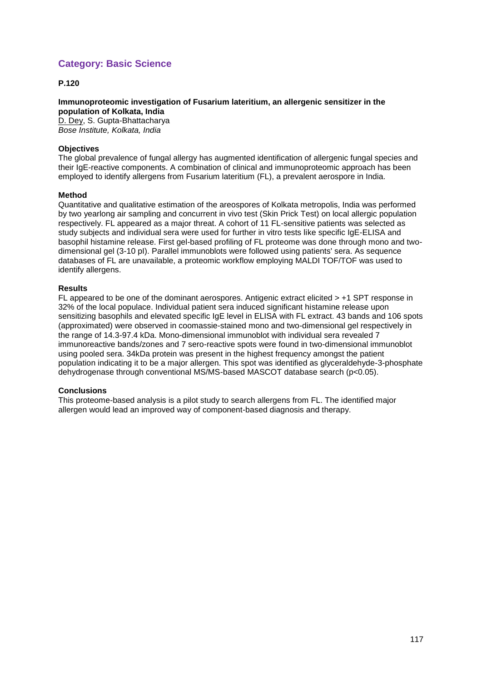# **Category: Basic Science**

## **P.120**

**Immunoproteomic investigation of Fusarium lateritium, an allergenic sensitizer in the population of Kolkata, India** D. Dey, S. Gupta-Bhattacharya *Bose Institute, Kolkata, India*

#### **Objectives**

The global prevalence of fungal allergy has augmented identification of allergenic fungal species and their IgE-reactive components. A combination of clinical and immunoproteomic approach has been employed to identify allergens from Fusarium lateritium (FL), a prevalent aerospore in India.

#### **Method**

Quantitative and qualitative estimation of the areospores of Kolkata metropolis, India was performed by two yearlong air sampling and concurrent in vivo test (Skin Prick Test) on local allergic population respectively. FL appeared as a major threat. A cohort of 11 FL-sensitive patients was selected as study subjects and individual sera were used for further in vitro tests like specific IgE-ELISA and basophil histamine release. First gel-based profiling of FL proteome was done through mono and twodimensional gel (3-10 pI). Parallel immunoblots were followed using patients' sera. As sequence databases of FL are unavailable, a proteomic workflow employing MALDI TOF/TOF was used to identify allergens.

#### **Results**

FL appeared to be one of the dominant aerospores. Antigenic extract elicited > +1 SPT response in 32% of the local populace. Individual patient sera induced significant histamine release upon sensitizing basophils and elevated specific IgE level in ELISA with FL extract. 43 bands and 106 spots (approximated) were observed in coomassie-stained mono and two-dimensional gel respectively in the range of 14.3-97.4 kDa. Mono-dimensional immunoblot with individual sera revealed 7 immunoreactive bands/zones and 7 sero-reactive spots were found in two-dimensional immunoblot using pooled sera. 34kDa protein was present in the highest frequency amongst the patient population indicating it to be a major allergen. This spot was identified as glyceraldehyde-3-phosphate dehydrogenase through conventional MS/MS-based MASCOT database search (p<0.05).

#### **Conclusions**

This proteome-based analysis is a pilot study to search allergens from FL. The identified major allergen would lead an improved way of component-based diagnosis and therapy.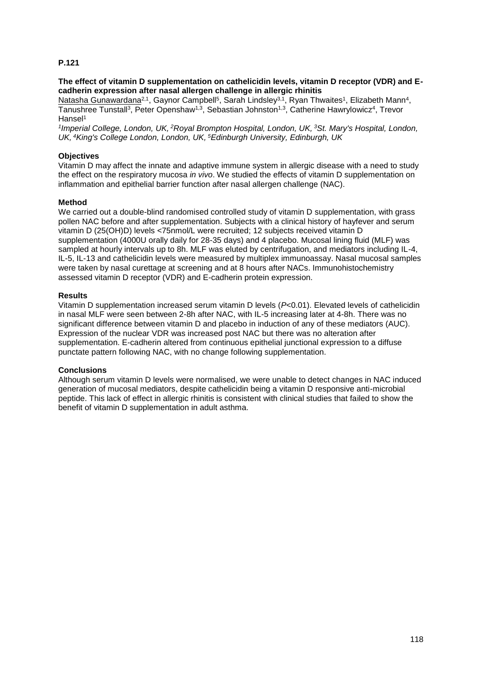#### **The effect of vitamin D supplementation on cathelicidin levels, vitamin D receptor (VDR) and Ecadherin expression after nasal allergen challenge in allergic rhinitis**

Natasha Gunawardana<sup>2,1</sup>, Gaynor Campbell<sup>5</sup>, Sarah Lindsley<sup>3,1</sup>, Ryan Thwaites<sup>1</sup>, Elizabeth Mann<sup>4</sup>, Tanushree Tunstall<sup>3</sup>, Peter Openshaw<sup>1,3</sup>, Sebastian Johnston<sup>1,3</sup>, Catherine Hawrylowicz<sup>4</sup>, Trevor Hansel<sup>1</sup>

*1 Imperial College, London, UK, <sup>2</sup>Royal Brompton Hospital, London, UK, <sup>3</sup>St. Mary's Hospital, London, UK, <sup>4</sup>King's College London, London, UK, <sup>5</sup>Edinburgh University, Edinburgh, UK*

#### **Objectives**

Vitamin D may affect the innate and adaptive immune system in allergic disease with a need to study the effect on the respiratory mucosa *in vivo*. We studied the effects of vitamin D supplementation on inflammation and epithelial barrier function after nasal allergen challenge (NAC).

#### **Method**

We carried out a double-blind randomised controlled study of vitamin D supplementation, with grass pollen NAC before and after supplementation. Subjects with a clinical history of hayfever and serum vitamin D (25(OH)D) levels <75nmol/L were recruited; 12 subjects received vitamin D supplementation (4000U orally daily for 28-35 days) and 4 placebo. Mucosal lining fluid (MLF) was sampled at hourly intervals up to 8h. MLF was eluted by centrifugation, and mediators including IL-4, IL-5, IL-13 and cathelicidin levels were measured by multiplex immunoassay. Nasal mucosal samples were taken by nasal curettage at screening and at 8 hours after NACs. Immunohistochemistry assessed vitamin D receptor (VDR) and E-cadherin protein expression.

#### **Results**

Vitamin D supplementation increased serum vitamin D levels (*P*<0.01). Elevated levels of cathelicidin in nasal MLF were seen between 2-8h after NAC, with IL-5 increasing later at 4-8h. There was no significant difference between vitamin D and placebo in induction of any of these mediators (AUC). Expression of the nuclear VDR was increased post NAC but there was no alteration after supplementation. E-cadherin altered from continuous epithelial junctional expression to a diffuse punctate pattern following NAC, with no change following supplementation.

## **Conclusions**

Although serum vitamin D levels were normalised, we were unable to detect changes in NAC induced generation of mucosal mediators, despite cathelicidin being a vitamin D responsive anti-microbial peptide. This lack of effect in allergic rhinitis is consistent with clinical studies that failed to show the benefit of vitamin D supplementation in adult asthma.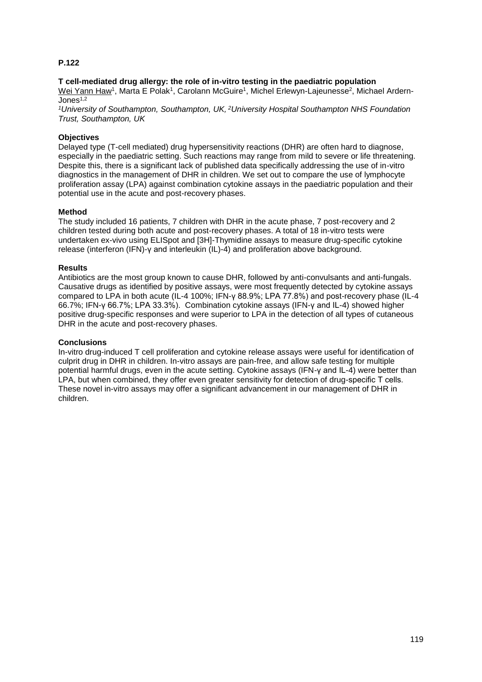#### **T cell-mediated drug allergy: the role of in-vitro testing in the paediatric population**

Wei Yann Haw<sup>1</sup>, Marta E Polak<sup>1</sup>, Carolann McGuire<sup>1</sup>, Michel Erlewyn-Lajeunesse<sup>2</sup>, Michael Ardern-Jones $1,2$ 

*<sup>1</sup>University of Southampton, Southampton, UK, <sup>2</sup>University Hospital Southampton NHS Foundation Trust, Southampton, UK*

## **Objectives**

Delayed type (T-cell mediated) drug hypersensitivity reactions (DHR) are often hard to diagnose, especially in the paediatric setting. Such reactions may range from mild to severe or life threatening. Despite this, there is a significant lack of published data specifically addressing the use of in-vitro diagnostics in the management of DHR in children. We set out to compare the use of lymphocyte proliferation assay (LPA) against combination cytokine assays in the paediatric population and their potential use in the acute and post-recovery phases.

#### **Method**

The study included 16 patients, 7 children with DHR in the acute phase, 7 post-recovery and 2 children tested during both acute and post-recovery phases. A total of 18 in-vitro tests were undertaken ex-vivo using ELISpot and [3H]-Thymidine assays to measure drug-specific cytokine release (interferon (IFN)-γ and interleukin (IL)-4) and proliferation above background.

#### **Results**

Antibiotics are the most group known to cause DHR, followed by anti-convulsants and anti-fungals. Causative drugs as identified by positive assays, were most frequently detected by cytokine assays compared to LPA in both acute (IL-4 100%; IFN-γ 88.9%; LPA 77.8%) and post-recovery phase (IL-4 66.7%; IFN-γ 66.7%; LPA 33.3%). Combination cytokine assays (IFN-γ and IL-4) showed higher positive drug-specific responses and were superior to LPA in the detection of all types of cutaneous DHR in the acute and post-recovery phases.

#### **Conclusions**

In-vitro drug-induced T cell proliferation and cytokine release assays were useful for identification of culprit drug in DHR in children. In-vitro assays are pain-free, and allow safe testing for multiple potential harmful drugs, even in the acute setting. Cytokine assays (IFN-γ and IL-4) were better than LPA, but when combined, they offer even greater sensitivity for detection of drug-specific T cells. These novel in-vitro assays may offer a significant advancement in our management of DHR in children.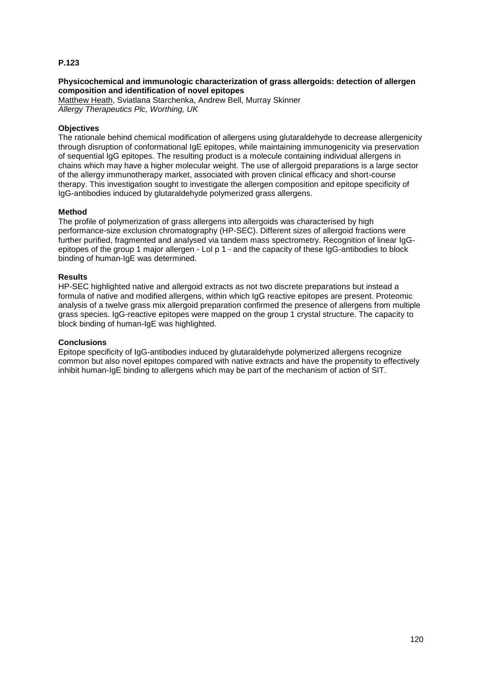#### **Physicochemical and immunologic characterization of grass allergoids: detection of allergen composition and identification of novel epitopes**

Matthew Heath, Sviatlana Starchenka, Andrew Bell, Murray Skinner *Allergy Therapeutics Plc, Worthing, UK*

#### **Objectives**

The rationale behind chemical modification of allergens using glutaraldehyde to decrease allergenicity through disruption of conformational IgE epitopes, while maintaining immunogenicity via preservation of sequential IgG epitopes. The resulting product is a molecule containing individual allergens in chains which may have a higher molecular weight. The use of allergoid preparations is a large sector of the allergy immunotherapy market, associated with proven clinical efficacy and short-course therapy. This investigation sought to investigate the allergen composition and epitope specificity of IgG-antibodies induced by glutaraldehyde polymerized grass allergens.

#### **Method**

The profile of polymerization of grass allergens into allergoids was characterised by high performance-size exclusion chromatography (HP-SEC). Different sizes of allergoid fractions were further purified, fragmented and analysed via tandem mass spectrometry. Recognition of linear IgGepitopes of the group 1 major allergen - Lol p 1 - and the capacity of these IgG-antibodies to block binding of human-loE was determined.

#### **Results**

HP-SEC highlighted native and allergoid extracts as not two discrete preparations but instead a formula of native and modified allergens, within which IgG reactive epitopes are present. Proteomic analysis of a twelve grass mix allergoid preparation confirmed the presence of allergens from multiple grass species. IgG-reactive epitopes were mapped on the group 1 crystal structure. The capacity to block binding of human-IgE was highlighted.

#### **Conclusions**

Epitope specificity of IgG-antibodies induced by glutaraldehyde polymerized allergens recognize common but also novel epitopes compared with native extracts and have the propensity to effectively inhibit human-IgE binding to allergens which may be part of the mechanism of action of SIT.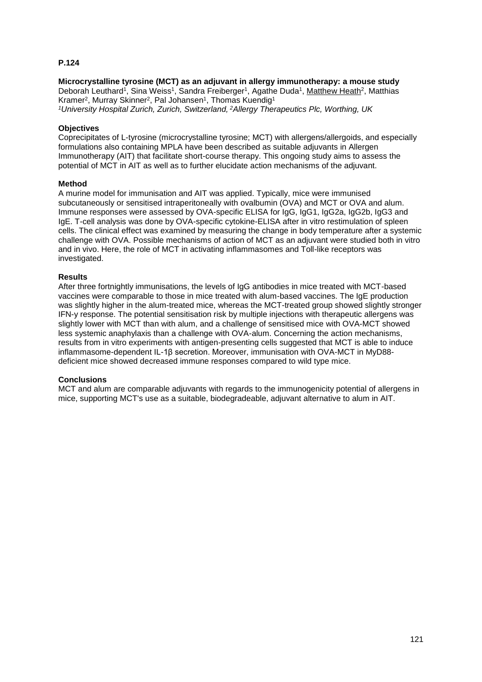# **Microcrystalline tyrosine (MCT) as an adjuvant in allergy immunotherapy: a mouse study** Deborah Leuthard<sup>1</sup>, Sina Weiss<sup>1</sup>, Sandra Freiberger<sup>1</sup>, Agathe Duda<sup>1</sup>, Matthew Heath<sup>2</sup>, Matthias Kramer<sup>2</sup>, Murray Skinner<sup>2</sup>, Pal Johansen<sup>1</sup>, Thomas Kuendig<sup>1</sup>

*<sup>1</sup>University Hospital Zurich, Zurich, Switzerland, <sup>2</sup>Allergy Therapeutics Plc, Worthing, UK*

#### **Objectives**

Coprecipitates of L-tyrosine (microcrystalline tyrosine; MCT) with allergens/allergoids, and especially formulations also containing MPLA have been described as suitable adjuvants in Allergen Immunotherapy (AIT) that facilitate short-course therapy. This ongoing study aims to assess the potential of MCT in AIT as well as to further elucidate action mechanisms of the adjuvant.

#### **Method**

A murine model for immunisation and AIT was applied. Typically, mice were immunised subcutaneously or sensitised intraperitoneally with ovalbumin (OVA) and MCT or OVA and alum. Immune responses were assessed by OVA-specific ELISA for IgG, IgG1, IgG2a, IgG2b, IgG3 and IgE. T-cell analysis was done by OVA-specific cytokine-ELISA after in vitro restimulation of spleen cells. The clinical effect was examined by measuring the change in body temperature after a systemic challenge with OVA. Possible mechanisms of action of MCT as an adjuvant were studied both in vitro and in vivo. Here, the role of MCT in activating inflammasomes and Toll-like receptors was investigated.

#### **Results**

After three fortnightly immunisations, the levels of IgG antibodies in mice treated with MCT-based vaccines were comparable to those in mice treated with alum-based vaccines. The IgE production was slightly higher in the alum-treated mice, whereas the MCT-treated group showed slightly stronger IFN-y response. The potential sensitisation risk by multiple injections with therapeutic allergens was slightly lower with MCT than with alum, and a challenge of sensitised mice with OVA-MCT showed less systemic anaphylaxis than a challenge with OVA-alum. Concerning the action mechanisms, results from in vitro experiments with antigen-presenting cells suggested that MCT is able to induce inflammasome-dependent IL-1β secretion. Moreover, immunisation with OVA-MCT in MyD88 deficient mice showed decreased immune responses compared to wild type mice.

## **Conclusions**

MCT and alum are comparable adjuvants with regards to the immunogenicity potential of allergens in mice, supporting MCT's use as a suitable, biodegradeable, adjuvant alternative to alum in AIT.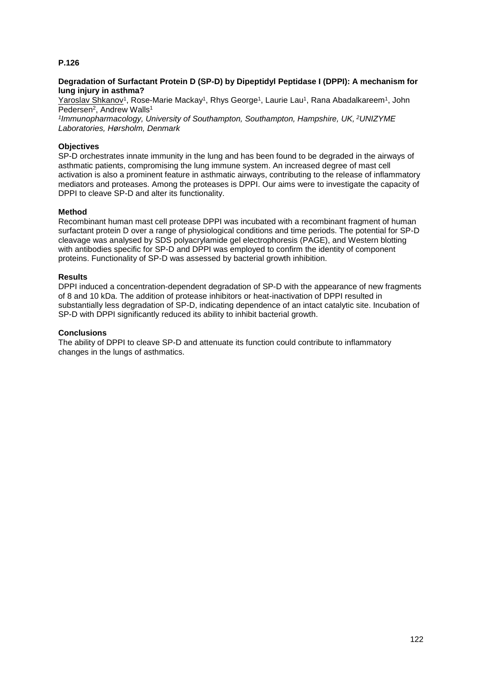#### **Degradation of Surfactant Protein D (SP-D) by Dipeptidyl Peptidase I (DPPI): A mechanism for lung injury in asthma?**

Yaroslav Shkanov<sup>1</sup>, Rose-Marie Mackay<sup>1</sup>, Rhys George<sup>1</sup>, Laurie Lau<sup>1</sup>, Rana Abadalkareem<sup>1</sup>, John Pedersen<sup>2</sup>, Andrew Walls<sup>1</sup>

*1 Immunopharmacology, University of Southampton, Southampton, Hampshire, UK, <sup>2</sup>UNIZYME Laboratories, Hørsholm, Denmark*

#### **Objectives**

SP-D orchestrates innate immunity in the lung and has been found to be degraded in the airways of asthmatic patients, compromising the lung immune system. An increased degree of mast cell activation is also a prominent feature in asthmatic airways, contributing to the release of inflammatory mediators and proteases. Among the proteases is DPPI. Our aims were to investigate the capacity of DPPI to cleave SP-D and alter its functionality.

#### **Method**

Recombinant human mast cell protease DPPI was incubated with a recombinant fragment of human surfactant protein D over a range of physiological conditions and time periods. The potential for SP-D cleavage was analysed by SDS polyacrylamide gel electrophoresis (PAGE), and Western blotting with antibodies specific for SP-D and DPPI was employed to confirm the identity of component proteins. Functionality of SP-D was assessed by bacterial growth inhibition.

#### **Results**

DPPI induced a concentration-dependent degradation of SP-D with the appearance of new fragments of 8 and 10 kDa. The addition of protease inhibitors or heat-inactivation of DPPI resulted in substantially less degradation of SP-D, indicating dependence of an intact catalytic site. Incubation of SP-D with DPPI significantly reduced its ability to inhibit bacterial growth.

#### **Conclusions**

The ability of DPPI to cleave SP-D and attenuate its function could contribute to inflammatory changes in the lungs of asthmatics.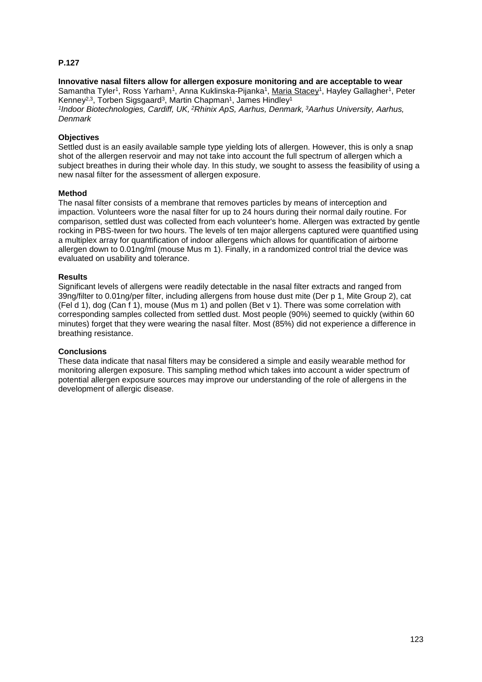# **Innovative nasal filters allow for allergen exposure monitoring and are acceptable to wear** Samantha Tyler<sup>1</sup>, Ross Yarham<sup>1</sup>, Anna Kuklinska-Pijanka<sup>1</sup>, <u>Maria Stacey</u><sup>1</sup>, Hayley Gallagher<sup>1</sup>, Peter Kenney<sup>2,3</sup>, Torben Sigsgaard<sup>3</sup>, Martin Chapman<sup>1</sup>, James Hindley<sup>1</sup>

*1 Indoor Biotechnologies, Cardiff, UK, <sup>2</sup>Rhinix ApS, Aarhus, Denmark, <sup>3</sup>Aarhus University, Aarhus, Denmark*

## **Objectives**

Settled dust is an easily available sample type yielding lots of allergen. However, this is only a snap shot of the allergen reservoir and may not take into account the full spectrum of allergen which a subject breathes in during their whole day. In this study, we sought to assess the feasibility of using a new nasal filter for the assessment of allergen exposure.

#### **Method**

The nasal filter consists of a membrane that removes particles by means of interception and impaction. Volunteers wore the nasal filter for up to 24 hours during their normal daily routine. For comparison, settled dust was collected from each volunteer's home. Allergen was extracted by gentle rocking in PBS-tween for two hours. The levels of ten major allergens captured were quantified using a multiplex array for quantification of indoor allergens which allows for quantification of airborne allergen down to 0.01ng/ml (mouse Mus m 1). Finally, in a randomized control trial the device was evaluated on usability and tolerance.

#### **Results**

Significant levels of allergens were readily detectable in the nasal filter extracts and ranged from 39ng/filter to 0.01ng/per filter, including allergens from house dust mite (Der p 1, Mite Group 2), cat (Fel d 1), dog (Can f 1), mouse (Mus m 1) and pollen (Bet v 1). There was some correlation with corresponding samples collected from settled dust. Most people (90%) seemed to quickly (within 60 minutes) forget that they were wearing the nasal filter. Most (85%) did not experience a difference in breathing resistance.

#### **Conclusions**

These data indicate that nasal filters may be considered a simple and easily wearable method for monitoring allergen exposure. This sampling method which takes into account a wider spectrum of potential allergen exposure sources may improve our understanding of the role of allergens in the development of allergic disease.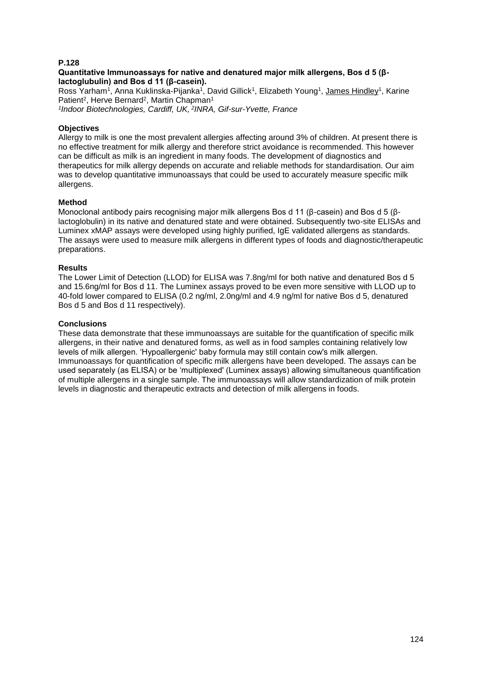#### **Quantitative Immunoassays for native and denatured major milk allergens, Bos d 5 (βlactoglubulin) and Bos d 11 (β-casein).**

Ross Yarham<sup>1</sup>, Anna Kuklinska-Pijanka<sup>1</sup>, David Gillick<sup>1</sup>, Elizabeth Young<sup>1</sup>, James Hindley<sup>1</sup>, Karine Patient<sup>2</sup>, Herve Bernard<sup>2</sup>, Martin Chapman<sup>1</sup>

*1 Indoor Biotechnologies, Cardiff, UK, <sup>2</sup> INRA, Gif-sur-Yvette, France*

#### **Objectives**

Allergy to milk is one the most prevalent allergies affecting around 3% of children. At present there is no effective treatment for milk allergy and therefore strict avoidance is recommended. This however can be difficult as milk is an ingredient in many foods. The development of diagnostics and therapeutics for milk allergy depends on accurate and reliable methods for standardisation. Our aim was to develop quantitative immunoassays that could be used to accurately measure specific milk allergens.

#### **Method**

Monoclonal antibody pairs recognising major milk allergens Bos d 11 (β-casein) and Bos d 5 (βlactoglobulin) in its native and denatured state and were obtained. Subsequently two-site ELISAs and Luminex xMAP assays were developed using highly purified, IgE validated allergens as standards. The assays were used to measure milk allergens in different types of foods and diagnostic/therapeutic preparations.

#### **Results**

The Lower Limit of Detection (LLOD) for ELISA was 7.8ng/ml for both native and denatured Bos d 5 and 15.6ng/ml for Bos d 11. The Luminex assays proved to be even more sensitive with LLOD up to 40-fold lower compared to ELISA (0.2 ng/ml, 2.0ng/ml and 4.9 ng/ml for native Bos d 5, denatured Bos d 5 and Bos d 11 respectively).

#### **Conclusions**

These data demonstrate that these immunoassays are suitable for the quantification of specific milk allergens, in their native and denatured forms, as well as in food samples containing relatively low levels of milk allergen. 'Hypoallergenic' baby formula may still contain cow's milk allergen. Immunoassays for quantification of specific milk allergens have been developed. The assays can be used separately (as ELISA) or be 'multiplexed' (Luminex assays) allowing simultaneous quantification of multiple allergens in a single sample. The immunoassays will allow standardization of milk protein levels in diagnostic and therapeutic extracts and detection of milk allergens in foods.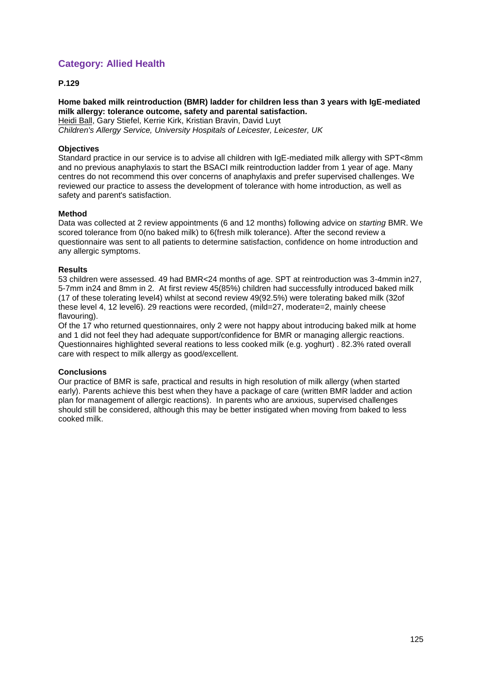# **Category: Allied Health**

## **P.129**

## **Home baked milk reintroduction (BMR) ladder for children less than 3 years with IgE-mediated milk allergy: tolerance outcome, safety and parental satisfaction.** Heidi Ball, Gary Stiefel, Kerrie Kirk, Kristian Bravin, David Luyt

*Children's Allergy Service, University Hospitals of Leicester, Leicester, UK*

#### **Objectives**

Standard practice in our service is to advise all children with IgE-mediated milk allergy with SPT<8mm and no previous anaphylaxis to start the BSACI milk reintroduction ladder from 1 year of age. Many centres do not recommend this over concerns of anaphylaxis and prefer supervised challenges. We reviewed our practice to assess the development of tolerance with home introduction, as well as safety and parent's satisfaction.

#### **Method**

Data was collected at 2 review appointments (6 and 12 months) following advice on *starting* BMR. We scored tolerance from 0(no baked milk) to 6(fresh milk tolerance). After the second review a questionnaire was sent to all patients to determine satisfaction, confidence on home introduction and any allergic symptoms.

#### **Results**

53 children were assessed. 49 had BMR<24 months of age. SPT at reintroduction was 3-4mmin in27, 5-7mm in24 and 8mm in 2. At first review 45(85%) children had successfully introduced baked milk (17 of these tolerating level4) whilst at second review 49(92.5%) were tolerating baked milk (32of these level 4, 12 level6). 29 reactions were recorded, (mild=27, moderate=2, mainly cheese flavouring).

Of the 17 who returned questionnaires, only 2 were not happy about introducing baked milk at home and 1 did not feel they had adequate support/confidence for BMR or managing allergic reactions. Questionnaires highlighted several reations to less cooked milk (e.g. yoghurt) . 82.3% rated overall care with respect to milk allergy as good/excellent.

## **Conclusions**

Our practice of BMR is safe, practical and results in high resolution of milk allergy (when started early). Parents achieve this best when they have a package of care (written BMR ladder and action plan for management of allergic reactions). In parents who are anxious, supervised challenges should still be considered, although this may be better instigated when moving from baked to less cooked milk.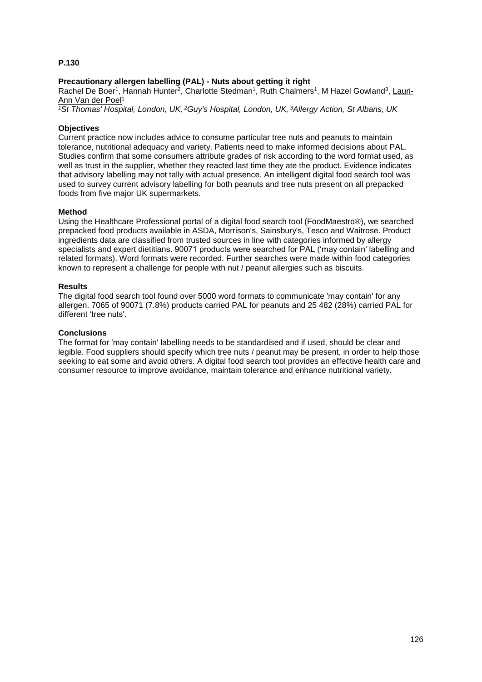## **Precautionary allergen labelling (PAL) - Nuts about getting it right**

Rachel De Boer<sup>1</sup>, Hannah Hunter<sup>2</sup>, Charlotte Stedman<sup>1</sup>, Ruth Chalmers<sup>1</sup>, M Hazel Gowland<sup>3</sup>, Lauri-Ann Van der Poel<sup>1</sup>

*<sup>1</sup>St Thomas' Hospital, London, UK, <sup>2</sup>Guy's Hospital, London, UK, <sup>3</sup>Allergy Action, St Albans, UK*

#### **Objectives**

Current practice now includes advice to consume particular tree nuts and peanuts to maintain tolerance, nutritional adequacy and variety. Patients need to make informed decisions about PAL. Studies confirm that some consumers attribute grades of risk according to the word format used, as well as trust in the supplier, whether they reacted last time they ate the product. Evidence indicates that advisory labelling may not tally with actual presence. An intelligent digital food search tool was used to survey current advisory labelling for both peanuts and tree nuts present on all prepacked foods from five major UK supermarkets.

#### **Method**

Using the Healthcare Professional portal of a digital food search tool (FoodMaestro®), we searched prepacked food products available in ASDA, Morrison's, Sainsbury's, Tesco and Waitrose. Product ingredients data are classified from trusted sources in line with categories informed by allergy specialists and expert dietitians. 90071 products were searched for PAL ('may contain' labelling and related formats). Word formats were recorded. Further searches were made within food categories known to represent a challenge for people with nut / peanut allergies such as biscuits.

#### **Results**

The digital food search tool found over 5000 word formats to communicate 'may contain' for any allergen. 7065 of 90071 (7.8%) products carried PAL for peanuts and 25 482 (28%) carried PAL for different 'tree nuts'.

#### **Conclusions**

The format for 'may contain' labelling needs to be standardised and if used, should be clear and legible. Food suppliers should specify which tree nuts / peanut may be present, in order to help those seeking to eat some and avoid others. A digital food search tool provides an effective health care and consumer resource to improve avoidance, maintain tolerance and enhance nutritional variety.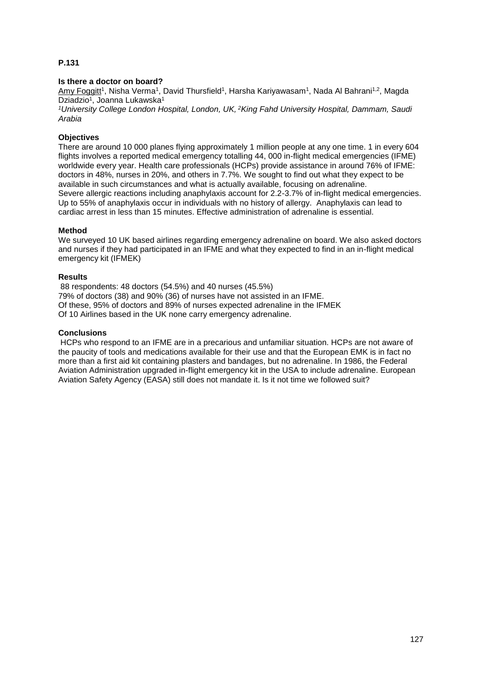#### **Is there a doctor on board?**

<u>Amy Foggitt</u><sup>1</sup>, Nisha Verma<sup>1</sup>, David Thursfield<sup>1</sup>, Harsha Kariyawasam<sup>1</sup>, Nada Al Bahrani<sup>1,2</sup>, Magda Dziadzio<sup>1</sup>, Joanna Lukawska<sup>1</sup>

*<sup>1</sup>University College London Hospital, London, UK, <sup>2</sup>King Fahd University Hospital, Dammam, Saudi Arabia*

## **Objectives**

There are around 10 000 planes flying approximately 1 million people at any one time. 1 in every 604 flights involves a reported medical emergency totalling 44, 000 in-flight medical emergencies (IFME) worldwide every year. Health care professionals (HCPs) provide assistance in around 76% of IFME: doctors in 48%, nurses in 20%, and others in 7.7%. We sought to find out what they expect to be available in such circumstances and what is actually available, focusing on adrenaline. Severe allergic reactions including anaphylaxis account for 2.2-3.7% of in-flight medical emergencies. Up to 55% of anaphylaxis occur in individuals with no history of allergy. Anaphylaxis can lead to cardiac arrest in less than 15 minutes. Effective administration of adrenaline is essential.

#### **Method**

We surveyed 10 UK based airlines regarding emergency adrenaline on board. We also asked doctors and nurses if they had participated in an IFME and what they expected to find in an in-flight medical emergency kit (IFMEK)

#### **Results**

88 respondents: 48 doctors (54.5%) and 40 nurses (45.5%) 79% of doctors (38) and 90% (36) of nurses have not assisted in an IFME. Of these, 95% of doctors and 89% of nurses expected adrenaline in the IFMEK Of 10 Airlines based in the UK none carry emergency adrenaline.

#### **Conclusions**

HCPs who respond to an IFME are in a precarious and unfamiliar situation. HCPs are not aware of the paucity of tools and medications available for their use and that the European EMK is in fact no more than a first aid kit containing plasters and bandages, but no adrenaline. In 1986, the Federal Aviation Administration upgraded in-flight emergency kit in the USA to include adrenaline. European Aviation Safety Agency (EASA) still does not mandate it. Is it not time we followed suit?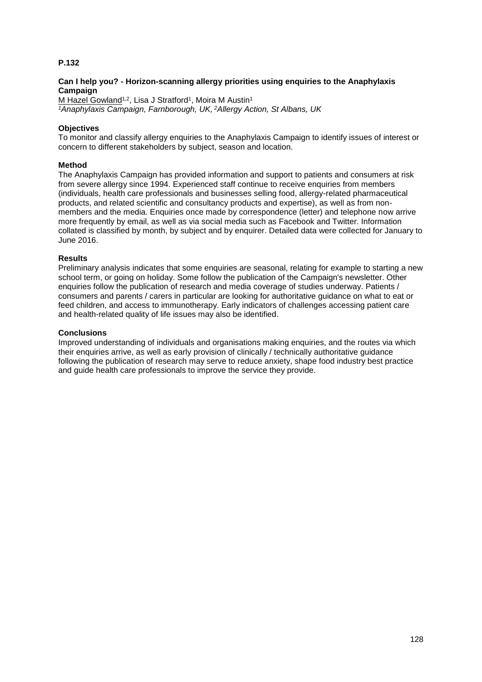#### **Can I help you? - Horizon-scanning allergy priorities using enquiries to the Anaphylaxis Campaign**

M Hazel Gowland<sup>1,2</sup>, Lisa J Stratford<sup>1</sup>, Moira M Austin<sup>1</sup> *<sup>1</sup>Anaphylaxis Campaign, Farnborough, UK, <sup>2</sup>Allergy Action, St Albans, UK*

#### **Objectives**

To monitor and classify allergy enquiries to the Anaphylaxis Campaign to identify issues of interest or concern to different stakeholders by subject, season and location.

#### **Method**

The Anaphylaxis Campaign has provided information and support to patients and consumers at risk from severe allergy since 1994. Experienced staff continue to receive enquiries from members (individuals, health care professionals and businesses selling food, allergy-related pharmaceutical products, and related scientific and consultancy products and expertise), as well as from nonmembers and the media. Enquiries once made by correspondence (letter) and telephone now arrive more frequently by email, as well as via social media such as Facebook and Twitter. Information collated is classified by month, by subject and by enquirer. Detailed data were collected for January to June 2016.

#### **Results**

Preliminary analysis indicates that some enquiries are seasonal, relating for example to starting a new school term, or going on holiday. Some follow the publication of the Campaign's newsletter. Other enquiries follow the publication of research and media coverage of studies underway. Patients / consumers and parents / carers in particular are looking for authoritative guidance on what to eat or feed children, and access to immunotherapy. Early indicators of challenges accessing patient care and health-related quality of life issues may also be identified.

#### **Conclusions**

Improved understanding of individuals and organisations making enquiries, and the routes via which their enquiries arrive, as well as early provision of clinically / technically authoritative guidance following the publication of research may serve to reduce anxiety, shape food industry best practice and guide health care professionals to improve the service they provide.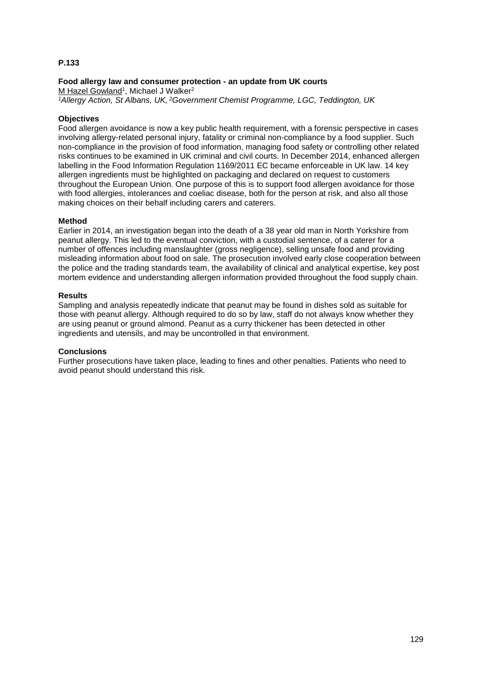#### **Food allergy law and consumer protection - an update from UK courts**

M Hazel Gowland<sup>1</sup>, Michael J Walker<sup>2</sup> *<sup>1</sup>Allergy Action, St Albans, UK, <sup>2</sup>Government Chemist Programme, LGC, Teddington, UK*

## **Objectives**

Food allergen avoidance is now a key public health requirement, with a forensic perspective in cases involving allergy-related personal injury, fatality or criminal non-compliance by a food supplier. Such non-compliance in the provision of food information, managing food safety or controlling other related risks continues to be examined in UK criminal and civil courts. In December 2014, enhanced allergen labelling in the Food Information Regulation 1169/2011 EC became enforceable in UK law. 14 key allergen ingredients must be highlighted on packaging and declared on request to customers throughout the European Union. One purpose of this is to support food allergen avoidance for those with food allergies, intolerances and coeliac disease, both for the person at risk, and also all those making choices on their behalf including carers and caterers.

#### **Method**

Earlier in 2014, an investigation began into the death of a 38 year old man in North Yorkshire from peanut allergy. This led to the eventual conviction, with a custodial sentence, of a caterer for a number of offences including manslaughter (gross negligence), selling unsafe food and providing misleading information about food on sale. The prosecution involved early close cooperation between the police and the trading standards team, the availability of clinical and analytical expertise, key post mortem evidence and understanding allergen information provided throughout the food supply chain.

#### **Results**

Sampling and analysis repeatedly indicate that peanut may be found in dishes sold as suitable for those with peanut allergy. Although required to do so by law, staff do not always know whether they are using peanut or ground almond. Peanut as a curry thickener has been detected in other ingredients and utensils, and may be uncontrolled in that environment.

#### **Conclusions**

Further prosecutions have taken place, leading to fines and other penalties. Patients who need to avoid peanut should understand this risk.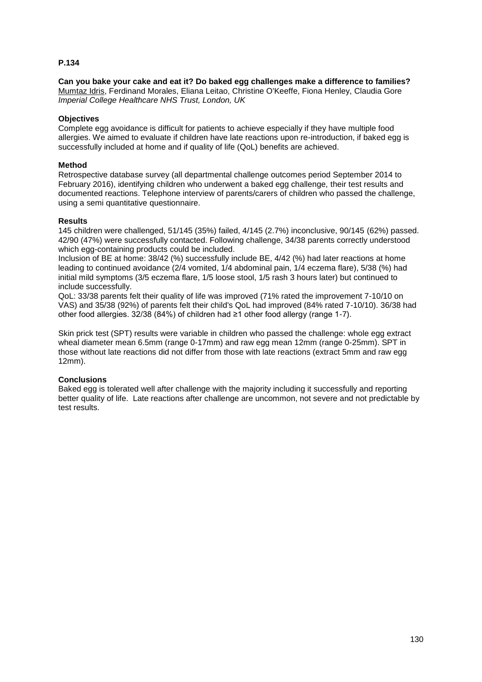**Can you bake your cake and eat it? Do baked egg challenges make a difference to families?** Mumtaz Idris, Ferdinand Morales, Eliana Leitao, Christine O'Keeffe, Fiona Henley, Claudia Gore *Imperial College Healthcare NHS Trust, London, UK*

#### **Objectives**

Complete egg avoidance is difficult for patients to achieve especially if they have multiple food allergies. We aimed to evaluate if children have late reactions upon re-introduction, if baked egg is successfully included at home and if quality of life (QoL) benefits are achieved.

#### **Method**

Retrospective database survey (all departmental challenge outcomes period September 2014 to February 2016), identifying children who underwent a baked egg challenge, their test results and documented reactions. Telephone interview of parents/carers of children who passed the challenge, using a semi quantitative questionnaire.

#### **Results**

145 children were challenged, 51/145 (35%) failed, 4/145 (2.7%) inconclusive, 90/145 (62%) passed. 42/90 (47%) were successfully contacted. Following challenge, 34/38 parents correctly understood which egg-containing products could be included.

Inclusion of BE at home: 38/42 (%) successfully include BE, 4/42 (%) had later reactions at home leading to continued avoidance (2/4 vomited, 1/4 abdominal pain, 1/4 eczema flare), 5/38 (%) had initial mild symptoms (3/5 eczema flare, 1/5 loose stool, 1/5 rash 3 hours later) but continued to include successfully.

QoL: 33/38 parents felt their quality of life was improved (71% rated the improvement 7-10/10 on VAS) and 35/38 (92%) of parents felt their child's QoL had improved (84% rated 7-10/10). 36/38 had other food allergies. 32/38 (84%) of children had ≥1 other food allergy (range 1-7).

Skin prick test (SPT) results were variable in children who passed the challenge: whole egg extract wheal diameter mean 6.5mm (range 0-17mm) and raw egg mean 12mm (range 0-25mm). SPT in those without late reactions did not differ from those with late reactions (extract 5mm and raw egg 12mm).

#### **Conclusions**

Baked egg is tolerated well after challenge with the majority including it successfully and reporting better quality of life. Late reactions after challenge are uncommon, not severe and not predictable by test results.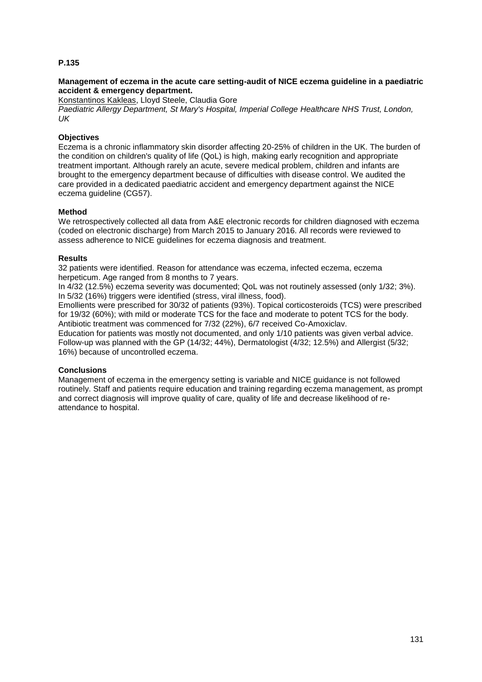#### **Management of eczema in the acute care setting-audit of NICE eczema guideline in a paediatric accident & emergency department.**

Konstantinos Kakleas, Lloyd Steele, Claudia Gore *Paediatric Allergy Department, St Mary's Hospital, Imperial College Healthcare NHS Trust, London, UK*

## **Objectives**

Eczema is a chronic inflammatory skin disorder affecting 20-25% of children in the UK. The burden of the condition on children's quality of life (QoL) is high, making early recognition and appropriate treatment important. Although rarely an acute, severe medical problem, children and infants are brought to the emergency department because of difficulties with disease control. We audited the care provided in a dedicated paediatric accident and emergency department against the NICE eczema guideline (CG57).

#### **Method**

We retrospectively collected all data from A&E electronic records for children diagnosed with eczema (coded on electronic discharge) from March 2015 to January 2016. All records were reviewed to assess adherence to NICE guidelines for eczema diagnosis and treatment.

#### **Results**

32 patients were identified. Reason for attendance was eczema, infected eczema, eczema herpeticum. Age ranged from 8 months to 7 years.

In 4/32 (12.5%) eczema severity was documented; QoL was not routinely assessed (only 1/32; 3%). In 5/32 (16%) triggers were identified (stress, viral illness, food).

Emollients were prescribed for 30/32 of patients (93%). Topical corticosteroids (TCS) were prescribed for 19/32 (60%); with mild or moderate TCS for the face and moderate to potent TCS for the body. Antibiotic treatment was commenced for 7/32 (22%), 6/7 received Co-Amoxiclav.

Education for patients was mostly not documented, and only 1/10 patients was given verbal advice. Follow-up was planned with the GP (14/32; 44%), Dermatologist (4/32; 12.5%) and Allergist (5/32; 16%) because of uncontrolled eczema.

## **Conclusions**

Management of eczema in the emergency setting is variable and NICE guidance is not followed routinely. Staff and patients require education and training regarding eczema management, as prompt and correct diagnosis will improve quality of care, quality of life and decrease likelihood of reattendance to hospital.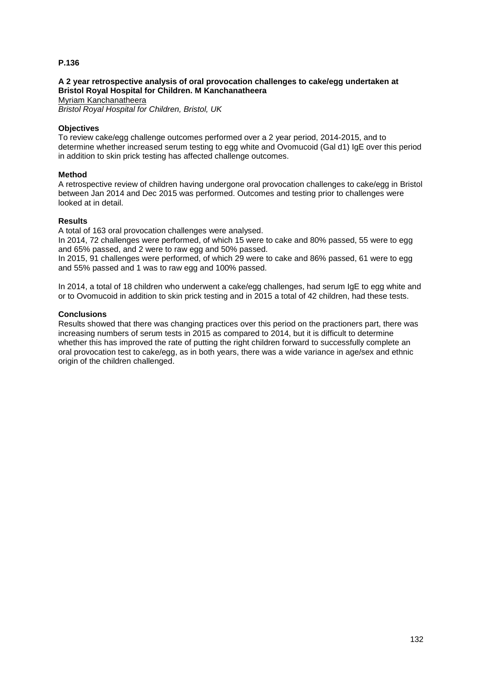#### **A 2 year retrospective analysis of oral provocation challenges to cake/egg undertaken at Bristol Royal Hospital for Children. M Kanchanatheera**

Myriam Kanchanatheera

*Bristol Royal Hospital for Children, Bristol, UK*

#### **Objectives**

To review cake/egg challenge outcomes performed over a 2 year period, 2014-2015, and to determine whether increased serum testing to egg white and Ovomucoid (Gal d1) IgE over this period in addition to skin prick testing has affected challenge outcomes.

#### **Method**

A retrospective review of children having undergone oral provocation challenges to cake/egg in Bristol between Jan 2014 and Dec 2015 was performed. Outcomes and testing prior to challenges were looked at in detail.

#### **Results**

A total of 163 oral provocation challenges were analysed.

In 2014, 72 challenges were performed, of which 15 were to cake and 80% passed, 55 were to egg and 65% passed, and 2 were to raw egg and 50% passed.

In 2015, 91 challenges were performed, of which 29 were to cake and 86% passed, 61 were to egg and 55% passed and 1 was to raw egg and 100% passed.

In 2014, a total of 18 children who underwent a cake/egg challenges, had serum IgE to egg white and or to Ovomucoid in addition to skin prick testing and in 2015 a total of 42 children, had these tests.

### **Conclusions**

Results showed that there was changing practices over this period on the practioners part, there was increasing numbers of serum tests in 2015 as compared to 2014, but it is difficult to determine whether this has improved the rate of putting the right children forward to successfully complete an oral provocation test to cake/egg, as in both years, there was a wide variance in age/sex and ethnic origin of the children challenged.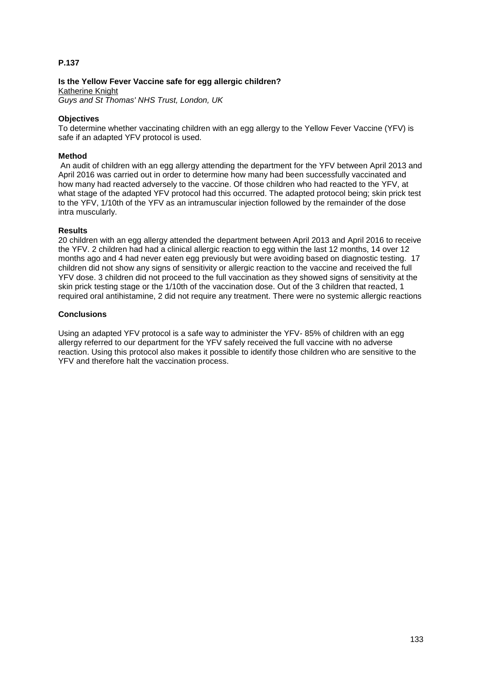**Is the Yellow Fever Vaccine safe for egg allergic children?** Katherine Knight *Guys and St Thomas' NHS Trust, London, UK*

## **Objectives**

To determine whether vaccinating children with an egg allergy to the Yellow Fever Vaccine (YFV) is safe if an adapted YFV protocol is used.

## **Method**

An audit of children with an egg allergy attending the department for the YFV between April 2013 and April 2016 was carried out in order to determine how many had been successfully vaccinated and how many had reacted adversely to the vaccine. Of those children who had reacted to the YFV, at what stage of the adapted YFV protocol had this occurred. The adapted protocol being; skin prick test to the YFV, 1/10th of the YFV as an intramuscular injection followed by the remainder of the dose intra muscularly.

## **Results**

20 children with an egg allergy attended the department between April 2013 and April 2016 to receive the YFV. 2 children had had a clinical allergic reaction to egg within the last 12 months, 14 over 12 months ago and 4 had never eaten egg previously but were avoiding based on diagnostic testing. 17 children did not show any signs of sensitivity or allergic reaction to the vaccine and received the full YFV dose. 3 children did not proceed to the full vaccination as they showed signs of sensitivity at the skin prick testing stage or the 1/10th of the vaccination dose. Out of the 3 children that reacted, 1 required oral antihistamine, 2 did not require any treatment. There were no systemic allergic reactions

## **Conclusions**

Using an adapted YFV protocol is a safe way to administer the YFV- 85% of children with an egg allergy referred to our department for the YFV safely received the full vaccine with no adverse reaction. Using this protocol also makes it possible to identify those children who are sensitive to the YFV and therefore halt the vaccination process.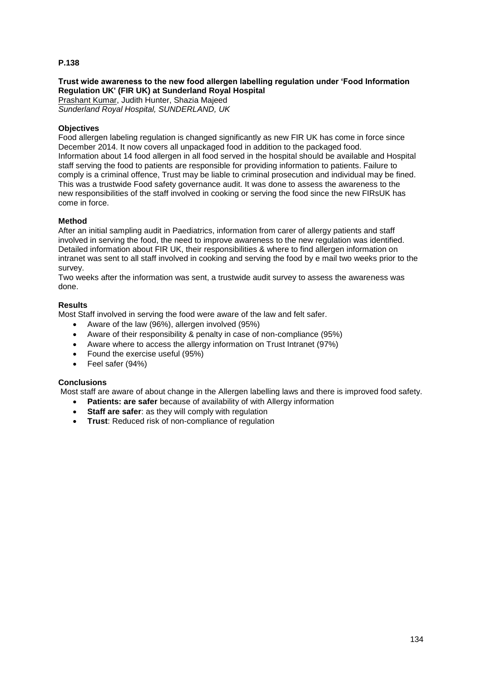## **Trust wide awareness to the new food allergen labelling regulation under 'Food Information Regulation UK' (FIR UK) at Sunderland Royal Hospital**

Prashant Kumar, Judith Hunter, Shazia Majeed *Sunderland Royal Hospital, SUNDERLAND, UK*

#### **Objectives**

Food allergen labeling regulation is changed significantly as new FIR UK has come in force since December 2014. It now covers all unpackaged food in addition to the packaged food. Information about 14 food allergen in all food served in the hospital should be available and Hospital staff serving the food to patients are responsible for providing information to patients. Failure to comply is a criminal offence, Trust may be liable to criminal prosecution and individual may be fined. This was a trustwide Food safety governance audit. It was done to assess the awareness to the new responsibilities of the staff involved in cooking or serving the food since the new FIRsUK has come in force.

#### **Method**

After an initial sampling audit in Paediatrics, information from carer of allergy patients and staff involved in serving the food, the need to improve awareness to the new regulation was identified. Detailed information about FIR UK, their responsibilities & where to find allergen information on intranet was sent to all staff involved in cooking and serving the food by e mail two weeks prior to the survey.

Two weeks after the information was sent, a trustwide audit survey to assess the awareness was done.

## **Results**

Most Staff involved in serving the food were aware of the law and felt safer.

- Aware of the law (96%), allergen involved (95%)
- Aware of their responsibility & penalty in case of non-compliance (95%)
- Aware where to access the allergy information on Trust Intranet (97%)
- Found the exercise useful (95%)
- Feel safer (94%)

## **Conclusions**

Most staff are aware of about change in the Allergen labelling laws and there is improved food safety.

- **Patients: are safer** because of availability of with Allergy information
- **Staff are safer:** as they will comply with regulation
- **Trust**: Reduced risk of non-compliance of regulation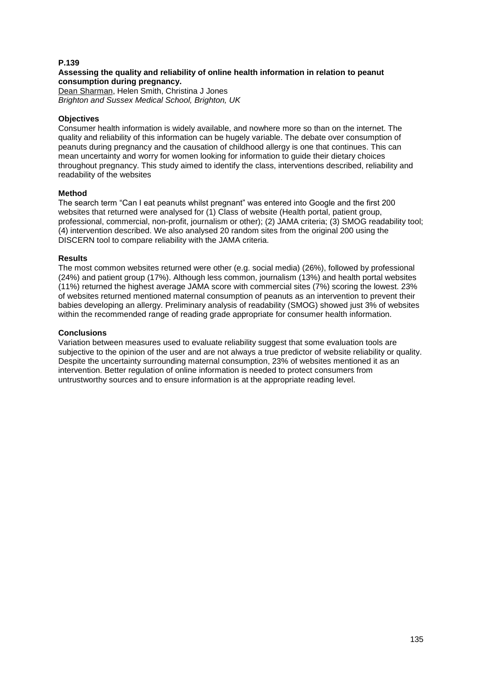#### **Assessing the quality and reliability of online health information in relation to peanut consumption during pregnancy.**

Dean Sharman, Helen Smith, Christina J Jones *Brighton and Sussex Medical School, Brighton, UK*

### **Objectives**

Consumer health information is widely available, and nowhere more so than on the internet. The quality and reliability of this information can be hugely variable. The debate over consumption of peanuts during pregnancy and the causation of childhood allergy is one that continues. This can mean uncertainty and worry for women looking for information to guide their dietary choices throughout pregnancy. This study aimed to identify the class, interventions described, reliability and readability of the websites

#### **Method**

The search term "Can I eat peanuts whilst pregnant" was entered into Google and the first 200 websites that returned were analysed for (1) Class of website (Health portal, patient group, professional, commercial, non-profit, journalism or other); (2) JAMA criteria; (3) SMOG readability tool; (4) intervention described. We also analysed 20 random sites from the original 200 using the DISCERN tool to compare reliability with the JAMA criteria.

#### **Results**

The most common websites returned were other (e.g. social media) (26%), followed by professional (24%) and patient group (17%). Although less common, journalism (13%) and health portal websites (11%) returned the highest average JAMA score with commercial sites (7%) scoring the lowest. 23% of websites returned mentioned maternal consumption of peanuts as an intervention to prevent their babies developing an allergy. Preliminary analysis of readability (SMOG) showed just 3% of websites within the recommended range of reading grade appropriate for consumer health information.

#### **Conclusions**

Variation between measures used to evaluate reliability suggest that some evaluation tools are subjective to the opinion of the user and are not always a true predictor of website reliability or quality. Despite the uncertainty surrounding maternal consumption, 23% of websites mentioned it as an intervention. Better regulation of online information is needed to protect consumers from untrustworthy sources and to ensure information is at the appropriate reading level.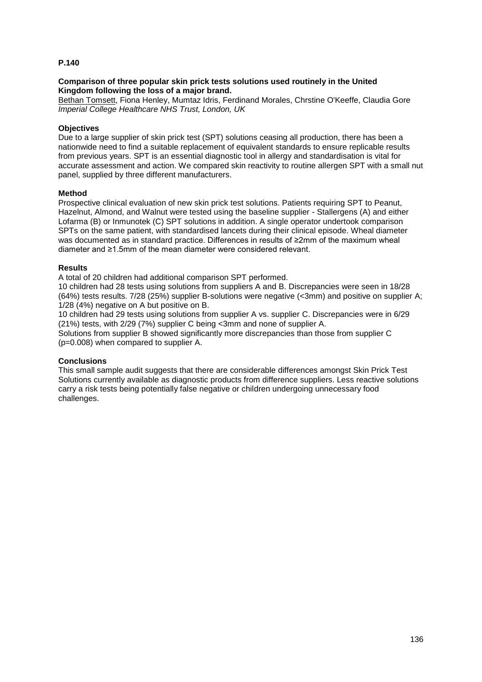#### **Comparison of three popular skin prick tests solutions used routinely in the United Kingdom following the loss of a major brand.**

Bethan Tomsett, Fiona Henley, Mumtaz Idris, Ferdinand Morales, Chrstine O'Keeffe, Claudia Gore *Imperial College Healthcare NHS Trust, London, UK*

#### **Objectives**

Due to a large supplier of skin prick test (SPT) solutions ceasing all production, there has been a nationwide need to find a suitable replacement of equivalent standards to ensure replicable results from previous years. SPT is an essential diagnostic tool in allergy and standardisation is vital for accurate assessment and action. We compared skin reactivity to routine allergen SPT with a small nut panel, supplied by three different manufacturers.

#### **Method**

Prospective clinical evaluation of new skin prick test solutions. Patients requiring SPT to Peanut, Hazelnut, Almond, and Walnut were tested using the baseline supplier - Stallergens (A) and either Lofarma (B) or Inmunotek (C) SPT solutions in addition. A single operator undertook comparison SPTs on the same patient, with standardised lancets during their clinical episode. Wheal diameter was documented as in standard practice. Differences in results of ≥2mm of the maximum wheal diameter and ≥1.5mm of the mean diameter were considered relevant.

#### **Results**

A total of 20 children had additional comparison SPT performed.

10 children had 28 tests using solutions from suppliers A and B. Discrepancies were seen in 18/28 (64%) tests results. 7/28 (25%) supplier B-solutions were negative (<3mm) and positive on supplier A; 1/28 (4%) negative on A but positive on B.

10 children had 29 tests using solutions from supplier A vs. supplier C. Discrepancies were in 6/29 (21%) tests, with 2/29 (7%) supplier C being <3mm and none of supplier A.

Solutions from supplier B showed significantly more discrepancies than those from supplier C (p=0.008) when compared to supplier A.

#### **Conclusions**

This small sample audit suggests that there are considerable differences amongst Skin Prick Test Solutions currently available as diagnostic products from difference suppliers. Less reactive solutions carry a risk tests being potentially false negative or children undergoing unnecessary food challenges.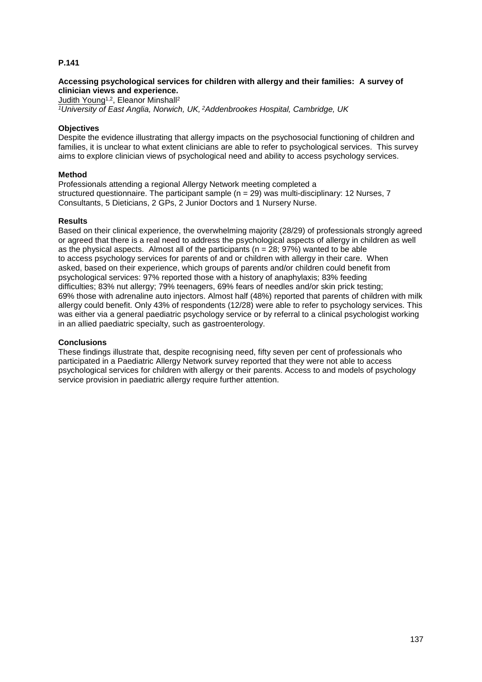#### **Accessing psychological services for children with allergy and their families: A survey of clinician views and experience.**

Judith Young<sup>1,2</sup>, Eleanor Minshall<sup>2</sup>

*<sup>1</sup>University of East Anglia, Norwich, UK, <sup>2</sup>Addenbrookes Hospital, Cambridge, UK*

#### **Objectives**

Despite the evidence illustrating that allergy impacts on the psychosocial functioning of children and families, it is unclear to what extent clinicians are able to refer to psychological services. This survey aims to explore clinician views of psychological need and ability to access psychology services.

#### **Method**

Professionals attending a regional Allergy Network meeting completed a structured questionnaire. The participant sample ( $n = 29$ ) was multi-disciplinary: 12 Nurses, 7 Consultants, 5 Dieticians, 2 GPs, 2 Junior Doctors and 1 Nursery Nurse.

#### **Results**

Based on their clinical experience, the overwhelming majority (28/29) of professionals strongly agreed or agreed that there is a real need to address the psychological aspects of allergy in children as well as the physical aspects. Almost all of the participants ( $n = 28$ ; 97%) wanted to be able to access psychology services for parents of and or children with allergy in their care. When asked, based on their experience, which groups of parents and/or children could benefit from psychological services: 97% reported those with a history of anaphylaxis; 83% feeding difficulties; 83% nut allergy; 79% teenagers, 69% fears of needles and/or skin prick testing; 69% those with adrenaline auto injectors. Almost half (48%) reported that parents of children with milk allergy could benefit. Only 43% of respondents (12/28) were able to refer to psychology services. This was either via a general paediatric psychology service or by referral to a clinical psychologist working in an allied paediatric specialty, such as gastroenterology.

#### **Conclusions**

These findings illustrate that, despite recognising need, fifty seven per cent of professionals who participated in a Paediatric Allergy Network survey reported that they were not able to access psychological services for children with allergy or their parents. Access to and models of psychology service provision in paediatric allergy require further attention.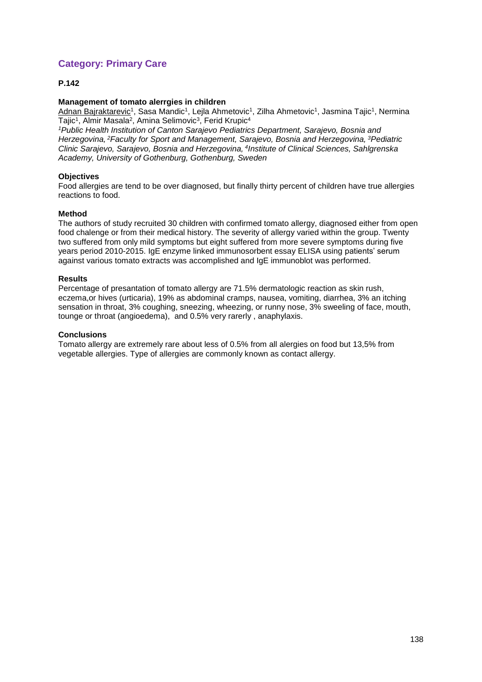# **Category: Primary Care**

## **P.142**

#### **Management of tomato alerrgies in children**

<u>Adnan Bajraktarevic</u>1, Sasa Mandic1, Lejla Ahmetovic<sup>1</sup>, Zilha Ahmetovic1, Jasmina Tajic<sup>1</sup>, Nermina Tajic<sup>1</sup>, Almir Masala<sup>2</sup>, Amina Selimovic<sup>3</sup>, Ferid Krupic<sup>4</sup>

*<sup>1</sup>Public Health Institution of Canton Sarajevo Pediatrics Department, Sarajevo, Bosnia and Herzegovina, <sup>2</sup>Faculty for Sport and Management, Sarajevo, Bosnia and Herzegovina, <sup>3</sup>Pediatric Clinic Sarajevo, Sarajevo, Bosnia and Herzegovina, <sup>4</sup> Institute of Clinical Sciences, Sahlgrenska Academy, University of Gothenburg, Gothenburg, Sweden*

## **Objectives**

Food allergies are tend to be over diagnosed, but finally thirty percent of children have true allergies reactions to food.

#### **Method**

The authors of study recruited 30 children with confirmed tomato allergy, diagnosed either from open food chalenge or from their medical history. The severity of allergy varied within the group. Twenty two suffered from only mild symptoms but eight suffered from more severe symptoms during five years period 2010-2015. IgE enzyme linked immunosorbent essay ELISA using patients' serum against various tomato extracts was accomplished and IgE immunoblot was performed.

#### **Results**

Percentage of presantation of tomato allergy are 71.5% dermatologic reaction as skin rush, eczema,or hives (urticaria), 19% as abdominal cramps, nausea, vomiting, diarrhea, 3% an itching sensation in throat, 3% coughing, sneezing, wheezing, or runny nose, 3% sweeling of face, mouth, tounge or throat (angioedema), and 0.5% very rarerly , anaphylaxis.

#### **Conclusions**

Tomato allergy are extremely rare about less of 0.5% from all alergies on food but 13,5% from vegetable allergies. Type of allergies are commonly known as contact allergy.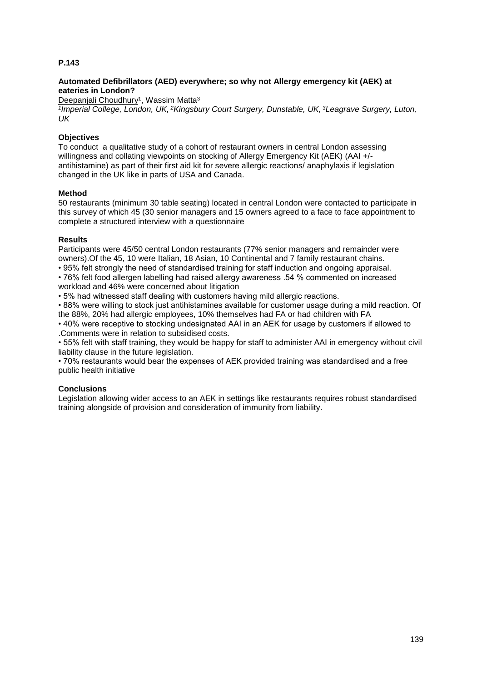## **Automated Defibrillators (AED) everywhere; so why not Allergy emergency kit (AEK) at eateries in London?**

Deepanjali Choudhury<sup>1</sup>, Wassim Matta<sup>3</sup>

*1 Imperial College, London, UK, <sup>2</sup>Kingsbury Court Surgery, Dunstable, UK, <sup>3</sup>Leagrave Surgery, Luton, UK*

## **Objectives**

To conduct a qualitative study of a cohort of restaurant owners in central London assessing willingness and collating viewpoints on stocking of Allergy Emergency Kit (AEK) (AAI +/antihistamine) as part of their first aid kit for severe allergic reactions/ anaphylaxis if legislation changed in the UK like in parts of USA and Canada.

## **Method**

50 restaurants (minimum 30 table seating) located in central London were contacted to participate in this survey of which 45 (30 senior managers and 15 owners agreed to a face to face appointment to complete a structured interview with a questionnaire

#### **Results**

Participants were 45/50 central London restaurants (77% senior managers and remainder were owners).Of the 45, 10 were Italian, 18 Asian, 10 Continental and 7 family restaurant chains.

• 95% felt strongly the need of standardised training for staff induction and ongoing appraisal.

• 76% felt food allergen labelling had raised allergy awareness .54 % commented on increased workload and 46% were concerned about litigation

• 5% had witnessed staff dealing with customers having mild allergic reactions.

• 88% were willing to stock just antihistamines available for customer usage during a mild reaction. Of the 88%, 20% had allergic employees, 10% themselves had FA or had children with FA

• 40% were receptive to stocking undesignated AAI in an AEK for usage by customers if allowed to .Comments were in relation to subsidised costs.

• 55% felt with staff training, they would be happy for staff to administer AAI in emergency without civil liability clause in the future legislation.

• 70% restaurants would bear the expenses of AEK provided training was standardised and a free public health initiative

## **Conclusions**

Legislation allowing wider access to an AEK in settings like restaurants requires robust standardised training alongside of provision and consideration of immunity from liability.